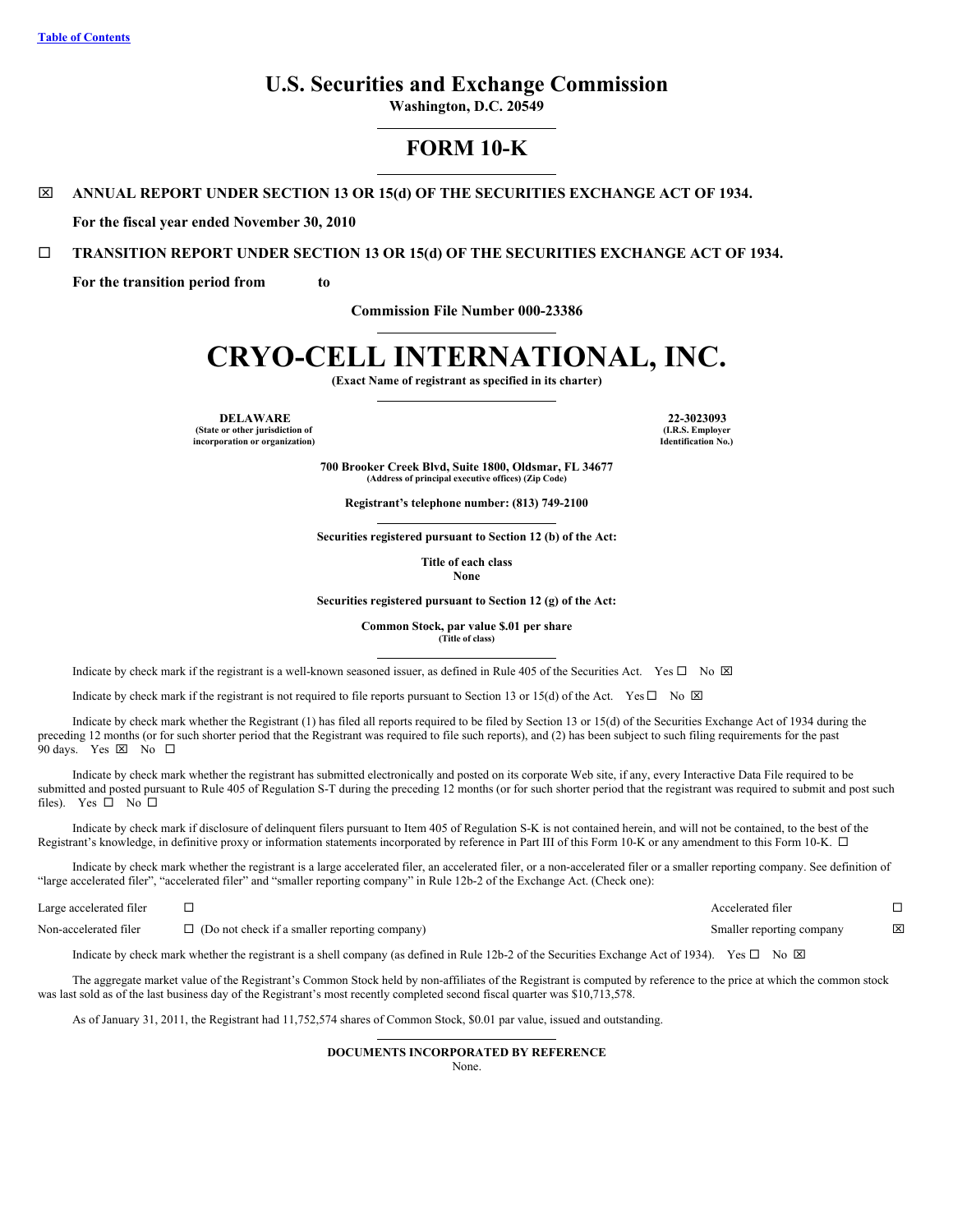## **U.S. Securities and Exchange Commission**

**Washington, D.C. 20549**

# **FORM 10-K**

<span id="page-0-0"></span>x **ANNUAL REPORT UNDER SECTION 13 OR 15(d) OF THE SECURITIES EXCHANGE ACT OF 1934.**

**For the fiscal year ended November 30, 2010**

¨ **TRANSITION REPORT UNDER SECTION 13 OR 15(d) OF THE SECURITIES EXCHANGE ACT OF 1934.**

**For the transition period from to**

**Commission File Number 000-23386**

# **CRYO-CELL INTERNATIONAL, INC.**

**(Exact Name of registrant as specified in its charter)**

**DELAWARE 22-3023093 (State or other jurisdiction of incorporation or organization)**

**(I.R.S. Employer Identification No.)**

**700 Brooker Creek Blvd, Suite 1800, Oldsmar, FL 34677 (Address of principal executive offices) (Zip Code)**

**Registrant's telephone number: (813) 749-2100**

**Securities registered pursuant to Section 12 (b) of the Act:**

**Title of each class None**

**Securities registered pursuant to Section 12 (g) of the Act:**

**Common Stock, par value \$.01 per share (Title of class)**

Indicate by check mark if the registrant is a well-known seasoned issuer, as defined in Rule 405 of the Securities Act. Yes  $\Box$  No  $\boxtimes$ 

Indicate by check mark if the registrant is not required to file reports pursuant to Section 13 or 15(d) of the Act. Yes  $\Box$  No  $\boxtimes$ 

Indicate by check mark whether the Registrant (1) has filed all reports required to be filed by Section 13 or 15(d) of the Securities Exchange Act of 1934 during the preceding 12 months (or for such shorter period that the Registrant was required to file such reports), and (2) has been subject to such filing requirements for the past 90 days. Yes  $\boxtimes$  No  $\square$ 

Indicate by check mark whether the registrant has submitted electronically and posted on its corporate Web site, if any, every Interactive Data File required to be submitted and posted pursuant to Rule 405 of Regulation S-T during the preceding 12 months (or for such shorter period that the registrant was required to submit and post such files). Yes  $\square$  No  $\square$ 

Indicate by check mark if disclosure of delinquent filers pursuant to Item 405 of Regulation S-K is not contained herein, and will not be contained, to the best of the Registrant's knowledge, in definitive proxy or information statements incorporated by reference in Part III of this Form 10-K or any amendment to this Form 10-K.  $\Box$ 

Indicate by check mark whether the registrant is a large accelerated filer, an accelerated filer, or a non-accelerated filer or a smaller reporting company. See definition of "large accelerated filer", "accelerated filer" and "smaller reporting company" in Rule 12b-2 of the Exchange Act. (Check one):

Large accelerated filer  $\Box$ 

Non-accelerated filer □ (Do not check if a smaller reporting company) Smaller reporting company IZ

Indicate by check mark whether the registrant is a shell company (as defined in Rule 12b-2 of the Securities Exchange Act of 1934). Yes  $\Box$  No  $\boxtimes$ 

The aggregate market value of the Registrant's Common Stock held by non-affiliates of the Registrant is computed by reference to the price at which the common stock was last sold as of the last business day of the Registrant's most recently completed second fiscal quarter was \$10,713,578.

As of January 31, 2011, the Registrant had 11,752,574 shares of Common Stock, \$0.01 par value, issued and outstanding.

**DOCUMENTS INCORPORATED BY REFERENCE**

None.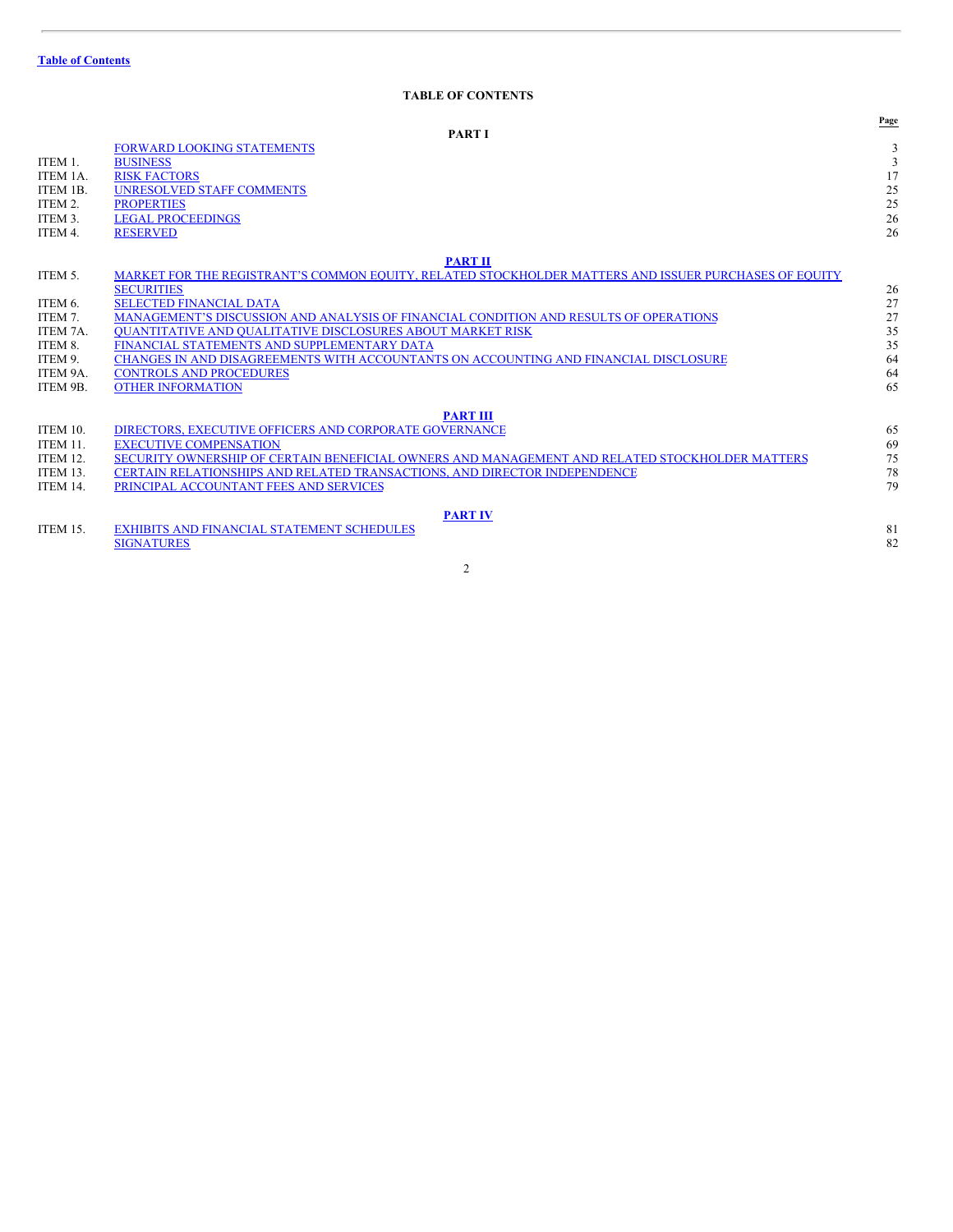## <span id="page-1-0"></span>**TABLE OF CONTENTS**

|          |                                                                                                       | Page   |
|----------|-------------------------------------------------------------------------------------------------------|--------|
|          | <b>PART I</b>                                                                                         |        |
|          | <b>FORWARD LOOKING STATEMENTS</b>                                                                     | 3      |
| ITEM 1.  | <b>BUSINESS</b>                                                                                       | 3      |
| ITEM 1A. | <b>RISK FACTORS</b>                                                                                   | 17     |
| ITEM 1B. | <b>UNRESOLVED STAFF COMMENTS</b>                                                                      | $25\,$ |
| ITEM 2.  | <b>PROPERTIES</b>                                                                                     | 25     |
| ITEM 3.  | <b>LEGAL PROCEEDINGS</b>                                                                              | 26     |
| ITEM 4.  | <b>RESERVED</b>                                                                                       | 26     |
|          | <b>PART II</b>                                                                                        |        |
| ITEM 5.  | MARKET FOR THE REGISTRANT'S COMMON EQUITY, RELATED STOCKHOLDER MATTERS AND ISSUER PURCHASES OF EQUITY |        |
|          | <b>SECURITIES</b>                                                                                     | 26     |
| ITEM 6.  | <b>SELECTED FINANCIAL DATA</b>                                                                        | 27     |
| ITEM 7.  | MANAGEMENT'S DISCUSSION AND ANALYSIS OF FINANCIAL CONDITION AND RESULTS OF OPERATIONS                 | 27     |
| ITEM 7A. | <b>OUANTITATIVE AND OUALITATIVE DISCLOSURES ABOUT MARKET RISK</b>                                     | 35     |
| ITEM 8.  | FINANCIAL STATEMENTS AND SUPPLEMENTARY DATA                                                           | 35     |
| ITEM 9.  | CHANGES IN AND DISAGREEMENTS WITH ACCOUNTANTS ON ACCOUNTING AND FINANCIAL DISCLOSURE                  | 64     |
| ITEM 9A. | <b>CONTROLS AND PROCEDURES</b>                                                                        | 64     |
|          |                                                                                                       |        |
| ITEM 9B. | <b>OTHER INFORMATION</b>                                                                              | 65     |
|          | <b>PART III</b>                                                                                       |        |
| ITEM 10. | DIRECTORS, EXECUTIVE OFFICERS AND CORPORATE GOVERNANCE                                                | 65     |
| ITEM 11. | <b>EXECUTIVE COMPENSATION</b>                                                                         | 69     |
| ITEM 12. | SECURITY OWNERSHIP OF CERTAIN BENEFICIAL OWNERS AND MANAGEMENT AND RELATED STOCKHOLDER MATTERS        | 75     |
| ITEM 13. | CERTAIN RELATIONSHIPS AND RELATED TRANSACTIONS, AND DIRECTOR INDEPENDENCE                             | 78     |
| ITEM 14. | PRINCIPAL ACCOUNTANT FEES AND SERVICES                                                                | 79     |
|          | <b>PART IV</b>                                                                                        |        |
| ITEM 15. | <b>EXHIBITS AND FINANCIAL STATEMENT SCHEDULES</b>                                                     | 81     |
|          | <b>SIGNATURES</b>                                                                                     | 82     |
|          |                                                                                                       |        |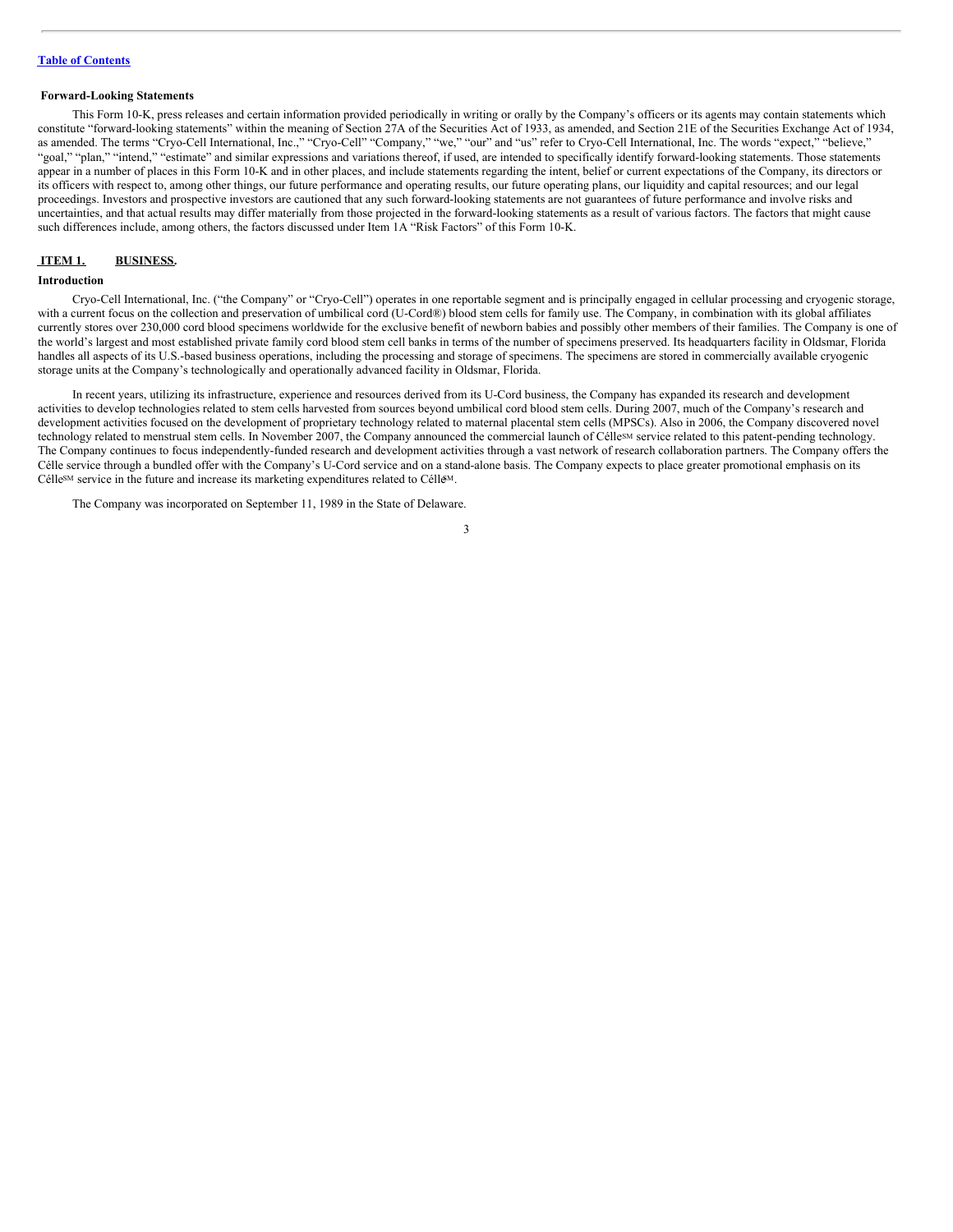#### <span id="page-2-0"></span>**Forward-Looking Statements**

This Form 10-K, press releases and certain information provided periodically in writing or orally by the Company's officers or its agents may contain statements which constitute "forward-looking statements" within the meaning of Section 27A of the Securities Act of 1933, as amended, and Section 21E of the Securities Exchange Act of 1934, as amended. The terms "Cryo-Cell International, Inc.," "Cryo-Cell" "Company," "we," "our" and "us" refer to Cryo-Cell International, Inc. The words "expect," "believe," "goal," "plan," "intend," "estimate" and similar expressions and variations thereof, if used, are intended to specifically identify forward-looking statements. Those statements appear in a number of places in this Form 10-K and in other places, and include statements regarding the intent, belief or current expectations of the Company, its directors or its officers with respect to, among other things, our future performance and operating results, our future operating plans, our liquidity and capital resources; and our legal proceedings. Investors and prospective investors are cautioned that any such forward-looking statements are not guarantees of future performance and involve risks and uncertainties, and that actual results may differ materially from those projected in the forward-looking statements as a result of various factors. The factors that might cause such differences include, among others, the factors discussed under Item 1A "Risk Factors" of this Form 10-K.

## <span id="page-2-1"></span>**ITEM 1. BUSINESS.**

## **Introduction**

Cryo-Cell International, Inc. ("the Company" or "Cryo-Cell") operates in one reportable segment and is principally engaged in cellular processing and cryogenic storage, with a current focus on the collection and preservation of umbilical cord (U-Cord®) blood stem cells for family use. The Company, in combination with its global affiliates currently stores over 230,000 cord blood specimens worldwide for the exclusive benefit of newborn babies and possibly other members of their families. The Company is one of the world's largest and most established private family cord blood stem cell banks in terms of the number of specimens preserved. Its headquarters facility in Oldsmar, Florida handles all aspects of its U.S.-based business operations, including the processing and storage of specimens. The specimens are stored in commercially available cryogenic storage units at the Company's technologically and operationally advanced facility in Oldsmar, Florida.

In recent years, utilizing its infrastructure, experience and resources derived from its U-Cord business, the Company has expanded its research and development activities to develop technologies related to stem cells harvested from sources beyond umbilical cord blood stem cells. During 2007, much of the Company's research and development activities focused on the development of proprietary technology related to maternal placental stem cells (MPSCs). Also in 2006, the Company discovered novel technology related to menstrual stem cells. In November 2007, the Company announced the commercial launch of Célle<sup>SM</sup> service related to this patent-pending technology. The Company continues to focus independently-funded research and development activities through a vast network of research collaboration partners. The Company offers the Célle service through a bundled offer with the Company's U-Cord service and on a stand-alone basis. The Company expects to place greater promotional emphasis on its CéllesM service in the future and increase its marketing expenditures related to CélleM.

The Company was incorporated on September 11, 1989 in the State of Delaware.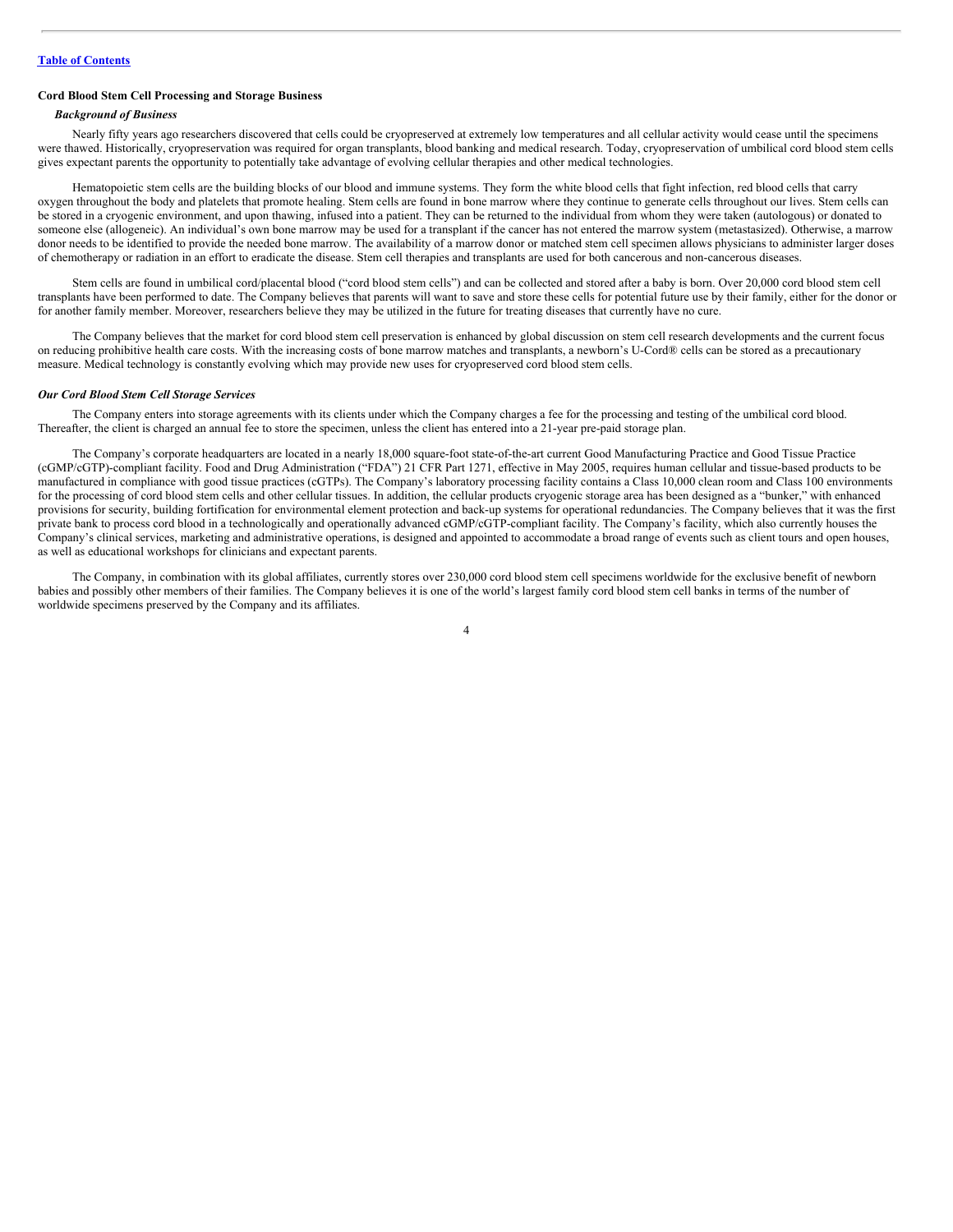## **Cord Blood Stem Cell Processing and Storage Business**

#### *Background of Business*

Nearly fifty years ago researchers discovered that cells could be cryopreserved at extremely low temperatures and all cellular activity would cease until the specimens were thawed. Historically, cryopreservation was required for organ transplants, blood banking and medical research. Today, cryopreservation of umbilical cord blood stem cells gives expectant parents the opportunity to potentially take advantage of evolving cellular therapies and other medical technologies.

Hematopoietic stem cells are the building blocks of our blood and immune systems. They form the white blood cells that fight infection, red blood cells that carry oxygen throughout the body and platelets that promote healing. Stem cells are found in bone marrow where they continue to generate cells throughout our lives. Stem cells can be stored in a cryogenic environment, and upon thawing, infused into a patient. They can be returned to the individual from whom they were taken (autologous) or donated to someone else (allogeneic). An individual's own bone marrow may be used for a transplant if the cancer has not entered the marrow system (metastasized). Otherwise, a marrow donor needs to be identified to provide the needed bone marrow. The availability of a marrow donor or matched stem cell specimen allows physicians to administer larger doses of chemotherapy or radiation in an effort to eradicate the disease. Stem cell therapies and transplants are used for both cancerous and non-cancerous diseases.

Stem cells are found in umbilical cord/placental blood ("cord blood stem cells") and can be collected and stored after a baby is born. Over 20,000 cord blood stem cell transplants have been performed to date. The Company believes that parents will want to save and store these cells for potential future use by their family, either for the donor or for another family member. Moreover, researchers believe they may be utilized in the future for treating diseases that currently have no cure.

The Company believes that the market for cord blood stem cell preservation is enhanced by global discussion on stem cell research developments and the current focus on reducing prohibitive health care costs. With the increasing costs of bone marrow matches and transplants, a newborn's U-Cord® cells can be stored as a precautionary measure. Medical technology is constantly evolving which may provide new uses for cryopreserved cord blood stem cells.

#### *Our Cord Blood Stem Cell Storage Services*

The Company enters into storage agreements with its clients under which the Company charges a fee for the processing and testing of the umbilical cord blood. Thereafter, the client is charged an annual fee to store the specimen, unless the client has entered into a 21-year pre-paid storage plan.

The Company's corporate headquarters are located in a nearly 18,000 square-foot state-of-the-art current Good Manufacturing Practice and Good Tissue Practice (cGMP/cGTP)-compliant facility. Food and Drug Administration ("FDA") 21 CFR Part 1271, effective in May 2005, requires human cellular and tissue-based products to be manufactured in compliance with good tissue practices (cGTPs). The Company's laboratory processing facility contains a Class 10,000 clean room and Class 100 environments for the processing of cord blood stem cells and other cellular tissues. In addition, the cellular products cryogenic storage area has been designed as a "bunker," with enhanced provisions for security, building fortification for environmental element protection and back-up systems for operational redundancies. The Company believes that it was the first private bank to process cord blood in a technologically and operationally advanced cGMP/cGTP-compliant facility. The Company's facility, which also currently houses the Company's clinical services, marketing and administrative operations, is designed and appointed to accommodate a broad range of events such as client tours and open houses, as well as educational workshops for clinicians and expectant parents.

The Company, in combination with its global affiliates, currently stores over 230,000 cord blood stem cell specimens worldwide for the exclusive benefit of newborn babies and possibly other members of their families. The Company believes it is one of the world's largest family cord blood stem cell banks in terms of the number of worldwide specimens preserved by the Company and its affiliates.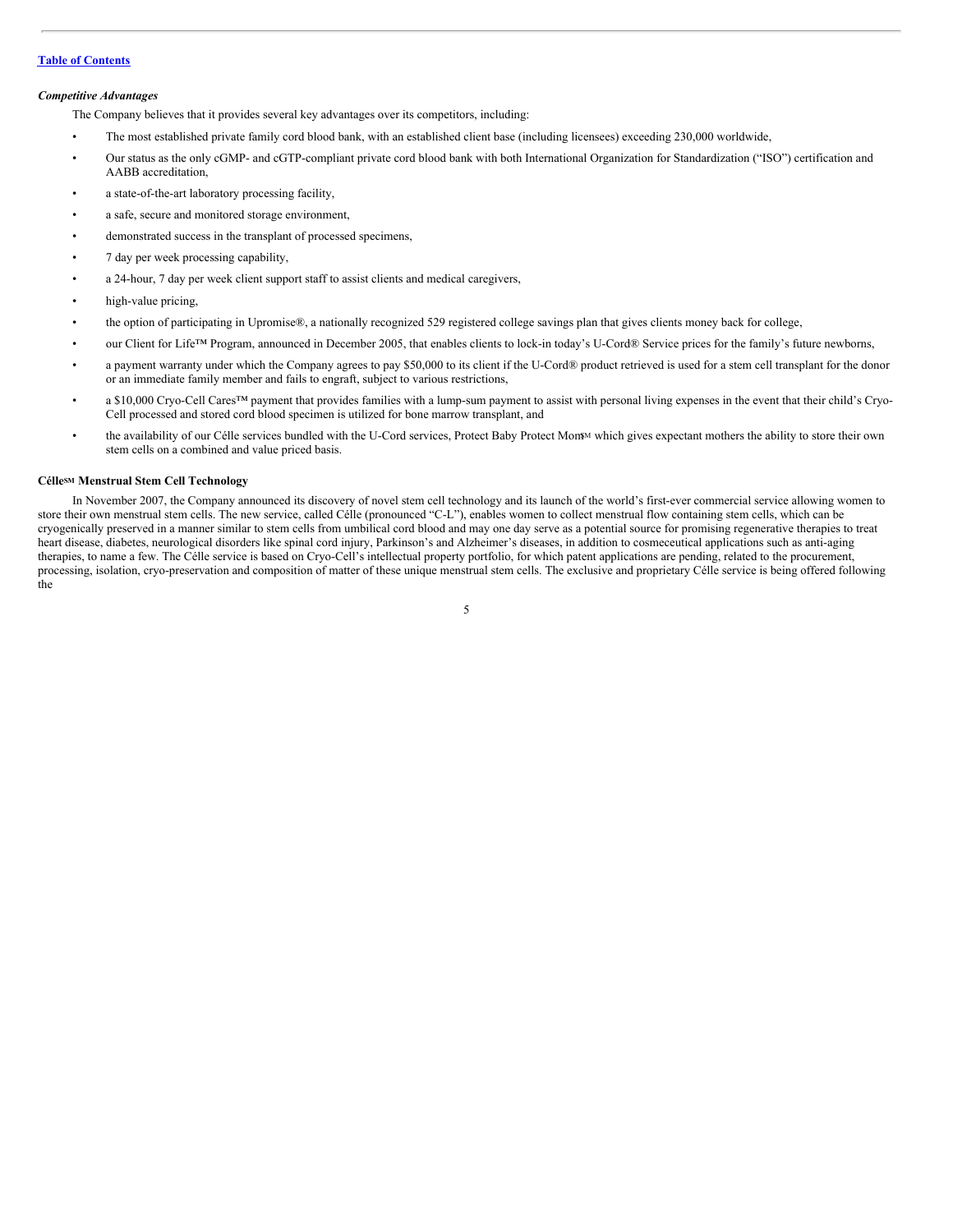#### *Competitive Advantages*

The Company believes that it provides several key advantages over its competitors, including:

- The most established private family cord blood bank, with an established client base (including licensees) exceeding 230,000 worldwide,
- Our status as the only cGMP- and cGTP-compliant private cord blood bank with both International Organization for Standardization ("ISO") certification and AABB accreditation,
- a state-of-the-art laboratory processing facility,
- a safe, secure and monitored storage environment,
- demonstrated success in the transplant of processed specimens,
- 7 day per week processing capability,
- a 24-hour, 7 day per week client support staff to assist clients and medical caregivers,
- high-value pricing,
- the option of participating in Upromise®, a nationally recognized 529 registered college savings plan that gives clients money back for college,
- our Client for Life™ Program, announced in December 2005, that enables clients to lock-in today's U-Cord® Service prices for the family's future newborns,
- a payment warranty under which the Company agrees to pay \$50,000 to its client if the U-Cord® product retrieved is used for a stem cell transplant for the donor or an immediate family member and fails to engraft, subject to various restrictions,
- a \$10,000 Cryo-Cell Cares™ payment that provides families with a lump-sum payment to assist with personal living expenses in the event that their child's Cryo-Cell processed and stored cord blood specimen is utilized for bone marrow transplant, and
- the availability of our Célle services bundled with the U-Cord services, Protect Baby Protect Mon<sup>5M</sup> which gives expectant mothers the ability to store their own stem cells on a combined and value priced basis.

#### **Célle**<sup>SM</sup> Menstrual Stem Cell Technology

In November 2007, the Company announced its discovery of novel stem cell technology and its launch of the world's first-ever commercial service allowing women to store their own menstrual stem cells. The new service, called Célle (pronounced "C-L"), enables women to collect menstrual flow containing stem cells, which can be cryogenically preserved in a manner similar to stem cells from umbilical cord blood and may one day serve as a potential source for promising regenerative therapies to treat heart disease, diabetes, neurological disorders like spinal cord injury, Parkinson's and Alzheimer's diseases, in addition to cosmeceutical applications such as anti-aging therapies, to name a few. The Célle service is based on Cryo-Cell's intellectual property portfolio, for which patent applications are pending, related to the procurement, processing, isolation, cryo-preservation and composition of matter of these unique menstrual stem cells. The exclusive and proprietary Célle service is being offered following the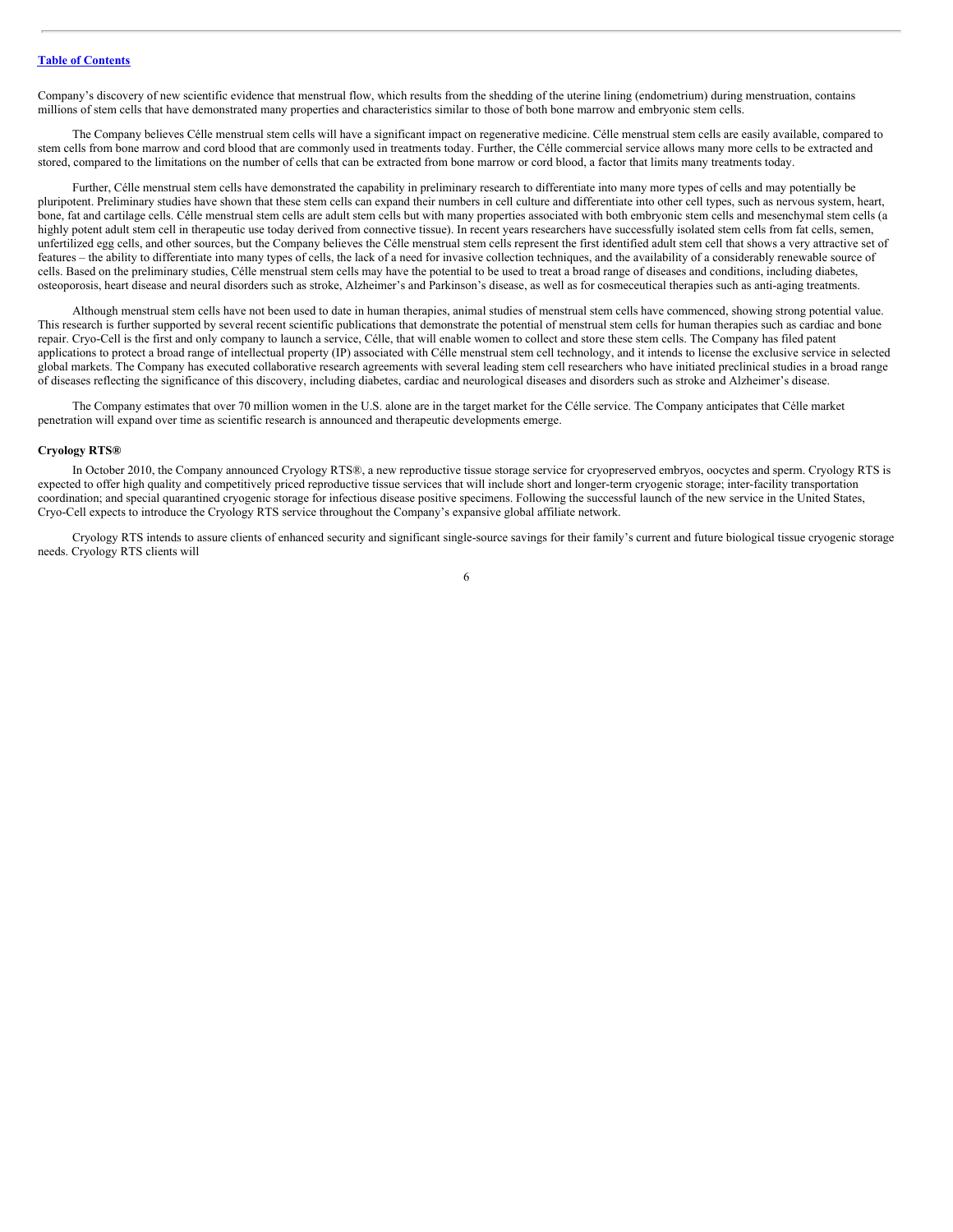Company's discovery of new scientific evidence that menstrual flow, which results from the shedding of the uterine lining (endometrium) during menstruation, contains millions of stem cells that have demonstrated many properties and characteristics similar to those of both bone marrow and embryonic stem cells.

The Company believes Célle menstrual stem cells will have a significant impact on regenerative medicine. Célle menstrual stem cells are easily available, compared to stem cells from bone marrow and cord blood that are commonly used in treatments today. Further, the Célle commercial service allows many more cells to be extracted and stored, compared to the limitations on the number of cells that can be extracted from bone marrow or cord blood, a factor that limits many treatments today.

Further, Célle menstrual stem cells have demonstrated the capability in preliminary research to differentiate into many more types of cells and may potentially be pluripotent. Preliminary studies have shown that these stem cells can expand their numbers in cell culture and differentiate into other cell types, such as nervous system, heart, bone, fat and cartilage cells. Célle menstrual stem cells are adult stem cells but with many properties associated with both embryonic stem cells and mesenchymal stem cells (a highly potent adult stem cell in therapeutic use today derived from connective tissue). In recent years researchers have successfully isolated stem cells from fat cells, semen, unfertilized egg cells, and other sources, but the Company believes the Célle menstrual stem cells represent the first identified adult stem cell that shows a very attractive set of features – the ability to differentiate into many types of cells, the lack of a need for invasive collection techniques, and the availability of a considerably renewable source of cells. Based on the preliminary studies, Célle menstrual stem cells may have the potential to be used to treat a broad range of diseases and conditions, including diabetes, osteoporosis, heart disease and neural disorders such as stroke, Alzheimer's and Parkinson's disease, as well as for cosmeceutical therapies such as anti-aging treatments.

Although menstrual stem cells have not been used to date in human therapies, animal studies of menstrual stem cells have commenced, showing strong potential value. This research is further supported by several recent scientific publications that demonstrate the potential of menstrual stem cells for human therapies such as cardiac and bone repair. Cryo-Cell is the first and only company to launch a service, Célle, that will enable women to collect and store these stem cells. The Company has filed patent applications to protect a broad range of intellectual property (IP) associated with Célle menstrual stem cell technology, and it intends to license the exclusive service in selected global markets. The Company has executed collaborative research agreements with several leading stem cell researchers who have initiated preclinical studies in a broad range of diseases reflecting the significance of this discovery, including diabetes, cardiac and neurological diseases and disorders such as stroke and Alzheimer's disease.

The Company estimates that over 70 million women in the U.S. alone are in the target market for the Célle service. The Company anticipates that Célle market penetration will expand over time as scientific research is announced and therapeutic developments emerge.

#### **Cryology RTS®**

In October 2010, the Company announced Cryology RTS®, a new reproductive tissue storage service for cryopreserved embryos, oocyctes and sperm. Cryology RTS is expected to offer high quality and competitively priced reproductive tissue services that will include short and longer-term cryogenic storage; inter-facility transportation coordination; and special quarantined cryogenic storage for infectious disease positive specimens. Following the successful launch of the new service in the United States, Cryo-Cell expects to introduce the Cryology RTS service throughout the Company's expansive global affiliate network.

Cryology RTS intends to assure clients of enhanced security and significant single-source savings for their family's current and future biological tissue cryogenic storage needs. Cryology RTS clients will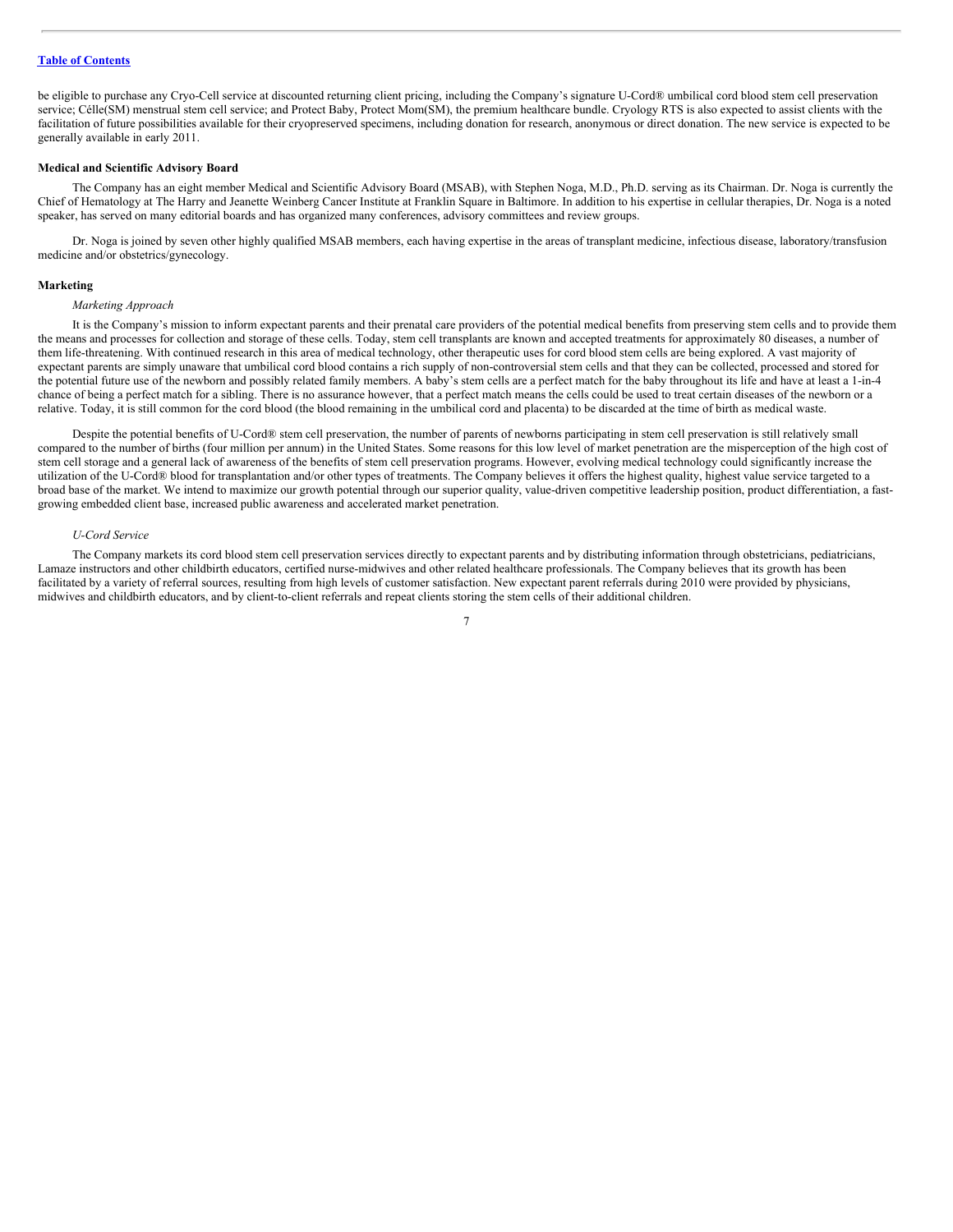be eligible to purchase any Cryo-Cell service at discounted returning client pricing, including the Company's signature U-Cord® umbilical cord blood stem cell preservation service; Célle(SM) menstrual stem cell service; and Protect Baby, Protect Mom(SM), the premium healthcare bundle. Cryology RTS is also expected to assist clients with the facilitation of future possibilities available for their cryopreserved specimens, including donation for research, anonymous or direct donation. The new service is expected to be generally available in early 2011.

#### **Medical and Scientific Advisory Board**

The Company has an eight member Medical and Scientific Advisory Board (MSAB), with Stephen Noga, M.D., Ph.D. serving as its Chairman. Dr. Noga is currently the Chief of Hematology at The Harry and Jeanette Weinberg Cancer Institute at Franklin Square in Baltimore. In addition to his expertise in cellular therapies, Dr. Noga is a noted speaker, has served on many editorial boards and has organized many conferences, advisory committees and review groups.

Dr. Noga is joined by seven other highly qualified MSAB members, each having expertise in the areas of transplant medicine, infectious disease, laboratory/transfusion medicine and/or obstetrics/gynecology.

#### **Marketing**

#### *Marketing Approach*

It is the Company's mission to inform expectant parents and their prenatal care providers of the potential medical benefits from preserving stem cells and to provide them the means and processes for collection and storage of these cells. Today, stem cell transplants are known and accepted treatments for approximately 80 diseases, a number of them life-threatening. With continued research in this area of medical technology, other therapeutic uses for cord blood stem cells are being explored. A vast majority of expectant parents are simply unaware that umbilical cord blood contains a rich supply of non-controversial stem cells and that they can be collected, processed and stored for the potential future use of the newborn and possibly related family members. A baby's stem cells are a perfect match for the baby throughout its life and have at least a 1-in-4 chance of being a perfect match for a sibling. There is no assurance however, that a perfect match means the cells could be used to treat certain diseases of the newborn or a relative. Today, it is still common for the cord blood (the blood remaining in the umbilical cord and placenta) to be discarded at the time of birth as medical waste.

Despite the potential benefits of U-Cord® stem cell preservation, the number of parents of newborns participating in stem cell preservation is still relatively small compared to the number of births (four million per annum) in the United States. Some reasons for this low level of market penetration are the misperception of the high cost of stem cell storage and a general lack of awareness of the benefits of stem cell preservation programs. However, evolving medical technology could significantly increase the utilization of the U-Cord® blood for transplantation and/or other types of treatments. The Company believes it offers the highest quality, highest value service targeted to a broad base of the market. We intend to maximize our growth potential through our superior quality, value-driven competitive leadership position, product differentiation, a fastgrowing embedded client base, increased public awareness and accelerated market penetration.

#### *U-Cord Service*

The Company markets its cord blood stem cell preservation services directly to expectant parents and by distributing information through obstetricians, pediatricians, Lamaze instructors and other childbirth educators, certified nurse-midwives and other related healthcare professionals. The Company believes that its growth has been facilitated by a variety of referral sources, resulting from high levels of customer satisfaction. New expectant parent referrals during 2010 were provided by physicians, midwives and childbirth educators, and by client-to-client referrals and repeat clients storing the stem cells of their additional children.

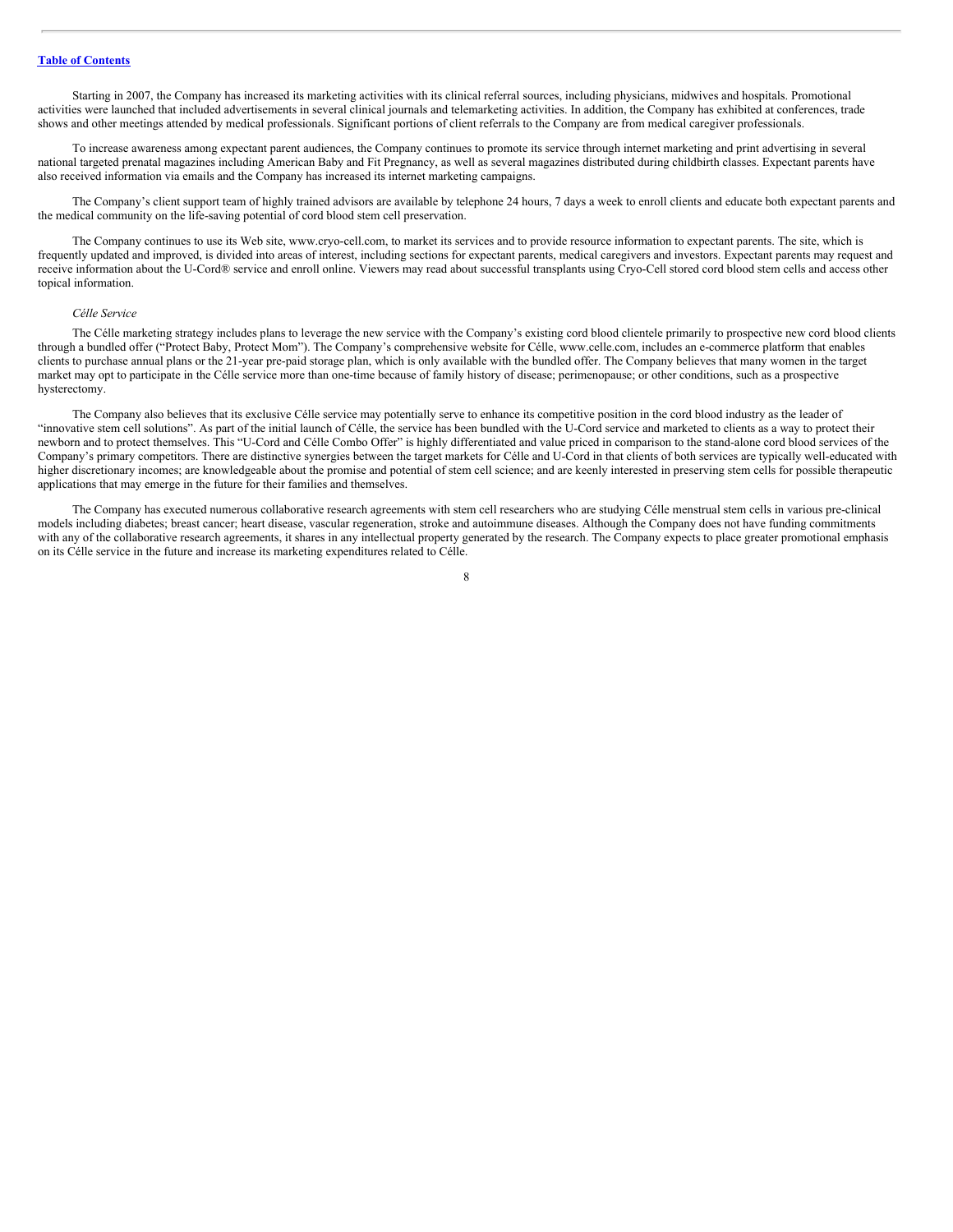Starting in 2007, the Company has increased its marketing activities with its clinical referral sources, including physicians, midwives and hospitals. Promotional activities were launched that included advertisements in several clinical journals and telemarketing activities. In addition, the Company has exhibited at conferences, trade shows and other meetings attended by medical professionals. Significant portions of client referrals to the Company are from medical caregiver professionals.

To increase awareness among expectant parent audiences, the Company continues to promote its service through internet marketing and print advertising in several national targeted prenatal magazines including American Baby and Fit Pregnancy, as well as several magazines distributed during childbirth classes. Expectant parents have also received information via emails and the Company has increased its internet marketing campaigns.

The Company's client support team of highly trained advisors are available by telephone 24 hours, 7 days a week to enroll clients and educate both expectant parents and the medical community on the life-saving potential of cord blood stem cell preservation.

The Company continues to use its Web site, www.cryo-cell.com, to market its services and to provide resource information to expectant parents. The site, which is frequently updated and improved, is divided into areas of interest, including sections for expectant parents, medical caregivers and investors. Expectant parents may request and receive information about the U-Cord® service and enroll online. Viewers may read about successful transplants using Cryo-Cell stored cord blood stem cells and access other topical information.

## *Célle Service*

The Célle marketing strategy includes plans to leverage the new service with the Company's existing cord blood clientele primarily to prospective new cord blood clients through a bundled offer ("Protect Baby, Protect Mom"). The Company's comprehensive website for Célle, www.celle.com, includes an e-commerce platform that enables clients to purchase annual plans or the 21-year pre-paid storage plan, which is only available with the bundled offer. The Company believes that many women in the target market may opt to participate in the Célle service more than one-time because of family history of disease; perimenopause; or other conditions, such as a prospective hysterectomy.

The Company also believes that its exclusive Célle service may potentially serve to enhance its competitive position in the cord blood industry as the leader of "innovative stem cell solutions". As part of the initial launch of Célle, the service has been bundled with the U-Cord service and marketed to clients as a way to protect their newborn and to protect themselves. This "U-Cord and Célle Combo Offer" is highly differentiated and value priced in comparison to the stand-alone cord blood services of the Company's primary competitors. There are distinctive synergies between the target markets for Célle and U-Cord in that clients of both services are typically well-educated with higher discretionary incomes; are knowledgeable about the promise and potential of stem cell science; and are keenly interested in preserving stem cells for possible therapeutic applications that may emerge in the future for their families and themselves.

The Company has executed numerous collaborative research agreements with stem cell researchers who are studying Célle menstrual stem cells in various pre-clinical models including diabetes; breast cancer; heart disease, vascular regeneration, stroke and autoimmune diseases. Although the Company does not have funding commitments with any of the collaborative research agreements, it shares in any intellectual property generated by the research. The Company expects to place greater promotional emphasis on its Célle service in the future and increase its marketing expenditures related to Célle.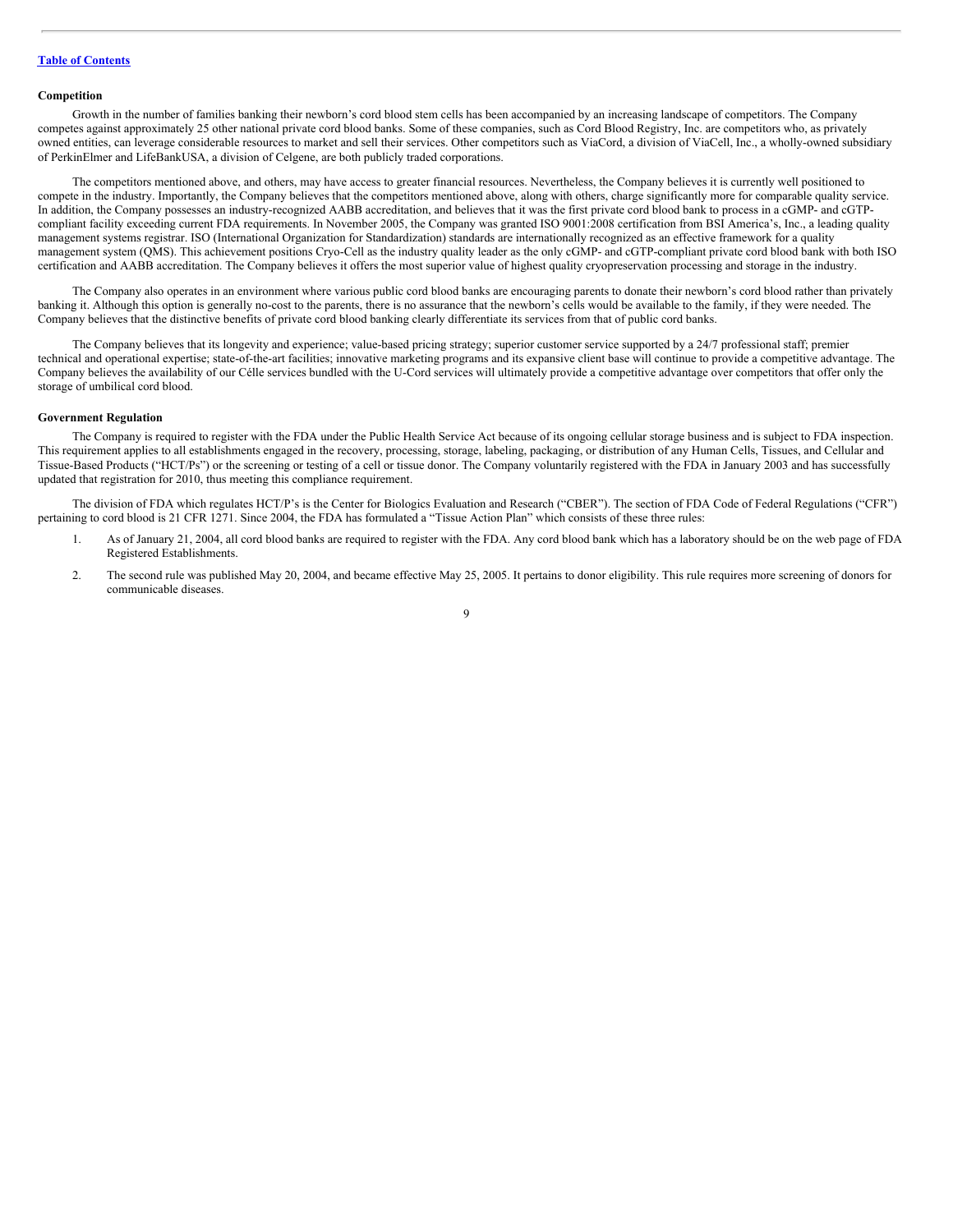#### **Competition**

Growth in the number of families banking their newborn's cord blood stem cells has been accompanied by an increasing landscape of competitors. The Company competes against approximately 25 other national private cord blood banks. Some of these companies, such as Cord Blood Registry, Inc. are competitors who, as privately owned entities, can leverage considerable resources to market and sell their services. Other competitors such as ViaCord, a division of ViaCell, Inc., a wholly-owned subsidiary of PerkinElmer and LifeBankUSA, a division of Celgene, are both publicly traded corporations.

The competitors mentioned above, and others, may have access to greater financial resources. Nevertheless, the Company believes it is currently well positioned to compete in the industry. Importantly, the Company believes that the competitors mentioned above, along with others, charge significantly more for comparable quality service. In addition, the Company possesses an industry-recognized AABB accreditation, and believes that it was the first private cord blood bank to process in a cGMP- and cGTPcompliant facility exceeding current FDA requirements. In November 2005, the Company was granted ISO 9001:2008 certification from BSI America's, Inc., a leading quality management systems registrar. ISO (International Organization for Standardization) standards are internationally recognized as an effective framework for a quality management system (QMS). This achievement positions Cryo-Cell as the industry quality leader as the only cGMP- and cGTP-compliant private cord blood bank with both ISO certification and AABB accreditation. The Company believes it offers the most superior value of highest quality cryopreservation processing and storage in the industry.

The Company also operates in an environment where various public cord blood banks are encouraging parents to donate their newborn's cord blood rather than privately banking it. Although this option is generally no-cost to the parents, there is no assurance that the newborn's cells would be available to the family, if they were needed. The Company believes that the distinctive benefits of private cord blood banking clearly differentiate its services from that of public cord banks.

The Company believes that its longevity and experience; value-based pricing strategy; superior customer service supported by a 24/7 professional staff; premier technical and operational expertise; state-of-the-art facilities; innovative marketing programs and its expansive client base will continue to provide a competitive advantage. The Company believes the availability of our Célle services bundled with the U-Cord services will ultimately provide a competitive advantage over competitors that offer only the storage of umbilical cord blood.

#### **Government Regulation**

The Company is required to register with the FDA under the Public Health Service Act because of its ongoing cellular storage business and is subject to FDA inspection. This requirement applies to all establishments engaged in the recovery, processing, storage, labeling, packaging, or distribution of any Human Cells, Tissues, and Cellular and Tissue-Based Products ("HCT/Ps") or the screening or testing of a cell or tissue donor. The Company voluntarily registered with the FDA in January 2003 and has successfully updated that registration for 2010, thus meeting this compliance requirement.

The division of FDA which regulates HCT/P's is the Center for Biologics Evaluation and Research ("CBER"). The section of FDA Code of Federal Regulations ("CFR") pertaining to cord blood is 21 CFR 1271. Since 2004, the FDA has formulated a "Tissue Action Plan" which consists of these three rules:

- 1. As of January 21, 2004, all cord blood banks are required to register with the FDA. Any cord blood bank which has a laboratory should be on the web page of FDA Registered Establishments.
- 2. The second rule was published May 20, 2004, and became effective May 25, 2005. It pertains to donor eligibility. This rule requires more screening of donors for communicable diseases.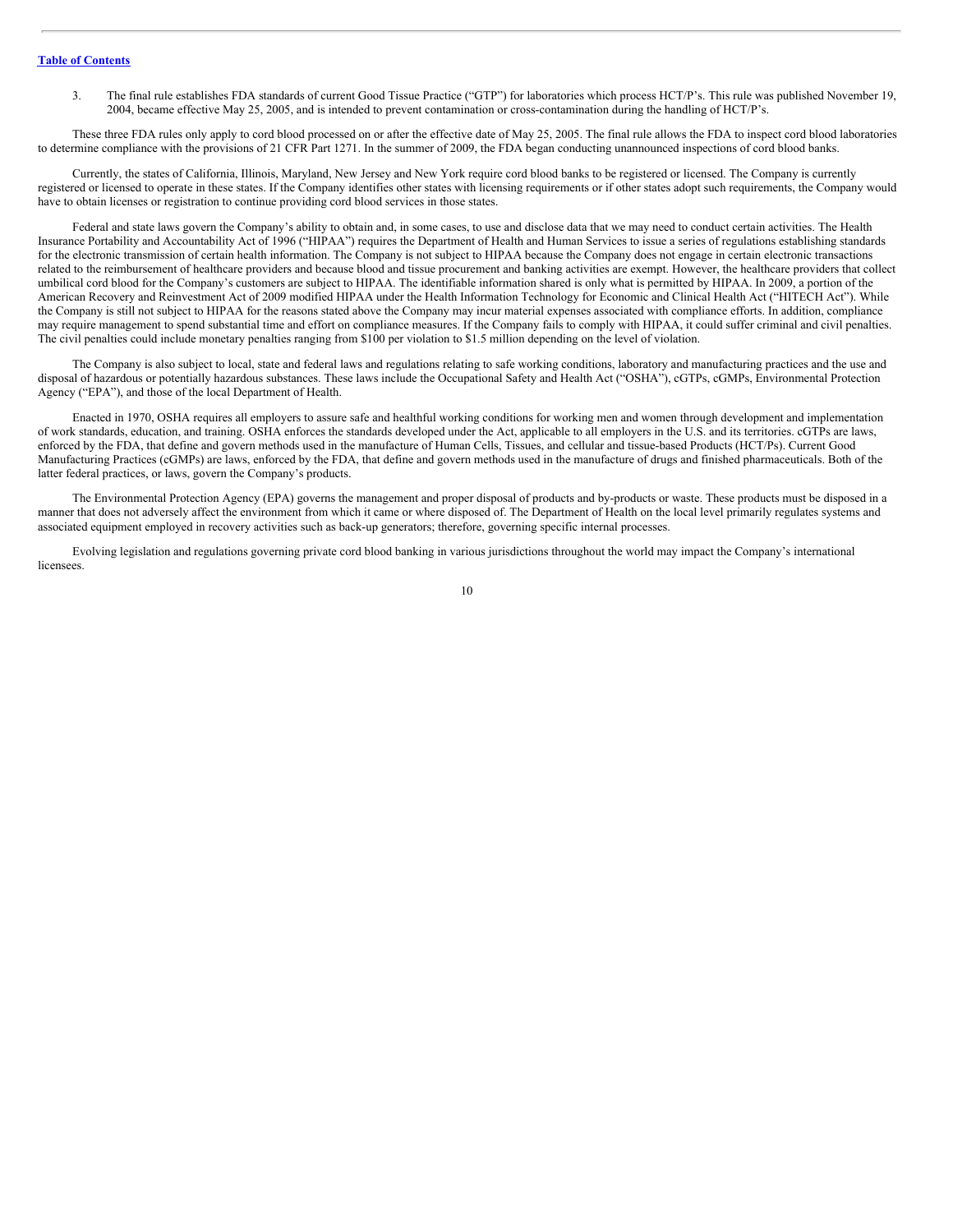3. The final rule establishes FDA standards of current Good Tissue Practice ("GTP") for laboratories which process HCT/P's. This rule was published November 19, 2004, became effective May 25, 2005, and is intended to prevent contamination or cross-contamination during the handling of HCT/P's.

These three FDA rules only apply to cord blood processed on or after the effective date of May 25, 2005. The final rule allows the FDA to inspect cord blood laboratories to determine compliance with the provisions of 21 CFR Part 1271. In the summer of 2009, the FDA began conducting unannounced inspections of cord blood banks.

Currently, the states of California, Illinois, Maryland, New Jersey and New York require cord blood banks to be registered or licensed. The Company is currently registered or licensed to operate in these states. If the Company identifies other states with licensing requirements or if other states adopt such requirements, the Company would have to obtain licenses or registration to continue providing cord blood services in those states.

Federal and state laws govern the Company's ability to obtain and, in some cases, to use and disclose data that we may need to conduct certain activities. The Health Insurance Portability and Accountability Act of 1996 ("HIPAA") requires the Department of Health and Human Services to issue a series of regulations establishing standards for the electronic transmission of certain health information. The Company is not subject to HIPAA because the Company does not engage in certain electronic transactions related to the reimbursement of healthcare providers and because blood and tissue procurement and banking activities are exempt. However, the healthcare providers that collect umbilical cord blood for the Company's customers are subject to HIPAA. The identifiable information shared is only what is permitted by HIPAA. In 2009, a portion of the American Recovery and Reinvestment Act of 2009 modified HIPAA under the Health Information Technology for Economic and Clinical Health Act ("HITECH Act"). While the Company is still not subject to HIPAA for the reasons stated above the Company may incur material expenses associated with compliance efforts. In addition, compliance may require management to spend substantial time and effort on compliance measures. If the Company fails to comply with HIPAA, it could suffer criminal and civil penalties. The civil penalties could include monetary penalties ranging from \$100 per violation to \$1.5 million depending on the level of violation.

The Company is also subject to local, state and federal laws and regulations relating to safe working conditions, laboratory and manufacturing practices and the use and disposal of hazardous or potentially hazardous substances. These laws include the Occupational Safety and Health Act ("OSHA"), cGTPs, cGMPs, Environmental Protection Agency ("EPA"), and those of the local Department of Health.

Enacted in 1970, OSHA requires all employers to assure safe and healthful working conditions for working men and women through development and implementation of work standards, education, and training. OSHA enforces the standards developed under the Act, applicable to all employers in the U.S. and its territories. cGTPs are laws, enforced by the FDA, that define and govern methods used in the manufacture of Human Cells, Tissues, and cellular and tissue-based Products (HCT/Ps). Current Good Manufacturing Practices (cGMPs) are laws, enforced by the FDA, that define and govern methods used in the manufacture of drugs and finished pharmaceuticals. Both of the latter federal practices, or laws, govern the Company's products.

The Environmental Protection Agency (EPA) governs the management and proper disposal of products and by-products or waste. These products must be disposed in a manner that does not adversely affect the environment from which it came or where disposed of. The Department of Health on the local level primarily regulates systems and associated equipment employed in recovery activities such as back-up generators; therefore, governing specific internal processes.

Evolving legislation and regulations governing private cord blood banking in various jurisdictions throughout the world may impact the Company's international **licensees**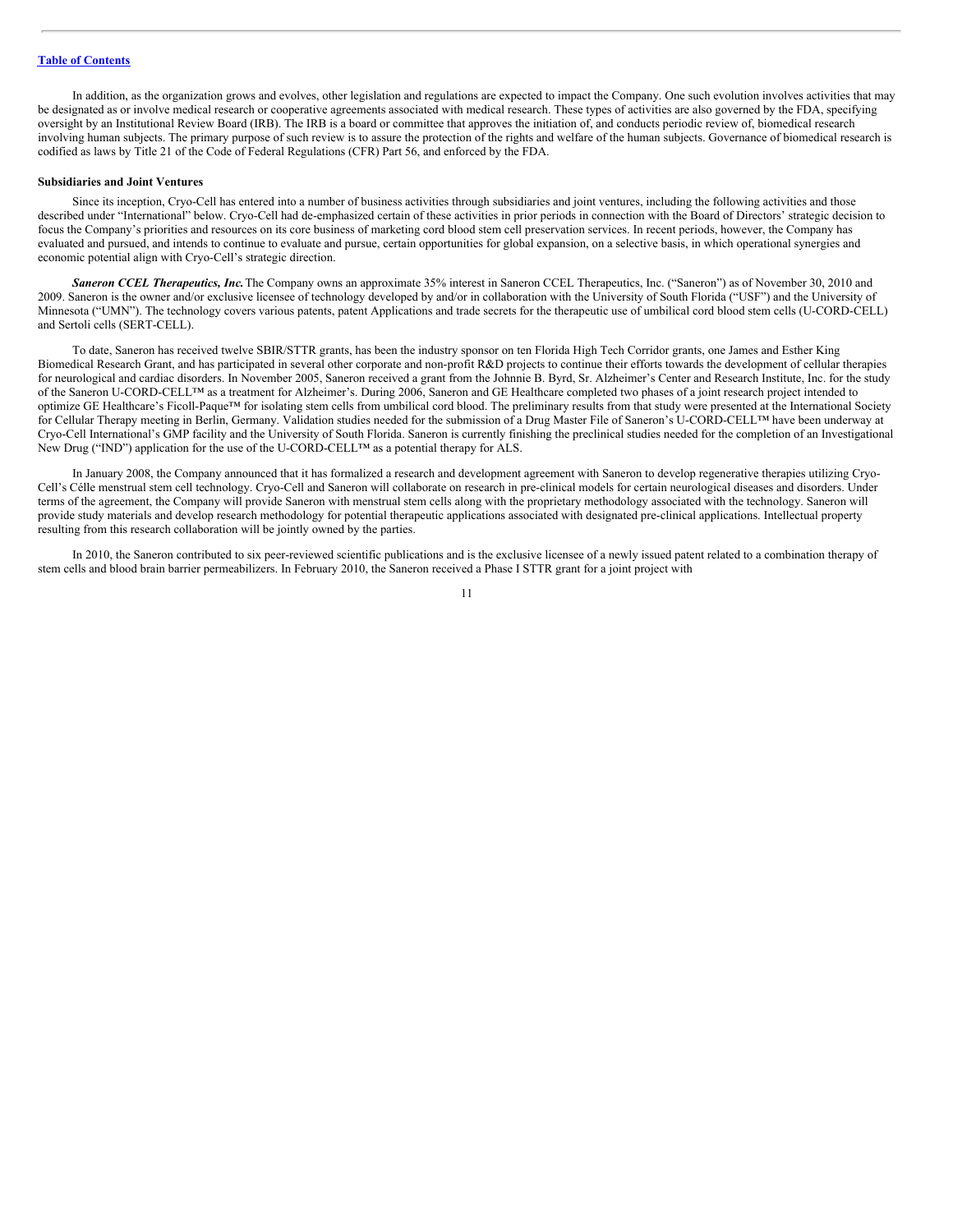In addition, as the organization grows and evolves, other legislation and regulations are expected to impact the Company. One such evolution involves activities that may be designated as or involve medical research or cooperative agreements associated with medical research. These types of activities are also governed by the FDA, specifying oversight by an Institutional Review Board (IRB). The IRB is a board or committee that approves the initiation of, and conducts periodic review of, biomedical research involving human subjects. The primary purpose of such review is to assure the protection of the rights and welfare of the human subjects. Governance of biomedical research is codified as laws by Title 21 of the Code of Federal Regulations (CFR) Part 56, and enforced by the FDA.

#### **Subsidiaries and Joint Ventures**

Since its inception, Cryo-Cell has entered into a number of business activities through subsidiaries and joint ventures, including the following activities and those described under "International" below. Cryo-Cell had de-emphasized certain of these activities in prior periods in connection with the Board of Directors' strategic decision to focus the Company's priorities and resources on its core business of marketing cord blood stem cell preservation services. In recent periods, however, the Company has evaluated and pursued, and intends to continue to evaluate and pursue, certain opportunities for global expansion, on a selective basis, in which operational synergies and economic potential align with Cryo-Cell's strategic direction.

*Saneron CCEL Therapeutics, Inc.*The Company owns an approximate 35% interest in Saneron CCEL Therapeutics, Inc. ("Saneron") as of November 30, 2010 and 2009. Saneron is the owner and/or exclusive licensee of technology developed by and/or in collaboration with the University of South Florida ("USF") and the University of Minnesota ("UMN"). The technology covers various patents, patent Applications and trade secrets for the therapeutic use of umbilical cord blood stem cells (U-CORD-CELL) and Sertoli cells (SERT-CELL).

To date, Saneron has received twelve SBIR/STTR grants, has been the industry sponsor on ten Florida High Tech Corridor grants, one James and Esther King Biomedical Research Grant, and has participated in several other corporate and non-profit R&D projects to continue their efforts towards the development of cellular therapies for neurological and cardiac disorders. In November 2005, Saneron received a grant from the Johnnie B. Byrd, Sr. Alzheimer's Center and Research Institute, Inc. for the study of the Saneron U-CORD-CELL™ as a treatment for Alzheimer's. During 2006, Saneron and GE Healthcare completed two phases of a joint research project intended to optimize GE Healthcare's Ficoll-Paque™ for isolating stem cells from umbilical cord blood. The preliminary results from that study were presented at the International Society for Cellular Therapy meeting in Berlin, Germany. Validation studies needed for the submission of a Drug Master File of Saneron's U-CORD-CELL™ have been underway at Cryo-Cell International's GMP facility and the University of South Florida. Saneron is currently finishing the preclinical studies needed for the completion of an Investigational New Drug ("IND") application for the use of the U-CORD-CELL™ as a potential therapy for ALS.

In January 2008, the Company announced that it has formalized a research and development agreement with Saneron to develop regenerative therapies utilizing Cryo-Cell's Célle menstrual stem cell technology. Cryo-Cell and Saneron will collaborate on research in pre-clinical models for certain neurological diseases and disorders. Under terms of the agreement, the Company will provide Saneron with menstrual stem cells along with the proprietary methodology associated with the technology. Saneron will provide study materials and develop research methodology for potential therapeutic applications associated with designated pre-clinical applications. Intellectual property resulting from this research collaboration will be jointly owned by the parties.

In 2010, the Saneron contributed to six peer-reviewed scientific publications and is the exclusive licensee of a newly issued patent related to a combination therapy of stem cells and blood brain barrier permeabilizers. In February 2010, the Saneron received a Phase I STTR grant for a joint project with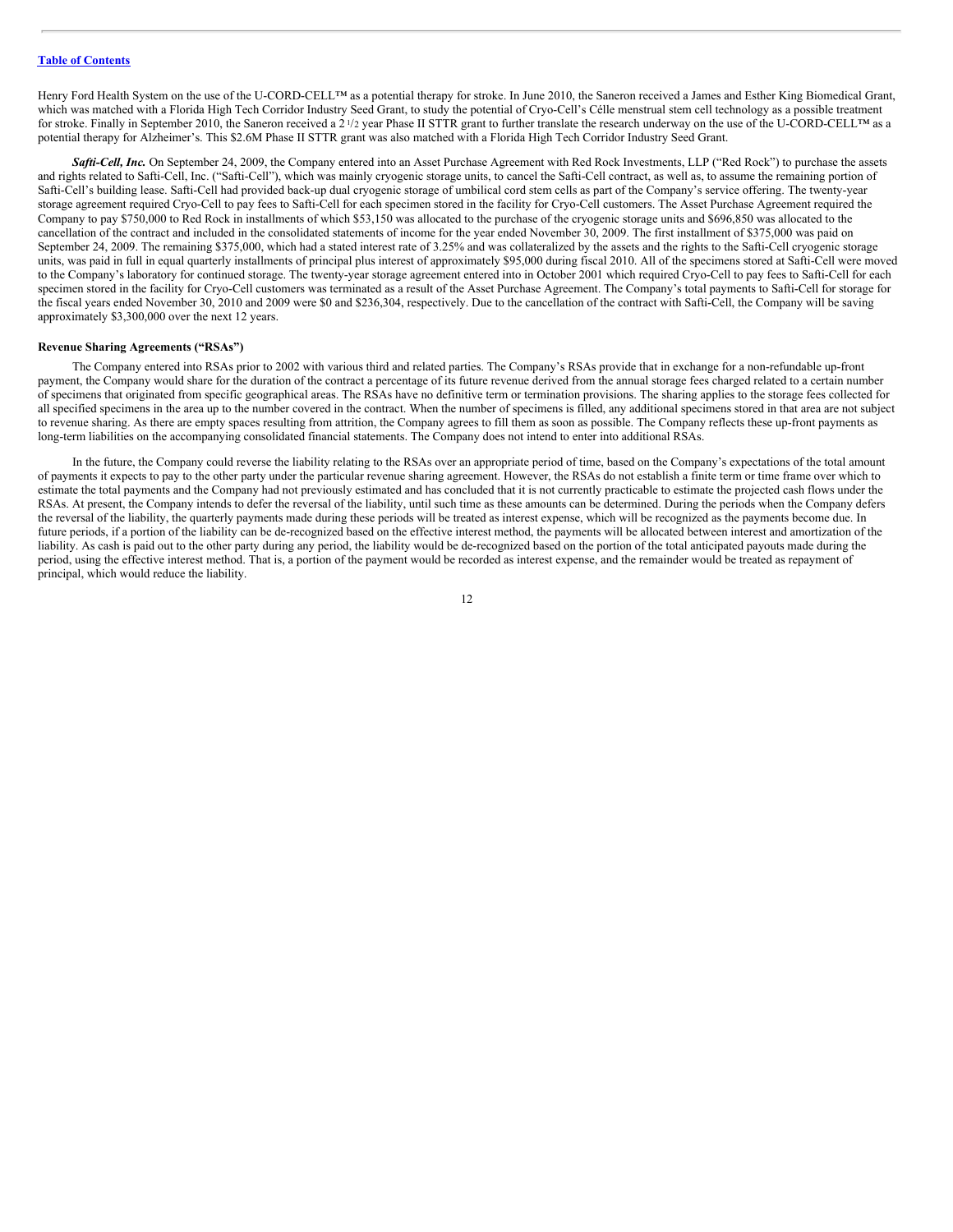Henry Ford Health System on the use of the U-CORD-CELL™ as a potential therapy for stroke. In June 2010, the Saneron received a James and Esther King Biomedical Grant, which was matched with a Florida High Tech Corridor Industry Seed Grant, to study the potential of Cryo-Cell's Célle menstrual stem cell technology as a possible treatment for stroke. Finally in September 2010, the Saneron received a 2 1/2 year Phase II STTR grant to further translate the research underway on the use of the U-CORD-CELL™ as a potential therapy for Alzheimer's. This \$2.6M Phase II STTR grant was also matched with a Florida High Tech Corridor Industry Seed Grant.

*Safti-Cell, Inc.* On September 24, 2009, the Company entered into an Asset Purchase Agreement with Red Rock Investments, LLP ("Red Rock") to purchase the assets and rights related to Safti-Cell, Inc. ("Safti-Cell"), which was mainly cryogenic storage units, to cancel the Safti-Cell contract, as well as, to assume the remaining portion of Safti-Cell's building lease. Safti-Cell had provided back-up dual cryogenic storage of umbilical cord stem cells as part of the Company's service offering. The twenty-year storage agreement required Cryo-Cell to pay fees to Safti-Cell for each specimen stored in the facility for Cryo-Cell customers. The Asset Purchase Agreement required the Company to pay \$750,000 to Red Rock in installments of which \$53,150 was allocated to the purchase of the cryogenic storage units and \$696,850 was allocated to the cancellation of the contract and included in the consolidated statements of income for the year ended November 30, 2009. The first installment of \$375,000 was paid on September 24, 2009. The remaining \$375,000, which had a stated interest rate of 3.25% and was collateralized by the assets and the rights to the Safti-Cell cryogenic storage units, was paid in full in equal quarterly installments of principal plus interest of approximately \$95,000 during fiscal 2010. All of the specimens stored at Safti-Cell were moved to the Company's laboratory for continued storage. The twenty-year storage agreement entered into in October 2001 which required Cryo-Cell to pay fees to Safti-Cell for each specimen stored in the facility for Cryo-Cell customers was terminated as a result of the Asset Purchase Agreement. The Company's total payments to Safti-Cell for storage for the fiscal years ended November 30, 2010 and 2009 were \$0 and \$236,304, respectively. Due to the cancellation of the contract with Safti-Cell, the Company will be saving approximately \$3,300,000 over the next 12 years.

## **Revenue Sharing Agreements ("RSAs")**

The Company entered into RSAs prior to 2002 with various third and related parties. The Company's RSAs provide that in exchange for a non-refundable up-front payment, the Company would share for the duration of the contract a percentage of its future revenue derived from the annual storage fees charged related to a certain number of specimens that originated from specific geographical areas. The RSAs have no definitive term or termination provisions. The sharing applies to the storage fees collected for all specified specimens in the area up to the number covered in the contract. When the number of specimens is filled, any additional specimens stored in that area are not subject to revenue sharing. As there are empty spaces resulting from attrition, the Company agrees to fill them as soon as possible. The Company reflects these up-front payments as long-term liabilities on the accompanying consolidated financial statements. The Company does not intend to enter into additional RSAs.

In the future, the Company could reverse the liability relating to the RSAs over an appropriate period of time, based on the Company's expectations of the total amount of payments it expects to pay to the other party under the particular revenue sharing agreement. However, the RSAs do not establish a finite term or time frame over which to estimate the total payments and the Company had not previously estimated and has concluded that it is not currently practicable to estimate the projected cash flows under the RSAs. At present, the Company intends to defer the reversal of the liability, until such time as these amounts can be determined. During the periods when the Company defers the reversal of the liability, the quarterly payments made during these periods will be treated as interest expense, which will be recognized as the payments become due. In future periods, if a portion of the liability can be de-recognized based on the effective interest method, the payments will be allocated between interest and amortization of the liability. As cash is paid out to the other party during any period, the liability would be de-recognized based on the portion of the total anticipated payouts made during the period, using the effective interest method. That is, a portion of the payment would be recorded as interest expense, and the remainder would be treated as repayment of principal, which would reduce the liability.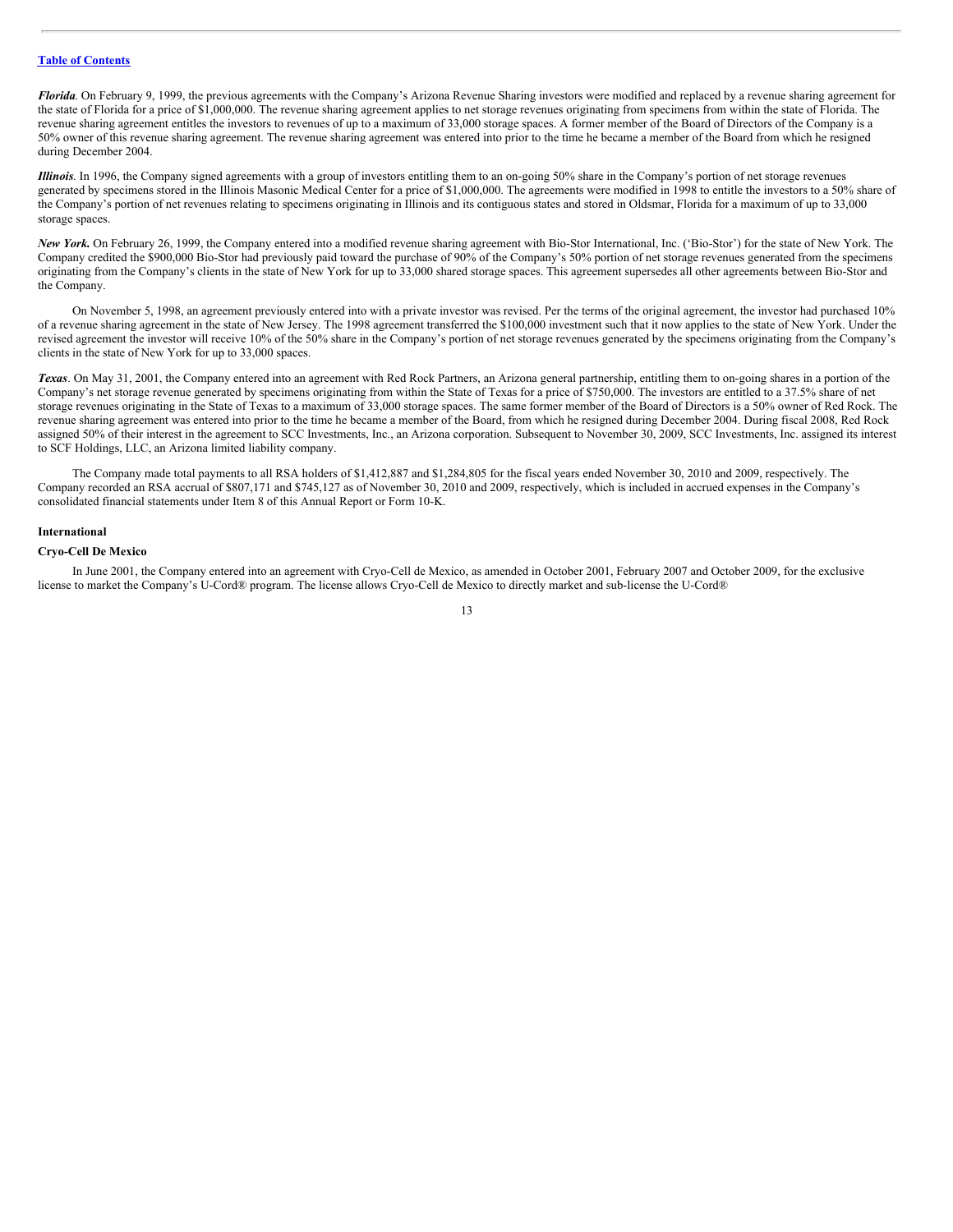*Florida*. On February 9, 1999, the previous agreements with the Company's Arizona Revenue Sharing investors were modified and replaced by a revenue sharing agreement for the state of Florida for a price of \$1,000,000. The revenue sharing agreement applies to net storage revenues originating from specimens from within the state of Florida. The revenue sharing agreement entitles the investors to revenues of up to a maximum of 33,000 storage spaces. A former member of the Board of Directors of the Company is a 50% owner of this revenue sharing agreement. The revenue sharing agreement was entered into prior to the time he became a member of the Board from which he resigned during December 2004.

*Illinois*. In 1996, the Company signed agreements with a group of investors entitling them to an on-going 50% share in the Company's portion of net storage revenues generated by specimens stored in the Illinois Masonic Medical Center for a price of \$1,000,000. The agreements were modified in 1998 to entitle the investors to a 50% share of the Company's portion of net revenues relating to specimens originating in Illinois and its contiguous states and stored in Oldsmar, Florida for a maximum of up to 33,000 storage spaces.

*New York.* On February 26, 1999, the Company entered into a modified revenue sharing agreement with Bio-Stor International, Inc. ('Bio-Stor') for the state of New York. The Company credited the \$900,000 Bio-Stor had previously paid toward the purchase of 90% of the Company's 50% portion of net storage revenues generated from the specimens originating from the Company's clients in the state of New York for up to 33,000 shared storage spaces. This agreement supersedes all other agreements between Bio-Stor and the Company.

On November 5, 1998, an agreement previously entered into with a private investor was revised. Per the terms of the original agreement, the investor had purchased 10% of a revenue sharing agreement in the state of New Jersey. The 1998 agreement transferred the \$100,000 investment such that it now applies to the state of New York. Under the revised agreement the investor will receive 10% of the 50% share in the Company's portion of net storage revenues generated by the specimens originating from the Company's clients in the state of New York for up to 33,000 spaces.

*Texas*. On May 31, 2001, the Company entered into an agreement with Red Rock Partners, an Arizona general partnership, entitling them to on-going shares in a portion of the Company's net storage revenue generated by specimens originating from within the State of Texas for a price of \$750,000. The investors are entitled to a 37.5% share of net storage revenues originating in the State of Texas to a maximum of 33,000 storage spaces. The same former member of the Board of Directors is a 50% owner of Red Rock. The revenue sharing agreement was entered into prior to the time he became a member of the Board, from which he resigned during December 2004. During fiscal 2008, Red Rock assigned 50% of their interest in the agreement to SCC Investments, Inc., an Arizona corporation. Subsequent to November 30, 2009, SCC Investments, Inc. assigned its interest to SCF Holdings, LLC, an Arizona limited liability company.

The Company made total payments to all RSA holders of \$1,412,887 and \$1,284,805 for the fiscal years ended November 30, 2010 and 2009, respectively. The Company recorded an RSA accrual of \$807,171 and \$745,127 as of November 30, 2010 and 2009, respectively, which is included in accrued expenses in the Company's consolidated financial statements under Item 8 of this Annual Report or Form 10-K.

#### **International**

## **Cryo-Cell De Mexico**

In June 2001, the Company entered into an agreement with Cryo-Cell de Mexico, as amended in October 2001, February 2007 and October 2009, for the exclusive license to market the Company's U-Cord® program. The license allows Cryo-Cell de Mexico to directly market and sub-license the U-Cord®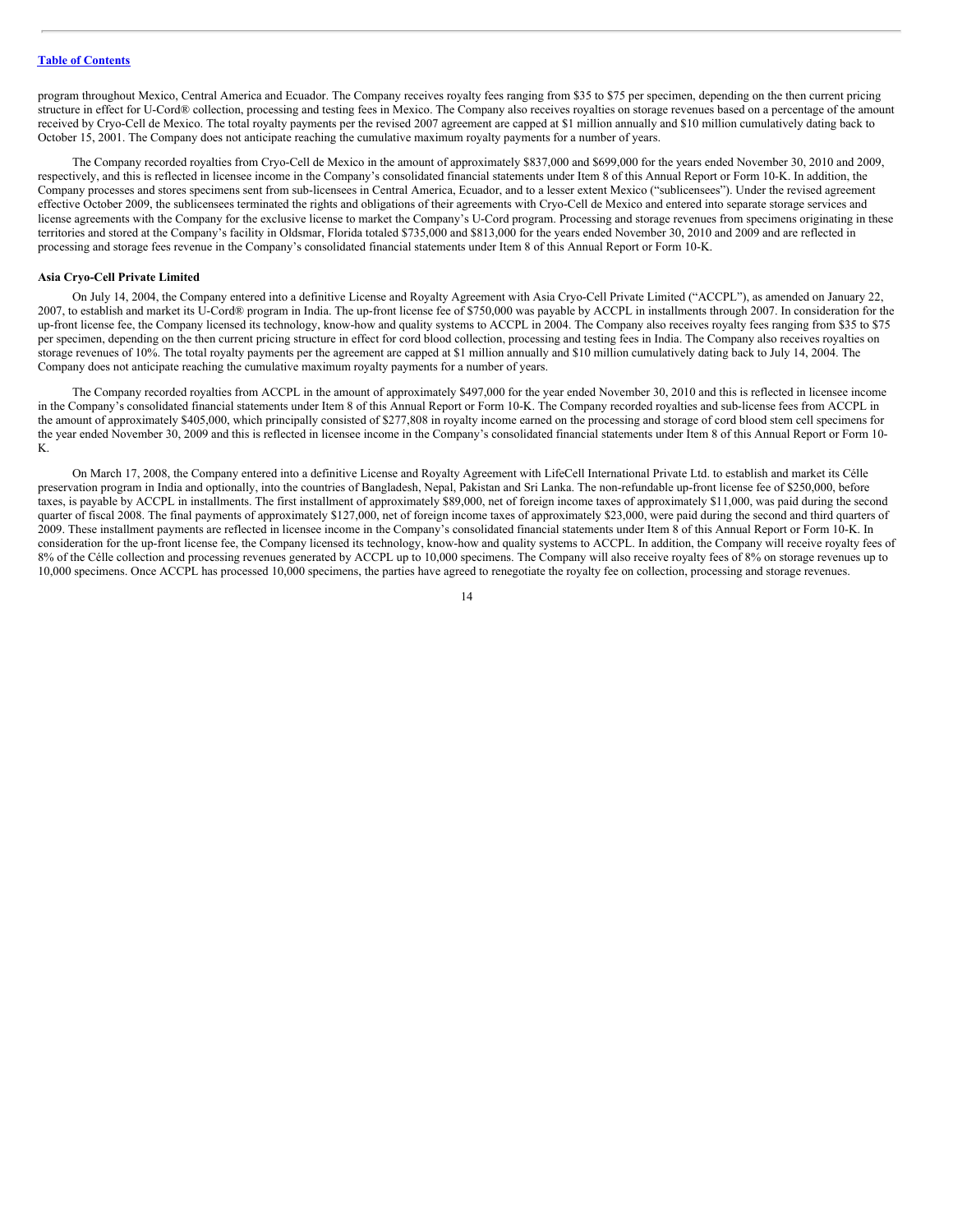program throughout Mexico, Central America and Ecuador. The Company receives royalty fees ranging from \$35 to \$75 per specimen, depending on the then current pricing structure in effect for U-Cord® collection, processing and testing fees in Mexico. The Company also receives royalties on storage revenues based on a percentage of the amount received by Cryo-Cell de Mexico. The total royalty payments per the revised 2007 agreement are capped at \$1 million annually and \$10 million cumulatively dating back to October 15, 2001. The Company does not anticipate reaching the cumulative maximum royalty payments for a number of years.

The Company recorded royalties from Cryo-Cell de Mexico in the amount of approximately \$837,000 and \$699,000 for the years ended November 30, 2010 and 2009, respectively, and this is reflected in licensee income in the Company's consolidated financial statements under Item 8 of this Annual Report or Form 10-K. In addition, the Company processes and stores specimens sent from sub-licensees in Central America, Ecuador, and to a lesser extent Mexico ("sublicensees"). Under the revised agreement effective October 2009, the sublicensees terminated the rights and obligations of their agreements with Cryo-Cell de Mexico and entered into separate storage services and license agreements with the Company for the exclusive license to market the Company's U-Cord program. Processing and storage revenues from specimens originating in these territories and stored at the Company's facility in Oldsmar, Florida totaled \$735,000 and \$813,000 for the years ended November 30, 2010 and 2009 and are reflected in processing and storage fees revenue in the Company's consolidated financial statements under Item 8 of this Annual Report or Form 10-K.

#### **Asia Cryo-Cell Private Limited**

On July 14, 2004, the Company entered into a definitive License and Royalty Agreement with Asia Cryo-Cell Private Limited ("ACCPL"), as amended on January 22, 2007, to establish and market its U-Cord® program in India. The up-front license fee of \$750,000 was payable by ACCPL in installments through 2007. In consideration for the up-front license fee, the Company licensed its technology, know-how and quality systems to ACCPL in 2004. The Company also receives royalty fees ranging from \$35 to \$75 per specimen, depending on the then current pricing structure in effect for cord blood collection, processing and testing fees in India. The Company also receives royalties on storage revenues of 10%. The total royalty payments per the agreement are capped at \$1 million annually and \$10 million cumulatively dating back to July 14, 2004. The Company does not anticipate reaching the cumulative maximum royalty payments for a number of years.

The Company recorded royalties from ACCPL in the amount of approximately \$497,000 for the year ended November 30, 2010 and this is reflected in licensee income in the Company's consolidated financial statements under Item 8 of this Annual Report or Form 10-K. The Company recorded royalties and sub-license fees from ACCPL in the amount of approximately \$405,000, which principally consisted of \$277,808 in royalty income earned on the processing and storage of cord blood stem cell specimens for the year ended November 30, 2009 and this is reflected in licensee income in the Company's consolidated financial statements under Item 8 of this Annual Report or Form 10-K.

On March 17, 2008, the Company entered into a definitive License and Royalty Agreement with LifeCell International Private Ltd. to establish and market its Célle preservation program in India and optionally, into the countries of Bangladesh, Nepal, Pakistan and Sri Lanka. The non-refundable up-front license fee of \$250,000, before taxes, is payable by ACCPL in installments. The first installment of approximately \$89,000, net of foreign income taxes of approximately \$11,000, was paid during the second quarter of fiscal 2008. The final payments of approximately \$127,000, net of foreign income taxes of approximately \$23,000, were paid during the second and third quarters of 2009. These installment payments are reflected in licensee income in the Company's consolidated financial statements under Item 8 of this Annual Report or Form 10-K. In consideration for the up-front license fee, the Company licensed its technology, know-how and quality systems to ACCPL. In addition, the Company will receive royalty fees of 8% of the Célle collection and processing revenues generated by ACCPL up to 10,000 specimens. The Company will also receive royalty fees of 8% on storage revenues up to 10,000 specimens. Once ACCPL has processed 10,000 specimens, the parties have agreed to renegotiate the royalty fee on collection, processing and storage revenues.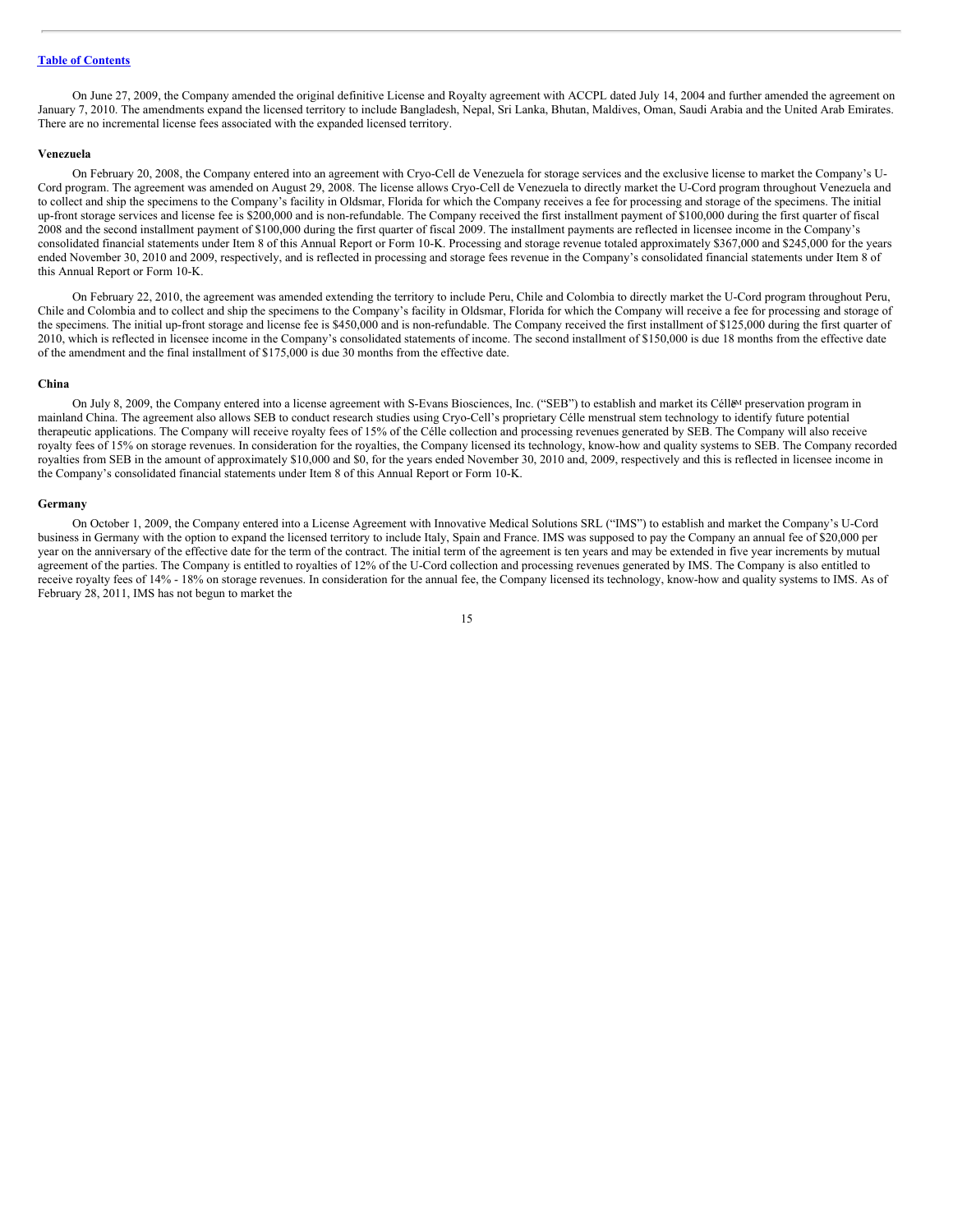On June 27, 2009, the Company amended the original definitive License and Royalty agreement with ACCPL dated July 14, 2004 and further amended the agreement on January 7, 2010. The amendments expand the licensed territory to include Bangladesh, Nepal, Sri Lanka, Bhutan, Maldives, Oman, Saudi Arabia and the United Arab Emirates. There are no incremental license fees associated with the expanded licensed territory.

#### **Venezuela**

On February 20, 2008, the Company entered into an agreement with Cryo-Cell de Venezuela for storage services and the exclusive license to market the Company's U-Cord program. The agreement was amended on August 29, 2008. The license allows Cryo-Cell de Venezuela to directly market the U-Cord program throughout Venezuela and to collect and ship the specimens to the Company's facility in Oldsmar, Florida for which the Company receives a fee for processing and storage of the specimens. The initial up-front storage services and license fee is \$200,000 and is non-refundable. The Company received the first installment payment of \$100,000 during the first quarter of fiscal 2008 and the second installment payment of \$100,000 during the first quarter of fiscal 2009. The installment payments are reflected in licensee income in the Company's consolidated financial statements under Item 8 of this Annual Report or Form 10-K. Processing and storage revenue totaled approximately \$367,000 and \$245,000 for the years ended November 30, 2010 and 2009, respectively, and is reflected in processing and storage fees revenue in the Company's consolidated financial statements under Item 8 of this Annual Report or Form 10-K.

On February 22, 2010, the agreement was amended extending the territory to include Peru, Chile and Colombia to directly market the U-Cord program throughout Peru, Chile and Colombia and to collect and ship the specimens to the Company's facility in Oldsmar, Florida for which the Company will receive a fee for processing and storage of the specimens. The initial up-front storage and license fee is \$450,000 and is non-refundable. The Company received the first installment of \$125,000 during the first quarter of 2010, which is reflected in licensee income in the Company's consolidated statements of income. The second installment of \$150,000 is due 18 months from the effective date of the amendment and the final installment of \$175,000 is due 30 months from the effective date.

#### **China**

On July 8, 2009, the Company entered into a license agreement with S-Evans Biosciences, Inc. ("SEB") to establish and market its Céll&<sup>1</sup> preservation program in mainland China. The agreement also allows SEB to conduct research studies using Cryo-Cell's proprietary Célle menstrual stem technology to identify future potential therapeutic applications. The Company will receive royalty fees of 15% of the Célle collection and processing revenues generated by SEB. The Company will also receive royalty fees of 15% on storage revenues. In consideration for the royalties, the Company licensed its technology, know-how and quality systems to SEB. The Company recorded royalties from SEB in the amount of approximately \$10,000 and \$0, for the years ended November 30, 2010 and, 2009, respectively and this is reflected in licensee income in the Company's consolidated financial statements under Item 8 of this Annual Report or Form 10-K.

#### **Germany**

On October 1, 2009, the Company entered into a License Agreement with Innovative Medical Solutions SRL ("IMS") to establish and market the Company's U-Cord business in Germany with the option to expand the licensed territory to include Italy, Spain and France. IMS was supposed to pay the Company an annual fee of \$20,000 per year on the anniversary of the effective date for the term of the contract. The initial term of the agreement is ten years and may be extended in five year increments by mutual agreement of the parties. The Company is entitled to royalties of 12% of the U-Cord collection and processing revenues generated by IMS. The Company is also entitled to receive royalty fees of 14% - 18% on storage revenues. In consideration for the annual fee, the Company licensed its technology, know-how and quality systems to IMS. As of February 28, 2011, IMS has not begun to market the

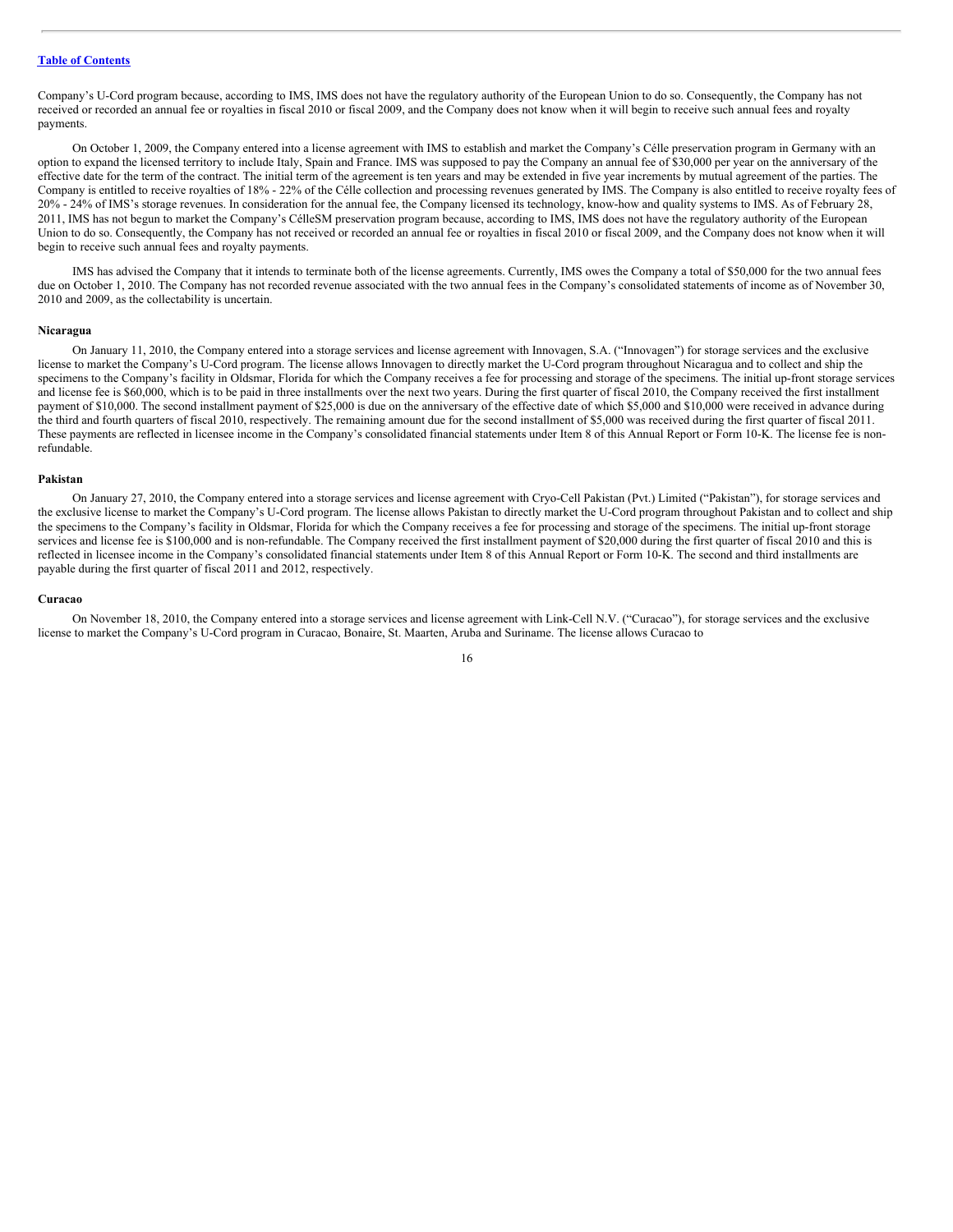Company's U-Cord program because, according to IMS, IMS does not have the regulatory authority of the European Union to do so. Consequently, the Company has not received or recorded an annual fee or royalties in fiscal 2010 or fiscal 2009, and the Company does not know when it will begin to receive such annual fees and royalty payments.

On October 1, 2009, the Company entered into a license agreement with IMS to establish and market the Company's Célle preservation program in Germany with an option to expand the licensed territory to include Italy, Spain and France. IMS was supposed to pay the Company an annual fee of \$30,000 per year on the anniversary of the effective date for the term of the contract. The initial term of the agreement is ten years and may be extended in five year increments by mutual agreement of the parties. The Company is entitled to receive royalties of 18% - 22% of the Célle collection and processing revenues generated by IMS. The Company is also entitled to receive royalty fees of 20% - 24% of IMS's storage revenues. In consideration for the annual fee, the Company licensed its technology, know-how and quality systems to IMS. As of February 28, 2011, IMS has not begun to market the Company's CélleSM preservation program because, according to IMS, IMS does not have the regulatory authority of the European Union to do so. Consequently, the Company has not received or recorded an annual fee or royalties in fiscal 2010 or fiscal 2009, and the Company does not know when it will begin to receive such annual fees and royalty payments.

IMS has advised the Company that it intends to terminate both of the license agreements. Currently, IMS owes the Company a total of \$50,000 for the two annual fees due on October 1, 2010. The Company has not recorded revenue associated with the two annual fees in the Company's consolidated statements of income as of November 30, 2010 and 2009, as the collectability is uncertain.

#### **Nicaragua**

On January 11, 2010, the Company entered into a storage services and license agreement with Innovagen, S.A. ("Innovagen") for storage services and the exclusive license to market the Company's U-Cord program. The license allows Innovagen to directly market the U-Cord program throughout Nicaragua and to collect and ship the specimens to the Company's facility in Oldsmar, Florida for which the Company receives a fee for processing and storage of the specimens. The initial up-front storage services and license fee is \$60,000, which is to be paid in three installments over the next two years. During the first quarter of fiscal 2010, the Company received the first installment payment of \$10,000. The second installment payment of \$25,000 is due on the anniversary of the effective date of which \$5,000 and \$10,000 were received in advance during the third and fourth quarters of fiscal 2010, respectively. The remaining amount due for the second installment of \$5,000 was received during the first quarter of fiscal 2011. These payments are reflected in licensee income in the Company's consolidated financial statements under Item 8 of this Annual Report or Form 10-K. The license fee is nonrefundable.

#### **Pakistan**

On January 27, 2010, the Company entered into a storage services and license agreement with Cryo-Cell Pakistan (Pvt.) Limited ("Pakistan"), for storage services and the exclusive license to market the Company's U-Cord program. The license allows Pakistan to directly market the U-Cord program throughout Pakistan and to collect and ship the specimens to the Company's facility in Oldsmar, Florida for which the Company receives a fee for processing and storage of the specimens. The initial up-front storage services and license fee is \$100,000 and is non-refundable. The Company received the first installment payment of \$20,000 during the first quarter of fiscal 2010 and this is reflected in licensee income in the Company's consolidated financial statements under Item 8 of this Annual Report or Form 10-K. The second and third installments are payable during the first quarter of fiscal 2011 and 2012, respectively.

#### **Curacao**

On November 18, 2010, the Company entered into a storage services and license agreement with Link-Cell N.V. ("Curacao"), for storage services and the exclusive license to market the Company's U-Cord program in Curacao, Bonaire, St. Maarten, Aruba and Suriname. The license allows Curacao to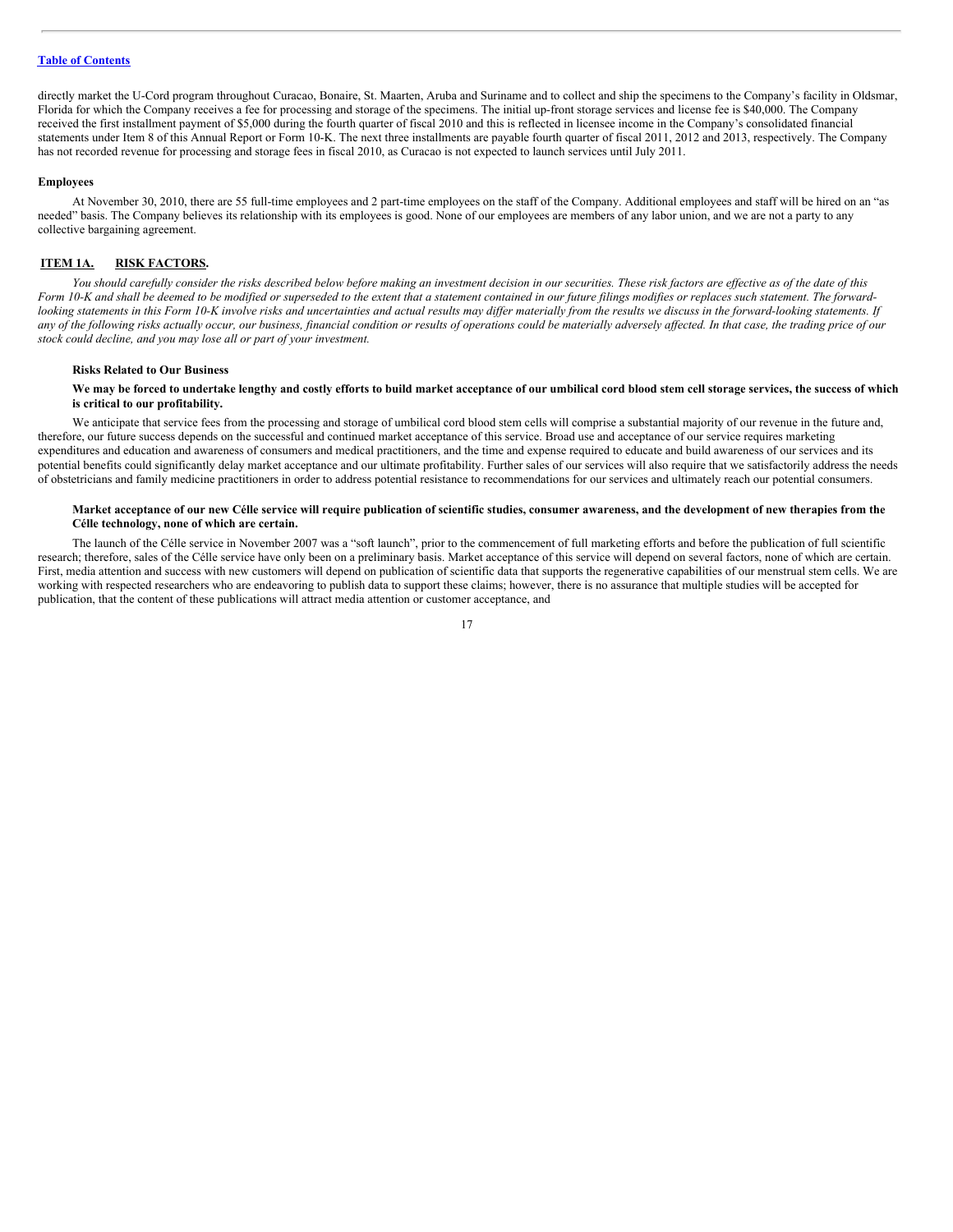directly market the U-Cord program throughout Curacao, Bonaire, St. Maarten, Aruba and Suriname and to collect and ship the specimens to the Company's facility in Oldsmar, Florida for which the Company receives a fee for processing and storage of the specimens. The initial up-front storage services and license fee is \$40,000. The Company received the first installment payment of \$5,000 during the fourth quarter of fiscal 2010 and this is reflected in licensee income in the Company's consolidated financial statements under Item 8 of this Annual Report or Form 10-K. The next three installments are payable fourth quarter of fiscal 2011, 2012 and 2013, respectively. The Company has not recorded revenue for processing and storage fees in fiscal 2010, as Curacao is not expected to launch services until July 2011.

#### **Employees**

At November 30, 2010, there are 55 full-time employees and 2 part-time employees on the staff of the Company. Additional employees and staff will be hired on an "as needed" basis. The Company believes its relationship with its employees is good. None of our employees are members of any labor union, and we are not a party to any collective bargaining agreement.

## <span id="page-16-0"></span>**ITEM 1A. RISK FACTORS.**

You should carefully consider the risks described below before making an investment decision in our securities. These risk factors are effective as of the date of this Form 10-K and shall be deemed to be modified or superseded to the extent that a statement contained in our future filings modifies or replaces such statement. The forwardlooking statements in this Form 10-K involve risks and uncertainties and actual results may differ materially from the results we discuss in the forward-looking statements. If any of the following risks actually occur, our business, financial condition or results of operations could be materially adversely affected. In that case, the trading price of our *stock could decline, and you may lose all or part of your investment.*

#### **Risks Related to Our Business**

#### We may be forced to undertake lengthy and costly efforts to build market acceptance of our umbilical cord blood stem cell storage services, the success of which **is critical to our profitability.**

We anticipate that service fees from the processing and storage of umbilical cord blood stem cells will comprise a substantial majority of our revenue in the future and, therefore, our future success depends on the successful and continued market acceptance of this service. Broad use and acceptance of our service requires marketing expenditures and education and awareness of consumers and medical practitioners, and the time and expense required to educate and build awareness of our services and its potential benefits could significantly delay market acceptance and our ultimate profitability. Further sales of our services will also require that we satisfactorily address the needs of obstetricians and family medicine practitioners in order to address potential resistance to recommendations for our services and ultimately reach our potential consumers.

#### Market acceptance of our new Célle service will require publication of scientific studies, consumer awareness, and the development of new therapies from the **Célle technology, none of which are certain.**

The launch of the Célle service in November 2007 was a "soft launch", prior to the commencement of full marketing efforts and before the publication of full scientific research; therefore, sales of the Célle service have only been on a preliminary basis. Market acceptance of this service will depend on several factors, none of which are certain. First, media attention and success with new customers will depend on publication of scientific data that supports the regenerative capabilities of our menstrual stem cells. We are working with respected researchers who are endeavoring to publish data to support these claims; however, there is no assurance that multiple studies will be accepted for publication, that the content of these publications will attract media attention or customer acceptance, and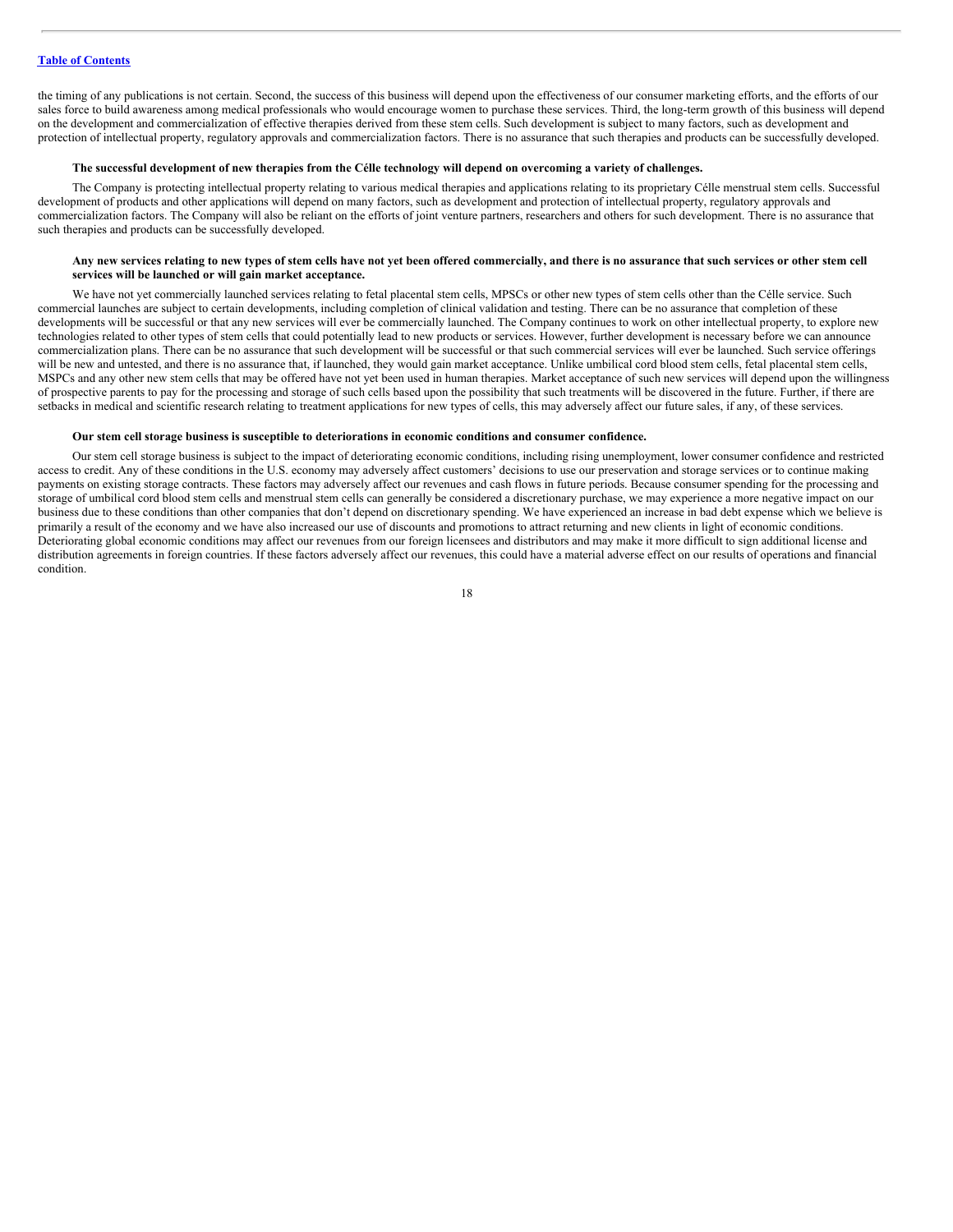the timing of any publications is not certain. Second, the success of this business will depend upon the effectiveness of our consumer marketing efforts, and the efforts of our sales force to build awareness among medical professionals who would encourage women to purchase these services. Third, the long-term growth of this business will depend on the development and commercialization of effective therapies derived from these stem cells. Such development is subject to many factors, such as development and protection of intellectual property, regulatory approvals and commercialization factors. There is no assurance that such therapies and products can be successfully developed.

#### The successful development of new therapies from the Célle technology will depend on overcoming a variety of challenges.

The Company is protecting intellectual property relating to various medical therapies and applications relating to its proprietary Célle menstrual stem cells. Successful development of products and other applications will depend on many factors, such as development and protection of intellectual property, regulatory approvals and commercialization factors. The Company will also be reliant on the efforts of joint venture partners, researchers and others for such development. There is no assurance that such therapies and products can be successfully developed.

## Any new services relating to new types of stem cells have not yet been offered commercially, and there is no assurance that such services or other stem cell **services will be launched or will gain market acceptance.**

We have not yet commercially launched services relating to fetal placental stem cells, MPSCs or other new types of stem cells other than the Célle service. Such commercial launches are subject to certain developments, including completion of clinical validation and testing. There can be no assurance that completion of these developments will be successful or that any new services will ever be commercially launched. The Company continues to work on other intellectual property, to explore new technologies related to other types of stem cells that could potentially lead to new products or services. However, further development is necessary before we can announce commercialization plans. There can be no assurance that such development will be successful or that such commercial services will ever be launched. Such service offerings will be new and untested, and there is no assurance that, if launched, they would gain market acceptance. Unlike umbilical cord blood stem cells, fetal placental stem cells, MSPCs and any other new stem cells that may be offered have not yet been used in human therapies. Market acceptance of such new services will depend upon the willingness of prospective parents to pay for the processing and storage of such cells based upon the possibility that such treatments will be discovered in the future. Further, if there are setbacks in medical and scientific research relating to treatment applications for new types of cells, this may adversely affect our future sales, if any, of these services.

#### **Our stem cell storage business is susceptible to deteriorations in economic conditions and consumer confidence.**

Our stem cell storage business is subject to the impact of deteriorating economic conditions, including rising unemployment, lower consumer confidence and restricted access to credit. Any of these conditions in the U.S. economy may adversely affect customers' decisions to use our preservation and storage services or to continue making payments on existing storage contracts. These factors may adversely affect our revenues and cash flows in future periods. Because consumer spending for the processing and storage of umbilical cord blood stem cells and menstrual stem cells can generally be considered a discretionary purchase, we may experience a more negative impact on our business due to these conditions than other companies that don't depend on discretionary spending. We have experienced an increase in bad debt expense which we believe is primarily a result of the economy and we have also increased our use of discounts and promotions to attract returning and new clients in light of economic conditions. Deteriorating global economic conditions may affect our revenues from our foreign licensees and distributors and may make it more difficult to sign additional license and distribution agreements in foreign countries. If these factors adversely affect our revenues, this could have a material adverse effect on our results of operations and financial condition.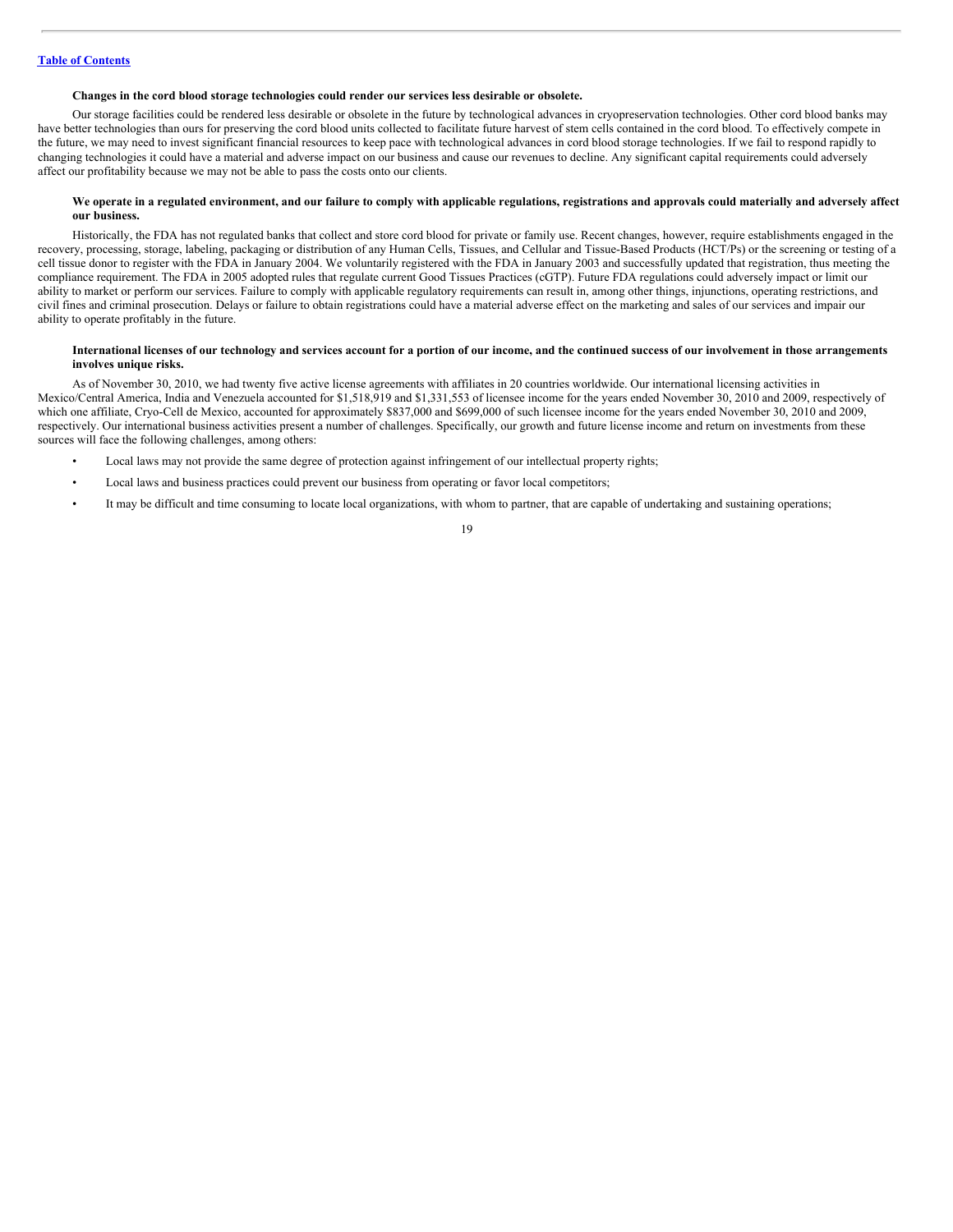#### **Changes in the cord blood storage technologies could render our services less desirable or obsolete.**

Our storage facilities could be rendered less desirable or obsolete in the future by technological advances in cryopreservation technologies. Other cord blood banks may have better technologies than ours for preserving the cord blood units collected to facilitate future harvest of stem cells contained in the cord blood. To effectively compete in the future, we may need to invest significant financial resources to keep pace with technological advances in cord blood storage technologies. If we fail to respond rapidly to changing technologies it could have a material and adverse impact on our business and cause our revenues to decline. Any significant capital requirements could adversely affect our profitability because we may not be able to pass the costs onto our clients.

#### We operate in a regulated environment, and our failure to comply with applicable regulations, registrations and approvals could materially and adversely affect **our business.**

Historically, the FDA has not regulated banks that collect and store cord blood for private or family use. Recent changes, however, require establishments engaged in the recovery, processing, storage, labeling, packaging or distribution of any Human Cells, Tissues, and Cellular and Tissue-Based Products (HCT/Ps) or the screening or testing of a cell tissue donor to register with the FDA in January 2004. We voluntarily registered with the FDA in January 2003 and successfully updated that registration, thus meeting the compliance requirement. The FDA in 2005 adopted rules that regulate current Good Tissues Practices (cGTP). Future FDA regulations could adversely impact or limit our ability to market or perform our services. Failure to comply with applicable regulatory requirements can result in, among other things, injunctions, operating restrictions, and civil fines and criminal prosecution. Delays or failure to obtain registrations could have a material adverse effect on the marketing and sales of our services and impair our ability to operate profitably in the future.

#### International licenses of our technology and services account for a portion of our income, and the continued success of our involvement in those arrangements **involves unique risks.**

As of November 30, 2010, we had twenty five active license agreements with affiliates in 20 countries worldwide. Our international licensing activities in Mexico/Central America, India and Venezuela accounted for \$1,518,919 and \$1,331,553 of licensee income for the years ended November 30, 2010 and 2009, respectively of which one affiliate, Cryo-Cell de Mexico, accounted for approximately \$837,000 and \$699,000 of such licensee income for the years ended November 30, 2010 and 2009, respectively. Our international business activities present a number of challenges. Specifically, our growth and future license income and return on investments from these sources will face the following challenges, among others:

- Local laws may not provide the same degree of protection against infringement of our intellectual property rights;
- Local laws and business practices could prevent our business from operating or favor local competitors;
- It may be difficult and time consuming to locate local organizations, with whom to partner, that are capable of undertaking and sustaining operations;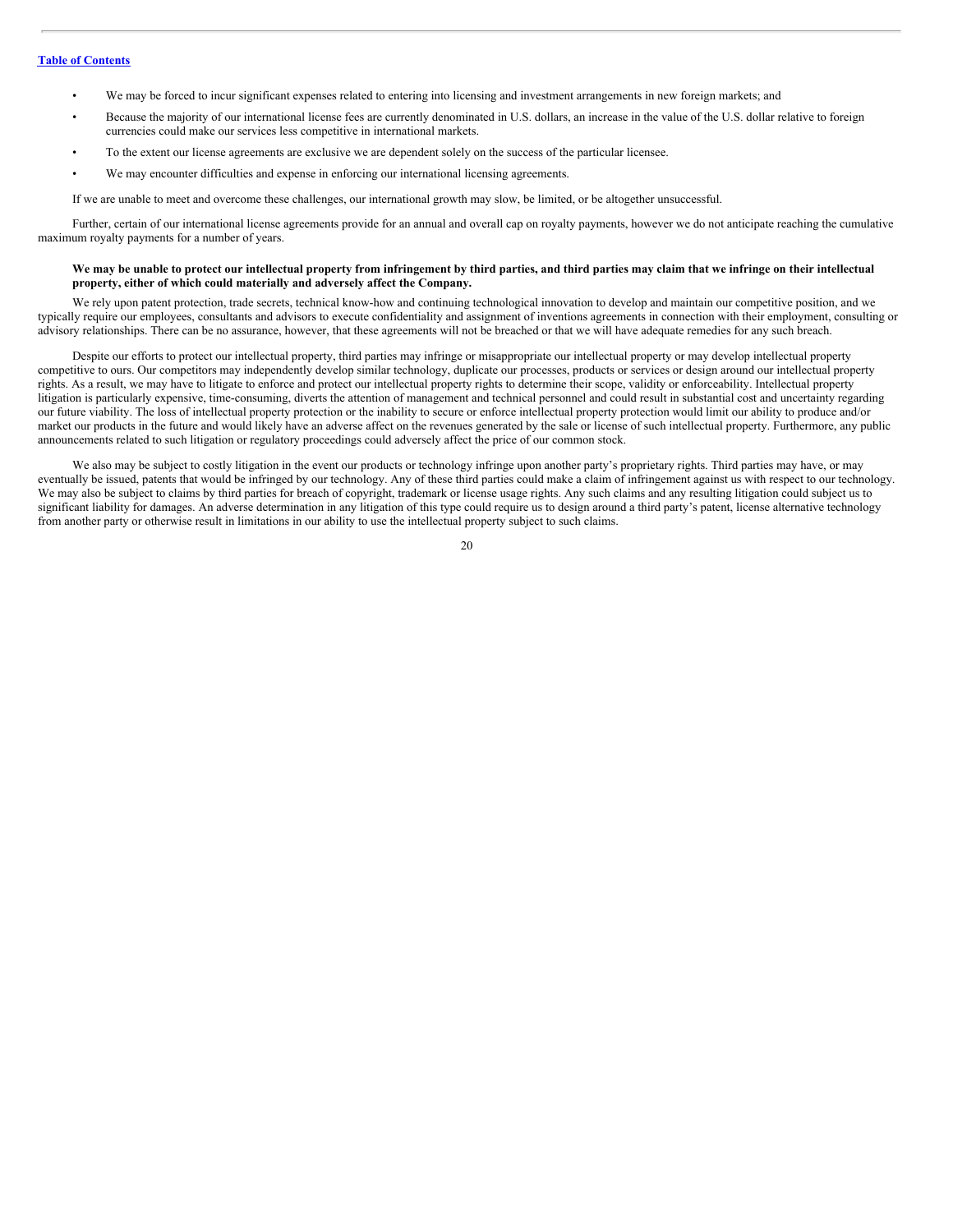- We may be forced to incur significant expenses related to entering into licensing and investment arrangements in new foreign markets; and
- Because the majority of our international license fees are currently denominated in U.S. dollars, an increase in the value of the U.S. dollar relative to foreign currencies could make our services less competitive in international markets.
- To the extent our license agreements are exclusive we are dependent solely on the success of the particular licensee.
- We may encounter difficulties and expense in enforcing our international licensing agreements.

If we are unable to meet and overcome these challenges, our international growth may slow, be limited, or be altogether unsuccessful.

Further, certain of our international license agreements provide for an annual and overall cap on royalty payments, however we do not anticipate reaching the cumulative maximum royalty payments for a number of years.

#### We may be unable to protect our intellectual property from infringement by third parties, and third parties may claim that we infringe on their intellectual **property, either of which could materially and adversely affect the Company.**

We rely upon patent protection, trade secrets, technical know-how and continuing technological innovation to develop and maintain our competitive position, and we typically require our employees, consultants and advisors to execute confidentiality and assignment of inventions agreements in connection with their employment, consulting or advisory relationships. There can be no assurance, however, that these agreements will not be breached or that we will have adequate remedies for any such breach.

Despite our efforts to protect our intellectual property, third parties may infringe or misappropriate our intellectual property or may develop intellectual property competitive to ours. Our competitors may independently develop similar technology, duplicate our processes, products or services or design around our intellectual property rights. As a result, we may have to litigate to enforce and protect our intellectual property rights to determine their scope, validity or enforceability. Intellectual property litigation is particularly expensive, time-consuming, diverts the attention of management and technical personnel and could result in substantial cost and uncertainty regarding our future viability. The loss of intellectual property protection or the inability to secure or enforce intellectual property protection would limit our ability to produce and/or market our products in the future and would likely have an adverse affect on the revenues generated by the sale or license of such intellectual property. Furthermore, any public announcements related to such litigation or regulatory proceedings could adversely affect the price of our common stock.

We also may be subject to costly litigation in the event our products or technology infringe upon another party's proprietary rights. Third parties may have, or may eventually be issued, patents that would be infringed by our technology. Any of these third parties could make a claim of infringement against us with respect to our technology. We may also be subject to claims by third parties for breach of copyright, trademark or license usage rights. Any such claims and any resulting litigation could subject us to significant liability for damages. An adverse determination in any litigation of this type could require us to design around a third party's patent, license alternative technology from another party or otherwise result in limitations in our ability to use the intellectual property subject to such claims.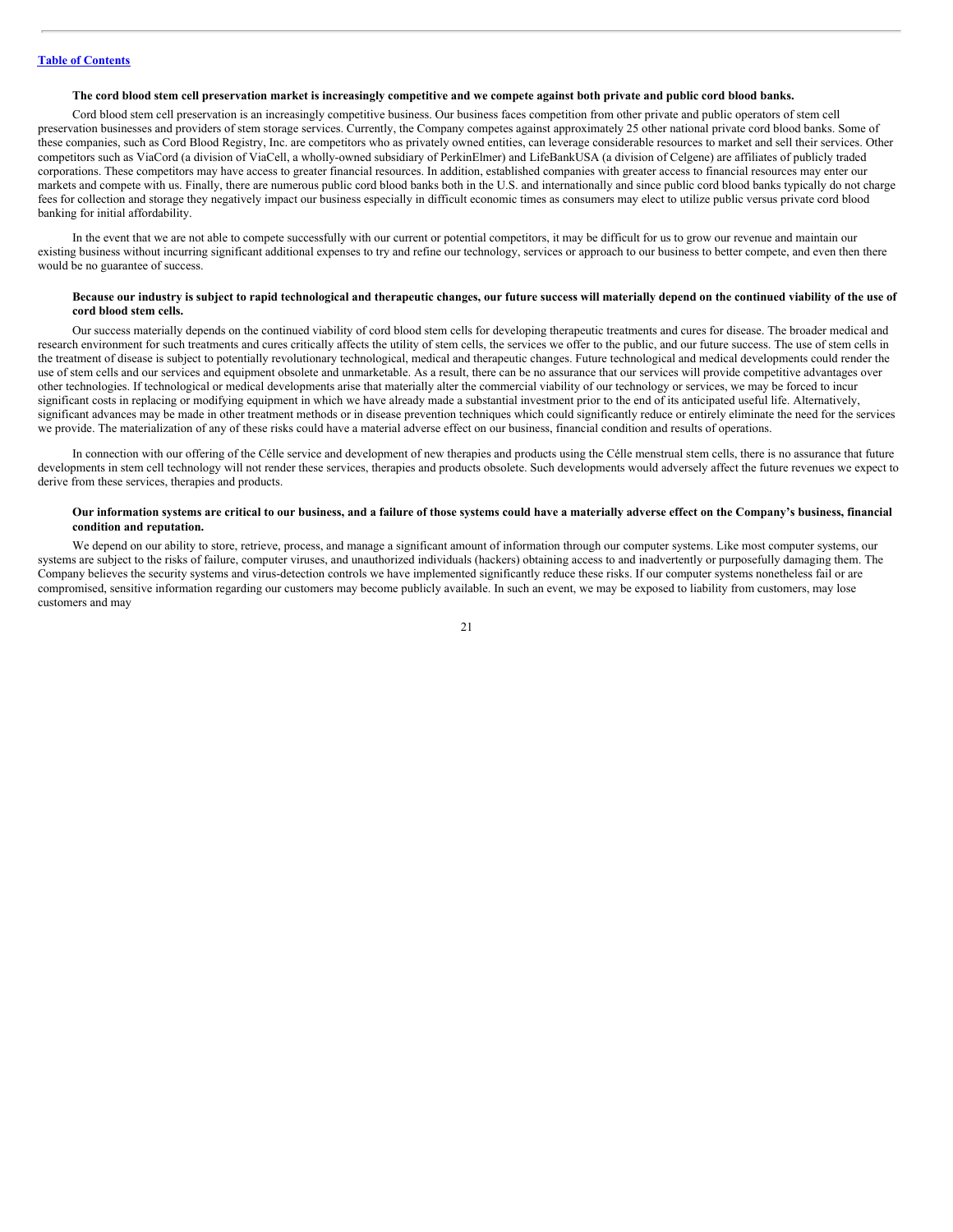#### The cord blood stem cell preservation market is increasingly competitive and we compete against both private and public cord blood banks.

Cord blood stem cell preservation is an increasingly competitive business. Our business faces competition from other private and public operators of stem cell preservation businesses and providers of stem storage services. Currently, the Company competes against approximately 25 other national private cord blood banks. Some of these companies, such as Cord Blood Registry, Inc. are competitors who as privately owned entities, can leverage considerable resources to market and sell their services. Other competitors such as ViaCord (a division of ViaCell, a wholly-owned subsidiary of PerkinElmer) and LifeBankUSA (a division of Celgene) are affiliates of publicly traded corporations. These competitors may have access to greater financial resources. In addition, established companies with greater access to financial resources may enter our markets and compete with us. Finally, there are numerous public cord blood banks both in the U.S. and internationally and since public cord blood banks typically do not charge fees for collection and storage they negatively impact our business especially in difficult economic times as consumers may elect to utilize public versus private cord blood banking for initial affordability.

In the event that we are not able to compete successfully with our current or potential competitors, it may be difficult for us to grow our revenue and maintain our existing business without incurring significant additional expenses to try and refine our technology, services or approach to our business to better compete, and even then there would be no guarantee of success.

## Because our industry is subject to rapid technological and therapeutic changes, our future success will materially depend on the continued viability of the use of **cord blood stem cells.**

Our success materially depends on the continued viability of cord blood stem cells for developing therapeutic treatments and cures for disease. The broader medical and research environment for such treatments and cures critically affects the utility of stem cells, the services we offer to the public, and our future success. The use of stem cells in the treatment of disease is subject to potentially revolutionary technological, medical and therapeutic changes. Future technological and medical developments could render the use of stem cells and our services and equipment obsolete and unmarketable. As a result, there can be no assurance that our services will provide competitive advantages over other technologies. If technological or medical developments arise that materially alter the commercial viability of our technology or services, we may be forced to incur significant costs in replacing or modifying equipment in which we have already made a substantial investment prior to the end of its anticipated useful life. Alternatively, significant advances may be made in other treatment methods or in disease prevention techniques which could significantly reduce or entirely eliminate the need for the services we provide. The materialization of any of these risks could have a material adverse effect on our business, financial condition and results of operations.

In connection with our offering of the Célle service and development of new therapies and products using the Célle menstrual stem cells, there is no assurance that future developments in stem cell technology will not render these services, therapies and products obsolete. Such developments would adversely affect the future revenues we expect to derive from these services, therapies and products.

## Our information systems are critical to our business, and a failure of those systems could have a materially adverse effect on the Company's business, financial **condition and reputation.**

We depend on our ability to store, retrieve, process, and manage a significant amount of information through our computer systems. Like most computer systems, our systems are subject to the risks of failure, computer viruses, and unauthorized individuals (hackers) obtaining access to and inadvertently or purposefully damaging them. The Company believes the security systems and virus-detection controls we have implemented significantly reduce these risks. If our computer systems nonetheless fail or are compromised, sensitive information regarding our customers may become publicly available. In such an event, we may be exposed to liability from customers, may lose customers and may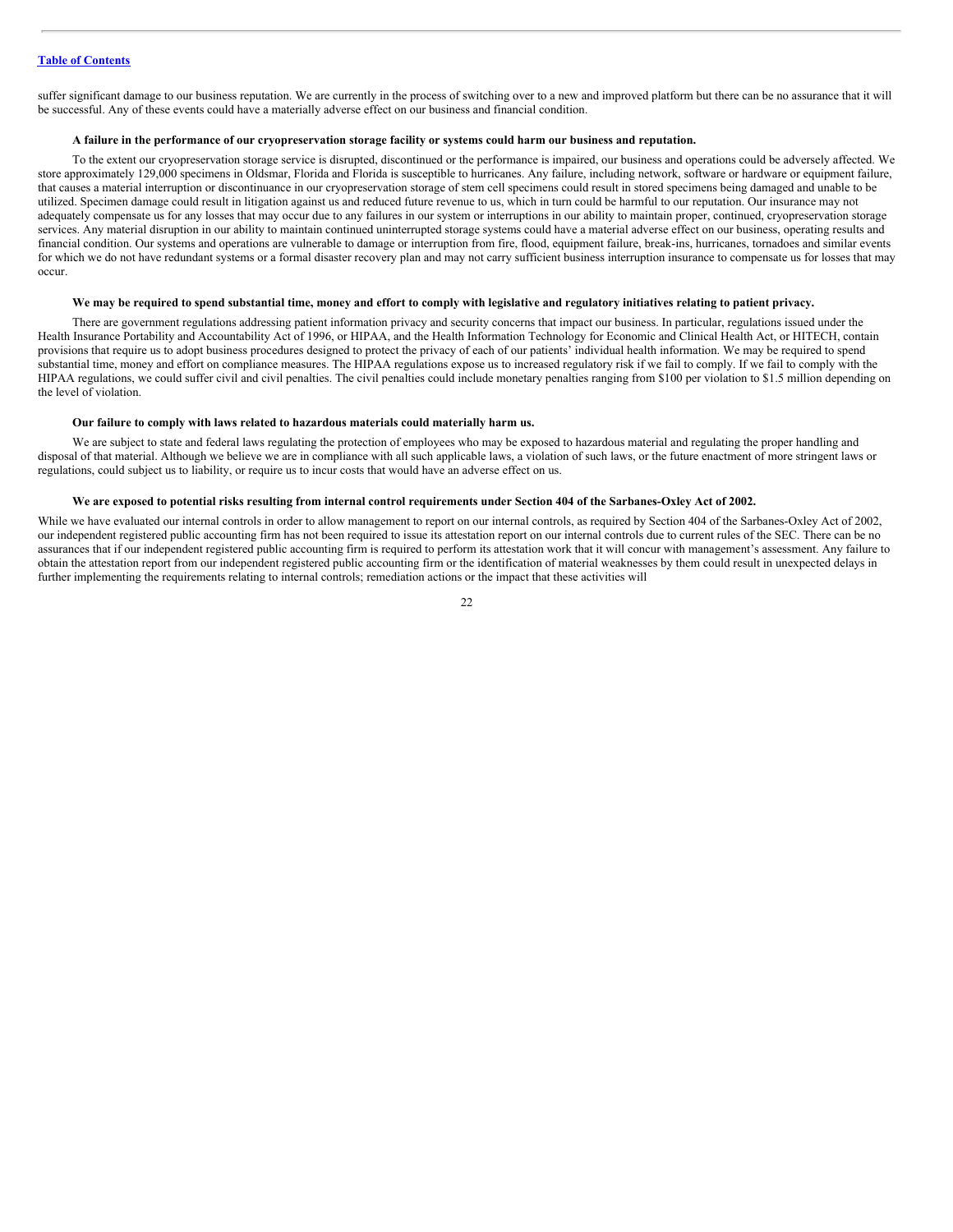suffer significant damage to our business reputation. We are currently in the process of switching over to a new and improved platform but there can be no assurance that it will be successful. Any of these events could have a materially adverse effect on our business and financial condition.

## A failure in the performance of our cryopreservation storage facility or systems could harm our business and reputation.

To the extent our cryopreservation storage service is disrupted, discontinued or the performance is impaired, our business and operations could be adversely affected. We store approximately 129,000 specimens in Oldsmar, Florida and Florida is susceptible to hurricanes. Any failure, including network, software or hardware or equipment failure, that causes a material interruption or discontinuance in our cryopreservation storage of stem cell specimens could result in stored specimens being damaged and unable to be utilized. Specimen damage could result in litigation against us and reduced future revenue to us, which in turn could be harmful to our reputation. Our insurance may not adequately compensate us for any losses that may occur due to any failures in our system or interruptions in our ability to maintain proper, continued, cryopreservation storage services. Any material disruption in our ability to maintain continued uninterrupted storage systems could have a material adverse effect on our business, operating results and financial condition. Our systems and operations are vulnerable to damage or interruption from fire, flood, equipment failure, break-ins, hurricanes, tornadoes and similar events for which we do not have redundant systems or a formal disaster recovery plan and may not carry sufficient business interruption insurance to compensate us for losses that may occur.

#### We may be required to spend substantial time, money and effort to comply with legislative and regulatory initiatives relating to patient privacy.

There are government regulations addressing patient information privacy and security concerns that impact our business. In particular, regulations issued under the Health Insurance Portability and Accountability Act of 1996, or HIPAA, and the Health Information Technology for Economic and Clinical Health Act, or HITECH, contain provisions that require us to adopt business procedures designed to protect the privacy of each of our patients' individual health information. We may be required to spend substantial time, money and effort on compliance measures. The HIPAA regulations expose us to increased regulatory risk if we fail to comply. If we fail to comply with the HIPAA regulations, we could suffer civil and civil penalties. The civil penalties could include monetary penalties ranging from \$100 per violation to \$1.5 million depending on the level of violation.

#### **Our failure to comply with laws related to hazardous materials could materially harm us.**

We are subject to state and federal laws regulating the protection of employees who may be exposed to hazardous material and regulating the proper handling and disposal of that material. Although we believe we are in compliance with all such applicable laws, a violation of such laws, or the future enactment of more stringent laws or regulations, could subject us to liability, or require us to incur costs that would have an adverse effect on us.

## We are exposed to potential risks resulting from internal control requirements under Section 404 of the Sarbanes-Oxley Act of 2002.

While we have evaluated our internal controls in order to allow management to report on our internal controls, as required by Section 404 of the Sarbanes-Oxley Act of 2002, our independent registered public accounting firm has not been required to issue its attestation report on our internal controls due to current rules of the SEC. There can be no assurances that if our independent registered public accounting firm is required to perform its attestation work that it will concur with management's assessment. Any failure to obtain the attestation report from our independent registered public accounting firm or the identification of material weaknesses by them could result in unexpected delays in further implementing the requirements relating to internal controls; remediation actions or the impact that these activities will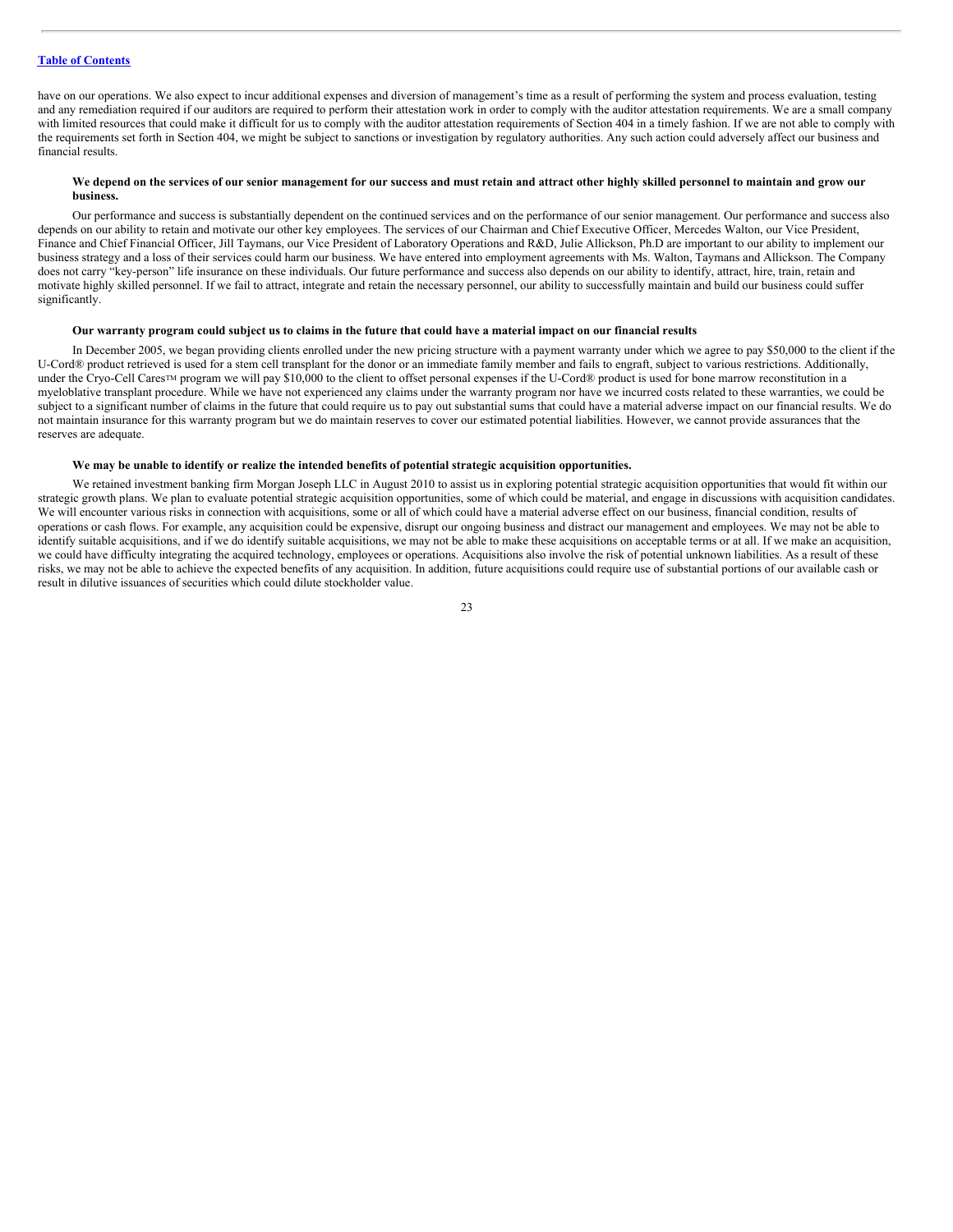have on our operations. We also expect to incur additional expenses and diversion of management's time as a result of performing the system and process evaluation, testing and any remediation required if our auditors are required to perform their attestation work in order to comply with the auditor attestation requirements. We are a small company with limited resources that could make it difficult for us to comply with the auditor attestation requirements of Section 404 in a timely fashion. If we are not able to comply with the requirements set forth in Section 404, we might be subject to sanctions or investigation by regulatory authorities. Any such action could adversely affect our business and financial results.

#### We depend on the services of our senior management for our success and must retain and attract other highly skilled personnel to maintain and grow our **business.**

Our performance and success is substantially dependent on the continued services and on the performance of our senior management. Our performance and success also depends on our ability to retain and motivate our other key employees. The services of our Chairman and Chief Executive Officer, Mercedes Walton, our Vice President, Finance and Chief Financial Officer, Jill Taymans, our Vice President of Laboratory Operations and R&D, Julie Allickson, Ph.D are important to our ability to implement our business strategy and a loss of their services could harm our business. We have entered into employment agreements with Ms. Walton, Taymans and Allickson. The Company does not carry "key-person" life insurance on these individuals. Our future performance and success also depends on our ability to identify, attract, hire, train, retain and motivate highly skilled personnel. If we fail to attract, integrate and retain the necessary personnel, our ability to successfully maintain and build our business could suffer significantly.

#### Our warranty program could subject us to claims in the future that could have a material impact on our financial results

In December 2005, we began providing clients enrolled under the new pricing structure with a payment warranty under which we agree to pay \$50,000 to the client if the U-Cord® product retrieved is used for a stem cell transplant for the donor or an immediate family member and fails to engraft, subject to various restrictions. Additionally, under the Cryo-Cell Cares™ program we will pay \$10,000 to the client to offset personal expenses if the U-Cord® product is used for bone marrow reconstitution in a myeloblative transplant procedure. While we have not experienced any claims under the warranty program nor have we incurred costs related to these warranties, we could be subject to a significant number of claims in the future that could require us to pay out substantial sums that could have a material adverse impact on our financial results. We do not maintain insurance for this warranty program but we do maintain reserves to cover our estimated potential liabilities. However, we cannot provide assurances that the reserves are adequate.

#### **We may be unable to identify or realize the intended benefits of potential strategic acquisition opportunities.**

We retained investment banking firm Morgan Joseph LLC in August 2010 to assist us in exploring potential strategic acquisition opportunities that would fit within our strategic growth plans. We plan to evaluate potential strategic acquisition opportunities, some of which could be material, and engage in discussions with acquisition candidates. We will encounter various risks in connection with acquisitions, some or all of which could have a material adverse effect on our business, financial condition, results of operations or cash flows. For example, any acquisition could be expensive, disrupt our ongoing business and distract our management and employees. We may not be able to identify suitable acquisitions, and if we do identify suitable acquisitions, we may not be able to make these acquisitions on acceptable terms or at all. If we make an acquisition, we could have difficulty integrating the acquired technology, employees or operations. Acquisitions also involve the risk of potential unknown liabilities. As a result of these risks, we may not be able to achieve the expected benefits of any acquisition. In addition, future acquisitions could require use of substantial portions of our available cash or result in dilutive issuances of securities which could dilute stockholder value.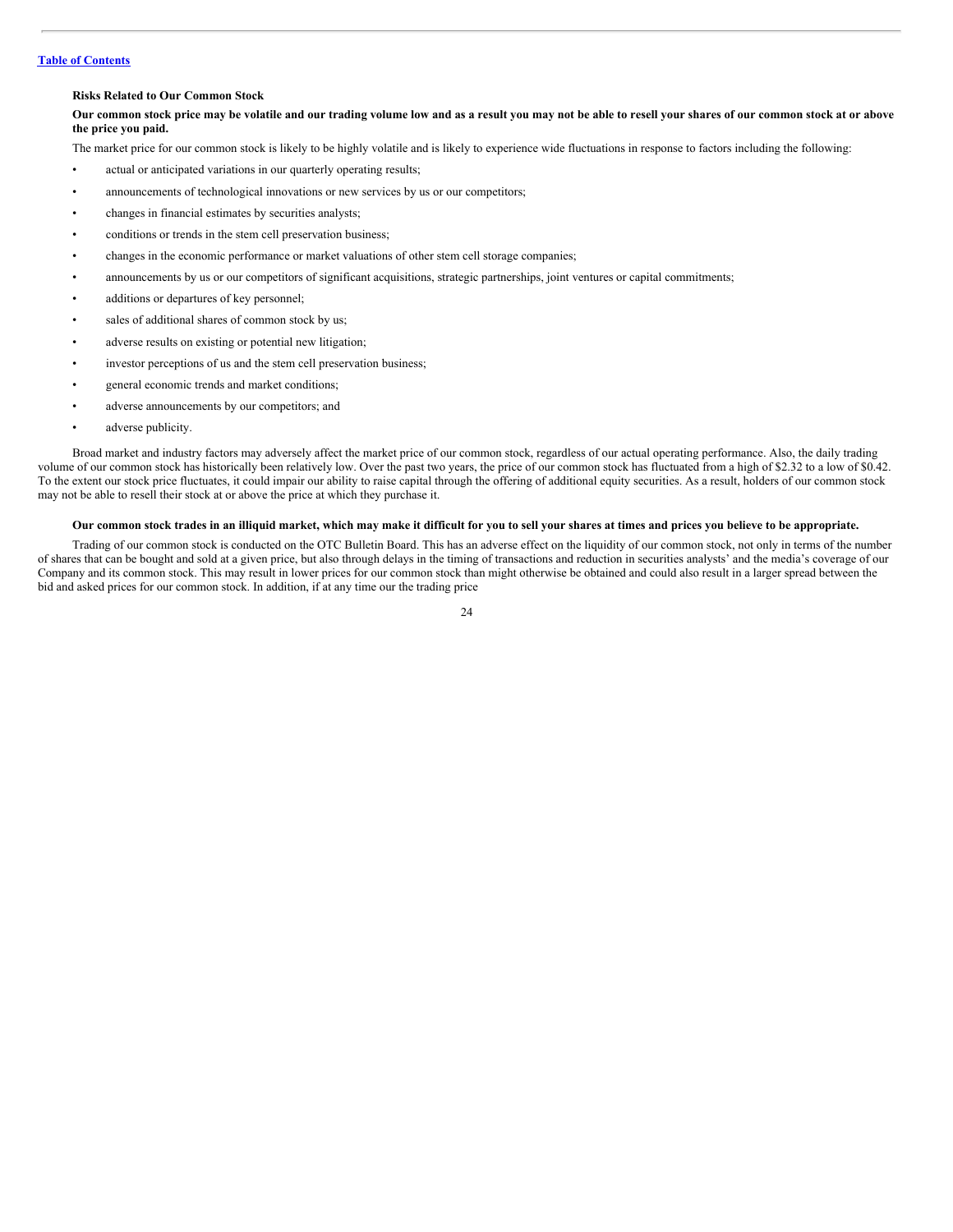## **Risks Related to Our Common Stock**

Our common stock price may be volatile and our trading volume low and as a result you may not be able to resell your shares of our common stock at or above **the price you paid.**

The market price for our common stock is likely to be highly volatile and is likely to experience wide fluctuations in response to factors including the following:

- actual or anticipated variations in our quarterly operating results;
- announcements of technological innovations or new services by us or our competitors;
- changes in financial estimates by securities analysts;
- conditions or trends in the stem cell preservation business;
- changes in the economic performance or market valuations of other stem cell storage companies;
- announcements by us or our competitors of significant acquisitions, strategic partnerships, joint ventures or capital commitments;
- additions or departures of key personnel;
- sales of additional shares of common stock by us;
- adverse results on existing or potential new litigation;
- investor perceptions of us and the stem cell preservation business;
- general economic trends and market conditions;
- adverse announcements by our competitors; and
- adverse publicity.

Broad market and industry factors may adversely affect the market price of our common stock, regardless of our actual operating performance. Also, the daily trading volume of our common stock has historically been relatively low. Over the past two years, the price of our common stock has fluctuated from a high of \$2.32 to a low of \$0.42. To the extent our stock price fluctuates, it could impair our ability to raise capital through the offering of additional equity securities. As a result, holders of our common stock may not be able to resell their stock at or above the price at which they purchase it.

## Our common stock trades in an illiquid market, which may make it difficult for you to sell your shares at times and prices you believe to be appropriate.

Trading of our common stock is conducted on the OTC Bulletin Board. This has an adverse effect on the liquidity of our common stock, not only in terms of the number of shares that can be bought and sold at a given price, but also through delays in the timing of transactions and reduction in securities analysts' and the media's coverage of our Company and its common stock. This may result in lower prices for our common stock than might otherwise be obtained and could also result in a larger spread between the bid and asked prices for our common stock. In addition, if at any time our the trading price

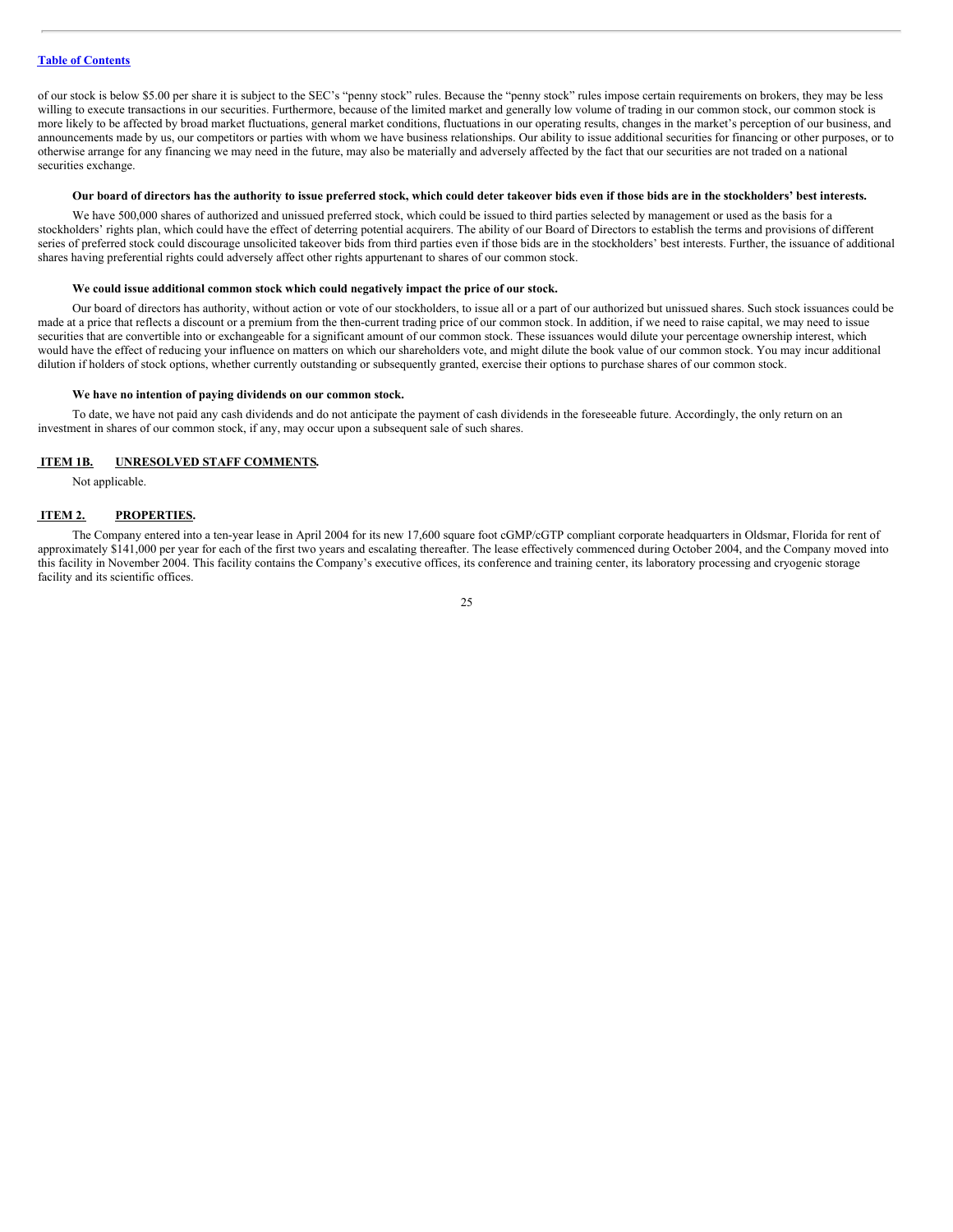of our stock is below \$5.00 per share it is subject to the SEC's "penny stock" rules. Because the "penny stock" rules impose certain requirements on brokers, they may be less willing to execute transactions in our securities. Furthermore, because of the limited market and generally low volume of trading in our common stock, our common stock is more likely to be affected by broad market fluctuations, general market conditions, fluctuations in our operating results, changes in the market's perception of our business, and announcements made by us, our competitors or parties with whom we have business relationships. Our ability to issue additional securities for financing or other purposes, or to otherwise arrange for any financing we may need in the future, may also be materially and adversely affected by the fact that our securities are not traded on a national securities exchange.

#### Our board of directors has the authority to issue preferred stock, which could deter takeover bids even if those bids are in the stockholders' best interests.

We have 500,000 shares of authorized and unissued preferred stock, which could be issued to third parties selected by management or used as the basis for a stockholders' rights plan, which could have the effect of deterring potential acquirers. The ability of our Board of Directors to establish the terms and provisions of different series of preferred stock could discourage unsolicited takeover bids from third parties even if those bids are in the stockholders' best interests. Further, the issuance of additional shares having preferential rights could adversely affect other rights appurtenant to shares of our common stock.

#### **We could issue additional common stock which could negatively impact the price of our stock.**

Our board of directors has authority, without action or vote of our stockholders, to issue all or a part of our authorized but unissued shares. Such stock issuances could be made at a price that reflects a discount or a premium from the then-current trading price of our common stock. In addition, if we need to raise capital, we may need to issue securities that are convertible into or exchangeable for a significant amount of our common stock. These issuances would dilute your percentage ownership interest, which would have the effect of reducing your influence on matters on which our shareholders vote, and might dilute the book value of our common stock. You may incur additional dilution if holders of stock options, whether currently outstanding or subsequently granted, exercise their options to purchase shares of our common stock.

#### **We have no intention of paying dividends on our common stock.**

To date, we have not paid any cash dividends and do not anticipate the payment of cash dividends in the foreseeable future. Accordingly, the only return on an investment in shares of our common stock, if any, may occur upon a subsequent sale of such shares.

#### <span id="page-24-0"></span>**ITEM 1B. UNRESOLVED STAFF COMMENTS.**

Not applicable.

## <span id="page-24-1"></span>**ITEM 2. PROPERTIES.**

The Company entered into a ten-year lease in April 2004 for its new 17,600 square foot cGMP/cGTP compliant corporate headquarters in Oldsmar. Florida for rent of approximately \$141,000 per year for each of the first two years and escalating thereafter. The lease effectively commenced during October 2004, and the Company moved into this facility in November 2004. This facility contains the Company's executive offices, its conference and training center, its laboratory processing and cryogenic storage facility and its scientific offices.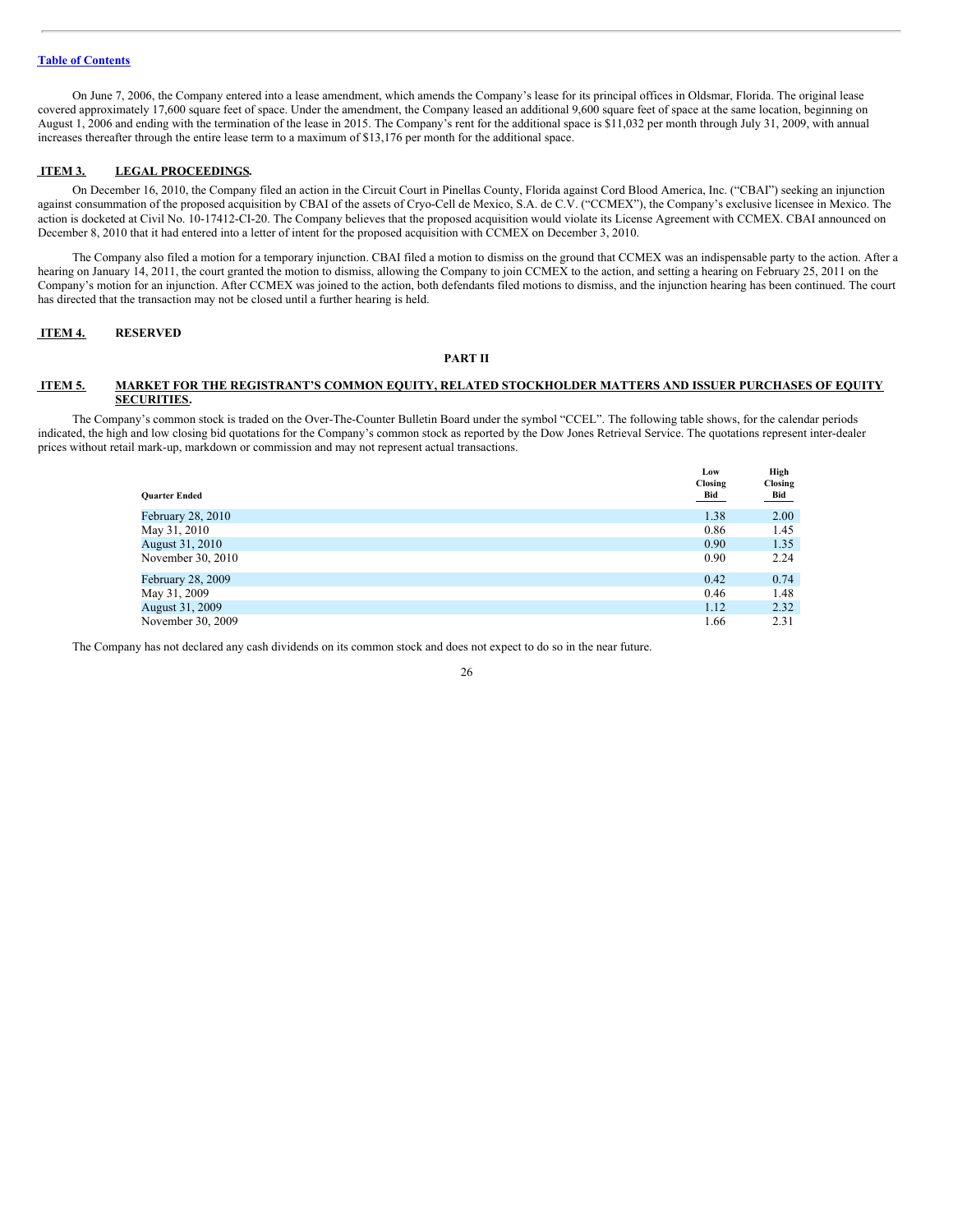On June 7, 2006, the Company entered into a lease amendment, which amends the Company's lease for its principal offices in Oldsmar, Florida. The original lease covered approximately 17,600 square feet of space. Under the amendment, the Company leased an additional 9,600 square feet of space at the same location, beginning on August 1, 2006 and ending with the termination of the lease in 2015. The Company's rent for the additional space is \$11,032 per month through July 31, 2009, with annual increases thereafter through the entire lease term to a maximum of \$13,176 per month for the additional space.

## <span id="page-25-0"></span>**ITEM 3. LEGAL PROCEEDINGS.**

On December 16, 2010, the Company filed an action in the Circuit Court in Pinellas County, Florida against Cord Blood America, Inc. ("CBAI") seeking an injunction against consummation of the proposed acquisition by CBAI of the assets of Cryo-Cell de Mexico, S.A. de C.V. ("CCMEX"), the Company's exclusive licensee in Mexico. The action is docketed at Civil No. 10-17412-CI-20. The Company believes that the proposed acquisition would violate its License Agreement with CCMEX. CBAI announced on December 8, 2010 that it had entered into a letter of intent for the proposed acquisition with CCMEX on December 3, 2010.

The Company also filed a motion for a temporary injunction. CBAI filed a motion to dismiss on the ground that CCMEX was an indispensable party to the action. After a hearing on January 14, 2011, the court granted the motion to dismiss, allowing the Company to join CCMEX to the action, and setting a hearing on February 25, 2011 on the Company's motion for an injunction. After CCMEX was joined to the action, both defendants filed motions to dismiss, and the injunction hearing has been continued. The court has directed that the transaction may not be closed until a further hearing is held.

#### <span id="page-25-1"></span>**ITEM 4. RESERVED**

#### **PART II**

## <span id="page-25-2"></span>**ITEM 5. MARKET FOR THE REGISTRANT'S COMMON EQUITY, RELATED STOCKHOLDER MATTERS AND ISSUER PURCHASES OF EQUITY SECURITIES.**

The Company's common stock is traded on the Over-The-Counter Bulletin Board under the symbol "CCEL". The following table shows, for the calendar periods indicated, the high and low closing bid quotations for the Company's common stock as reported by the Dow Jones Retrieval Service. The quotations represent inter-dealer prices without retail mark-up, markdown or commission and may not represent actual transactions.

| <b>Quarter Ended</b> | Low<br>Closing<br>Bid | High<br>Closing<br><b>Bid</b> |
|----------------------|-----------------------|-------------------------------|
| February 28, 2010    | 1.38                  | 2.00                          |
| May 31, 2010         | 0.86                  | 1.45                          |
| August 31, 2010      | 0.90                  | 1.35                          |
| November 30, 2010    | 0.90                  | 2.24                          |
| February 28, 2009    | 0.42                  | 0.74                          |
| May 31, 2009         | 0.46                  | 1.48                          |
| August 31, 2009      | 1.12                  | 2.32                          |
| November 30, 2009    | 1.66                  | 2.31                          |

**High**

The Company has not declared any cash dividends on its common stock and does not expect to do so in the near future.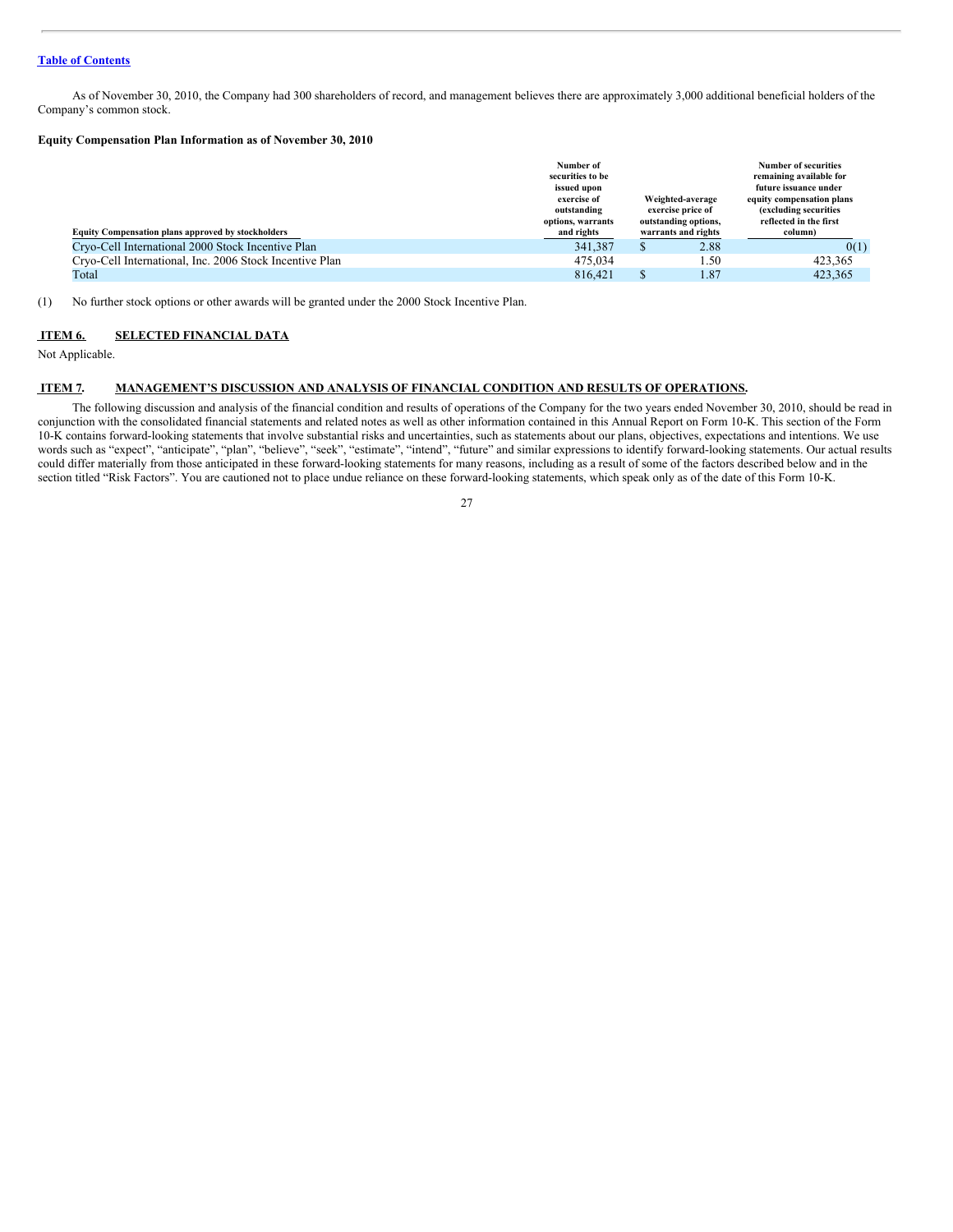As of November 30, 2010, the Company had 300 shareholders of record, and management believes there are approximately 3,000 additional beneficial holders of the Company's common stock.

#### **Equity Compensation Plan Information as of November 30, 2010**

| <b>Equity Compensation plans approved by stockholders</b> | Number of<br>securities to be<br>issued upon<br>exercise of<br>outstanding<br>options, warrants<br>and rights | Weighted-average<br>exercise price of<br>outstanding options,<br>warrants and rights | <b>Number of securities</b><br>remaining available for<br>future issuance under<br>equity compensation plans<br>(excluding securities)<br>reflected in the first<br>column) |
|-----------------------------------------------------------|---------------------------------------------------------------------------------------------------------------|--------------------------------------------------------------------------------------|-----------------------------------------------------------------------------------------------------------------------------------------------------------------------------|
| Cryo-Cell International 2000 Stock Incentive Plan         | 341,387                                                                                                       | 2.88                                                                                 | 0(1)                                                                                                                                                                        |
| Cryo-Cell International, Inc. 2006 Stock Incentive Plan   | 475.034                                                                                                       | 1.50                                                                                 | 423,365                                                                                                                                                                     |
| Total                                                     | 816.421                                                                                                       | 1.87                                                                                 | 423.365                                                                                                                                                                     |

(1) No further stock options or other awards will be granted under the 2000 Stock Incentive Plan.

## <span id="page-26-0"></span>**ITEM 6. SELECTED FINANCIAL DATA**

Not Applicable.

## <span id="page-26-1"></span>**ITEM 7. MANAGEMENT'S DISCUSSION AND ANALYSIS OF FINANCIAL CONDITION AND RESULTS OF OPERATIONS.**

The following discussion and analysis of the financial condition and results of operations of the Company for the two years ended November 30, 2010, should be read in conjunction with the consolidated financial statements and related notes as well as other information contained in this Annual Report on Form 10-K. This section of the Form 10-K contains forward-looking statements that involve substantial risks and uncertainties, such as statements about our plans, objectives, expectations and intentions. We use words such as "expect", "anticipate", "plan", "believe", "seek", "estimate", "intend", "future" and similar expressions to identify forward-looking statements. Our actual results could differ materially from those anticipated in these forward-looking statements for many reasons, including as a result of some of the factors described below and in the section titled "Risk Factors". You are cautioned not to place undue reliance on these forward-looking statements, which speak only as of the date of this Form 10-K.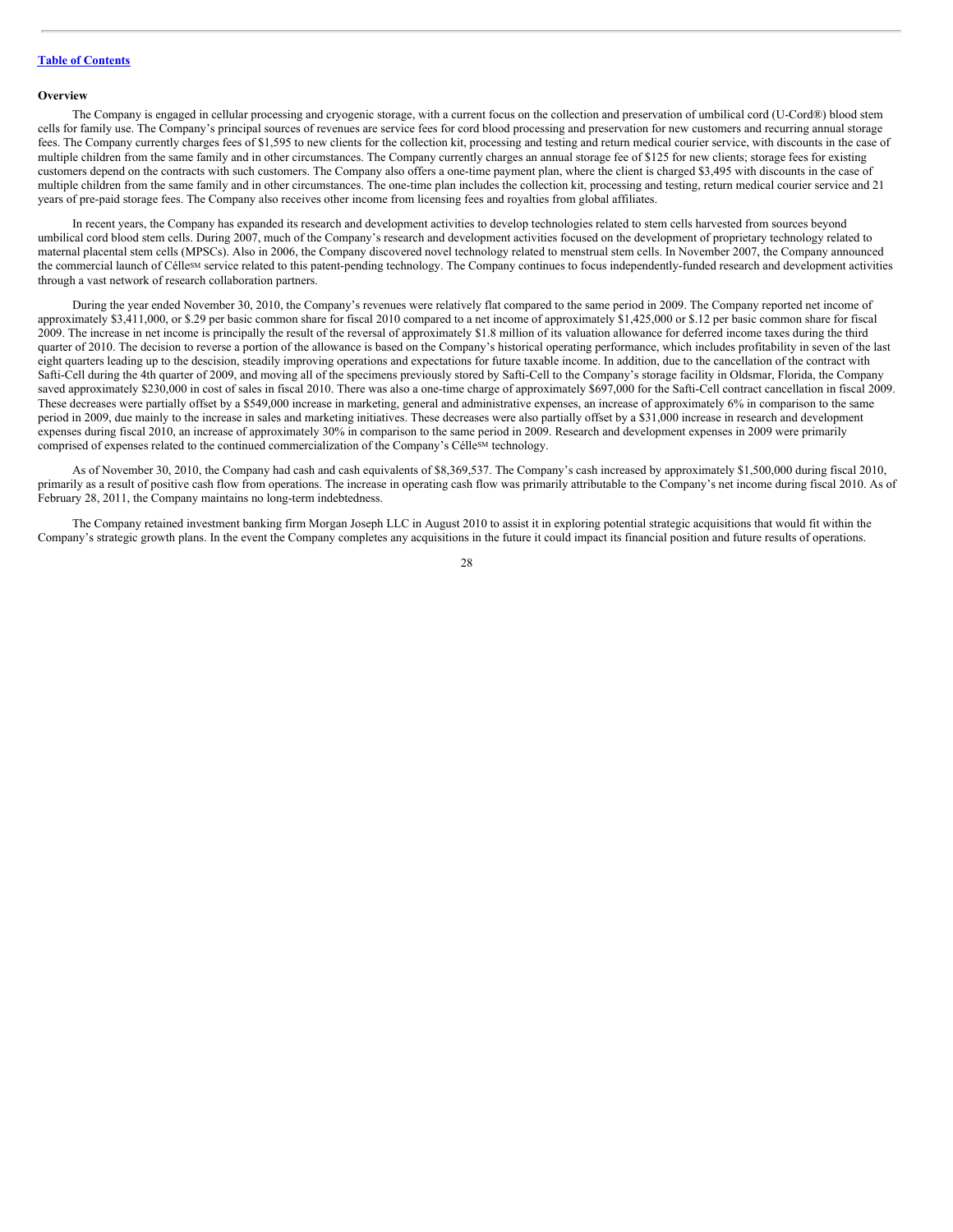#### **Overview**

The Company is engaged in cellular processing and cryogenic storage, with a current focus on the collection and preservation of umbilical cord (U-Cord®) blood stem cells for family use. The Company's principal sources of revenues are service fees for cord blood processing and preservation for new customers and recurring annual storage fees. The Company currently charges fees of \$1,595 to new clients for the collection kit, processing and testing and return medical courier service, with discounts in the case of multiple children from the same family and in other circumstances. The Company currently charges an annual storage fee of \$125 for new clients; storage fees for existing customers depend on the contracts with such customers. The Company also offers a one-time payment plan, where the client is charged \$3,495 with discounts in the case of multiple children from the same family and in other circumstances. The one-time plan includes the collection kit, processing and testing, return medical courier service and 21 years of pre-paid storage fees. The Company also receives other income from licensing fees and royalties from global affiliates.

In recent years, the Company has expanded its research and development activities to develop technologies related to stem cells harvested from sources beyond umbilical cord blood stem cells. During 2007, much of the Company's research and development activities focused on the development of proprietary technology related to maternal placental stem cells (MPSCs). Also in 2006, the Company discovered novel technology related to menstrual stem cells. In November 2007, the Company announced the commercial launch of Célle<sup>sM</sup> service related to this patent-pending technology. The Company continues to focus independently-funded research and development activities through a vast network of research collaboration partners.

During the year ended November 30, 2010, the Company's revenues were relatively flat compared to the same period in 2009. The Company reported net income of approximately \$3,411,000, or \$.29 per basic common share for fiscal 2010 compared to a net income of approximately \$1,425,000 or \$.12 per basic common share for fiscal 2009. The increase in net income is principally the result of the reversal of approximately \$1.8 million of its valuation allowance for deferred income taxes during the third quarter of 2010. The decision to reverse a portion of the allowance is based on the Company's historical operating performance, which includes profitability in seven of the last eight quarters leading up to the descision, steadily improving operations and expectations for future taxable income. In addition, due to the cancellation of the contract with Safti-Cell during the 4th quarter of 2009, and moving all of the specimens previously stored by Safti-Cell to the Company's storage facility in Oldsmar, Florida, the Company saved approximately \$230,000 in cost of sales in fiscal 2010. There was also a one-time charge of approximately \$697,000 for the Safti-Cell contract cancellation in fiscal 2009. These decreases were partially offset by a \$549,000 increase in marketing, general and administrative expenses, an increase of approximately 6% in comparison to the same period in 2009, due mainly to the increase in sales and marketing initiatives. These decreases were also partially offset by a \$31,000 increase in research and development expenses during fiscal 2010, an increase of approximately 30% in comparison to the same period in 2009. Research and development expenses in 2009 were primarily comprised of expenses related to the continued commercialization of the Company's Célle<sup>SM</sup> technology.

As of November 30, 2010, the Company had cash and cash equivalents of \$8,369,537. The Company's cash increased by approximately \$1,500,000 during fiscal 2010, primarily as a result of positive cash flow from operations. The increase in operating cash flow was primarily attributable to the Company's net income during fiscal 2010. As of February 28, 2011, the Company maintains no long-term indebtedness.

The Company retained investment banking firm Morgan Joseph LLC in August 2010 to assist it in exploring potential strategic acquisitions that would fit within the Company's strategic growth plans. In the event the Company completes any acquisitions in the future it could impact its financial position and future results of operations.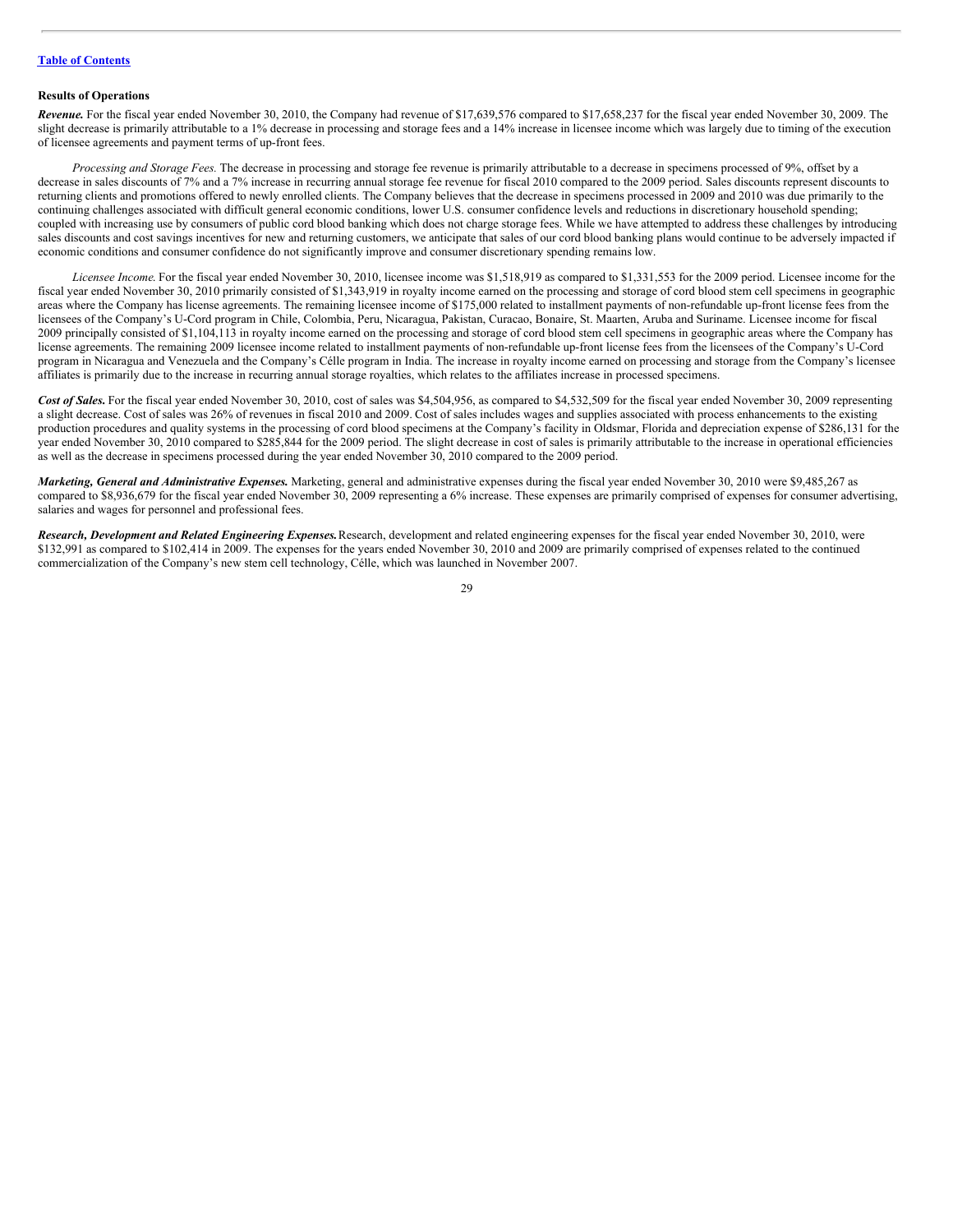#### **Results of Operations**

*Revenue.* For the fiscal year ended November 30, 2010, the Company had revenue of \$17,639,576 compared to \$17,658,237 for the fiscal year ended November 30, 2009. The slight decrease is primarily attributable to a 1% decrease in processing and storage fees and a 14% increase in licensee income which was largely due to timing of the execution of licensee agreements and payment terms of up-front fees.

*Processing and Storage Fees.* The decrease in processing and storage fee revenue is primarily attributable to a decrease in specimens processed of 9%, offset by a decrease in sales discounts of 7% and a 7% increase in recurring annual storage fee revenue for fiscal 2010 compared to the 2009 period. Sales discounts represent discounts to returning clients and promotions offered to newly enrolled clients. The Company believes that the decrease in specimens processed in 2009 and 2010 was due primarily to the continuing challenges associated with difficult general economic conditions, lower U.S. consumer confidence levels and reductions in discretionary household spending; coupled with increasing use by consumers of public cord blood banking which does not charge storage fees. While we have attempted to address these challenges by introducing sales discounts and cost savings incentives for new and returning customers, we anticipate that sales of our cord blood banking plans would continue to be adversely impacted if economic conditions and consumer confidence do not significantly improve and consumer discretionary spending remains low.

*Licensee Income*. For the fiscal year ended November 30, 2010, licensee income was \$1,518,919 as compared to \$1,331,553 for the 2009 period. Licensee income for the fiscal year ended November 30, 2010 primarily consisted of \$1,343,919 in royalty income earned on the processing and storage of cord blood stem cell specimens in geographic areas where the Company has license agreements. The remaining licensee income of \$175,000 related to installment payments of non-refundable up-front license fees from the licensees of the Company's U-Cord program in Chile, Colombia, Peru, Nicaragua, Pakistan, Curacao, Bonaire, St. Maarten, Aruba and Suriname. Licensee income for fiscal 2009 principally consisted of \$1,104,113 in royalty income earned on the processing and storage of cord blood stem cell specimens in geographic areas where the Company has license agreements. The remaining 2009 licensee income related to installment payments of non-refundable up-front license fees from the licensees of the Company's U-Cord program in Nicaragua and Venezuela and the Company's Célle program in India. The increase in royalty income earned on processing and storage from the Company's licensee affiliates is primarily due to the increase in recurring annual storage royalties, which relates to the affiliates increase in processed specimens.

Cost of Sales. For the fiscal year ended November 30, 2010, cost of sales was \$4,504,956, as compared to \$4,532,509 for the fiscal year ended November 30, 2009 representing a slight decrease. Cost of sales was 26% of revenues in fiscal 2010 and 2009. Cost of sales includes wages and supplies associated with process enhancements to the existing production procedures and quality systems in the processing of cord blood specimens at the Company's facility in Oldsmar, Florida and depreciation expense of \$286,131 for the year ended November 30, 2010 compared to \$285,844 for the 2009 period. The slight decrease in cost of sales is primarily attributable to the increase in operational efficiencies as well as the decrease in specimens processed during the year ended November 30, 2010 compared to the 2009 period.

*Marketing, General and Administrative Expenses.* Marketing, general and administrative expenses during the fiscal year ended November 30, 2010 were \$9,485,267 as compared to \$8,936,679 for the fiscal year ended November 30, 2009 representing a 6% increase. These expenses are primarily comprised of expenses for consumer advertising, salaries and wages for personnel and professional fees.

*Research, Development and Related Engineering Expenses.*Research, development and related engineering expenses for the fiscal year ended November 30, 2010, were \$132,991 as compared to \$102,414 in 2009. The expenses for the years ended November 30, 2010 and 2009 are primarily comprised of expenses related to the continued commercialization of the Company's new stem cell technology, Célle, which was launched in November 2007.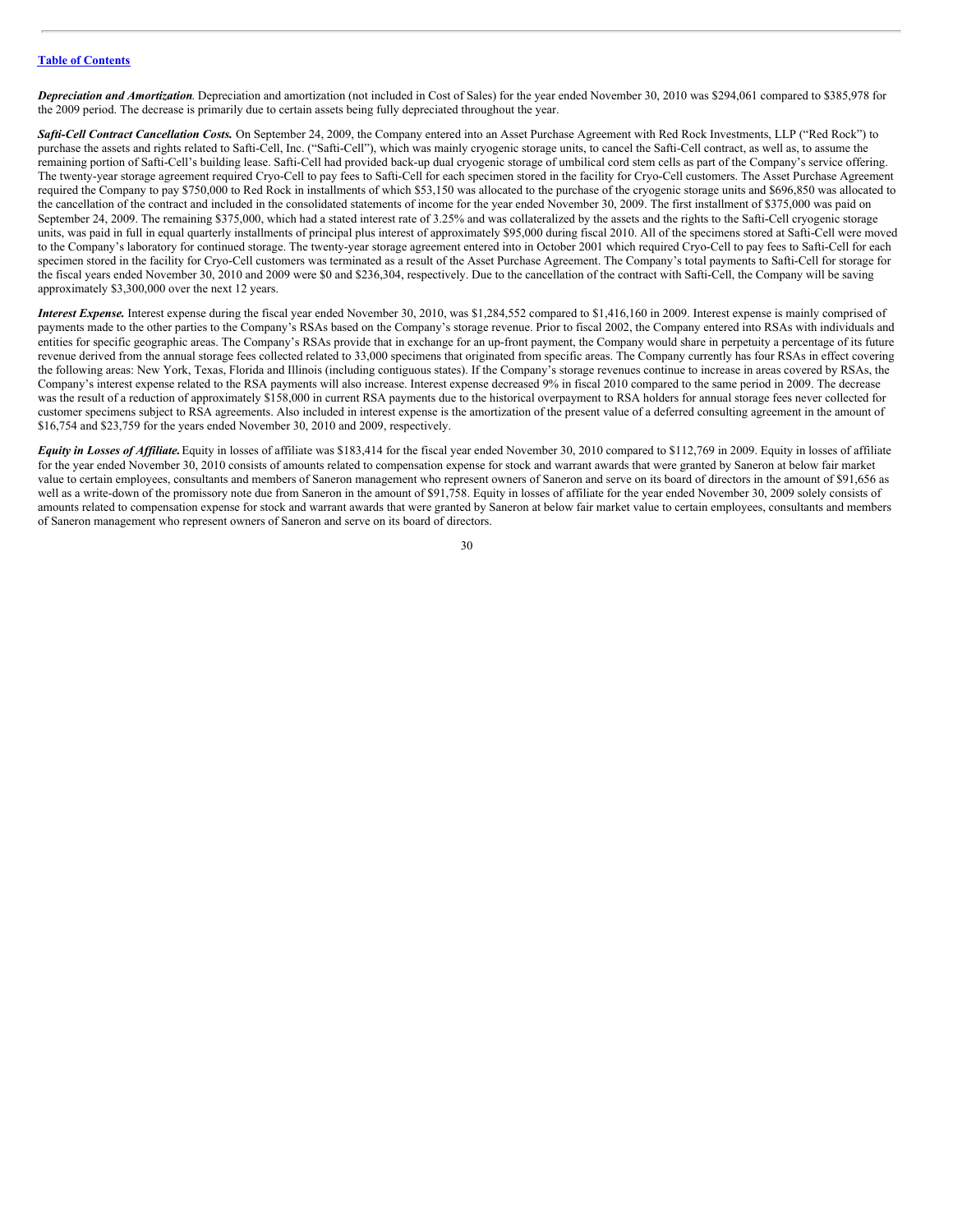*Depreciation and Amortization*. Depreciation and amortization (not included in Cost of Sales) for the year ended November 30, 2010 was \$294,061 compared to \$385,978 for the 2009 period. The decrease is primarily due to certain assets being fully depreciated throughout the year.

*Safti-Cell Contract Cancellation Costs.* On September 24, 2009, the Company entered into an Asset Purchase Agreement with Red Rock Investments, LLP ("Red Rock") to purchase the assets and rights related to Safti-Cell, Inc. ("Safti-Cell"), which was mainly cryogenic storage units, to cancel the Safti-Cell contract, as well as, to assume the remaining portion of Safti-Cell's building lease. Safti-Cell had provided back-up dual cryogenic storage of umbilical cord stem cells as part of the Company's service offering. The twenty-year storage agreement required Cryo-Cell to pay fees to Safti-Cell for each specimen stored in the facility for Cryo-Cell customers. The Asset Purchase Agreement required the Company to pay \$750,000 to Red Rock in installments of which \$53,150 was allocated to the purchase of the cryogenic storage units and \$696,850 was allocated to the cancellation of the contract and included in the consolidated statements of income for the year ended November 30, 2009. The first installment of \$375,000 was paid on September 24, 2009. The remaining \$375,000, which had a stated interest rate of 3.25% and was collateralized by the assets and the rights to the Safti-Cell cryogenic storage units, was paid in full in equal quarterly installments of principal plus interest of approximately \$95,000 during fiscal 2010. All of the specimens stored at Safti-Cell were moved to the Company's laboratory for continued storage. The twenty-year storage agreement entered into in October 2001 which required Cryo-Cell to pay fees to Safti-Cell for each specimen stored in the facility for Cryo-Cell customers was terminated as a result of the Asset Purchase Agreement. The Company's total payments to Safti-Cell for storage for the fiscal years ended November 30, 2010 and 2009 were \$0 and \$236,304, respectively. Due to the cancellation of the contract with Safti-Cell, the Company will be saving approximately \$3,300,000 over the next 12 years.

*Interest Expense*. Interest expense during the fiscal year ended November 30, 2010, was \$1,284,552 compared to \$1,416,160 in 2009. Interest expense is mainly comprised of payments made to the other parties to the Company's RSAs based on the Company's storage revenue. Prior to fiscal 2002, the Company entered into RSAs with individuals and entities for specific geographic areas. The Company's RSAs provide that in exchange for an up-front payment, the Company would share in perpetuity a percentage of its future revenue derived from the annual storage fees collected related to 33,000 specimens that originated from specific areas. The Company currently has four RSAs in effect covering the following areas: New York, Texas, Florida and Illinois (including contiguous states). If the Company's storage revenues continue to increase in areas covered by RSAs, the Company's interest expense related to the RSA payments will also increase. Interest expense decreased 9% in fiscal 2010 compared to the same period in 2009. The decrease was the result of a reduction of approximately \$158,000 in current RSA payments due to the historical overpayment to RSA holders for annual storage fees never collected for customer specimens subject to RSA agreements. Also included in interest expense is the amortization of the present value of a deferred consulting agreement in the amount of \$16,754 and \$23,759 for the years ended November 30, 2010 and 2009, respectively.

*Equity in Losses of Af iliate.*Equity in losses of affiliate was \$183,414 for the fiscal year ended November 30, 2010 compared to \$112,769 in 2009. Equity in losses of affiliate for the year ended November 30, 2010 consists of amounts related to compensation expense for stock and warrant awards that were granted by Saneron at below fair market value to certain employees, consultants and members of Saneron management who represent owners of Saneron and serve on its board of directors in the amount of \$91,656 as well as a write-down of the promissory note due from Saneron in the amount of \$91,758. Equity in losses of affiliate for the year ended November 30, 2009 solely consists of amounts related to compensation expense for stock and warrant awards that were granted by Saneron at below fair market value to certain employees, consultants and members of Saneron management who represent owners of Saneron and serve on its board of directors.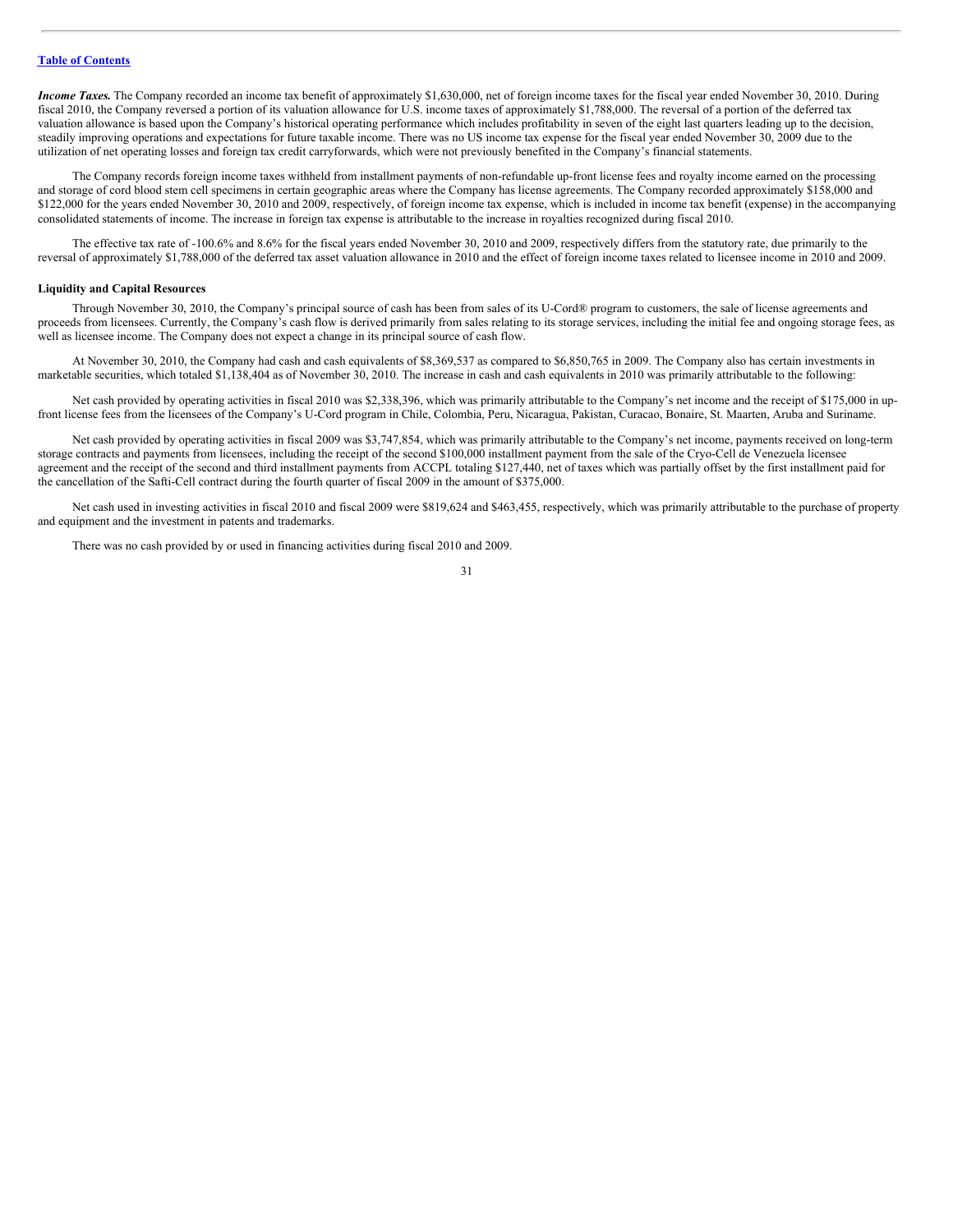*Income Taxes*. The Company recorded an income tax benefit of approximately \$1,630,000, net of foreign income taxes for the fiscal year ended November 30, 2010. During fiscal 2010, the Company reversed a portion of its valuation allowance for U.S. income taxes of approximately \$1,788,000. The reversal of a portion of the deferred tax valuation allowance is based upon the Company's historical operating performance which includes profitability in seven of the eight last quarters leading up to the decision, steadily improving operations and expectations for future taxable income. There was no US income tax expense for the fiscal year ended November 30, 2009 due to the utilization of net operating losses and foreign tax credit carryforwards, which were not previously benefited in the Company's financial statements.

The Company records foreign income taxes withheld from installment payments of non-refundable up-front license fees and royalty income earned on the processing and storage of cord blood stem cell specimens in certain geographic areas where the Company has license agreements. The Company recorded approximately \$158,000 and \$122,000 for the years ended November 30, 2010 and 2009, respectively, of foreign income tax expense, which is included in income tax benefit (expense) in the accompanying consolidated statements of income. The increase in foreign tax expense is attributable to the increase in royalties recognized during fiscal 2010.

The effective tax rate of -100.6% and 8.6% for the fiscal years ended November 30, 2010 and 2009, respectively differs from the statutory rate, due primarily to the reversal of approximately \$1,788,000 of the deferred tax asset valuation allowance in 2010 and the effect of foreign income taxes related to licensee income in 2010 and 2009.

## **Liquidity and Capital Resources**

Through November 30, 2010, the Company's principal source of cash has been from sales of its U-Cord® program to customers, the sale of license agreements and proceeds from licensees. Currently, the Company's cash flow is derived primarily from sales relating to its storage services, including the initial fee and ongoing storage fees, as well as licensee income. The Company does not expect a change in its principal source of cash flow.

At November 30, 2010, the Company had cash and cash equivalents of \$8,369,537 as compared to \$6,850,765 in 2009. The Company also has certain investments in marketable securities, which totaled \$1,138,404 as of November 30, 2010. The increase in cash and cash equivalents in 2010 was primarily attributable to the following:

Net cash provided by operating activities in fiscal 2010 was \$2,338,396, which was primarily attributable to the Company's net income and the receipt of \$175,000 in upfront license fees from the licensees of the Company's U-Cord program in Chile, Colombia, Peru, Nicaragua, Pakistan, Curacao, Bonaire, St. Maarten, Aruba and Suriname.

Net cash provided by operating activities in fiscal 2009 was \$3,747,854, which was primarily attributable to the Company's net income, payments received on long-term storage contracts and payments from licensees, including the receipt of the second \$100,000 installment payment from the sale of the Cryo-Cell de Venezuela licensee agreement and the receipt of the second and third installment payments from ACCPL totaling \$127,440, net of taxes which was partially offset by the first installment paid for the cancellation of the Safti-Cell contract during the fourth quarter of fiscal 2009 in the amount of \$375,000.

Net cash used in investing activities in fiscal 2010 and fiscal 2009 were \$819,624 and \$463,455, respectively, which was primarily attributable to the purchase of property and equipment and the investment in patents and trademarks.

There was no cash provided by or used in financing activities during fiscal 2010 and 2009.

<sup>31</sup>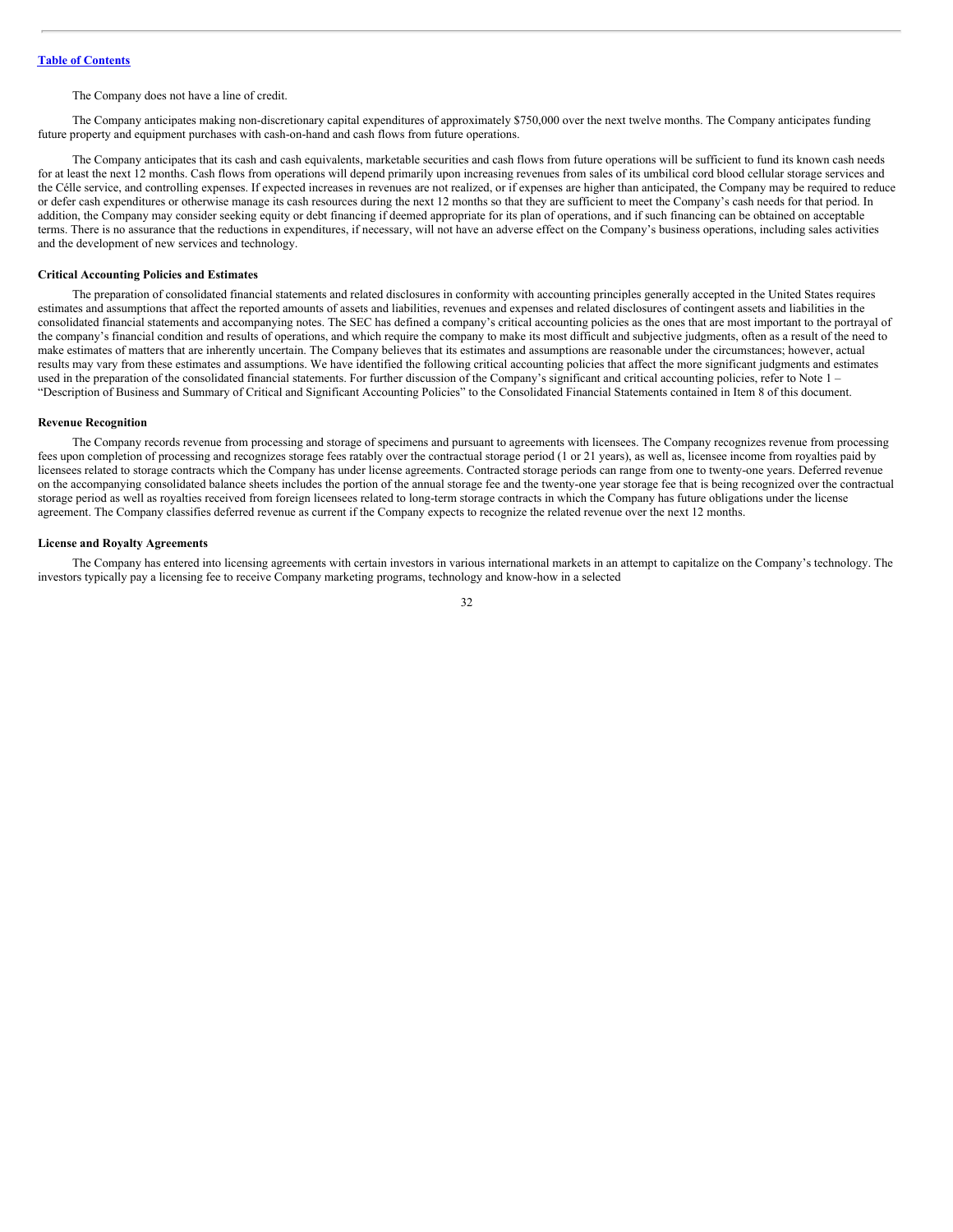The Company does not have a line of credit.

The Company anticipates making non-discretionary capital expenditures of approximately \$750,000 over the next twelve months. The Company anticipates funding future property and equipment purchases with cash-on-hand and cash flows from future operations.

The Company anticipates that its cash and cash equivalents, marketable securities and cash flows from future operations will be sufficient to fund its known cash needs for at least the next 12 months. Cash flows from operations will depend primarily upon increasing revenues from sales of its umbilical cord blood cellular storage services and the Célle service, and controlling expenses. If expected increases in revenues are not realized, or if expenses are higher than anticipated, the Company may be required to reduce or defer cash expenditures or otherwise manage its cash resources during the next 12 months so that they are sufficient to meet the Company's cash needs for that period. In addition, the Company may consider seeking equity or debt financing if deemed appropriate for its plan of operations, and if such financing can be obtained on acceptable terms. There is no assurance that the reductions in expenditures, if necessary, will not have an adverse effect on the Company's business operations, including sales activities and the development of new services and technology.

## **Critical Accounting Policies and Estimates**

The preparation of consolidated financial statements and related disclosures in conformity with accounting principles generally accepted in the United States requires estimates and assumptions that affect the reported amounts of assets and liabilities, revenues and expenses and related disclosures of contingent assets and liabilities in the consolidated financial statements and accompanying notes. The SEC has defined a company's critical accounting policies as the ones that are most important to the portrayal of the company's financial condition and results of operations, and which require the company to make its most difficult and subjective judgments, often as a result of the need to make estimates of matters that are inherently uncertain. The Company believes that its estimates and assumptions are reasonable under the circumstances; however, actual results may vary from these estimates and assumptions. We have identified the following critical accounting policies that affect the more significant judgments and estimates used in the preparation of the consolidated financial statements. For further discussion of the Company's significant and critical accounting policies, refer to Note 1 – "Description of Business and Summary of Critical and Significant Accounting Policies" to the Consolidated Financial Statements contained in Item 8 of this document.

#### **Revenue Recognition**

The Company records revenue from processing and storage of specimens and pursuant to agreements with licensees. The Company recognizes revenue from processing fees upon completion of processing and recognizes storage fees ratably over the contractual storage period (1 or 21 years), as well as, licensee income from royalties paid by licensees related to storage contracts which the Company has under license agreements. Contracted storage periods can range from one to twenty-one years. Deferred revenue on the accompanying consolidated balance sheets includes the portion of the annual storage fee and the twenty-one year storage fee that is being recognized over the contractual storage period as well as royalties received from foreign licensees related to long-term storage contracts in which the Company has future obligations under the license agreement. The Company classifies deferred revenue as current if the Company expects to recognize the related revenue over the next 12 months.

#### **License and Royalty Agreements**

The Company has entered into licensing agreements with certain investors in various international markets in an attempt to capitalize on the Company's technology. The investors typically pay a licensing fee to receive Company marketing programs, technology and know-how in a selected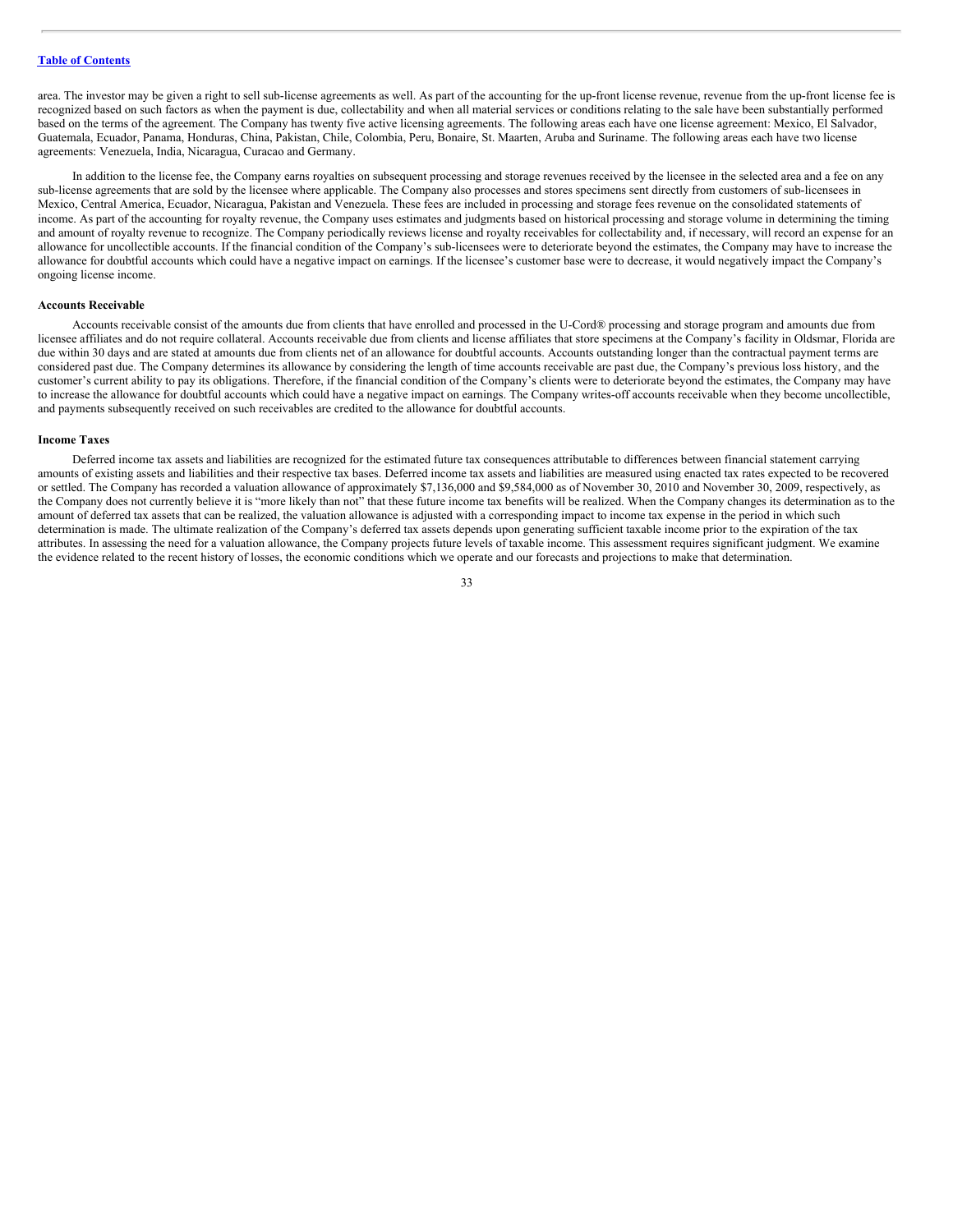area. The investor may be given a right to sell sub-license agreements as well. As part of the accounting for the up-front license revenue, revenue from the up-front license fee is recognized based on such factors as when the payment is due, collectability and when all material services or conditions relating to the sale have been substantially performed based on the terms of the agreement. The Company has twenty five active licensing agreements. The following areas each have one license agreement: Mexico, El Salvador, Guatemala, Ecuador, Panama, Honduras, China, Pakistan, Chile, Colombia, Peru, Bonaire, St. Maarten, Aruba and Suriname. The following areas each have two license agreements: Venezuela, India, Nicaragua, Curacao and Germany.

In addition to the license fee, the Company earns royalties on subsequent processing and storage revenues received by the licensee in the selected area and a fee on any sub-license agreements that are sold by the licensee where applicable. The Company also processes and stores specimens sent directly from customers of sub-licensees in Mexico, Central America, Ecuador, Nicaragua, Pakistan and Venezuela. These fees are included in processing and storage fees revenue on the consolidated statements of income. As part of the accounting for royalty revenue, the Company uses estimates and judgments based on historical processing and storage volume in determining the timing and amount of royalty revenue to recognize. The Company periodically reviews license and royalty receivables for collectability and, if necessary, will record an expense for an allowance for uncollectible accounts. If the financial condition of the Company's sub-licensees were to deteriorate beyond the estimates, the Company may have to increase the allowance for doubtful accounts which could have a negative impact on earnings. If the licensee's customer base were to decrease, it would negatively impact the Company's ongoing license income.

## **Accounts Receivable**

Accounts receivable consist of the amounts due from clients that have enrolled and processed in the U-Cord® processing and storage program and amounts due from licensee affiliates and do not require collateral. Accounts receivable due from clients and license affiliates that store specimens at the Company's facility in Oldsmar, Florida are due within 30 days and are stated at amounts due from clients net of an allowance for doubtful accounts. Accounts outstanding longer than the contractual payment terms are considered past due. The Company determines its allowance by considering the length of time accounts receivable are past due, the Company's previous loss history, and the customer's current ability to pay its obligations. Therefore, if the financial condition of the Company's clients were to deteriorate beyond the estimates, the Company may have to increase the allowance for doubtful accounts which could have a negative impact on earnings. The Company writes-off accounts receivable when they become uncollectible, and payments subsequently received on such receivables are credited to the allowance for doubtful accounts.

#### **Income Taxes**

Deferred income tax assets and liabilities are recognized for the estimated future tax consequences attributable to differences between financial statement carrying amounts of existing assets and liabilities and their respective tax bases. Deferred income tax assets and liabilities are measured using enacted tax rates expected to be recovered or settled. The Company has recorded a valuation allowance of approximately \$7,136,000 and \$9,584,000 as of November 30, 2010 and November 30, 2009, respectively, as the Company does not currently believe it is "more likely than not" that these future income tax benefits will be realized. When the Company changes its determination as to the amount of deferred tax assets that can be realized, the valuation allowance is adjusted with a corresponding impact to income tax expense in the period in which such determination is made. The ultimate realization of the Company's deferred tax assets depends upon generating sufficient taxable income prior to the expiration of the tax attributes. In assessing the need for a valuation allowance, the Company projects future levels of taxable income. This assessment requires significant judgment. We examine the evidence related to the recent history of losses, the economic conditions which we operate and our forecasts and projections to make that determination.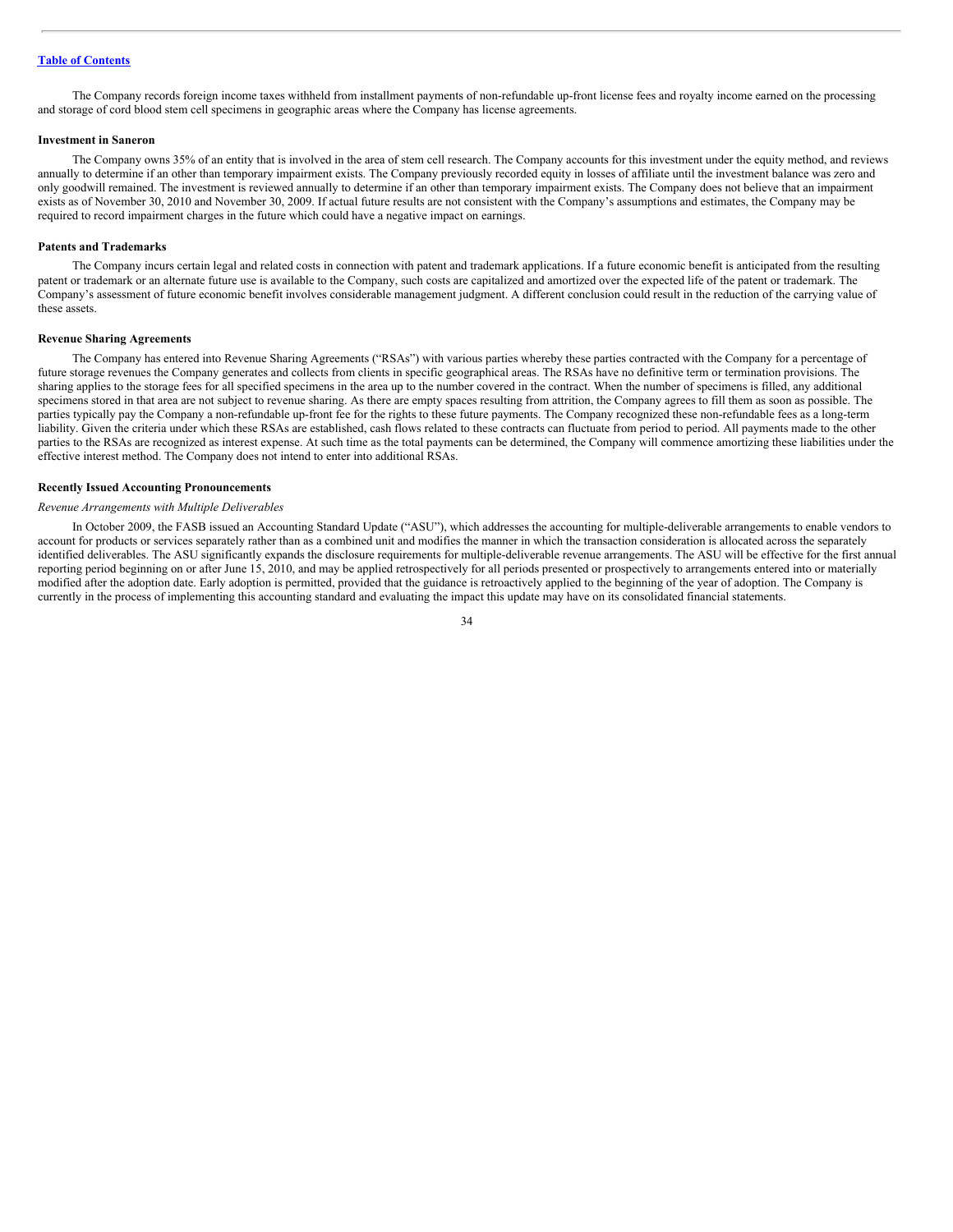The Company records foreign income taxes withheld from installment payments of non-refundable up-front license fees and royalty income earned on the processing and storage of cord blood stem cell specimens in geographic areas where the Company has license agreements.

#### **Investment in Saneron**

The Company owns 35% of an entity that is involved in the area of stem cell research. The Company accounts for this investment under the equity method, and reviews annually to determine if an other than temporary impairment exists. The Company previously recorded equity in losses of affiliate until the investment balance was zero and only goodwill remained. The investment is reviewed annually to determine if an other than temporary impairment exists. The Company does not believe that an impairment exists as of November 30, 2010 and November 30, 2009. If actual future results are not consistent with the Company's assumptions and estimates, the Company may be required to record impairment charges in the future which could have a negative impact on earnings.

#### **Patents and Trademarks**

The Company incurs certain legal and related costs in connection with patent and trademark applications. If a future economic benefit is anticipated from the resulting patent or trademark or an alternate future use is available to the Company, such costs are capitalized and amortized over the expected life of the patent or trademark. The Company's assessment of future economic benefit involves considerable management judgment. A different conclusion could result in the reduction of the carrying value of these assets.

#### **Revenue Sharing Agreements**

The Company has entered into Revenue Sharing Agreements ("RSAs") with various parties whereby these parties contracted with the Company for a percentage of future storage revenues the Company generates and collects from clients in specific geographical areas. The RSAs have no definitive term or termination provisions. The sharing applies to the storage fees for all specified specimens in the area up to the number covered in the contract. When the number of specimens is filled, any additional specimens stored in that area are not subject to revenue sharing. As there are empty spaces resulting from attrition, the Company agrees to fill them as soon as possible. The parties typically pay the Company a non-refundable up-front fee for the rights to these future payments. The Company recognized these non-refundable fees as a long-term liability. Given the criteria under which these RSAs are established, cash flows related to these contracts can fluctuate from period to period. All payments made to the other parties to the RSAs are recognized as interest expense. At such time as the total payments can be determined, the Company will commence amortizing these liabilities under the effective interest method. The Company does not intend to enter into additional RSAs.

#### **Recently Issued Accounting Pronouncements**

#### *Revenue Arrangements with Multiple Deliverables*

In October 2009, the FASB issued an Accounting Standard Update ("ASU"), which addresses the accounting for multiple-deliverable arrangements to enable vendors to account for products or services separately rather than as a combined unit and modifies the manner in which the transaction consideration is allocated across the separately identified deliverables. The ASU significantly expands the disclosure requirements for multiple-deliverable revenue arrangements. The ASU will be effective for the first annual reporting period beginning on or after June 15, 2010, and may be applied retrospectively for all periods presented or prospectively to arrangements entered into or materially modified after the adoption date. Early adoption is permitted, provided that the guidance is retroactively applied to the beginning of the year of adoption. The Company is currently in the process of implementing this accounting standard and evaluating the impact this update may have on its consolidated financial statements.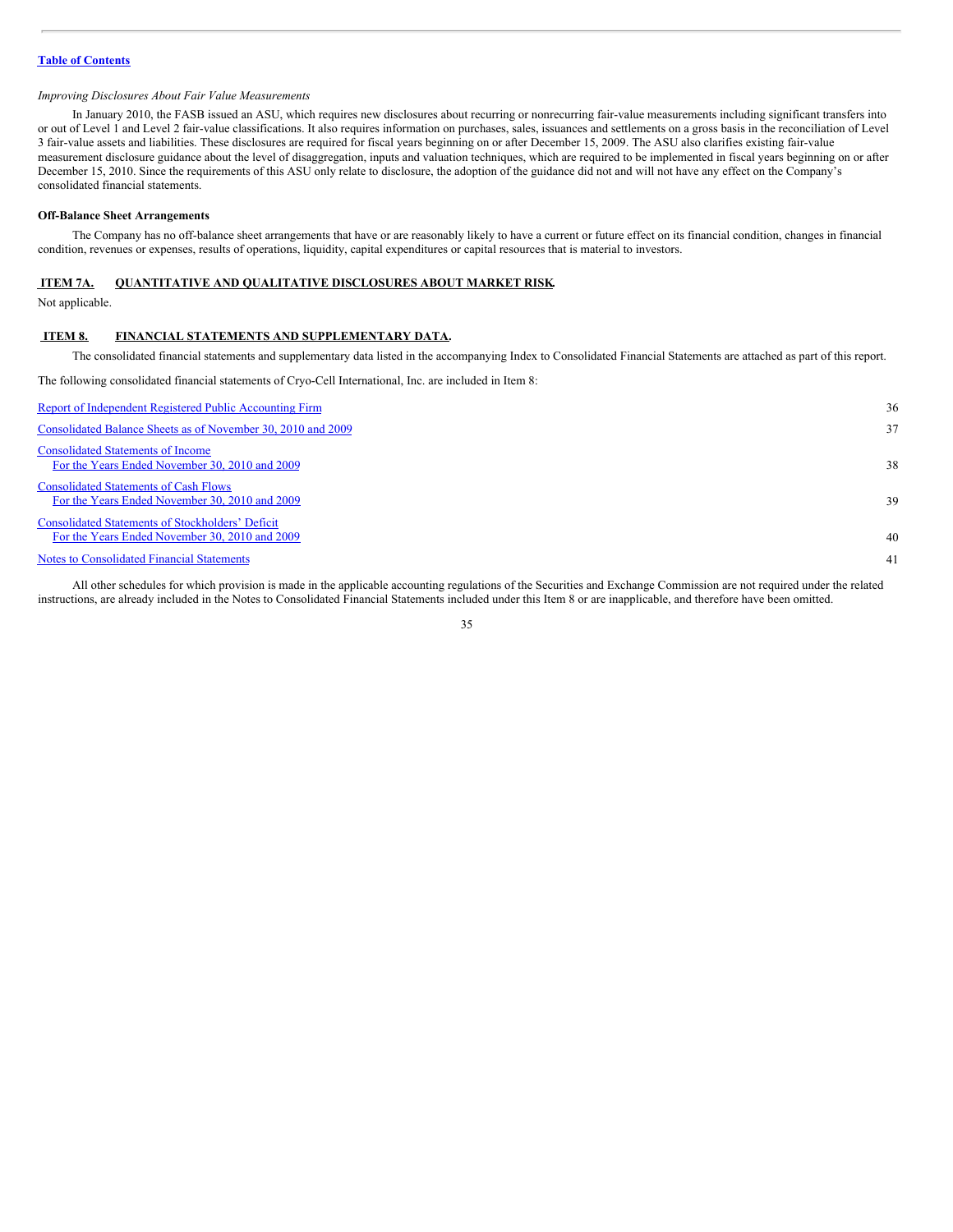## *Improving Disclosures About Fair Value Measurements*

In January 2010, the FASB issued an ASU, which requires new disclosures about recurring or nonrecurring fair-value measurements including significant transfers into or out of Level 1 and Level 2 fair-value classifications. It also requires information on purchases, sales, issuances and settlements on a gross basis in the reconciliation of Level 3 fair-value assets and liabilities. These disclosures are required for fiscal years beginning on or after December 15, 2009. The ASU also clarifies existing fair-value measurement disclosure guidance about the level of disaggregation, inputs and valuation techniques, which are required to be implemented in fiscal years beginning on or after December 15, 2010. Since the requirements of this ASU only relate to disclosure, the adoption of the guidance did not and will not have any effect on the Company's consolidated financial statements.

## **Off-Balance Sheet Arrangements**

The Company has no off-balance sheet arrangements that have or are reasonably likely to have a current or future effect on its financial condition, changes in financial condition, revenues or expenses, results of operations, liquidity, capital expenditures or capital resources that is material to investors.

#### <span id="page-34-0"></span>**ITEM 7A. QUANTITATIVE AND QUALITATIVE DISCLOSURES ABOUT MARKET RISK.**

Not applicable.

#### <span id="page-34-1"></span>**ITEM 8. FINANCIAL STATEMENTS AND SUPPLEMENTARY DATA.**

The consolidated financial statements and supplementary data listed in the accompanying Index to Consolidated Financial Statements are attached as part of this report.

The following consolidated financial statements of Cryo-Cell International, Inc. are included in Item 8:

| Report of Independent Registered Public Accounting Firm                                                   | 36 |
|-----------------------------------------------------------------------------------------------------------|----|
| Consolidated Balance Sheets as of November 30, 2010 and 2009                                              | 37 |
| <b>Consolidated Statements of Income</b><br>For the Years Ended November 30, 2010 and 2009                | 38 |
| <b>Consolidated Statements of Cash Flows</b><br>For the Years Ended November 30, 2010 and 2009            | 39 |
| <b>Consolidated Statements of Stockholders' Deficit</b><br>For the Years Ended November 30, 2010 and 2009 | 40 |
| <b>Notes to Consolidated Financial Statements</b>                                                         | 41 |

All other schedules for which provision is made in the applicable accounting regulations of the Securities and Exchange Commission are not required under the related instructions, are already included in the Notes to Consolidated Financial Statements included under this Item 8 or are inapplicable, and therefore have been omitted.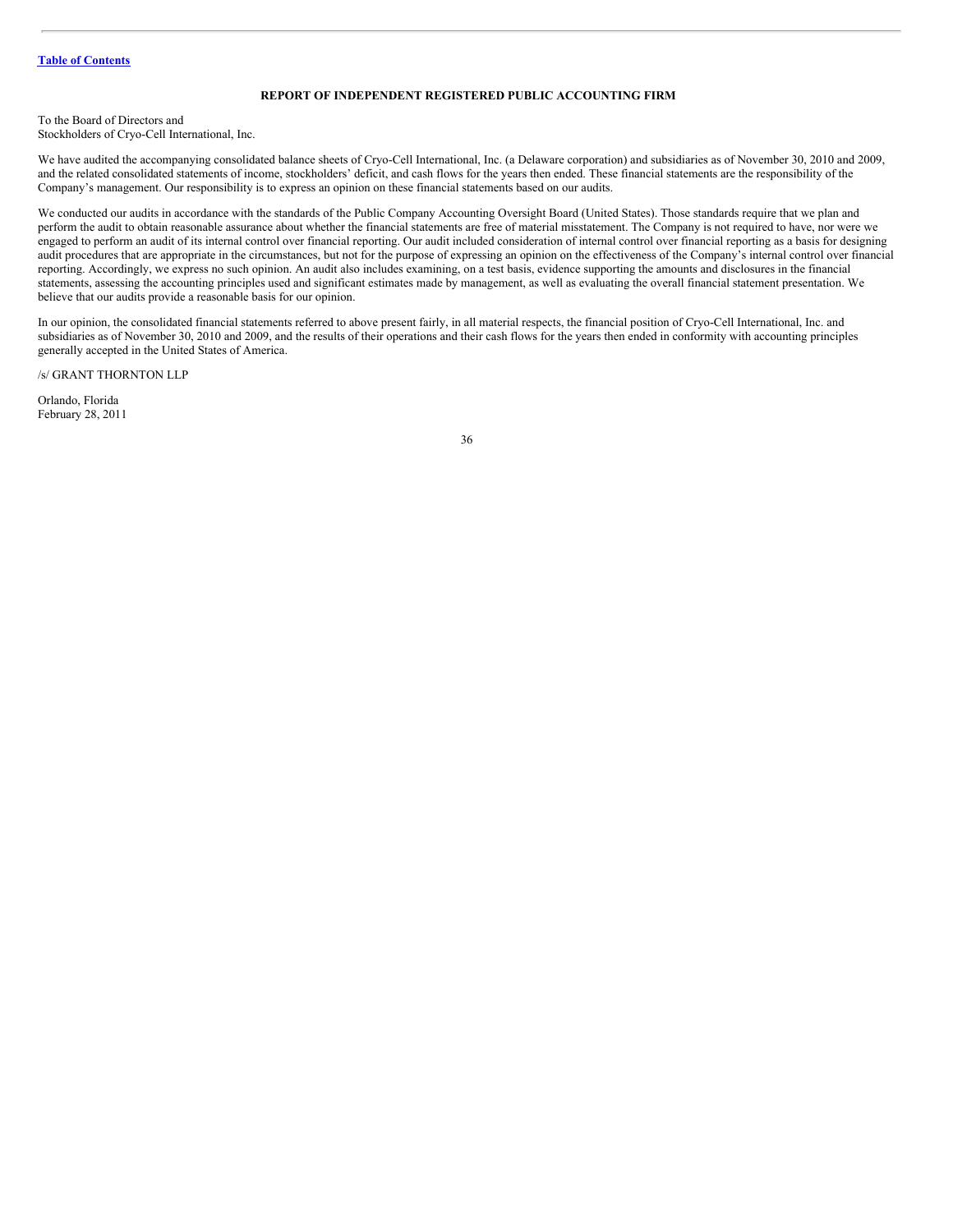## <span id="page-35-0"></span>**REPORT OF INDEPENDENT REGISTERED PUBLIC ACCOUNTING FIRM**

To the Board of Directors and Stockholders of Cryo-Cell International, Inc.

We have audited the accompanying consolidated balance sheets of Cryo-Cell International, Inc. (a Delaware corporation) and subsidiaries as of November 30, 2010 and 2009, and the related consolidated statements of income, stockholders' deficit, and cash flows for the years then ended. These financial statements are the responsibility of the Company's management. Our responsibility is to express an opinion on these financial statements based on our audits.

We conducted our audits in accordance with the standards of the Public Company Accounting Oversight Board (United States). Those standards require that we plan and perform the audit to obtain reasonable assurance about whether the financial statements are free of material misstatement. The Company is not required to have, nor were we engaged to perform an audit of its internal control over financial reporting. Our audit included consideration of internal control over financial reporting as a basis for designing audit procedures that are appropriate in the circumstances, but not for the purpose of expressing an opinion on the effectiveness of the Company's internal control over financial reporting. Accordingly, we express no such opinion. An audit also includes examining, on a test basis, evidence supporting the amounts and disclosures in the financial statements, assessing the accounting principles used and significant estimates made by management, as well as evaluating the overall financial statement presentation. We believe that our audits provide a reasonable basis for our opinion.

In our opinion, the consolidated financial statements referred to above present fairly, in all material respects, the financial position of Cryo-Cell International, Inc. and subsidiaries as of November 30, 2010 and 2009, and the results of their operations and their cash flows for the years then ended in conformity with accounting principles generally accepted in the United States of America.

/s/ GRANT THORNTON LLP

Orlando, Florida February 28, 2011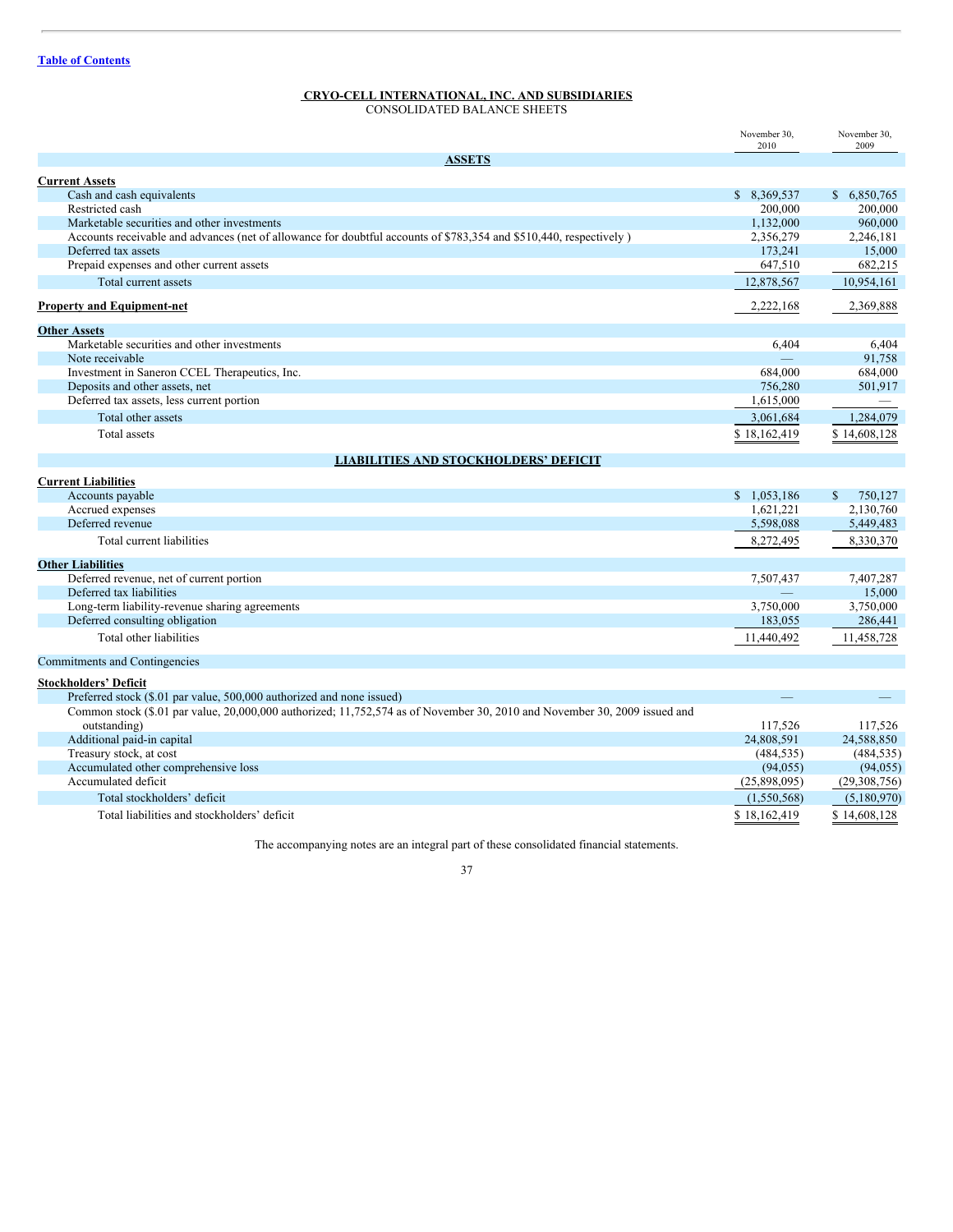# **CRYO-CELL INTERNATIONAL, INC. AND SUBSIDIARIES**

CONSOLIDATED BALANCE SHEETS

|                                                                                                                                           | November 30,<br>2010 | November 30,<br>2009    |
|-------------------------------------------------------------------------------------------------------------------------------------------|----------------------|-------------------------|
| <b>ASSETS</b>                                                                                                                             |                      |                         |
| <b>Current Assets</b>                                                                                                                     |                      |                         |
| Cash and cash equivalents                                                                                                                 | \$ 8,369,537         | \$6,850,765             |
| Restricted cash                                                                                                                           | 200,000              | 200,000                 |
| Marketable securities and other investments                                                                                               | 1,132,000            | 960,000                 |
|                                                                                                                                           | 2,356,279            | 2,246,181               |
| Accounts receivable and advances (net of allowance for doubtful accounts of \$783,354 and \$510,440, respectively)<br>Deferred tax assets | 173,241              | 15,000                  |
| Prepaid expenses and other current assets                                                                                                 | 647,510              | 682,215                 |
|                                                                                                                                           |                      |                         |
| Total current assets                                                                                                                      | 12,878,567           | 10,954,161              |
| <b>Property and Equipment-net</b>                                                                                                         | 2,222,168            | 2,369,888               |
| <b>Other Assets</b>                                                                                                                       |                      |                         |
| Marketable securities and other investments                                                                                               | 6,404                | 6,404                   |
| Note receivable                                                                                                                           |                      | 91.758                  |
| Investment in Saneron CCEL Therapeutics, Inc.                                                                                             | 684,000              | 684,000                 |
| Deposits and other assets, net                                                                                                            | 756,280              | 501,917                 |
| Deferred tax assets, less current portion                                                                                                 | 1,615,000            |                         |
| Total other assets                                                                                                                        | 3.061.684            | 1.284.079               |
| <b>Total assets</b>                                                                                                                       | \$18,162,419         | \$14,608,128            |
|                                                                                                                                           |                      |                         |
| <b>LIABILITIES AND STOCKHOLDERS' DEFICIT</b>                                                                                              |                      |                         |
| <b>Current Liabilities</b>                                                                                                                |                      |                         |
| Accounts payable                                                                                                                          | \$1,053,186          | $\mathbb{S}$<br>750,127 |
| Accrued expenses                                                                                                                          | 1,621,221            | 2,130,760               |
| Deferred revenue                                                                                                                          | 5,598,088            | 5,449,483               |
| Total current liabilities                                                                                                                 | 8,272,495            | 8,330,370               |
|                                                                                                                                           |                      |                         |
| <b>Other Liabilities</b>                                                                                                                  |                      |                         |
| Deferred revenue, net of current portion                                                                                                  | 7,507,437            | 7,407,287               |
| Deferred tax liabilities                                                                                                                  |                      | 15,000                  |
| Long-term liability-revenue sharing agreements                                                                                            | 3,750,000            | 3,750,000               |
| Deferred consulting obligation                                                                                                            | 183,055              | 286,441                 |
| Total other liabilities                                                                                                                   | 11,440,492           | 11,458,728              |
| Commitments and Contingencies                                                                                                             |                      |                         |
| <b>Stockholders' Deficit</b>                                                                                                              |                      |                         |
| Preferred stock (\$.01 par value, 500,000 authorized and none issued)                                                                     |                      |                         |
| Common stock (\$.01 par value, 20,000,000 authorized; 11,752,574 as of November 30, 2010 and November 30, 2009 issued and                 |                      |                         |
| outstanding)                                                                                                                              | 117.526              | 117.526                 |
| Additional paid-in capital                                                                                                                | 24,808,591           | 24,588,850              |
| Treasury stock, at cost                                                                                                                   | (484, 535)           | (484, 535)              |
| Accumulated other comprehensive loss                                                                                                      | (94, 055)            | (94, 055)               |
| Accumulated deficit                                                                                                                       | (25,898,095)         | (29,308,756)            |
| Total stockholders' deficit                                                                                                               | (1,550,568)          | (5,180,970)             |
| Total liabilities and stockholders' deficit                                                                                               | \$18,162,419         | \$14,608,128            |
|                                                                                                                                           |                      |                         |

The accompanying notes are an integral part of these consolidated financial statements.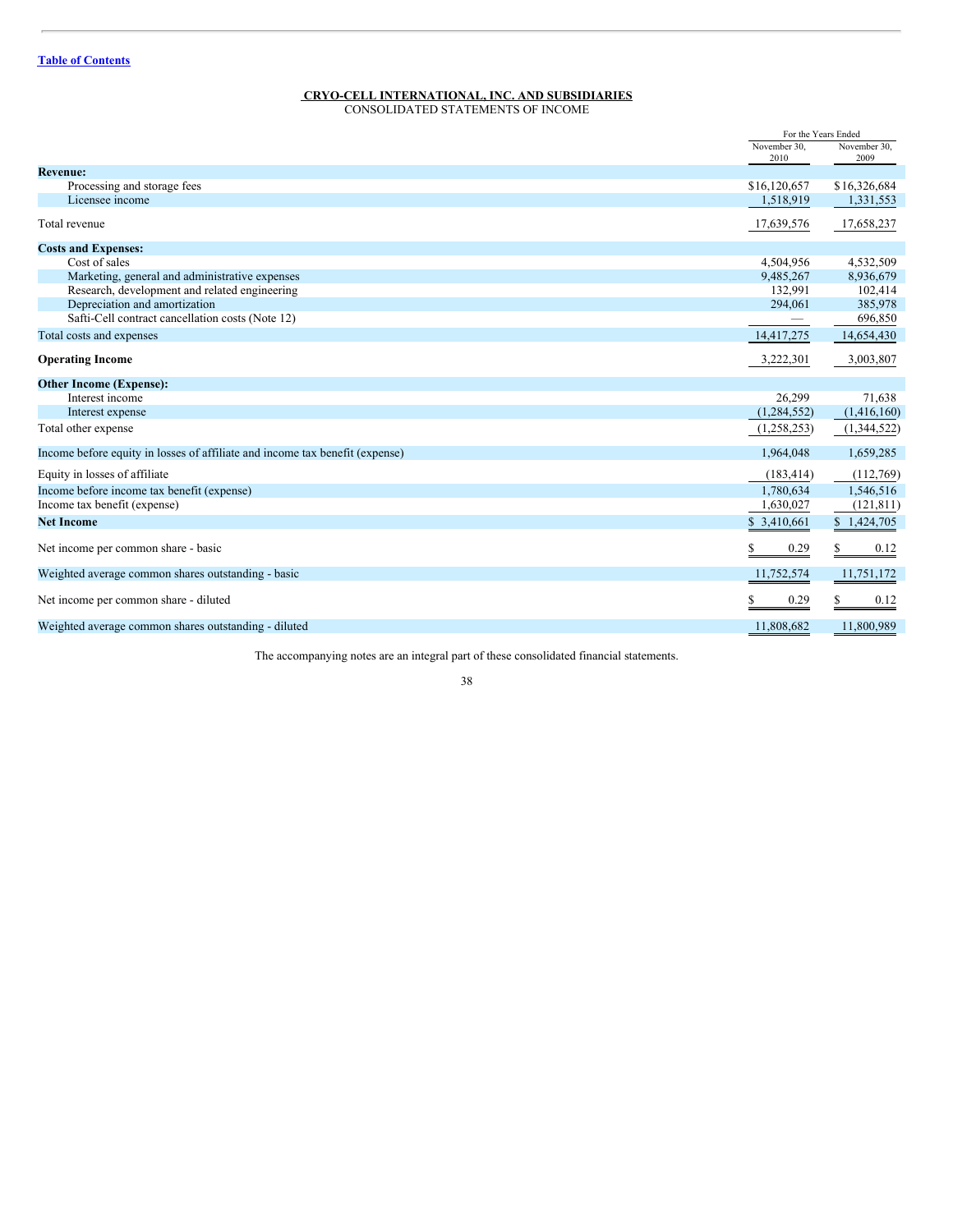# **CRYO-CELL INTERNATIONAL, INC. AND SUBSIDIARIES**

| CRYO-CELL INTERNATIONAL, INC. AND SUBSIDIARIES<br>CONSOLIDATED STATEMENTS OF INCOME |                      |                      |
|-------------------------------------------------------------------------------------|----------------------|----------------------|
|                                                                                     | For the Years Ended  |                      |
|                                                                                     | November 30,<br>2010 | November 30,<br>2009 |
| <b>Revenue:</b>                                                                     |                      |                      |
| Processing and storage fees                                                         | \$16,120,657         | \$16,326,684         |
| Licensee income                                                                     | 1,518,919            | 1,331,553            |
| Total revenue                                                                       | 17,639,576           | 17,658,237           |
| <b>Costs and Expenses:</b>                                                          |                      |                      |
| Cost of sales                                                                       | 4,504,956            | 4,532,509            |
| Marketing, general and administrative expenses                                      | 9,485,267            | 8,936,679            |
| Research, development and related engineering                                       | 132,991              | 102,414              |
| Depreciation and amortization                                                       | 294,061              | 385,978              |
| Safti-Cell contract cancellation costs (Note 12)                                    |                      | 696,850              |
| Total costs and expenses                                                            | 14,417,275           | 14,654,430           |
| <b>Operating Income</b>                                                             | 3,222,301            | 3,003,807            |
| <b>Other Income (Expense):</b>                                                      |                      |                      |
| Interest income                                                                     | 26,299               | 71,638               |
| Interest expense                                                                    | (1,284,552)          | (1,416,160)          |
| Total other expense                                                                 | (1,258,253)          | (1,344,522)          |
| Income before equity in losses of affiliate and income tax benefit (expense)        | 1,964,048            | 1,659,285            |
| Equity in losses of affiliate                                                       | (183, 414)           | (112,769)            |
| Income before income tax benefit (expense)                                          | 1,780,634            | 1,546,516            |
| Income tax benefit (expense)                                                        | 1,630,027            | (121, 811)           |
| <b>Net Income</b>                                                                   | \$3,410,661          | \$1,424,705          |
| Net income per common share - basic                                                 | 0.29                 | 0.12                 |
| Weighted average common shares outstanding - basic                                  | 11,752,574           | 11,751,172           |
| Net income per common share - diluted                                               | 0.29                 | 0.12<br>S            |
| Weighted average common shares outstanding - diluted                                | 11.808.682           | 11,800,989           |

The accompanying notes are an integral part of these consolidated financial statements.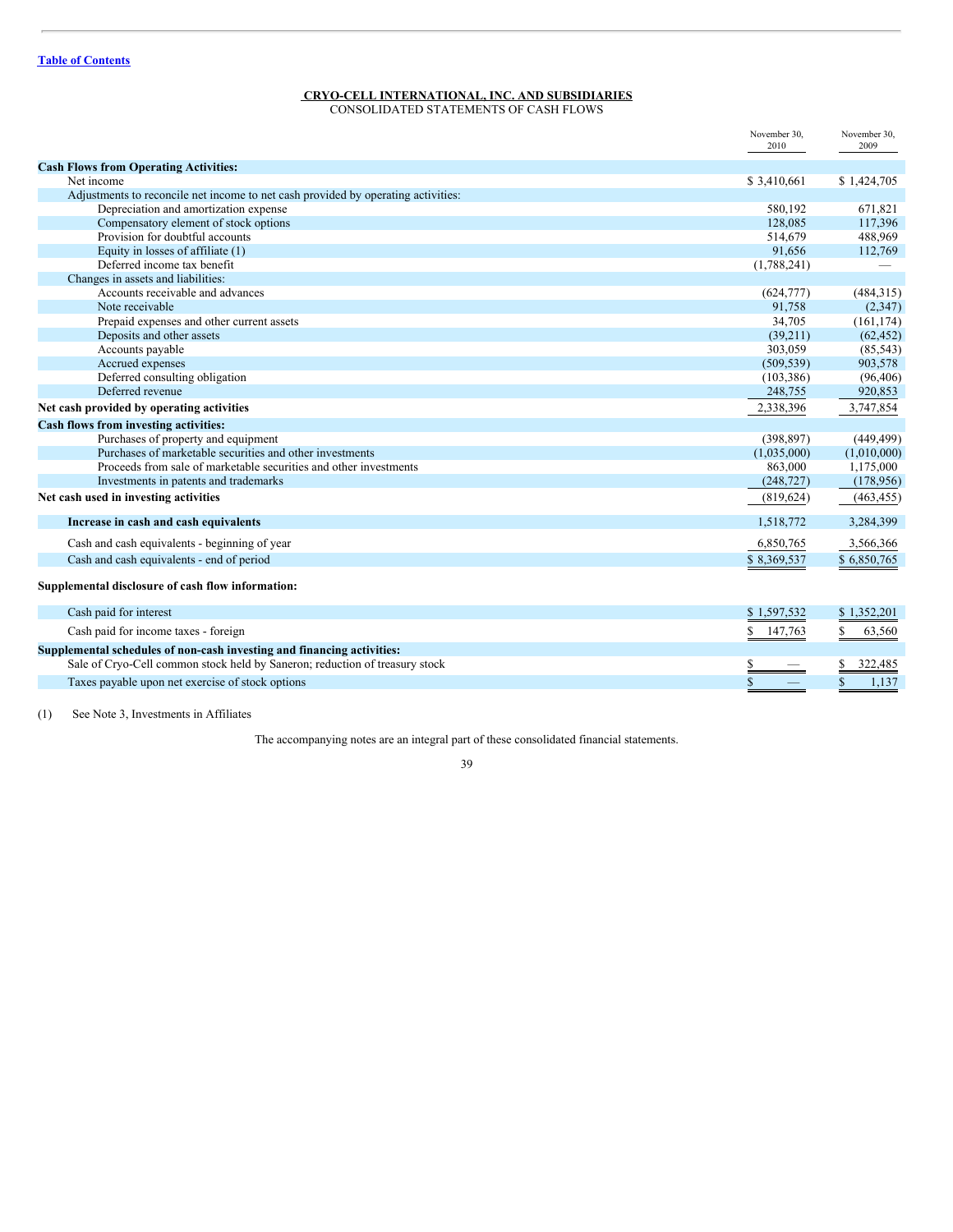# **CRYO-CELL INTERNATIONAL, INC. AND SUBSIDIARIES**

CONSOLIDATED STATEMENTS OF CASH FLOWS

|                                                                                   | November 30,<br>2010 | November 30,<br>2009 |
|-----------------------------------------------------------------------------------|----------------------|----------------------|
| <b>Cash Flows from Operating Activities:</b>                                      |                      |                      |
| Net income                                                                        | \$3,410,661          | \$1,424,705          |
| Adjustments to reconcile net income to net cash provided by operating activities: |                      |                      |
| Depreciation and amortization expense                                             | 580.192              | 671,821              |
| Compensatory element of stock options                                             | 128,085              | 117,396              |
| Provision for doubtful accounts                                                   | 514,679              | 488,969              |
| Equity in losses of affiliate $(1)$                                               | 91,656               | 112,769              |
| Deferred income tax benefit                                                       | (1,788,241)          |                      |
| Changes in assets and liabilities:                                                |                      |                      |
| Accounts receivable and advances                                                  | (624, 777)           | (484, 315)           |
| Note receivable                                                                   | 91,758               | (2,347)              |
| Prepaid expenses and other current assets                                         | 34,705               | (161, 174)           |
| Deposits and other assets                                                         | (39,211)             | (62, 452)            |
| Accounts payable                                                                  | 303,059              | (85, 543)            |
| Accrued expenses                                                                  | (509, 539)           | 903,578              |
| Deferred consulting obligation                                                    | (103, 386)           | (96, 406)            |
| Deferred revenue                                                                  | 248,755              | 920,853              |
| Net cash provided by operating activities                                         | 2,338,396            | 3,747,854            |
| Cash flows from investing activities:                                             |                      |                      |
| Purchases of property and equipment                                               | (398, 897)           | (449, 499)           |
| Purchases of marketable securities and other investments                          | (1,035,000)          | (1,010,000)          |
| Proceeds from sale of marketable securities and other investments                 | 863,000              | 1,175,000            |
| Investments in patents and trademarks                                             | (248, 727)           | (178,956)            |
| Net cash used in investing activities                                             | (819, 624)           | (463, 455)           |
| Increase in cash and cash equivalents                                             | 1,518,772            | 3,284,399            |
| Cash and cash equivalents - beginning of year                                     | 6,850,765            | 3,566,366            |
| Cash and cash equivalents - end of period                                         | \$8,369,537          | \$6,850,765          |
| Supplemental disclosure of cash flow information:                                 |                      |                      |
| Cash paid for interest                                                            | \$1,597,532          | \$1,352,201          |
| Cash paid for income taxes - foreign                                              | 147,763<br>S         | \$<br>63,560         |
| Supplemental schedules of non-cash investing and financing activities:            |                      |                      |
| Sale of Cryo-Cell common stock held by Saneron; reduction of treasury stock       | \$                   | 322,485<br>S.        |

Taxes payable upon net exercise of stock options  $\frac{1}{2}$  =  $\frac{1}{2}$  =  $\frac{1}{2}$  =  $\frac{1}{2}$  =  $\frac{1}{2}$  =  $\frac{1}{2}$  =  $\frac{1}{2}$  =  $\frac{1}{2}$  =  $\frac{1}{2}$  =  $\frac{1}{2}$  =  $\frac{1}{2}$  =  $\frac{1}{2}$  =  $\frac{1}{2}$  =  $\frac{1}{2}$  =  $\frac{$ 

(1) See Note 3, Investments in Affiliates

The accompanying notes are an integral part of these consolidated financial statements.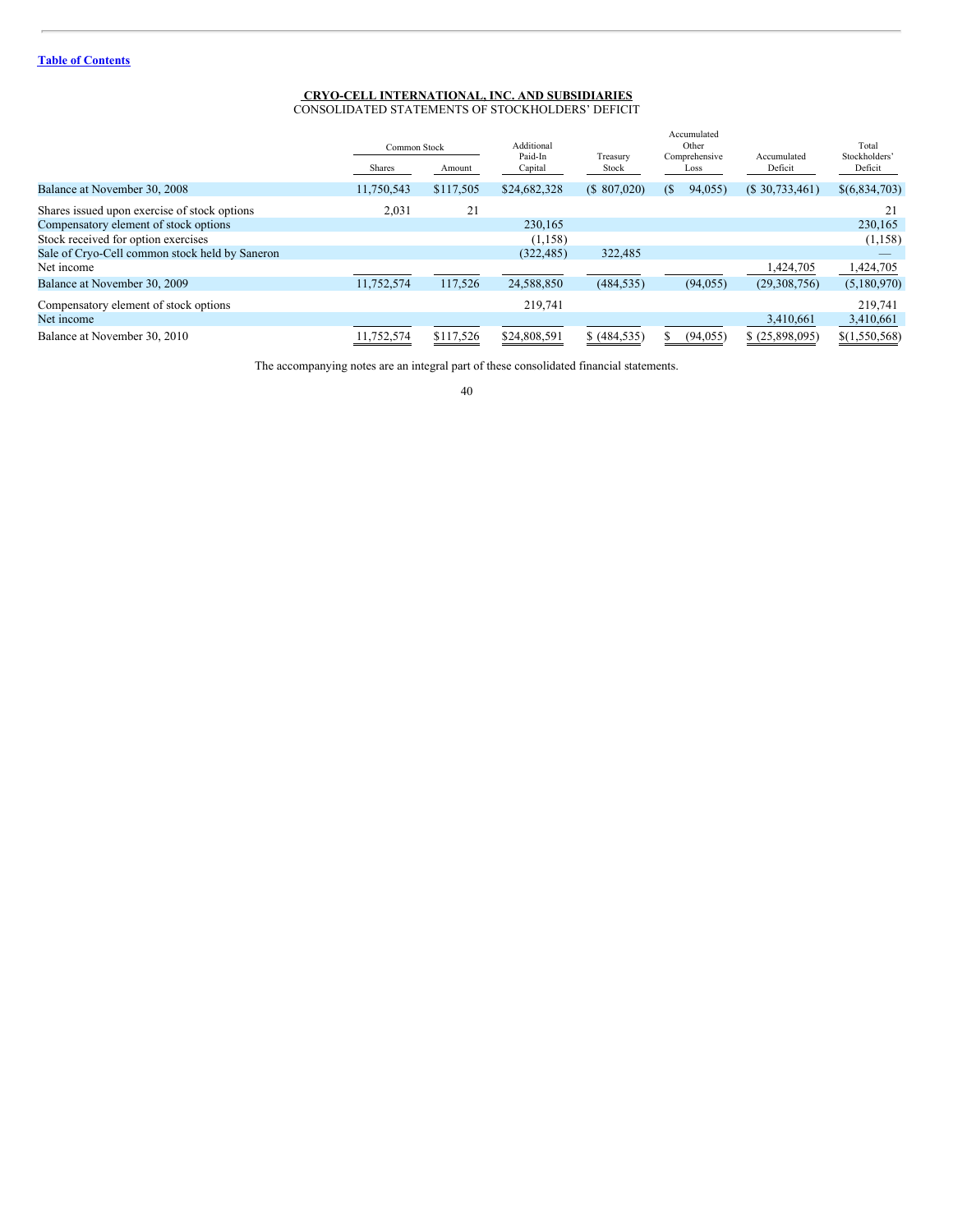#### **CRYO-CELL INTERNATIONAL, INC. AND SUBSIDIARIES** CONSOLIDATED STATEMENTS OF STOCKHOLDERS' DEFICIT

|                                                | Common Stock |           | Additional<br>Paid-In | Treasury      | Accumulated<br>Other<br>Comprehensive | Accumulated       | Total<br>Stockholders' |
|------------------------------------------------|--------------|-----------|-----------------------|---------------|---------------------------------------|-------------------|------------------------|
|                                                | Shares       | Amount    | Capital               | Stock         | Loss                                  | Deficit           | Deficit                |
| Balance at November 30, 2008                   | 11,750,543   | \$117,505 | \$24,682,328          | (S 807,020)   | 94,055)<br>(S                         | $(S\ 30,733,461)$ | \$(6,834,703)          |
| Shares issued upon exercise of stock options   | 2,031        | 21        |                       |               |                                       |                   | 21                     |
| Compensatory element of stock options          |              |           | 230,165               |               |                                       |                   | 230,165                |
| Stock received for option exercises            |              |           | (1, 158)              |               |                                       |                   | (1,158)                |
| Sale of Cryo-Cell common stock held by Saneron |              |           | (322, 485)            | 322,485       |                                       |                   |                        |
| Net income                                     |              |           |                       |               |                                       | 1,424,705         | 1,424,705              |
| Balance at November 30, 2009                   | 11,752,574   | 117,526   | 24,588,850            | (484, 535)    | (94, 055)                             | (29,308,756)      | (5,180,970)            |
| Compensatory element of stock options          |              |           | 219,741               |               |                                       |                   | 219.741                |
| Net income                                     |              |           |                       |               |                                       | 3,410,661         | 3,410,661              |
| Balance at November 30, 2010                   | 11,752,574   | \$117,526 | \$24,808,591          | \$ (484, 535) | (94, 055)                             | \$ (25,898,095)   | \$(1,550,568)          |

The accompanying notes are an integral part of these consolidated financial statements.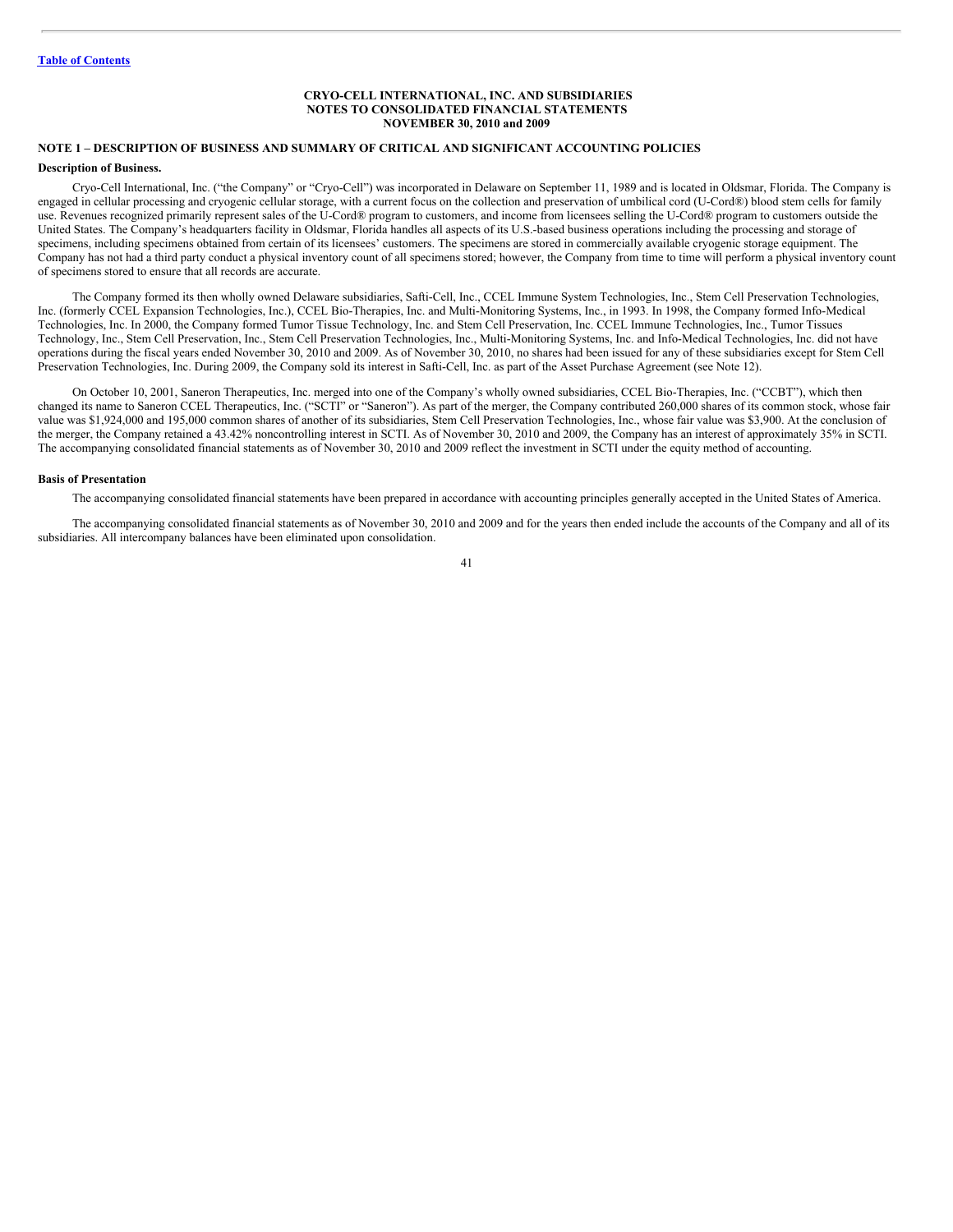#### **CRYO-CELL INTERNATIONAL, INC. AND SUBSIDIARIES NOTES TO CONSOLIDATED FINANCIAL STATEMENTS NOVEMBER 30, 2010 and 2009**

# **NOTE 1 – DESCRIPTION OF BUSINESS AND SUMMARY OF CRITICAL AND SIGNIFICANT ACCOUNTING POLICIES**

#### **Description of Business.**

Cryo-Cell International, Inc. ("the Company" or "Cryo-Cell") was incorporated in Delaware on September 11, 1989 and is located in Oldsmar, Florida. The Company is engaged in cellular processing and cryogenic cellular storage, with a current focus on the collection and preservation of umbilical cord (U-Cord®) blood stem cells for family use. Revenues recognized primarily represent sales of the U-Cord® program to customers, and income from licensees selling the U-Cord® program to customers outside the United States. The Company's headquarters facility in Oldsmar, Florida handles all aspects of its U.S.-based business operations including the processing and storage of specimens, including specimens obtained from certain of its licensees' customers. The specimens are stored in commercially available cryogenic storage equipment. The Company has not had a third party conduct a physical inventory count of all specimens stored; however, the Company from time to time will perform a physical inventory count of specimens stored to ensure that all records are accurate.

The Company formed its then wholly owned Delaware subsidiaries, Safti-Cell, Inc., CCEL Immune System Technologies, Inc., Stem Cell Preservation Technologies, Inc. (formerly CCEL Expansion Technologies, Inc.), CCEL Bio-Therapies, Inc. and Multi-Monitoring Systems, Inc., in 1993. In 1998, the Company formed Info-Medical Technologies, Inc. In 2000, the Company formed Tumor Tissue Technology, Inc. and Stem Cell Preservation, Inc. CCEL Immune Technologies, Inc., Tumor Tissues Technology, Inc., Stem Cell Preservation, Inc., Stem Cell Preservation Technologies, Inc., Multi-Monitoring Systems, Inc. and Info-Medical Technologies, Inc. did not have operations during the fiscal years ended November 30, 2010 and 2009. As of November 30, 2010, no shares had been issued for any of these subsidiaries except for Stem Cell Preservation Technologies, Inc. During 2009, the Company sold its interest in Safti-Cell, Inc. as part of the Asset Purchase Agreement (see Note 12).

On October 10, 2001, Saneron Therapeutics, Inc. merged into one of the Company's wholly owned subsidiaries, CCEL Bio-Therapies, Inc. ("CCBT"), which then changed its name to Saneron CCEL Therapeutics, Inc. ("SCTI" or "Saneron"). As part of the merger, the Company contributed 260,000 shares of its common stock, whose fair value was \$1,924,000 and 195,000 common shares of another of its subsidiaries, Stem Cell Preservation Technologies, Inc., whose fair value was \$3,900. At the conclusion of the merger, the Company retained a 43.42% noncontrolling interest in SCTI. As of November 30, 2010 and 2009, the Company has an interest of approximately 35% in SCTI. The accompanying consolidated financial statements as of November 30, 2010 and 2009 reflect the investment in SCTI under the equity method of accounting.

#### **Basis of Presentation**

The accompanying consolidated financial statements have been prepared in accordance with accounting principles generally accepted in the United States of America.

The accompanying consolidated financial statements as of November 30, 2010 and 2009 and for the years then ended include the accounts of the Company and all of its subsidiaries. All intercompany balances have been eliminated upon consolidation.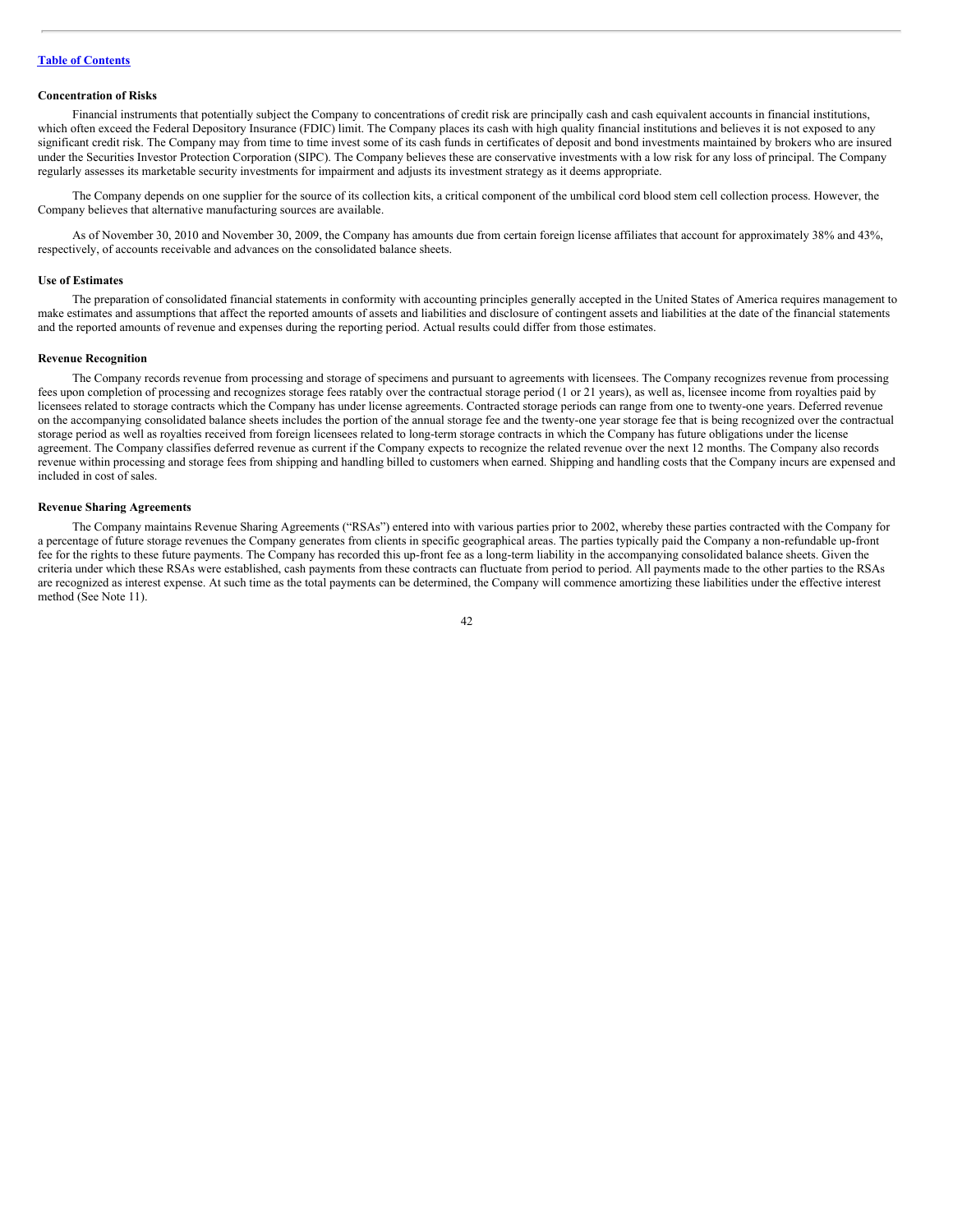#### **Concentration of Risks**

Financial instruments that potentially subject the Company to concentrations of credit risk are principally cash and cash equivalent accounts in financial institutions, which often exceed the Federal Depository Insurance (FDIC) limit. The Company places its cash with high quality financial institutions and believes it is not exposed to any significant credit risk. The Company may from time to time invest some of its cash funds in certificates of deposit and bond investments maintained by brokers who are insured under the Securities Investor Protection Corporation (SIPC). The Company believes these are conservative investments with a low risk for any loss of principal. The Company regularly assesses its marketable security investments for impairment and adjusts its investment strategy as it deems appropriate.

The Company depends on one supplier for the source of its collection kits, a critical component of the umbilical cord blood stem cell collection process. However, the Company believes that alternative manufacturing sources are available.

As of November 30, 2010 and November 30, 2009, the Company has amounts due from certain foreign license affiliates that account for approximately 38% and 43%, respectively, of accounts receivable and advances on the consolidated balance sheets.

## **Use of Estimates**

The preparation of consolidated financial statements in conformity with accounting principles generally accepted in the United States of America requires management to make estimates and assumptions that affect the reported amounts of assets and liabilities and disclosure of contingent assets and liabilities at the date of the financial statements and the reported amounts of revenue and expenses during the reporting period. Actual results could differ from those estimates.

# **Revenue Recognition**

The Company records revenue from processing and storage of specimens and pursuant to agreements with licensees. The Company recognizes revenue from processing fees upon completion of processing and recognizes storage fees ratably over the contractual storage period (1 or 21 years), as well as, licensee income from royalties paid by licensees related to storage contracts which the Company has under license agreements. Contracted storage periods can range from one to twenty-one years. Deferred revenue on the accompanying consolidated balance sheets includes the portion of the annual storage fee and the twenty-one year storage fee that is being recognized over the contractual storage period as well as royalties received from foreign licensees related to long-term storage contracts in which the Company has future obligations under the license agreement. The Company classifies deferred revenue as current if the Company expects to recognize the related revenue over the next 12 months. The Company also records revenue within processing and storage fees from shipping and handling billed to customers when earned. Shipping and handling costs that the Company incurs are expensed and included in cost of sales.

#### **Revenue Sharing Agreements**

The Company maintains Revenue Sharing Agreements ("RSAs") entered into with various parties prior to 2002, whereby these parties contracted with the Company for a percentage of future storage revenues the Company generates from clients in specific geographical areas. The parties typically paid the Company a non-refundable up-front fee for the rights to these future payments. The Company has recorded this up-front fee as a long-term liability in the accompanying consolidated balance sheets. Given the criteria under which these RSAs were established, cash payments from these contracts can fluctuate from period to period. All payments made to the other parties to the RSAs are recognized as interest expense. At such time as the total payments can be determined, the Company will commence amortizing these liabilities under the effective interest method (See Note 11).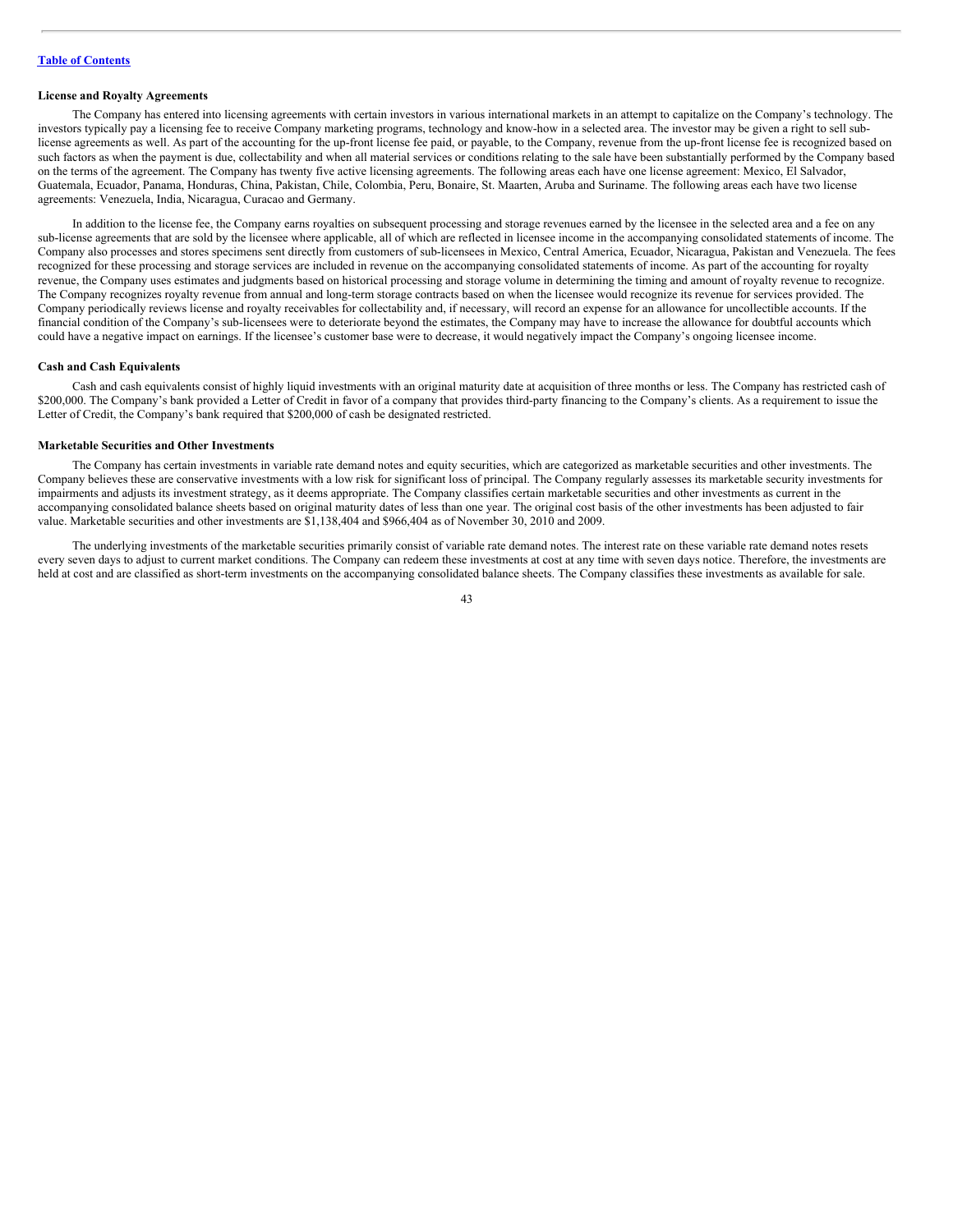## **License and Royalty Agreements**

The Company has entered into licensing agreements with certain investors in various international markets in an attempt to capitalize on the Company's technology. The investors typically pay a licensing fee to receive Company marketing programs, technology and know-how in a selected area. The investor may be given a right to sell sublicense agreements as well. As part of the accounting for the up-front license fee paid, or payable, to the Company, revenue from the up-front license fee is recognized based on such factors as when the payment is due, collectability and when all material services or conditions relating to the sale have been substantially performed by the Company based on the terms of the agreement. The Company has twenty five active licensing agreements. The following areas each have one license agreement: Mexico, El Salvador, Guatemala, Ecuador, Panama, Honduras, China, Pakistan, Chile, Colombia, Peru, Bonaire, St. Maarten, Aruba and Suriname. The following areas each have two license agreements: Venezuela, India, Nicaragua, Curacao and Germany.

In addition to the license fee, the Company earns royalties on subsequent processing and storage revenues earned by the licensee in the selected area and a fee on any sub-license agreements that are sold by the licensee where applicable, all of which are reflected in licensee income in the accompanying consolidated statements of income. The Company also processes and stores specimens sent directly from customers of sub-licensees in Mexico, Central America, Ecuador, Nicaragua, Pakistan and Venezuela. The fees recognized for these processing and storage services are included in revenue on the accompanying consolidated statements of income. As part of the accounting for royalty revenue, the Company uses estimates and judgments based on historical processing and storage volume in determining the timing and amount of royalty revenue to recognize. The Company recognizes royalty revenue from annual and long-term storage contracts based on when the licensee would recognize its revenue for services provided. The Company periodically reviews license and royalty receivables for collectability and, if necessary, will record an expense for an allowance for uncollectible accounts. If the financial condition of the Company's sub-licensees were to deteriorate beyond the estimates, the Company may have to increase the allowance for doubtful accounts which could have a negative impact on earnings. If the licensee's customer base were to decrease, it would negatively impact the Company's ongoing licensee income.

#### **Cash and Cash Equivalents**

Cash and cash equivalents consist of highly liquid investments with an original maturity date at acquisition of three months or less. The Company has restricted cash of \$200,000. The Company's bank provided a Letter of Credit in favor of a company that provides third-party financing to the Company's clients. As a requirement to issue the Letter of Credit, the Company's bank required that \$200,000 of cash be designated restricted.

#### **Marketable Securities and Other Investments**

The Company has certain investments in variable rate demand notes and equity securities, which are categorized as marketable securities and other investments. The Company believes these are conservative investments with a low risk for significant loss of principal. The Company regularly assesses its marketable security investments for impairments and adjusts its investment strategy, as it deems appropriate. The Company classifies certain marketable securities and other investments as current in the accompanying consolidated balance sheets based on original maturity dates of less than one year. The original cost basis of the other investments has been adjusted to fair value. Marketable securities and other investments are \$1,138,404 and \$966,404 as of November 30, 2010 and 2009.

The underlying investments of the marketable securities primarily consist of variable rate demand notes. The interest rate on these variable rate demand notes resets every seven days to adjust to current market conditions. The Company can redeem these investments at cost at any time with seven days notice. Therefore, the investments are held at cost and are classified as short-term investments on the accompanying consolidated balance sheets. The Company classifies these investments as available for sale.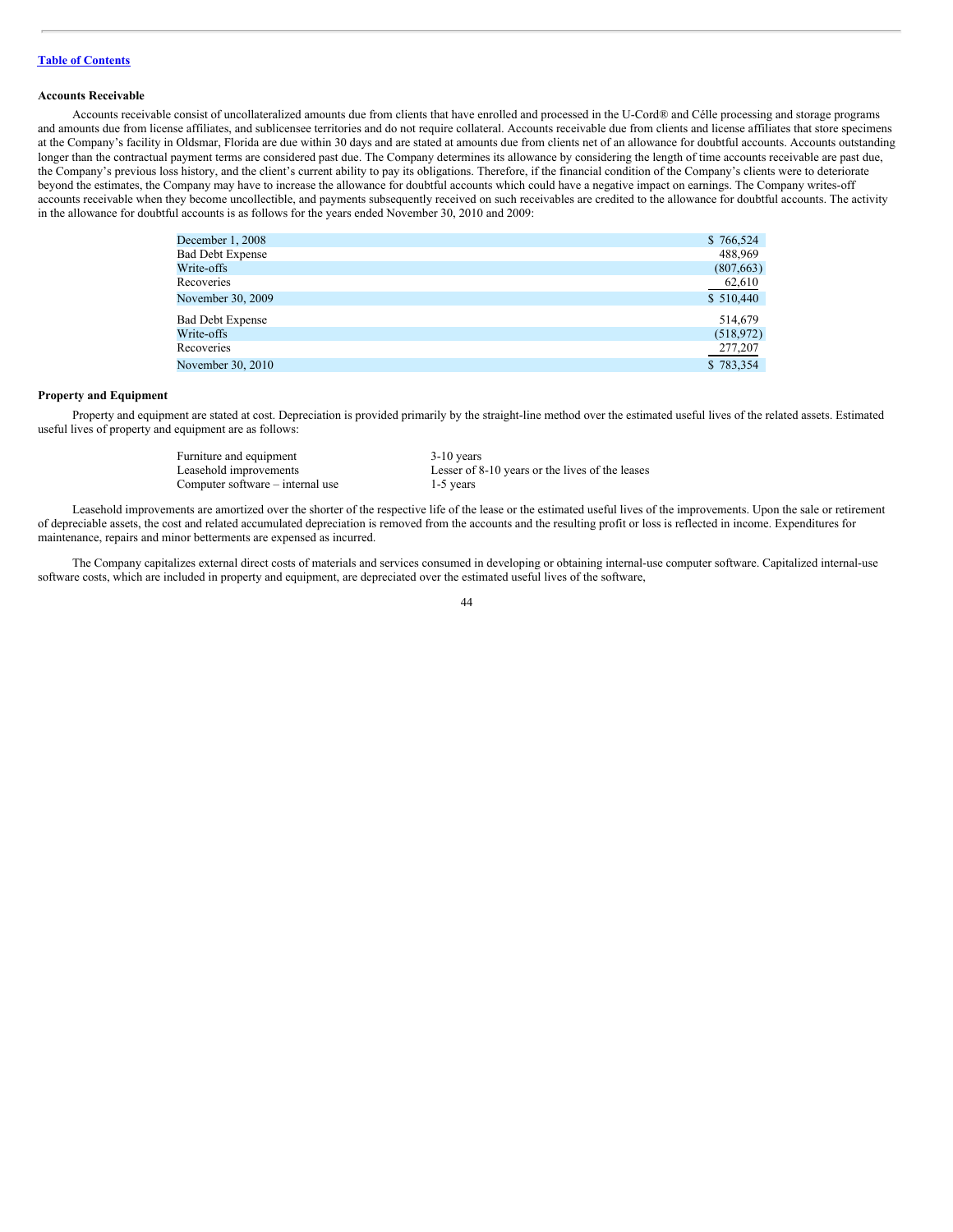#### **Accounts Receivable**

Accounts receivable consist of uncollateralized amounts due from clients that have enrolled and processed in the U-Cord® and Célle processing and storage programs and amounts due from license affiliates, and sublicensee territories and do not require collateral. Accounts receivable due from clients and license affiliates that store specimens at the Company's facility in Oldsmar, Florida are due within 30 days and are stated at amounts due from clients net of an allowance for doubtful accounts. Accounts outstanding longer than the contractual payment terms are considered past due. The Company determines its allowance by considering the length of time accounts receivable are past due, the Company's previous loss history, and the client's current ability to pay its obligations. Therefore, if the financial condition of the Company's clients were to deteriorate beyond the estimates, the Company may have to increase the allowance for doubtful accounts which could have a negative impact on earnings. The Company writes-off accounts receivable when they become uncollectible, and payments subsequently received on such receivables are credited to the allowance for doubtful accounts. The activity in the allowance for doubtful accounts is as follows for the years ended November 30, 2010 and 2009:

| December 1, 2008        | \$766,524  |
|-------------------------|------------|
| <b>Bad Debt Expense</b> | 488,969    |
| Write-offs              | (807, 663) |
| Recoveries              | 62,610     |
| November 30, 2009       | \$510,440  |
| <b>Bad Debt Expense</b> | 514,679    |
| Write-offs              | (518, 972) |
| Recoveries              | 277,207    |
| November 30, 2010       | \$783,354  |

#### **Property and Equipment**

Property and equipment are stated at cost. Depreciation is provided primarily by the straight-line method over the estimated useful lives of the related assets. Estimated useful lives of property and equipment are as follows:

| Furniture and equipment            | $3-10$ vears                                    |
|------------------------------------|-------------------------------------------------|
| Leasehold improvements             | Lesser of 8-10 years or the lives of the leases |
| Computer software $-$ internal use | 1-5 years                                       |

Leasehold improvements are amortized over the shorter of the respective life of the lease or the estimated useful lives of the improvements. Upon the sale or retirement of depreciable assets, the cost and related accumulated depreciation is removed from the accounts and the resulting profit or loss is reflected in income. Expenditures for maintenance, repairs and minor betterments are expensed as incurred.

The Company capitalizes external direct costs of materials and services consumed in developing or obtaining internal-use computer software. Capitalized internal-use software costs, which are included in property and equipment, are depreciated over the estimated useful lives of the software,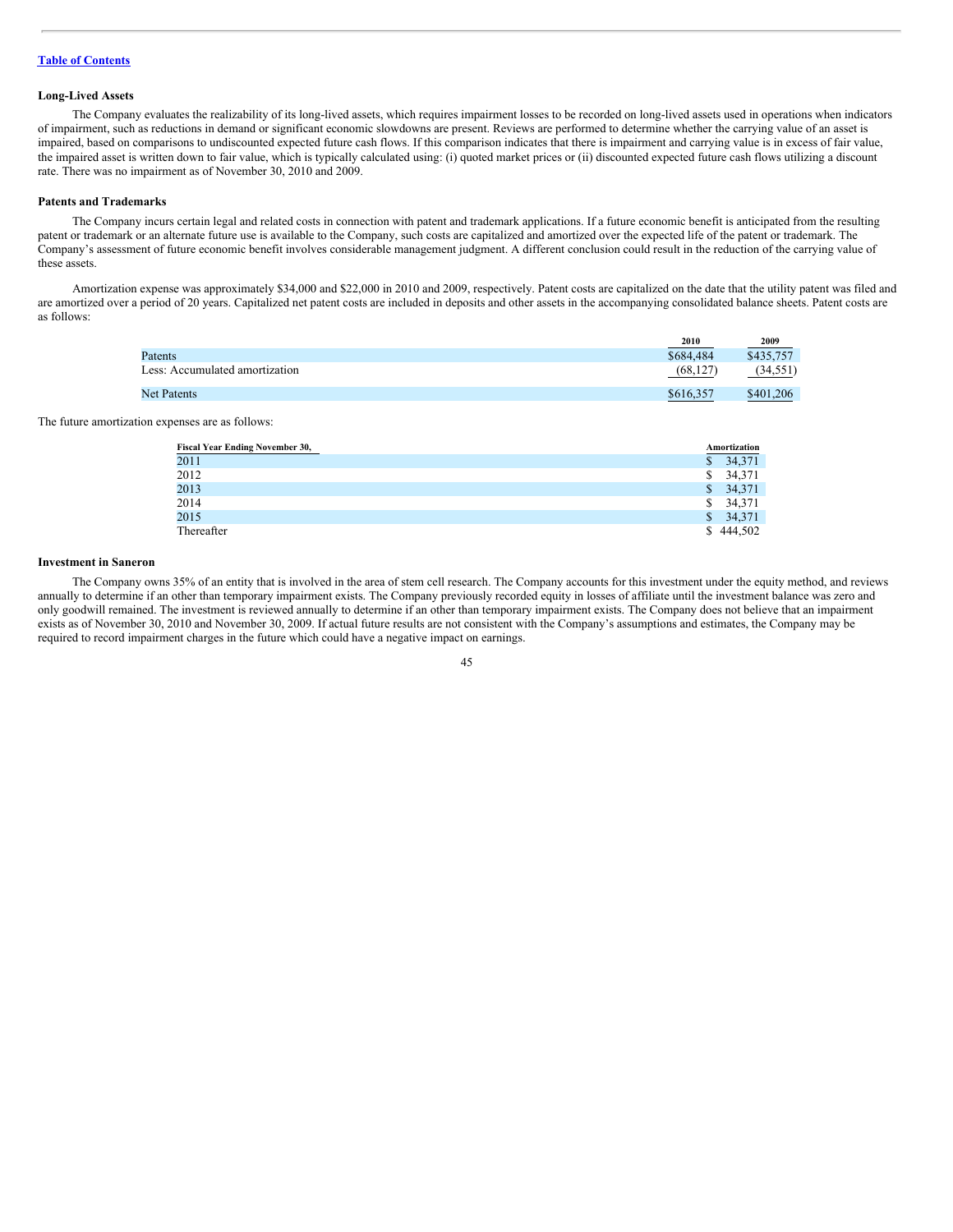#### **Long-Lived Assets**

The Company evaluates the realizability of its long-lived assets, which requires impairment losses to be recorded on long-lived assets used in operations when indicators of impairment, such as reductions in demand or significant economic slowdowns are present. Reviews are performed to determine whether the carrying value of an asset is impaired, based on comparisons to undiscounted expected future cash flows. If this comparison indicates that there is impairment and carrying value is in excess of fair value, the impaired asset is written down to fair value, which is typically calculated using: (i) quoted market prices or (ii) discounted expected future cash flows utilizing a discount rate. There was no impairment as of November 30, 2010 and 2009.

#### **Patents and Trademarks**

The Company incurs certain legal and related costs in connection with patent and trademark applications. If a future economic benefit is anticipated from the resulting patent or trademark or an alternate future use is available to the Company, such costs are capitalized and amortized over the expected life of the patent or trademark. The Company's assessment of future economic benefit involves considerable management judgment. A different conclusion could result in the reduction of the carrying value of these assets.

Amortization expense was approximately \$34,000 and \$22,000 in 2010 and 2009, respectively. Patent costs are capitalized on the date that the utility patent was filed and are amortized over a period of 20 years. Capitalized net patent costs are included in deposits and other assets in the accompanying consolidated balance sheets. Patent costs are as follows:

|                                | 2010      | 2009      |
|--------------------------------|-----------|-----------|
| Patents                        | \$684,484 | \$435,757 |
| Less: Accumulated amortization | (68.127)  | (34, 551) |
| <b>Net Patents</b>             | \$616,357 | \$401,206 |

The future amortization expenses are as follows:

| <b>Fiscal Year Ending November 30,</b> |    | Amortization |
|----------------------------------------|----|--------------|
| 2011                                   | \$ | 34,371       |
| 2012                                   | \$ | 34,371       |
| 2013                                   | \$ | 34,371       |
| 2014                                   | S. | 34.371       |
| 2015                                   | S. | 34,371       |
| Thereafter                             |    | \$444,502    |

#### **Investment in Saneron**

The Company owns 35% of an entity that is involved in the area of stem cell research. The Company accounts for this investment under the equity method, and reviews annually to determine if an other than temporary impairment exists. The Company previously recorded equity in losses of affiliate until the investment balance was zero and only goodwill remained. The investment is reviewed annually to determine if an other than temporary impairment exists. The Company does not believe that an impairment exists as of November 30, 2010 and November 30, 2009. If actual future results are not consistent with the Company's assumptions and estimates, the Company may be required to record impairment charges in the future which could have a negative impact on earnings.

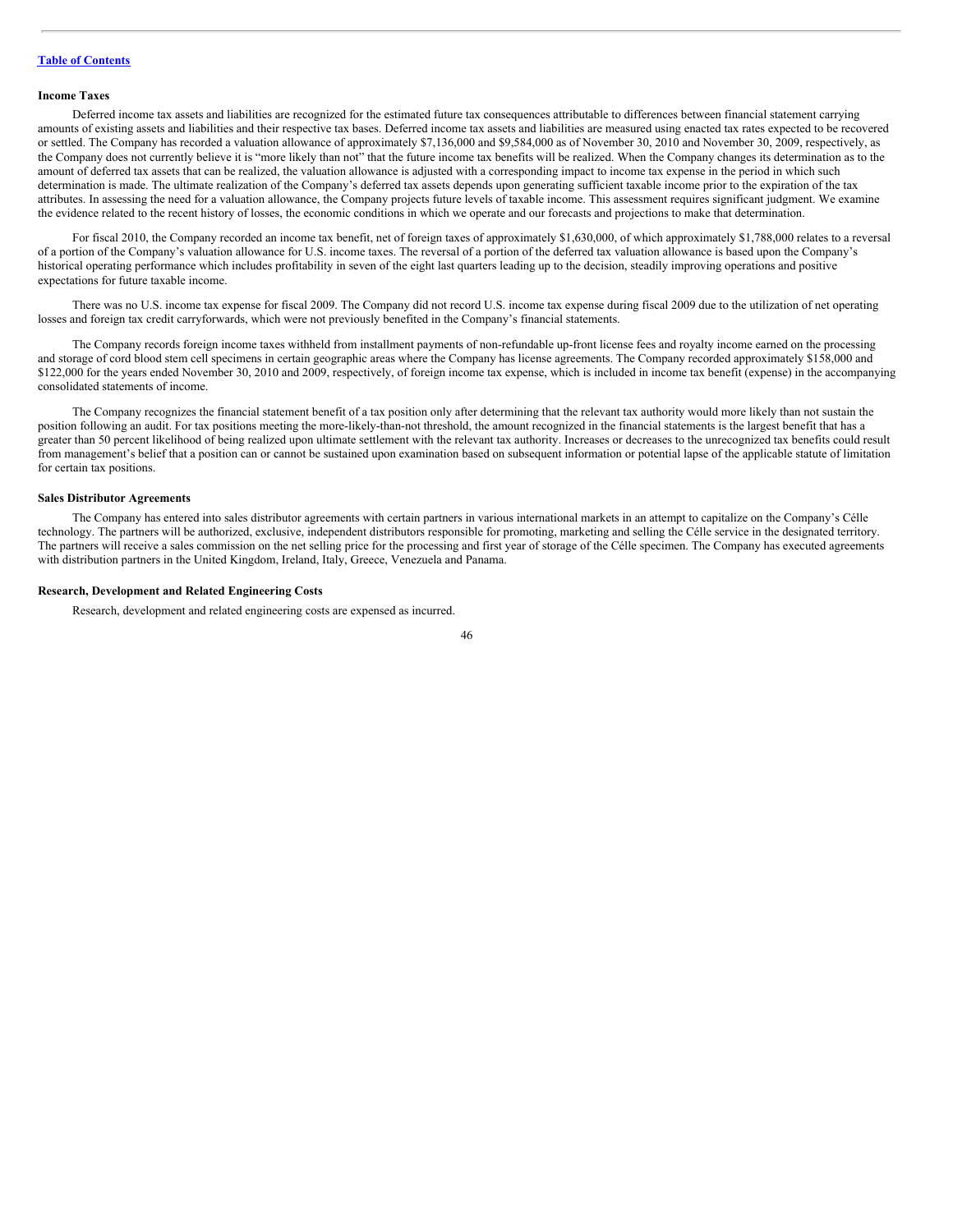#### **Income Taxes**

Deferred income tax assets and liabilities are recognized for the estimated future tax consequences attributable to differences between financial statement carrying amounts of existing assets and liabilities and their respective tax bases. Deferred income tax assets and liabilities are measured using enacted tax rates expected to be recovered or settled. The Company has recorded a valuation allowance of approximately \$7,136,000 and \$9,584,000 as of November 30, 2010 and November 30, 2009, respectively, as the Company does not currently believe it is "more likely than not" that the future income tax benefits will be realized. When the Company changes its determination as to the amount of deferred tax assets that can be realized, the valuation allowance is adjusted with a corresponding impact to income tax expense in the period in which such determination is made. The ultimate realization of the Company's deferred tax assets depends upon generating sufficient taxable income prior to the expiration of the tax attributes. In assessing the need for a valuation allowance, the Company projects future levels of taxable income. This assessment requires significant judgment. We examine the evidence related to the recent history of losses, the economic conditions in which we operate and our forecasts and projections to make that determination.

For fiscal 2010, the Company recorded an income tax benefit, net of foreign taxes of approximately \$1,630,000, of which approximately \$1,788,000 relates to a reversal of a portion of the Company's valuation allowance for U.S. income taxes. The reversal of a portion of the deferred tax valuation allowance is based upon the Company's historical operating performance which includes profitability in seven of the eight last quarters leading up to the decision, steadily improving operations and positive expectations for future taxable income.

There was no U.S. income tax expense for fiscal 2009. The Company did not record U.S. income tax expense during fiscal 2009 due to the utilization of net operating losses and foreign tax credit carryforwards, which were not previously benefited in the Company's financial statements.

The Company records foreign income taxes withheld from installment payments of non-refundable up-front license fees and royalty income earned on the processing and storage of cord blood stem cell specimens in certain geographic areas where the Company has license agreements. The Company recorded approximately \$158,000 and \$122,000 for the years ended November 30, 2010 and 2009, respectively, of foreign income tax expense, which is included in income tax benefit (expense) in the accompanying consolidated statements of income.

The Company recognizes the financial statement benefit of a tax position only after determining that the relevant tax authority would more likely than not sustain the position following an audit. For tax positions meeting the more-likely-than-not threshold, the amount recognized in the financial statements is the largest benefit that has a greater than 50 percent likelihood of being realized upon ultimate settlement with the relevant tax authority. Increases or decreases to the unrecognized tax benefits could result from management's belief that a position can or cannot be sustained upon examination based on subsequent information or potential lapse of the applicable statute of limitation for certain tax positions.

#### **Sales Distributor Agreements**

The Company has entered into sales distributor agreements with certain partners in various international markets in an attempt to capitalize on the Company's Célle technology. The partners will be authorized, exclusive, independent distributors responsible for promoting, marketing and selling the Célle service in the designated territory. The partners will receive a sales commission on the net selling price for the processing and first year of storage of the Célle specimen. The Company has executed agreements with distribution partners in the United Kingdom, Ireland, Italy, Greece, Venezuela and Panama.

#### **Research, Development and Related Engineering Costs**

Research, development and related engineering costs are expensed as incurred.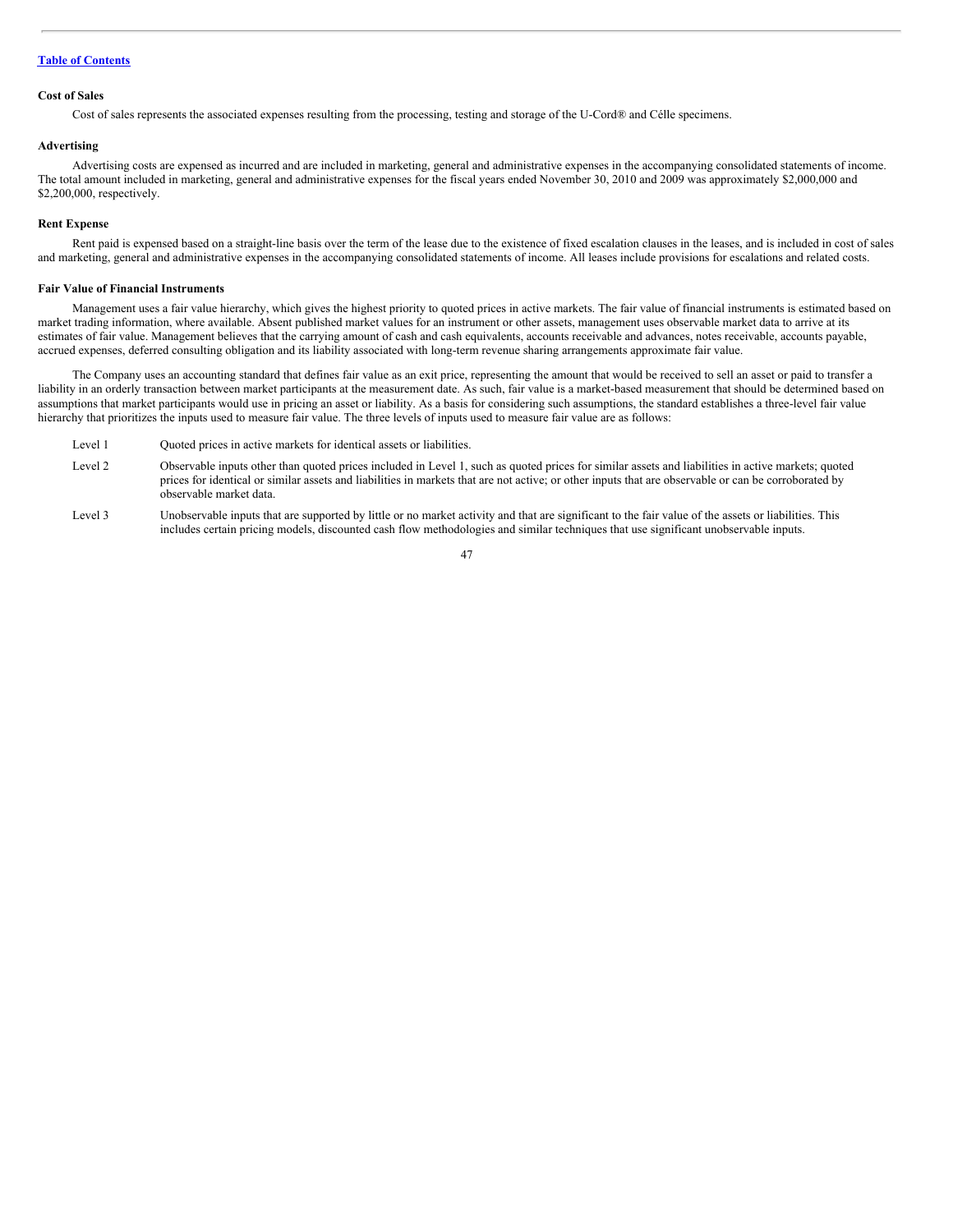#### **Cost of Sales**

Cost of sales represents the associated expenses resulting from the processing, testing and storage of the U-Cord® and Célle specimens.

# **Advertising**

Advertising costs are expensed as incurred and are included in marketing, general and administrative expenses in the accompanying consolidated statements of income. The total amount included in marketing, general and administrative expenses for the fiscal years ended November 30, 2010 and 2009 was approximately \$2,000,000 and \$2,200,000, respectively.

#### **Rent Expense**

Rent paid is expensed based on a straight-line basis over the term of the lease due to the existence of fixed escalation clauses in the leases, and is included in cost of sales and marketing, general and administrative expenses in the accompanying consolidated statements of income. All leases include provisions for escalations and related costs.

#### **Fair Value of Financial Instruments**

Management uses a fair value hierarchy, which gives the highest priority to quoted prices in active markets. The fair value of financial instruments is estimated based on market trading information, where available. Absent published market values for an instrument or other assets, management uses observable market data to arrive at its estimates of fair value. Management believes that the carrying amount of cash and cash equivalents, accounts receivable and advances, notes receivable, accounts payable, accrued expenses, deferred consulting obligation and its liability associated with long-term revenue sharing arrangements approximate fair value.

The Company uses an accounting standard that defines fair value as an exit price, representing the amount that would be received to sell an asset or paid to transfer a liability in an orderly transaction between market participants at the measurement date. As such, fair value is a market-based measurement that should be determined based on assumptions that market participants would use in pricing an asset or liability. As a basis for considering such assumptions, the standard establishes a three-level fair value hierarchy that prioritizes the inputs used to measure fair value. The three levels of inputs used to measure fair value are as follows:

- Level 1 Cuoted prices in active markets for identical assets or liabilities.
- Level 2 Observable inputs other than quoted prices included in Level 1, such as quoted prices for similar assets and liabilities in active markets; quoted prices for identical or similar assets and liabilities in markets that are not active; or other inputs that are observable or can be corroborated by observable market data.
- Level 3 Unobservable inputs that are supported by little or no market activity and that are significant to the fair value of the assets or liabilities. This includes certain pricing models, discounted cash flow methodologies and similar techniques that use significant unobservable inputs.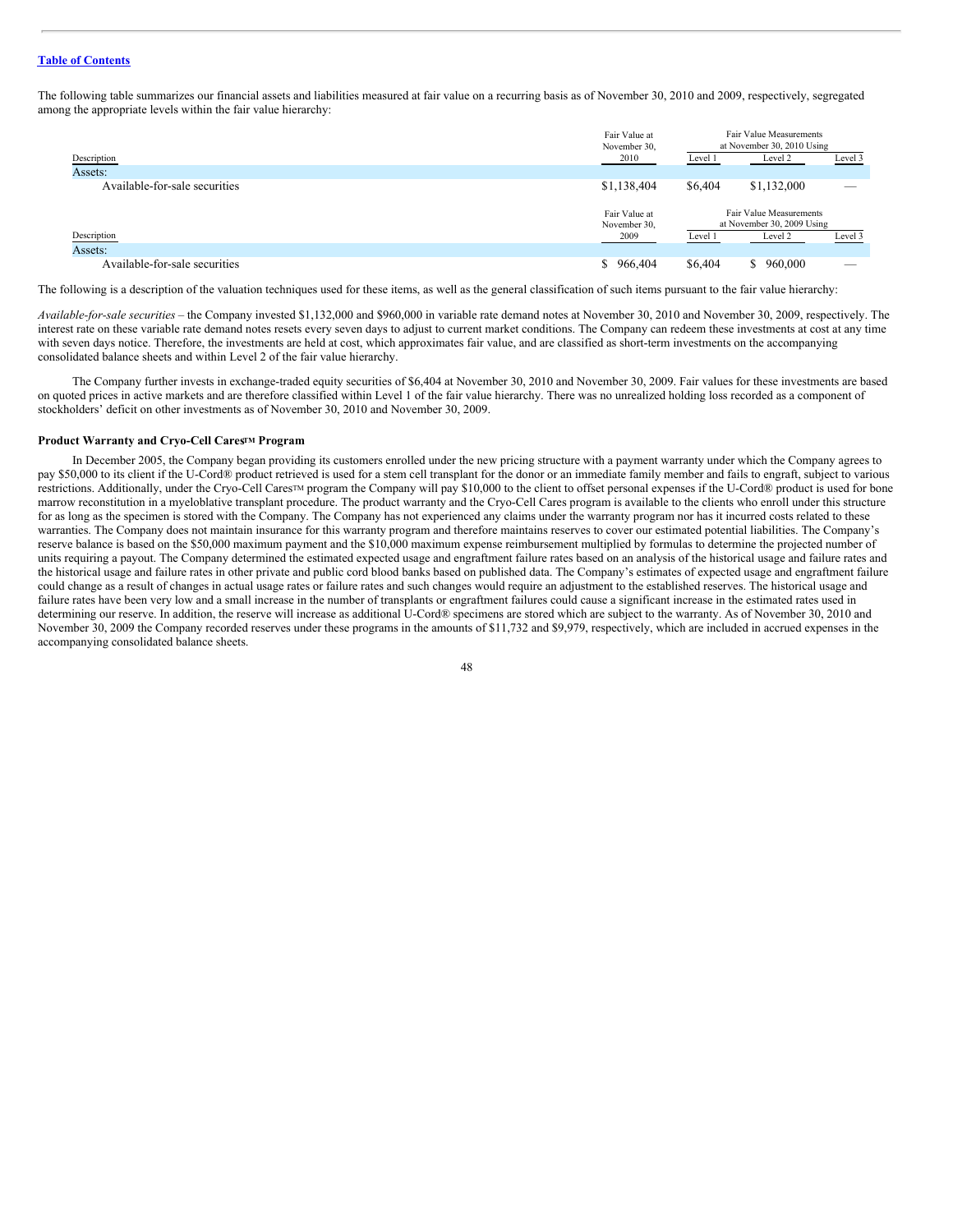The following table summarizes our financial assets and liabilities measured at fair value on a recurring basis as of November 30, 2010 and 2009, respectively, segregated among the appropriate levels within the fair value hierarchy:

|                               | Fair Value at<br>November 30, | Fair Value Measurements<br>at November 30, 2010 Using |                                                       |         |
|-------------------------------|-------------------------------|-------------------------------------------------------|-------------------------------------------------------|---------|
| Description                   | 2010                          | Level 1                                               | Level 2                                               | Level 3 |
| Assets:                       |                               |                                                       |                                                       |         |
| Available-for-sale securities | \$1,138,404                   | \$6,404                                               | \$1,132,000                                           |         |
|                               | Fair Value at<br>November 30, |                                                       | Fair Value Measurements<br>at November 30, 2009 Using |         |
| Description                   | 2009                          | Level 1                                               | Level 2                                               | Level 3 |
| Assets:                       |                               |                                                       |                                                       |         |
| Available-for-sale securities | \$966,404                     | \$6,404                                               | \$960,000                                             |         |

The following is a description of the valuation techniques used for these items, as well as the general classification of such items pursuant to the fair value hierarchy:

*Available-for-sale securities* – the Company invested \$1,132,000 and \$960,000 in variable rate demand notes at November 30, 2010 and November 30, 2009, respectively. The interest rate on these variable rate demand notes resets every seven days to adjust to current market conditions. The Company can redeem these investments at cost at any time with seven days notice. Therefore, the investments are held at cost, which approximates fair value, and are classified as short-term investments on the accompanying consolidated balance sheets and within Level 2 of the fair value hierarchy.

The Company further invests in exchange-traded equity securities of \$6,404 at November 30, 2010 and November 30, 2009. Fair values for these investments are based on quoted prices in active markets and are therefore classified within Level 1 of the fair value hierarchy. There was no unrealized holding loss recorded as a component of stockholders' deficit on other investments as of November 30, 2010 and November 30, 2009.

#### **Product Warranty and Cryo-Cell Cares<sup>TM</sup> Program**

In December 2005, the Company began providing its customers enrolled under the new pricing structure with a payment warranty under which the Company agrees to pay \$50,000 to its client if the U-Cord® product retrieved is used for a stem cell transplant for the donor or an immediate family member and fails to engraft, subject to various restrictions. Additionally, under the Cryo-Cell Cares™ program the Company will pay \$10,000 to the client to offset personal expenses if the U-Cord® product is used for bone marrow reconstitution in a myeloblative transplant procedure. The product warranty and the Cryo-Cell Cares program is available to the clients who enroll under this structure for as long as the specimen is stored with the Company. The Company has not experienced any claims under the warranty program nor has it incurred costs related to these warranties. The Company does not maintain insurance for this warranty program and therefore maintains reserves to cover our estimated potential liabilities. The Company's reserve balance is based on the \$50,000 maximum payment and the \$10,000 maximum expense reimbursement multiplied by formulas to determine the projected number of units requiring a payout. The Company determined the estimated expected usage and engraftment failure rates based on an analysis of the historical usage and failure rates and the historical usage and failure rates in other private and public cord blood banks based on published data. The Company's estimates of expected usage and engraftment failure could change as a result of changes in actual usage rates or failure rates and such changes would require an adjustment to the established reserves. The historical usage and failure rates have been very low and a small increase in the number of transplants or engraftment failures could cause a significant increase in the estimated rates used in determining our reserve. In addition, the reserve will increase as additional U-Cord® specimens are stored which are subject to the warranty. As of November 30, 2010 and November 30, 2009 the Company recorded reserves under these programs in the amounts of \$11,732 and \$9,979, respectively, which are included in accrued expenses in the accompanying consolidated balance sheets.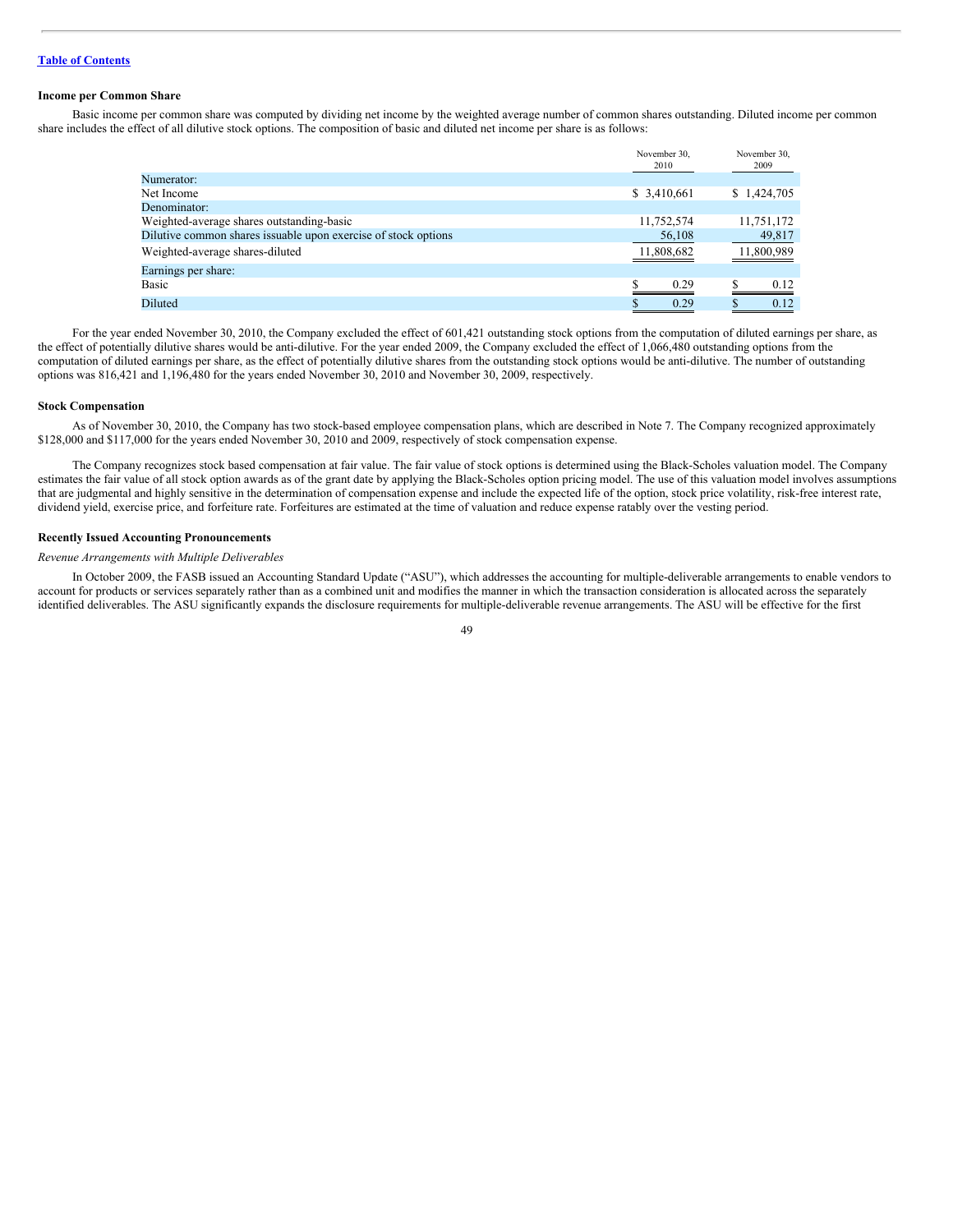#### **Income per Common Share**

Basic income per common share was computed by dividing net income by the weighted average number of common shares outstanding. Diluted income per common share includes the effect of all dilutive stock options. The composition of basic and diluted net income per share is as follows:

|                                                                | November 30.<br>2010 | November 30.<br>2009 |
|----------------------------------------------------------------|----------------------|----------------------|
| Numerator:                                                     |                      |                      |
| Net Income                                                     | \$ 3,410,661         | \$1,424,705          |
| Denominator:                                                   |                      |                      |
| Weighted-average shares outstanding-basic                      | 11,752,574           | 11,751,172           |
| Dilutive common shares issuable upon exercise of stock options | 56,108               | 49,817               |
| Weighted-average shares-diluted                                | 11,808,682           | 11,800,989           |
| Earnings per share:                                            |                      |                      |
| Basic                                                          | 0.29                 | ¢<br>0.12            |
| Diluted                                                        | 0.29                 | 0.12                 |

For the year ended November 30, 2010, the Company excluded the effect of 601,421 outstanding stock options from the computation of diluted earnings per share, as the effect of potentially dilutive shares would be anti-dilutive. For the year ended 2009, the Company excluded the effect of 1,066,480 outstanding options from the computation of diluted earnings per share, as the effect of potentially dilutive shares from the outstanding stock options would be anti-dilutive. The number of outstanding options was 816,421 and 1,196,480 for the years ended November 30, 2010 and November 30, 2009, respectively.

#### **Stock Compensation**

As of November 30, 2010, the Company has two stock-based employee compensation plans, which are described in Note 7. The Company recognized approximately \$128,000 and \$117,000 for the years ended November 30, 2010 and 2009, respectively of stock compensation expense.

The Company recognizes stock based compensation at fair value. The fair value of stock options is determined using the Black-Scholes valuation model. The Company estimates the fair value of all stock option awards as of the grant date by applying the Black-Scholes option pricing model. The use of this valuation model involves assumptions that are judgmental and highly sensitive in the determination of compensation expense and include the expected life of the option, stock price volatility, risk-free interest rate, dividend yield, exercise price, and forfeiture rate. Forfeitures are estimated at the time of valuation and reduce expense ratably over the vesting period.

# **Recently Issued Accounting Pronouncements**

#### *Revenue Arrangements with Multiple Deliverables*

In October 2009, the FASB issued an Accounting Standard Update ("ASU"), which addresses the accounting for multiple-deliverable arrangements to enable vendors to account for products or services separately rather than as a combined unit and modifies the manner in which the transaction consideration is allocated across the separately identified deliverables. The ASU significantly expands the disclosure requirements for multiple-deliverable revenue arrangements. The ASU will be effective for the first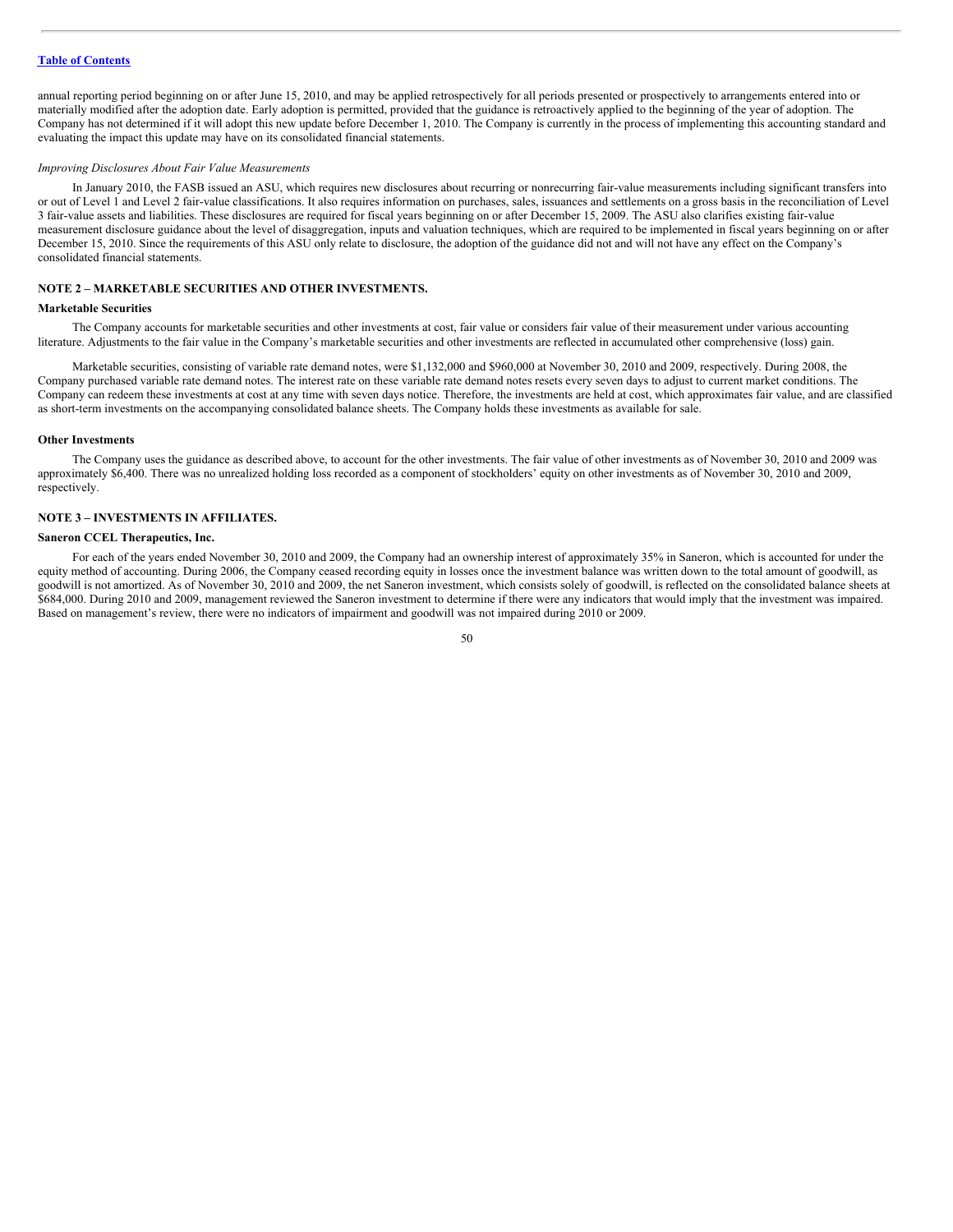annual reporting period beginning on or after June 15, 2010, and may be applied retrospectively for all periods presented or prospectively to arrangements entered into or materially modified after the adoption date. Early adoption is permitted, provided that the guidance is retroactively applied to the beginning of the year of adoption. The Company has not determined if it will adopt this new update before December 1, 2010. The Company is currently in the process of implementing this accounting standard and evaluating the impact this update may have on its consolidated financial statements.

# *Improving Disclosures About Fair Value Measurements*

In January 2010, the FASB issued an ASU, which requires new disclosures about recurring or nonrecurring fair-value measurements including significant transfers into or out of Level 1 and Level 2 fair-value classifications. It also requires information on purchases, sales, issuances and settlements on a gross basis in the reconciliation of Level 3 fair-value assets and liabilities. These disclosures are required for fiscal years beginning on or after December 15, 2009. The ASU also clarifies existing fair-value measurement disclosure guidance about the level of disaggregation, inputs and valuation techniques, which are required to be implemented in fiscal years beginning on or after December 15, 2010. Since the requirements of this ASU only relate to disclosure, the adoption of the guidance did not and will not have any effect on the Company's consolidated financial statements.

#### **NOTE 2 – MARKETABLE SECURITIES AND OTHER INVESTMENTS.**

#### **Marketable Securities**

The Company accounts for marketable securities and other investments at cost, fair value or considers fair value of their measurement under various accounting literature. Adjustments to the fair value in the Company's marketable securities and other investments are reflected in accumulated other comprehensive (loss) gain.

Marketable securities, consisting of variable rate demand notes, were \$1,132,000 and \$960,000 at November 30, 2010 and 2009, respectively. During 2008, the Company purchased variable rate demand notes. The interest rate on these variable rate demand notes resets every seven days to adjust to current market conditions. The Company can redeem these investments at cost at any time with seven days notice. Therefore, the investments are held at cost, which approximates fair value, and are classified as short-term investments on the accompanying consolidated balance sheets. The Company holds these investments as available for sale.

#### **Other Investments**

The Company uses the guidance as described above, to account for the other investments. The fair value of other investments as of November 30, 2010 and 2009 was approximately \$6,400. There was no unrealized holding loss recorded as a component of stockholders' equity on other investments as of November 30, 2010 and 2009, respectively.

#### **NOTE 3 – INVESTMENTS IN AFFILIATES.**

#### **Saneron CCEL Therapeutics, Inc.**

For each of the years ended November 30, 2010 and 2009, the Company had an ownership interest of approximately 35% in Saneron, which is accounted for under the equity method of accounting. During 2006, the Company ceased recording equity in losses once the investment balance was written down to the total amount of goodwill, as goodwill is not amortized. As of November 30, 2010 and 2009, the net Saneron investment, which consists solely of goodwill, is reflected on the consolidated balance sheets at \$684,000. During 2010 and 2009, management reviewed the Saneron investment to determine if there were any indicators that would imply that the investment was impaired. Based on management's review, there were no indicators of impairment and goodwill was not impaired during 2010 or 2009.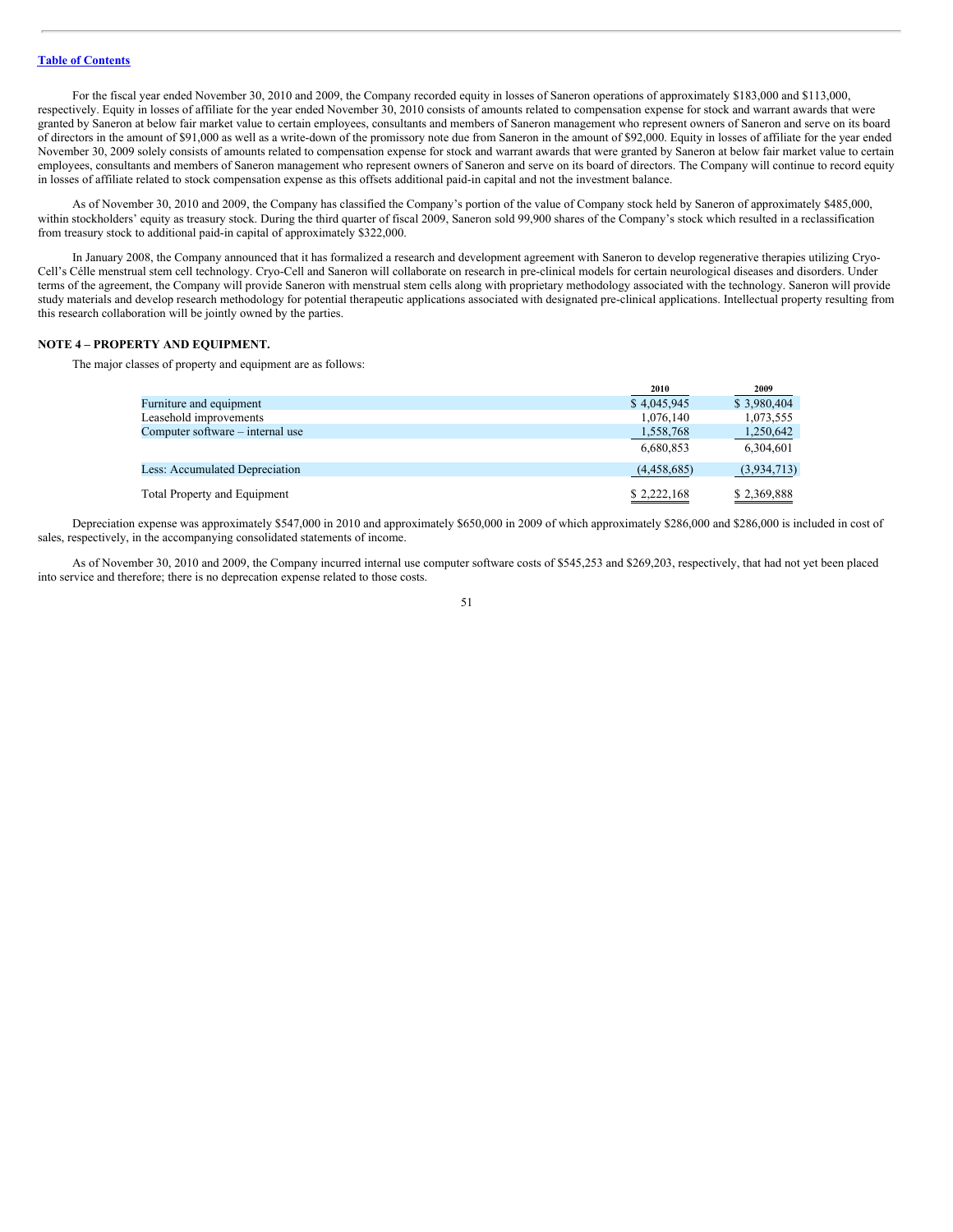For the fiscal year ended November 30, 2010 and 2009, the Company recorded equity in losses of Saneron operations of approximately \$183,000 and \$113,000, respectively. Equity in losses of affiliate for the year ended November 30, 2010 consists of amounts related to compensation expense for stock and warrant awards that were granted by Saneron at below fair market value to certain employees, consultants and members of Saneron management who represent owners of Saneron and serve on its board of directors in the amount of \$91,000 as well as a write-down of the promissory note due from Saneron in the amount of \$92,000. Equity in losses of affiliate for the year ended November 30, 2009 solely consists of amounts related to compensation expense for stock and warrant awards that were granted by Saneron at below fair market value to certain employees, consultants and members of Saneron management who represent owners of Saneron and serve on its board of directors. The Company will continue to record equity in losses of affiliate related to stock compensation expense as this offsets additional paid-in capital and not the investment balance.

As of November 30, 2010 and 2009, the Company has classified the Company's portion of the value of Company stock held by Saneron of approximately \$485,000, within stockholders' equity as treasury stock. During the third quarter of fiscal 2009, Saneron sold 99,900 shares of the Company's stock which resulted in a reclassification from treasury stock to additional paid-in capital of approximately \$322,000.

In January 2008, the Company announced that it has formalized a research and development agreement with Saneron to develop regenerative therapies utilizing Cryo-Cell's Célle menstrual stem cell technology. Cryo-Cell and Saneron will collaborate on research in pre-clinical models for certain neurological diseases and disorders. Under terms of the agreement, the Company will provide Saneron with menstrual stem cells along with proprietary methodology associated with the technology. Saneron will provide study materials and develop research methodology for potential therapeutic applications associated with designated pre-clinical applications. Intellectual property resulting from this research collaboration will be jointly owned by the parties.

# **NOTE 4 – PROPERTY AND EQUIPMENT.**

The major classes of property and equipment are as follows:

|                                     | 2010        | 2009               |
|-------------------------------------|-------------|--------------------|
| Furniture and equipment             | \$4,045,945 | \$3,980,404        |
| Leasehold improvements              | 1.076.140   | 1,073,555          |
| Computer software – internal use    | 1,558,768   | 1,250,642          |
|                                     | 6.680.853   | 6,304,601          |
| Less: Accumulated Depreciation      | (4,458,685) | (3,934,713)        |
| <b>Total Property and Equipment</b> | \$2,222,168 | <u>\$2,369,888</u> |

Depreciation expense was approximately \$547,000 in 2010 and approximately \$650,000 in 2009 of which approximately \$286,000 and \$286,000 is included in cost of sales, respectively, in the accompanying consolidated statements of income.

As of November 30, 2010 and 2009, the Company incurred internal use computer software costs of \$545,253 and \$269,203, respectively, that had not yet been placed into service and therefore; there is no deprecation expense related to those costs.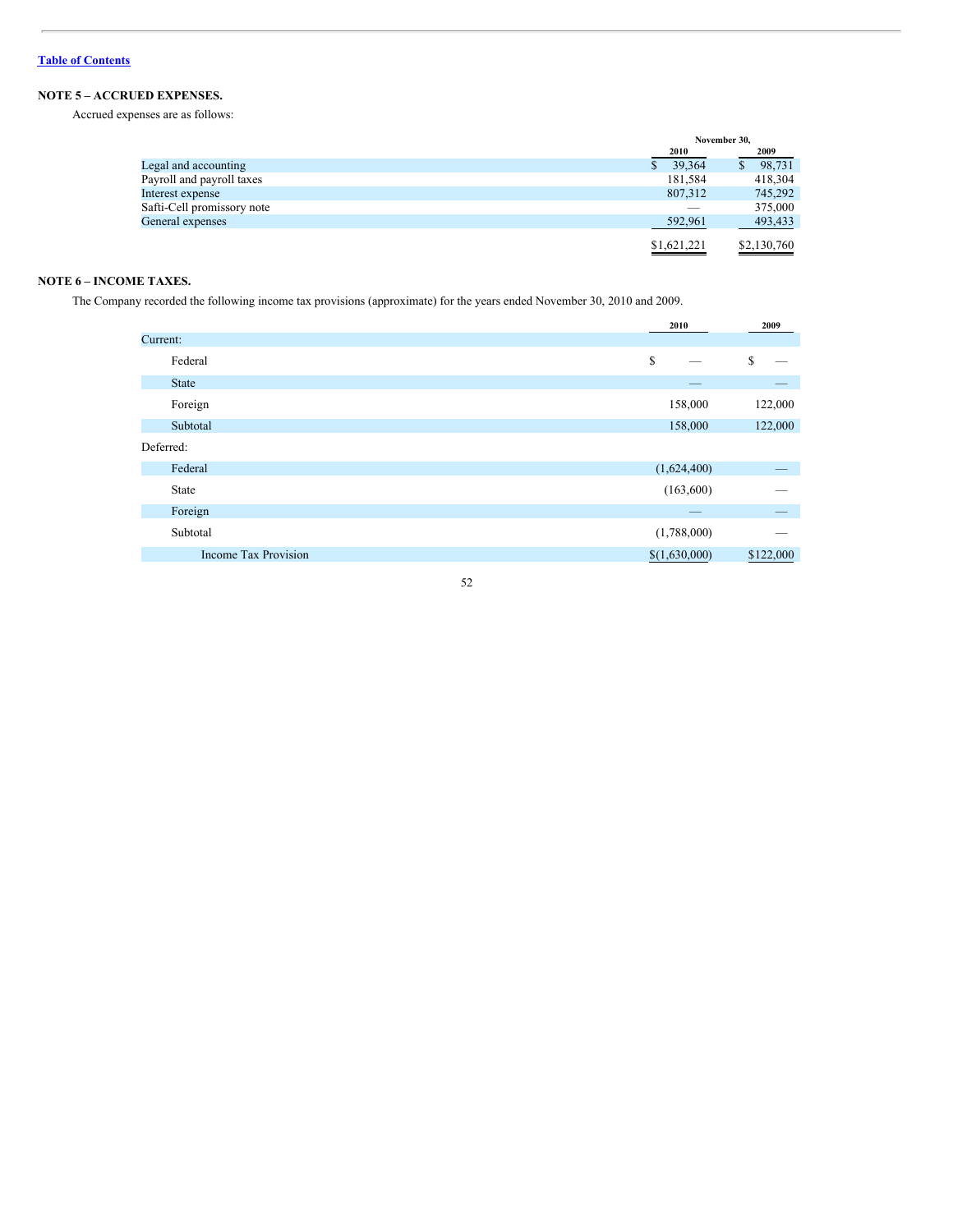# **NOTE 5 – ACCRUED EXPENSES.**

Accrued expenses are as follows:

|                            |   | November 30. |  |             |
|----------------------------|---|--------------|--|-------------|
|                            |   | 2010         |  | 2009        |
| Legal and accounting       | S | 39,364       |  | 98.731      |
| Payroll and payroll taxes  |   | 181.584      |  | 418,304     |
| Interest expense           |   | 807,312      |  | 745,292     |
| Safti-Cell promissory note |   |              |  | 375,000     |
| General expenses           |   | 592.961      |  | 493,433     |
|                            |   |              |  |             |
|                            |   | \$1,621,221  |  | \$2,130,760 |

# **NOTE 6 – INCOME TAXES.**

The Company recorded the following income tax provisions (approximate) for the years ended November 30, 2010 and 2009.

|                             | 2010          | 2009      |
|-----------------------------|---------------|-----------|
| Current:                    |               |           |
| Federal                     | \$            | \$        |
| <b>State</b>                |               |           |
| Foreign                     | 158,000       | 122,000   |
| Subtotal                    | 158,000       | 122,000   |
| Deferred:                   |               |           |
| Federal                     | (1,624,400)   |           |
| State                       | (163,600)     |           |
| Foreign                     |               |           |
| Subtotal                    | (1,788,000)   |           |
| <b>Income Tax Provision</b> | \$(1,630,000) | \$122,000 |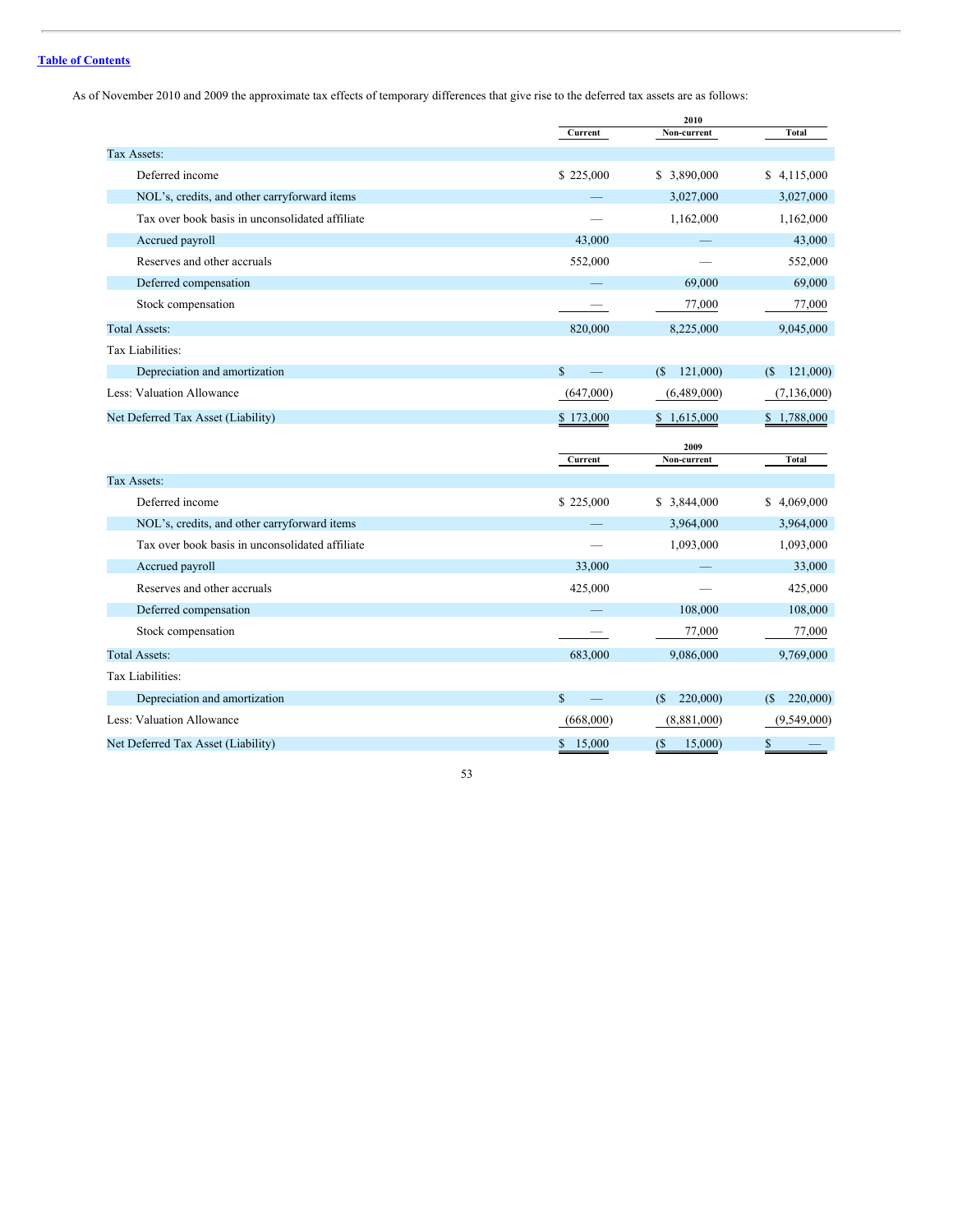As of November 2010 and 2009 the approximate tax effects of temporary differences that give rise to the deferred tax assets are as follows:

|                                                 |                          | 2010                   |                |
|-------------------------------------------------|--------------------------|------------------------|----------------|
|                                                 | Current                  | Non-current            | Total          |
| Tax Assets:                                     |                          |                        |                |
| Deferred income                                 | \$225,000                | \$3,890,000            | \$4,115,000    |
| NOL's, credits, and other carryforward items    |                          | 3,027,000              | 3,027,000      |
| Tax over book basis in unconsolidated affiliate |                          | 1,162,000              | 1,162,000      |
| Accrued payroll                                 | 43,000                   |                        | 43,000         |
| Reserves and other accruals                     | 552,000                  |                        | 552,000        |
| Deferred compensation                           | $\overline{\phantom{0}}$ | 69,000                 | 69,000         |
| Stock compensation                              |                          | 77,000                 | 77,000         |
| <b>Total Assets:</b>                            | 820,000                  | 8,225,000              | 9.045.000      |
| Tax Liabilities:                                |                          |                        |                |
| Depreciation and amortization                   | $\mathbf S$              | 121,000)<br>(S         | 121,000)<br>(S |
| Less: Valuation Allowance                       | (647,000)                | (6,489,000)            | (7, 136, 000)  |
| Net Deferred Tax Asset (Liability)              | \$173,000                | \$1,615,000            | \$1,788,000    |
|                                                 |                          | 2009                   |                |
|                                                 | Current                  | Non-current            | Total          |
| Tax Assets:                                     |                          |                        |                |
|                                                 |                          |                        |                |
| Deferred income                                 | \$225,000                | \$ 3,844,000           | \$4,069,000    |
| NOL's, credits, and other carryforward items    |                          | 3,964,000              | 3,964,000      |
| Tax over book basis in unconsolidated affiliate |                          | 1,093,000              | 1,093,000      |
| Accrued payroll                                 | 33,000                   |                        | 33,000         |
| Reserves and other accruals                     | 425,000                  |                        | 425,000        |
| Deferred compensation                           |                          | 108,000                | 108,000        |
| Stock compensation                              |                          | 77,000                 | 77,000         |
| <b>Total Assets:</b>                            | 683,000                  | 9,086,000              | 9,769,000      |
| Tax Liabilities:                                |                          |                        |                |
| Depreciation and amortization                   | <sup>\$</sup>            | 220,000)<br>$\sqrt{S}$ | 220,000)<br>(S |
| Less: Valuation Allowance                       | (668,000)                | (8,881,000)            | (9,549,000)    |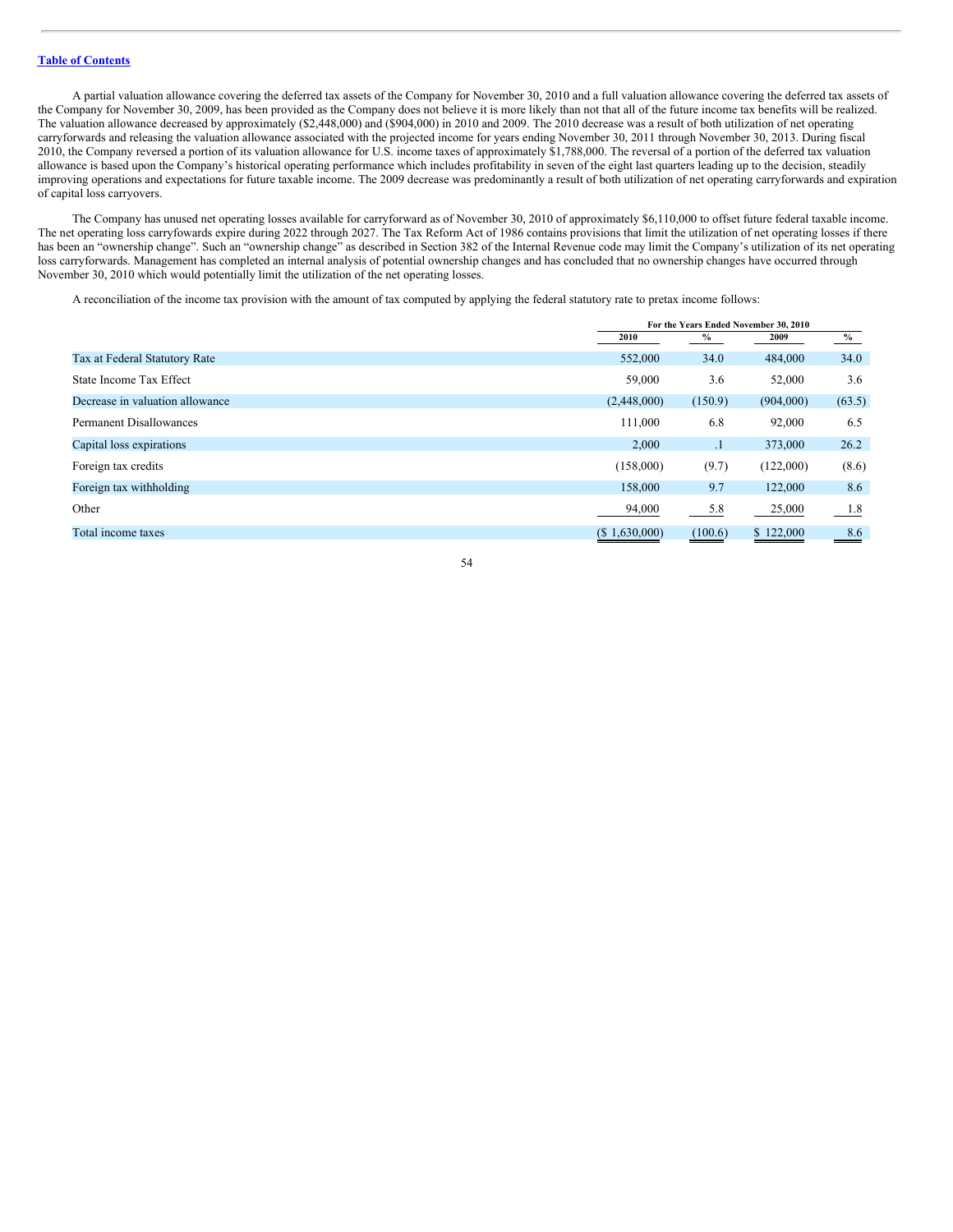A partial valuation allowance covering the deferred tax assets of the Company for November 30, 2010 and a full valuation allowance covering the deferred tax assets of the Company for November 30, 2009, has been provided as the Company does not believe it is more likely than not that all of the future income tax benefits will be realized. The valuation allowance decreased by approximately (\$2,448,000) and (\$904,000) in 2010 and 2009. The 2010 decrease was a result of both utilization of net operating carryforwards and releasing the valuation allowance associated with the projected income for years ending November 30, 2011 through November 30, 2013. During fiscal 2010, the Company reversed a portion of its valuation allowance for U.S. income taxes of approximately \$1,788,000. The reversal of a portion of the deferred tax valuation allowance is based upon the Company's historical operating performance which includes profitability in seven of the eight last quarters leading up to the decision, steadily improving operations and expectations for future taxable income. The 2009 decrease was predominantly a result of both utilization of net operating carryforwards and expiration of capital loss carryovers.

The Company has unused net operating losses available for carryforward as of November 30, 2010 of approximately \$6,110,000 to offset future federal taxable income. The net operating loss carryfowards expire during 2022 through 2027. The Tax Reform Act of 1986 contains provisions that limit the utilization of net operating losses if there has been an "ownership change". Such an "ownership change" as described in Section 382 of the Internal Revenue code may limit the Company's utilization of its net operating loss carryforwards. Management has completed an internal analysis of potential ownership changes and has concluded that no ownership changes have occurred through November 30, 2010 which would potentially limit the utilization of the net operating losses.

A reconciliation of the income tax provision with the amount of tax computed by applying the federal statutory rate to pretax income follows:

|                                 | For the Years Ended November 30, 2010 |         |           |        |  |
|---------------------------------|---------------------------------------|---------|-----------|--------|--|
|                                 | 2010                                  | $\%$    | 2009      | $\%$   |  |
| Tax at Federal Statutory Rate   | 552,000                               | 34.0    | 484,000   | 34.0   |  |
| State Income Tax Effect         | 59,000                                | 3.6     | 52,000    | 3.6    |  |
| Decrease in valuation allowance | (2,448,000)                           | (150.9) | (904,000) | (63.5) |  |
| <b>Permanent Disallowances</b>  | 111,000                               | 6.8     | 92,000    | 6.5    |  |
| Capital loss expirations        | 2,000                                 | $\cdot$ | 373,000   | 26.2   |  |
| Foreign tax credits             | (158,000)                             | (9.7)   | (122,000) | (8.6)  |  |
| Foreign tax withholding         | 158,000                               | 9.7     | 122,000   | 8.6    |  |
| Other                           | 94,000                                | 5.8     | 25,000    | 1.8    |  |
| Total income taxes              | (S1,630,000)                          | (100.6) | \$122,000 | 8.6    |  |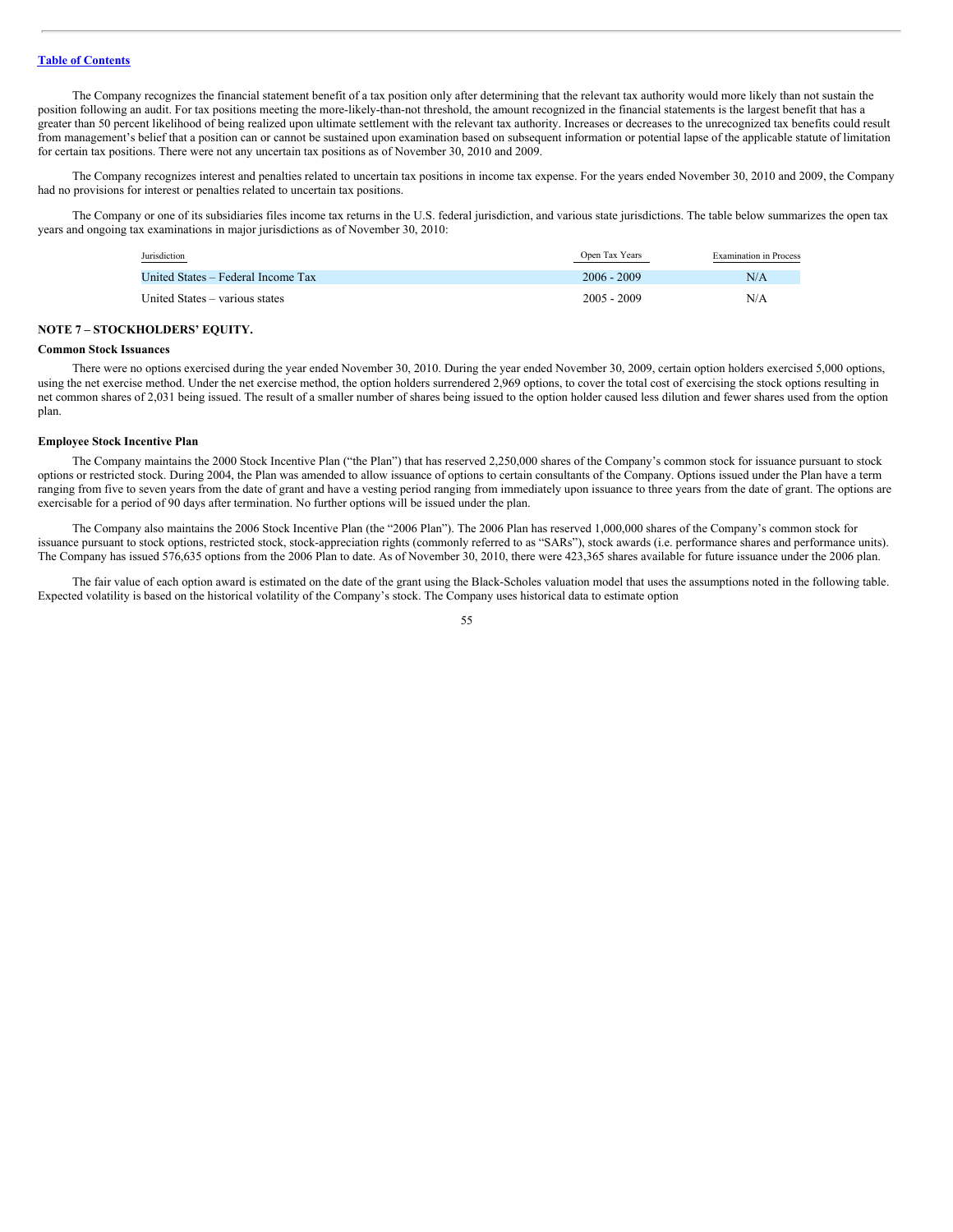The Company recognizes the financial statement benefit of a tax position only after determining that the relevant tax authority would more likely than not sustain the position following an audit. For tax positions meeting the more-likely-than-not threshold, the amount recognized in the financial statements is the largest benefit that has a greater than 50 percent likelihood of being realized upon ultimate settlement with the relevant tax authority. Increases or decreases to the unrecognized tax benefits could result from management's belief that a position can or cannot be sustained upon examination based on subsequent information or potential lapse of the applicable statute of limitation for certain tax positions. There were not any uncertain tax positions as of November 30, 2010 and 2009.

The Company recognizes interest and penalties related to uncertain tax positions in income tax expense. For the years ended November 30, 2010 and 2009, the Company had no provisions for interest or penalties related to uncertain tax positions.

The Company or one of its subsidiaries files income tax returns in the U.S. federal jurisdiction, and various state jurisdictions. The table below summarizes the open tax years and ongoing tax examinations in major jurisdictions as of November 30, 2010:

| Jurisdiction                       | Open Tax Years | Examination in Process |
|------------------------------------|----------------|------------------------|
| United States – Federal Income Tax | $2006 - 2009$  | N/A                    |
| United States – various states     | $2005 - 2009$  | N/A                    |

#### **NOTE 7 – STOCKHOLDERS' EQUITY.**

# **Common Stock Issuances**

There were no options exercised during the year ended November 30, 2010. During the year ended November 30, 2009, certain option holders exercised 5,000 options, using the net exercise method. Under the net exercise method, the option holders surrendered 2,969 options, to cover the total cost of exercising the stock options resulting in net common shares of 2,031 being issued. The result of a smaller number of shares being issued to the option holder caused less dilution and fewer shares used from the option plan.

#### **Employee Stock Incentive Plan**

The Company maintains the 2000 Stock Incentive Plan ("the Plan") that has reserved 2,250,000 shares of the Company's common stock for issuance pursuant to stock options or restricted stock. During 2004, the Plan was amended to allow issuance of options to certain consultants of the Company. Options issued under the Plan have a term ranging from five to seven years from the date of grant and have a vesting period ranging from immediately upon issuance to three years from the date of grant. The options are exercisable for a period of 90 days after termination. No further options will be issued under the plan.

The Company also maintains the 2006 Stock Incentive Plan (the "2006 Plan"). The 2006 Plan has reserved 1,000,000 shares of the Company's common stock for issuance pursuant to stock options, restricted stock, stock-appreciation rights (commonly referred to as "SARs"), stock awards (i.e. performance shares and performance units). The Company has issued 576,635 options from the 2006 Plan to date. As of November 30, 2010, there were 423,365 shares available for future issuance under the 2006 plan.

The fair value of each option award is estimated on the date of the grant using the Black-Scholes valuation model that uses the assumptions noted in the following table. Expected volatility is based on the historical volatility of the Company's stock. The Company uses historical data to estimate option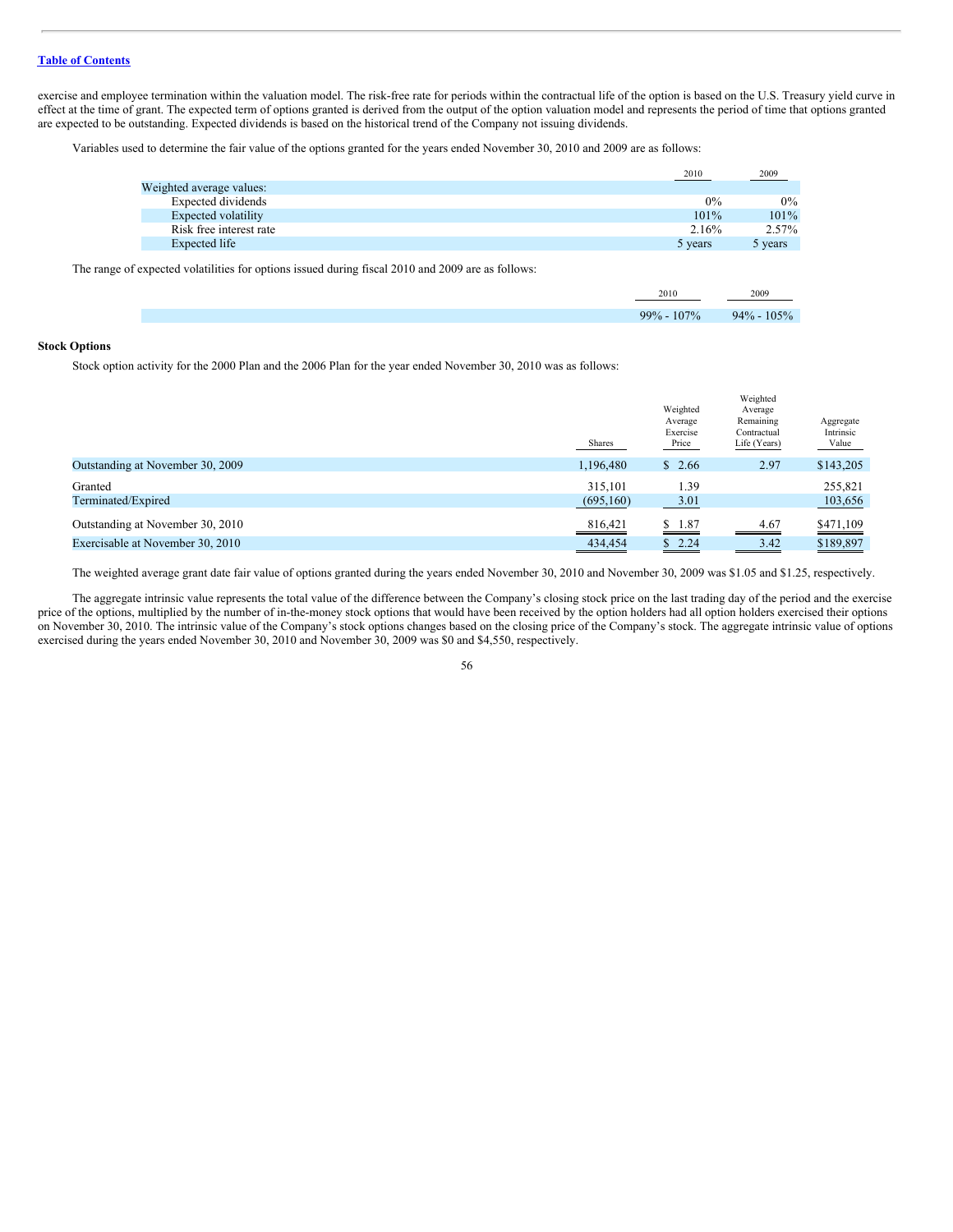exercise and employee termination within the valuation model. The risk-free rate for periods within the contractual life of the option is based on the U.S. Treasury yield curve in effect at the time of grant. The expected term of options granted is derived from the output of the option valuation model and represents the period of time that options granted are expected to be outstanding. Expected dividends is based on the historical trend of the Company not issuing dividends.

Variables used to determine the fair value of the options granted for the years ended November 30, 2010 and 2009 are as follows:

|                          | 2010    | 2009     |
|--------------------------|---------|----------|
| Weighted average values: |         |          |
| Expected dividends       | $0\%$   | $0\%$    |
| Expected volatility      | $101\%$ | $101\%$  |
| Risk free interest rate  | 2.16%   | $2.57\%$ |
| Expected life            | 5 years | 5 years  |
|                          |         |          |

The range of expected volatilities for options issued during fiscal 2010 and 2009 are as follows:

| 2010                | 2009 |
|---------------------|------|
| 070/<br>∕ ∩∩د<br>70 | $-0$ |

# **Stock Options**

Stock option activity for the 2000 Plan and the 2006 Plan for the year ended November 30, 2010 was as follows:

|                                  | <b>Shares</b>            | Weighted<br>Average<br>Exercise<br>Price    | Weighted<br>Average<br>Remaining<br>Contractual<br>Life (Years) | Aggregate<br>Intrinsic<br>Value |
|----------------------------------|--------------------------|---------------------------------------------|-----------------------------------------------------------------|---------------------------------|
| Outstanding at November 30, 2009 | 1,196,480                | \$2.66                                      | 2.97                                                            | \$143,205                       |
| Granted                          | 315.101                  | 1.39                                        |                                                                 | 255,821                         |
| Terminated/Expired               | (695,160)                | 3.01                                        |                                                                 | 103,656                         |
| Outstanding at November 30, 2010 | 816,421                  | \$1.87                                      | 4.67                                                            | \$471,109                       |
| Exercisable at November 30, 2010 | 434,454<br>$\sim$ $\sim$ | \$2.24<br>and the control of the control of | 3.42                                                            | \$189,897                       |

The weighted average grant date fair value of options granted during the years ended November 30, 2010 and November 30, 2009 was \$1.05 and \$1.25, respectively.

The aggregate intrinsic value represents the total value of the difference between the Company's closing stock price on the last trading day of the period and the exercise price of the options, multiplied by the number of in-the-money stock options that would have been received by the option holders had all option holders exercised their options on November 30, 2010. The intrinsic value of the Company's stock options changes based on the closing price of the Company's stock. The aggregate intrinsic value of options exercised during the years ended November 30, 2010 and November 30, 2009 was \$0 and \$4,550, respectively.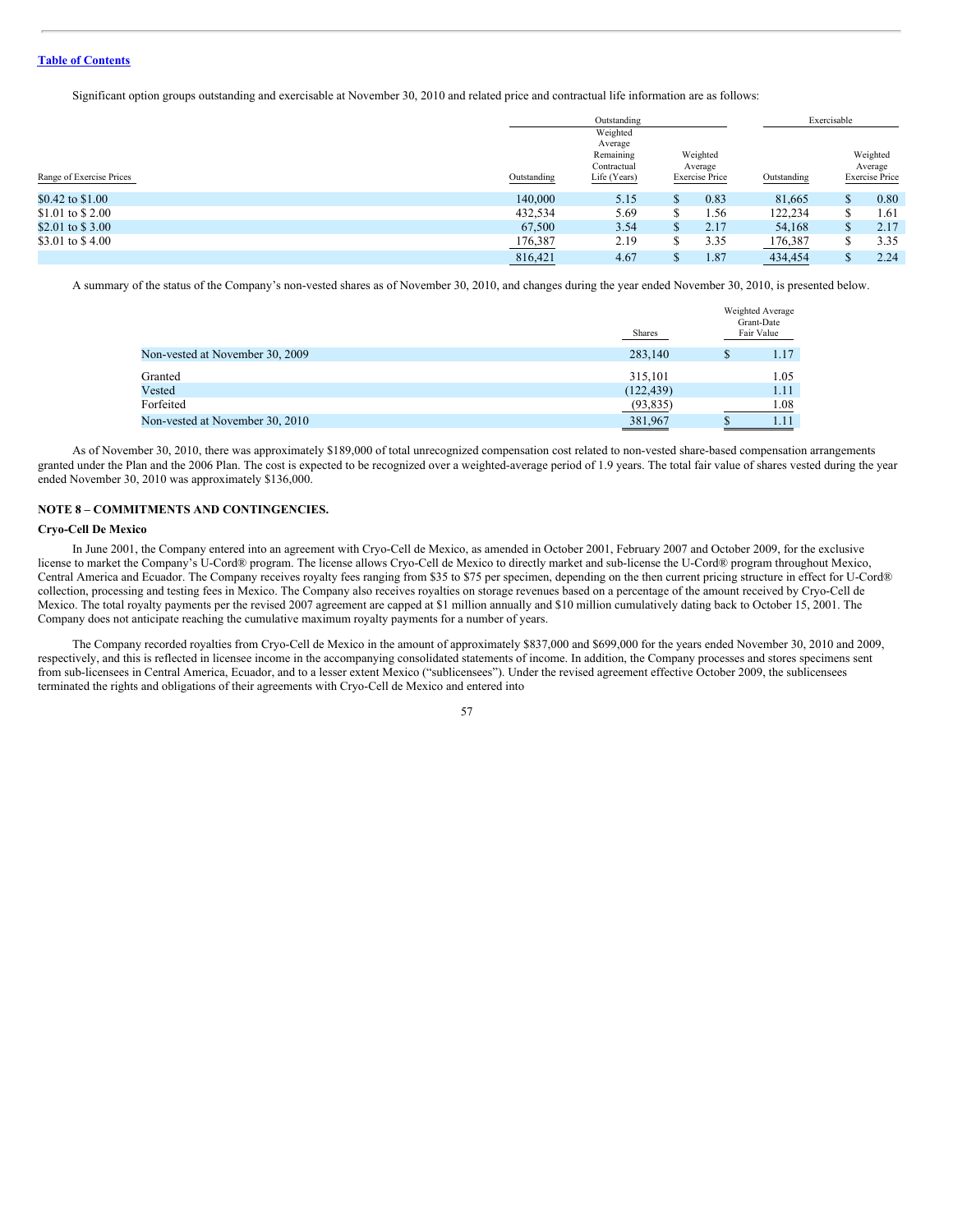Significant option groups outstanding and exercisable at November 30, 2010 and related price and contractual life information are as follows:

|                          |             | Outstanding                                                     |                                              |      | Exercisable |                                              |      |  |
|--------------------------|-------------|-----------------------------------------------------------------|----------------------------------------------|------|-------------|----------------------------------------------|------|--|
| Range of Exercise Prices | Outstanding | Weighted<br>Average<br>Remaining<br>Contractual<br>Life (Years) | Weighted<br>Average<br><b>Exercise Price</b> |      | Outstanding | Weighted<br>Average<br><b>Exercise Price</b> |      |  |
| \$0.42 to \$1.00         | 140,000     | 5.15                                                            |                                              | 0.83 | 81,665      | \$                                           | 0.80 |  |
| \$1.01 to \$2.00         | 432,534     | 5.69                                                            |                                              | 1.56 | 122,234     | S                                            | 1.61 |  |
| \$2.01 to \$3.00         | 67.500      | 3.54                                                            |                                              | 2.17 | 54,168      | \$                                           | 2.17 |  |
| \$3.01 to \$4.00         | 176,387     | 2.19                                                            |                                              | 3.35 | 176,387     | S                                            | 3.35 |  |
|                          | 816,421     | 4.67                                                            |                                              | 1.87 | 434,454     |                                              | 2.24 |  |

A summary of the status of the Company's non-vested shares as of November 30, 2010, and changes during the year ended November 30, 2010, is presented below.

|                                 | <b>Shares</b> |   | Weighted Average<br>Grant-Date<br>Fair Value |
|---------------------------------|---------------|---|----------------------------------------------|
| Non-vested at November 30, 2009 | 283,140       | S | 1.17                                         |
| Granted                         | 315.101       |   | 1.05                                         |
| Vested                          | (122, 439)    |   | 1.11                                         |
| Forfeited                       | (93, 835)     |   | 1.08                                         |
| Non-vested at November 30, 2010 | 381,967       |   | 1.11                                         |

As of November 30, 2010, there was approximately \$189,000 of total unrecognized compensation cost related to non-vested share-based compensation arrangements granted under the Plan and the 2006 Plan. The cost is expected to be recognized over a weighted-average period of 1.9 years. The total fair value of shares vested during the year ended November 30, 2010 was approximately \$136,000.

# **NOTE 8 – COMMITMENTS AND CONTINGENCIES.**

## **Cryo-Cell De Mexico**

In June 2001, the Company entered into an agreement with Cryo-Cell de Mexico, as amended in October 2001, February 2007 and October 2009, for the exclusive license to market the Company's U-Cord® program. The license allows Cryo-Cell de Mexico to directly market and sub-license the U-Cord® program throughout Mexico, Central America and Ecuador. The Company receives royalty fees ranging from \$35 to \$75 per specimen, depending on the then current pricing structure in effect for U-Cord® collection, processing and testing fees in Mexico. The Company also receives royalties on storage revenues based on a percentage of the amount received by Cryo-Cell de Mexico. The total royalty payments per the revised 2007 agreement are capped at \$1 million annually and \$10 million cumulatively dating back to October 15, 2001. The Company does not anticipate reaching the cumulative maximum royalty payments for a number of years.

The Company recorded royalties from Cryo-Cell de Mexico in the amount of approximately \$837,000 and \$699,000 for the years ended November 30, 2010 and 2009, respectively, and this is reflected in licensee income in the accompanying consolidated statements of income. In addition, the Company processes and stores specimens sent from sub-licensees in Central America, Ecuador, and to a lesser extent Mexico ("sublicensees"). Under the revised agreement effective October 2009, the sublicensees terminated the rights and obligations of their agreements with Cryo-Cell de Mexico and entered into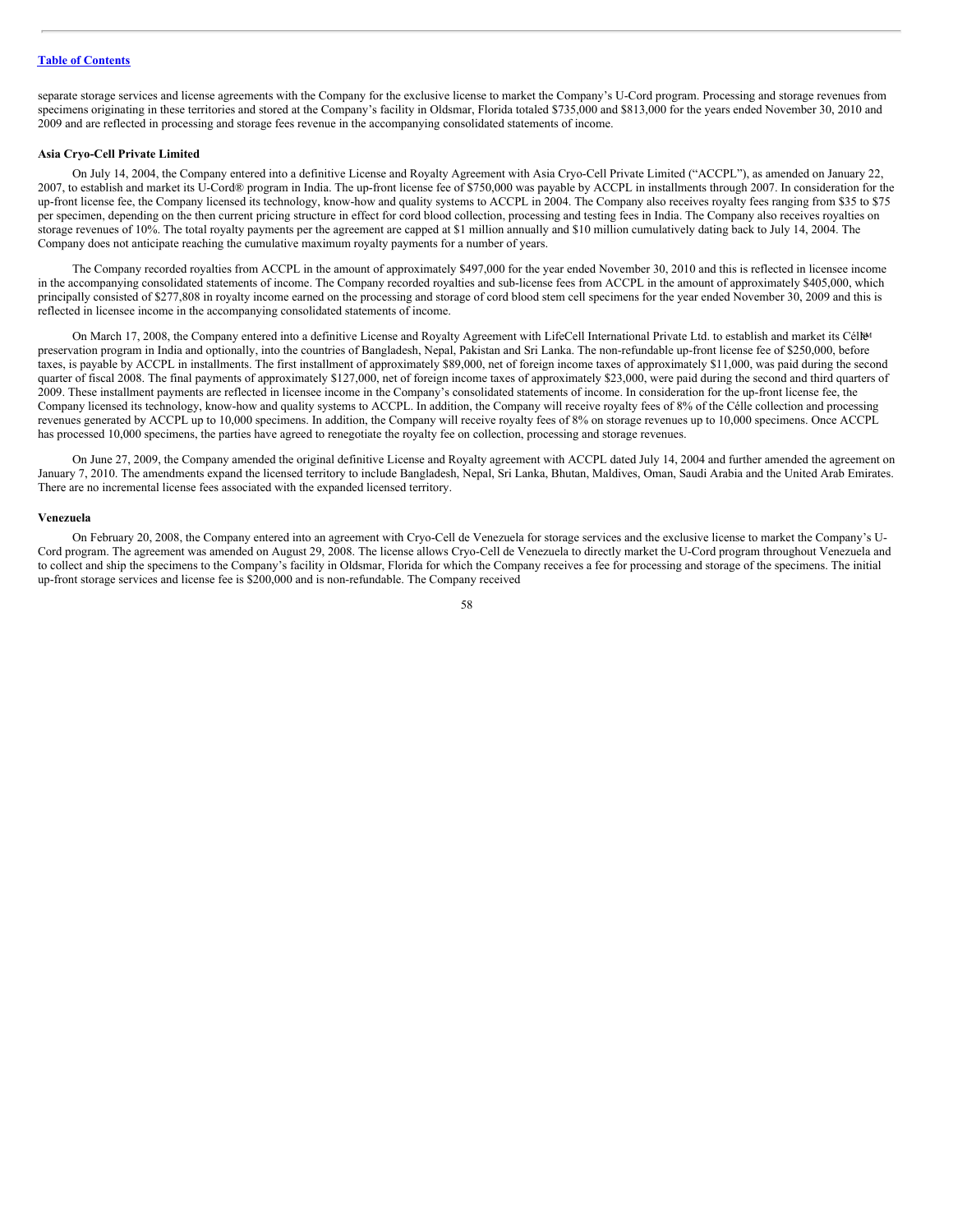separate storage services and license agreements with the Company for the exclusive license to market the Company's U-Cord program. Processing and storage revenues from specimens originating in these territories and stored at the Company's facility in Oldsmar, Florida totaled \$735,000 and \$813,000 for the years ended November 30, 2010 and 2009 and are reflected in processing and storage fees revenue in the accompanying consolidated statements of income.

#### **Asia Cryo-Cell Private Limited**

On July 14, 2004, the Company entered into a definitive License and Royalty Agreement with Asia Cryo-Cell Private Limited ("ACCPL"), as amended on January 22, 2007, to establish and market its U-Cord® program in India. The up-front license fee of \$750,000 was payable by ACCPL in installments through 2007. In consideration for the up-front license fee, the Company licensed its technology, know-how and quality systems to ACCPL in 2004. The Company also receives royalty fees ranging from \$35 to \$75 per specimen, depending on the then current pricing structure in effect for cord blood collection, processing and testing fees in India. The Company also receives royalties on storage revenues of 10%. The total royalty payments per the agreement are capped at \$1 million annually and \$10 million cumulatively dating back to July 14, 2004. The Company does not anticipate reaching the cumulative maximum royalty payments for a number of years.

The Company recorded royalties from ACCPL in the amount of approximately \$497,000 for the year ended November 30, 2010 and this is reflected in licensee income in the accompanying consolidated statements of income. The Company recorded royalties and sub-license fees from ACCPL in the amount of approximately \$405,000, which principally consisted of \$277,808 in royalty income earned on the processing and storage of cord blood stem cell specimens for the year ended November 30, 2009 and this is reflected in licensee income in the accompanying consolidated statements of income.

On March 17, 2008, the Company entered into a definitive License and Royalty Agreement with LifeCell International Private Ltd. to establish and market its Céll& preservation program in India and optionally, into the countries of Bangladesh, Nepal, Pakistan and Sri Lanka. The non-refundable up-front license fee of \$250,000, before taxes, is payable by ACCPL in installments. The first installment of approximately \$89,000, net of foreign income taxes of approximately \$11,000, was paid during the second quarter of fiscal 2008. The final payments of approximately \$127,000, net of foreign income taxes of approximately \$23,000, were paid during the second and third quarters of 2009. These installment payments are reflected in licensee income in the Company's consolidated statements of income. In consideration for the up-front license fee, the Company licensed its technology, know-how and quality systems to ACCPL. In addition, the Company will receive royalty fees of 8% of the Célle collection and processing revenues generated by ACCPL up to 10,000 specimens. In addition, the Company will receive royalty fees of 8% on storage revenues up to 10,000 specimens. Once ACCPL has processed 10,000 specimens, the parties have agreed to renegotiate the royalty fee on collection, processing and storage revenues.

On June 27, 2009, the Company amended the original definitive License and Royalty agreement with ACCPL dated July 14, 2004 and further amended the agreement on January 7, 2010. The amendments expand the licensed territory to include Bangladesh, Nepal, Sri Lanka, Bhutan, Maldives, Oman, Saudi Arabia and the United Arab Emirates. There are no incremental license fees associated with the expanded licensed territory.

#### **Venezuela**

On February 20, 2008, the Company entered into an agreement with Cryo-Cell de Venezuela for storage services and the exclusive license to market the Company's U-Cord program. The agreement was amended on August 29, 2008. The license allows Cryo-Cell de Venezuela to directly market the U-Cord program throughout Venezuela and to collect and ship the specimens to the Company's facility in Oldsmar, Florida for which the Company receives a fee for processing and storage of the specimens. The initial up-front storage services and license fee is \$200,000 and is non-refundable. The Company received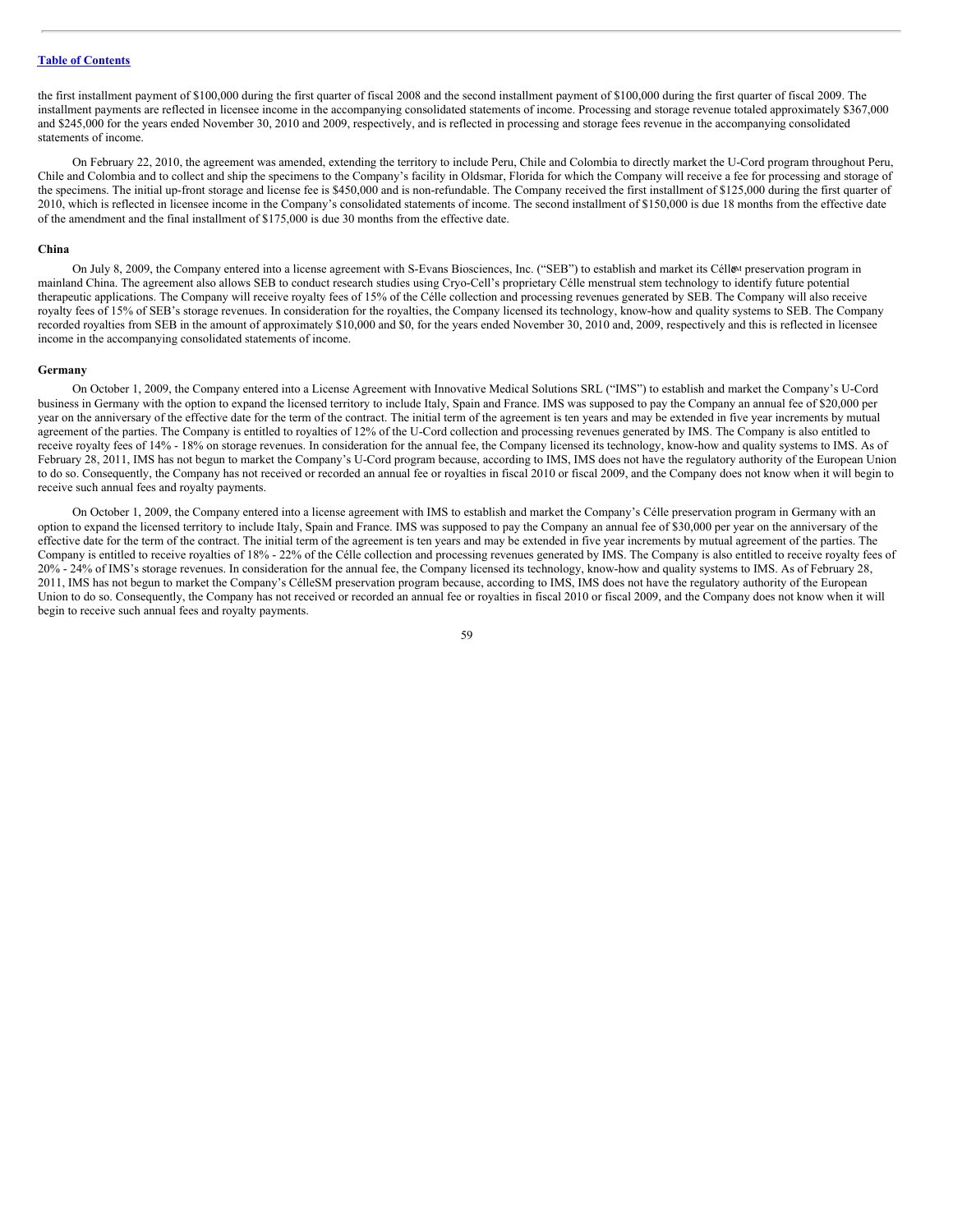the first installment payment of \$100,000 during the first quarter of fiscal 2008 and the second installment payment of \$100,000 during the first quarter of fiscal 2009. The installment payments are reflected in licensee income in the accompanying consolidated statements of income. Processing and storage revenue totaled approximately \$367,000 and \$245,000 for the years ended November 30, 2010 and 2009, respectively, and is reflected in processing and storage fees revenue in the accompanying consolidated statements of income.

On February 22, 2010, the agreement was amended, extending the territory to include Peru, Chile and Colombia to directly market the U-Cord program throughout Peru, Chile and Colombia and to collect and ship the specimens to the Company's facility in Oldsmar, Florida for which the Company will receive a fee for processing and storage of the specimens. The initial up-front storage and license fee is \$450,000 and is non-refundable. The Company received the first installment of \$125,000 during the first quarter of 2010, which is reflected in licensee income in the Company's consolidated statements of income. The second installment of \$150,000 is due 18 months from the effective date of the amendment and the final installment of \$175,000 is due 30 months from the effective date.

#### **China**

On July 8, 2009, the Company entered into a license agreement with S-Evans Biosciences, Inc. ("SEB") to establish and market its Céll&<sup>1</sup> preservation program in mainland China. The agreement also allows SEB to conduct research studies using Cryo-Cell's proprietary Célle menstrual stem technology to identify future potential therapeutic applications. The Company will receive royalty fees of 15% of the Célle collection and processing revenues generated by SEB. The Company will also receive royalty fees of 15% of SEB's storage revenues. In consideration for the royalties, the Company licensed its technology, know-how and quality systems to SEB. The Company recorded royalties from SEB in the amount of approximately \$10,000 and \$0, for the years ended November 30, 2010 and, 2009, respectively and this is reflected in licensee income in the accompanying consolidated statements of income.

#### **Germany**

On October 1, 2009, the Company entered into a License Agreement with Innovative Medical Solutions SRL ("IMS") to establish and market the Company's U-Cord business in Germany with the option to expand the licensed territory to include Italy, Spain and France. IMS was supposed to pay the Company an annual fee of \$20,000 per year on the anniversary of the effective date for the term of the contract. The initial term of the agreement is ten years and may be extended in five year increments by mutual agreement of the parties. The Company is entitled to royalties of 12% of the U-Cord collection and processing revenues generated by IMS. The Company is also entitled to receive royalty fees of 14% - 18% on storage revenues. In consideration for the annual fee, the Company licensed its technology, know-how and quality systems to IMS. As of February 28, 2011, IMS has not begun to market the Company's U-Cord program because, according to IMS, IMS does not have the regulatory authority of the European Union to do so. Consequently, the Company has not received or recorded an annual fee or royalties in fiscal 2010 or fiscal 2009, and the Company does not know when it will begin to receive such annual fees and royalty payments.

On October 1, 2009, the Company entered into a license agreement with IMS to establish and market the Company's Célle preservation program in Germany with an option to expand the licensed territory to include Italy, Spain and France. IMS was supposed to pay the Company an annual fee of \$30,000 per year on the anniversary of the effective date for the term of the contract. The initial term of the agreement is ten years and may be extended in five year increments by mutual agreement of the parties. The Company is entitled to receive royalties of 18% - 22% of the Célle collection and processing revenues generated by IMS. The Company is also entitled to receive royalty fees of 20% - 24% of IMS's storage revenues. In consideration for the annual fee, the Company licensed its technology, know-how and quality systems to IMS. As of February 28, 2011, IMS has not begun to market the Company's CélleSM preservation program because, according to IMS, IMS does not have the regulatory authority of the European Union to do so. Consequently, the Company has not received or recorded an annual fee or royalties in fiscal 2010 or fiscal 2009, and the Company does not know when it will begin to receive such annual fees and royalty payments.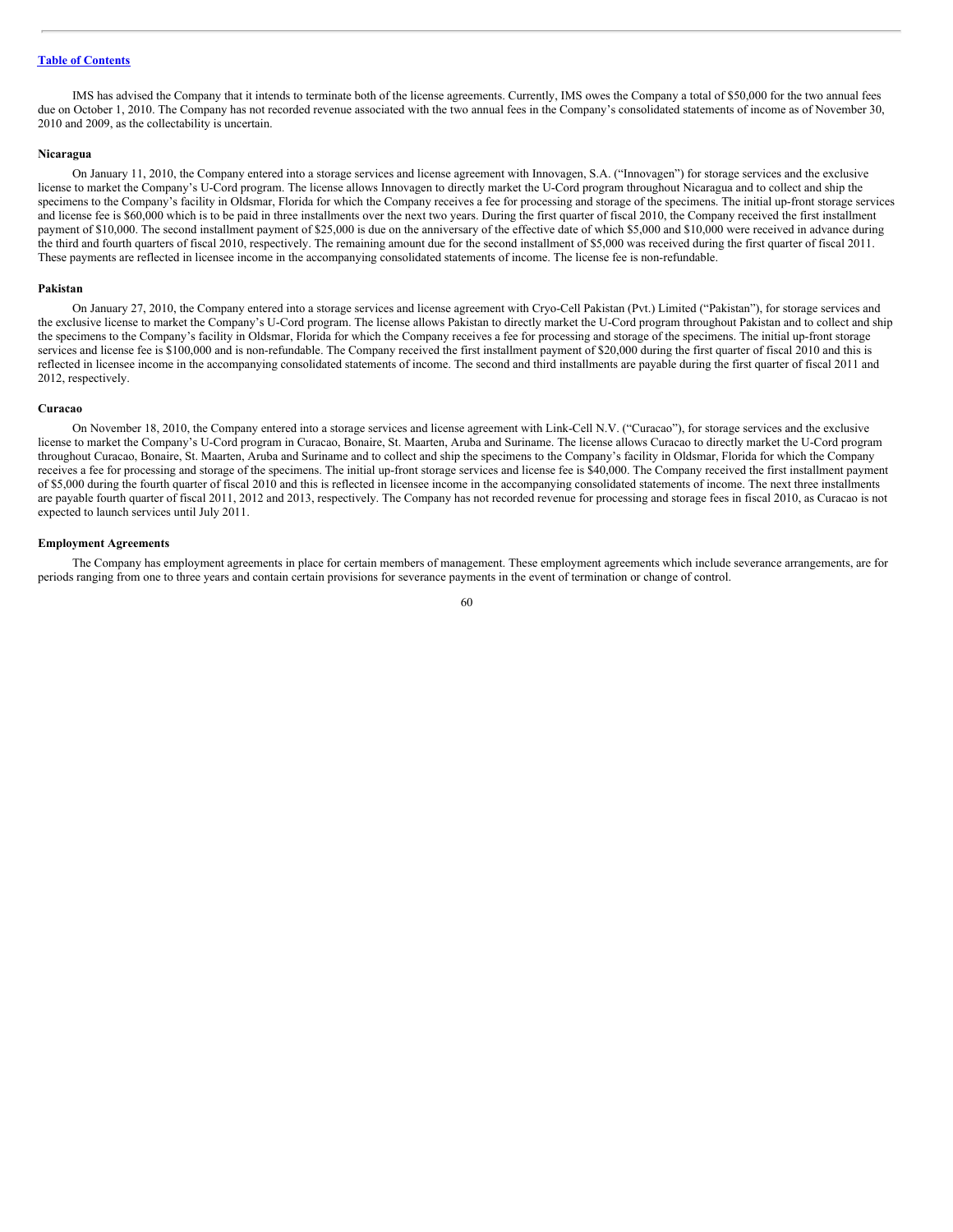IMS has advised the Company that it intends to terminate both of the license agreements. Currently, IMS owes the Company a total of \$50,000 for the two annual fees due on October 1, 2010. The Company has not recorded revenue associated with the two annual fees in the Company's consolidated statements of income as of November 30, 2010 and 2009, as the collectability is uncertain.

#### **Nicaragua**

On January 11, 2010, the Company entered into a storage services and license agreement with Innovagen, S.A. ("Innovagen") for storage services and the exclusive license to market the Company's U-Cord program. The license allows Innovagen to directly market the U-Cord program throughout Nicaragua and to collect and ship the specimens to the Company's facility in Oldsmar, Florida for which the Company receives a fee for processing and storage of the specimens. The initial up-front storage services and license fee is \$60,000 which is to be paid in three installments over the next two years. During the first quarter of fiscal 2010, the Company received the first installment payment of \$10,000. The second installment payment of \$25,000 is due on the anniversary of the effective date of which \$5,000 and \$10,000 were received in advance during the third and fourth quarters of fiscal 2010, respectively. The remaining amount due for the second installment of \$5,000 was received during the first quarter of fiscal 2011. These payments are reflected in licensee income in the accompanying consolidated statements of income. The license fee is non-refundable.

#### **Pakistan**

On January 27, 2010, the Company entered into a storage services and license agreement with Cryo-Cell Pakistan (Pvt.) Limited ("Pakistan"), for storage services and the exclusive license to market the Company's U-Cord program. The license allows Pakistan to directly market the U-Cord program throughout Pakistan and to collect and ship the specimens to the Company's facility in Oldsmar, Florida for which the Company receives a fee for processing and storage of the specimens. The initial up-front storage services and license fee is \$100,000 and is non-refundable. The Company received the first installment payment of \$20,000 during the first quarter of fiscal 2010 and this is reflected in licensee income in the accompanying consolidated statements of income. The second and third installments are payable during the first quarter of fiscal 2011 and 2012, respectively.

#### **Curacao**

On November 18, 2010, the Company entered into a storage services and license agreement with Link-Cell N.V. ("Curacao"), for storage services and the exclusive license to market the Company's U-Cord program in Curacao, Bonaire, St. Maarten, Aruba and Suriname. The license allows Curacao to directly market the U-Cord program throughout Curacao, Bonaire, St. Maarten, Aruba and Suriname and to collect and ship the specimens to the Company's facility in Oldsmar, Florida for which the Company receives a fee for processing and storage of the specimens. The initial up-front storage services and license fee is \$40,000. The Company received the first installment payment of \$5,000 during the fourth quarter of fiscal 2010 and this is reflected in licensee income in the accompanying consolidated statements of income. The next three installments are payable fourth quarter of fiscal 2011, 2012 and 2013, respectively. The Company has not recorded revenue for processing and storage fees in fiscal 2010, as Curacao is not expected to launch services until July 2011.

#### **Employment Agreements**

The Company has employment agreements in place for certain members of management. These employment agreements which include severance arrangements, are for periods ranging from one to three years and contain certain provisions for severance payments in the event of termination or change of control.

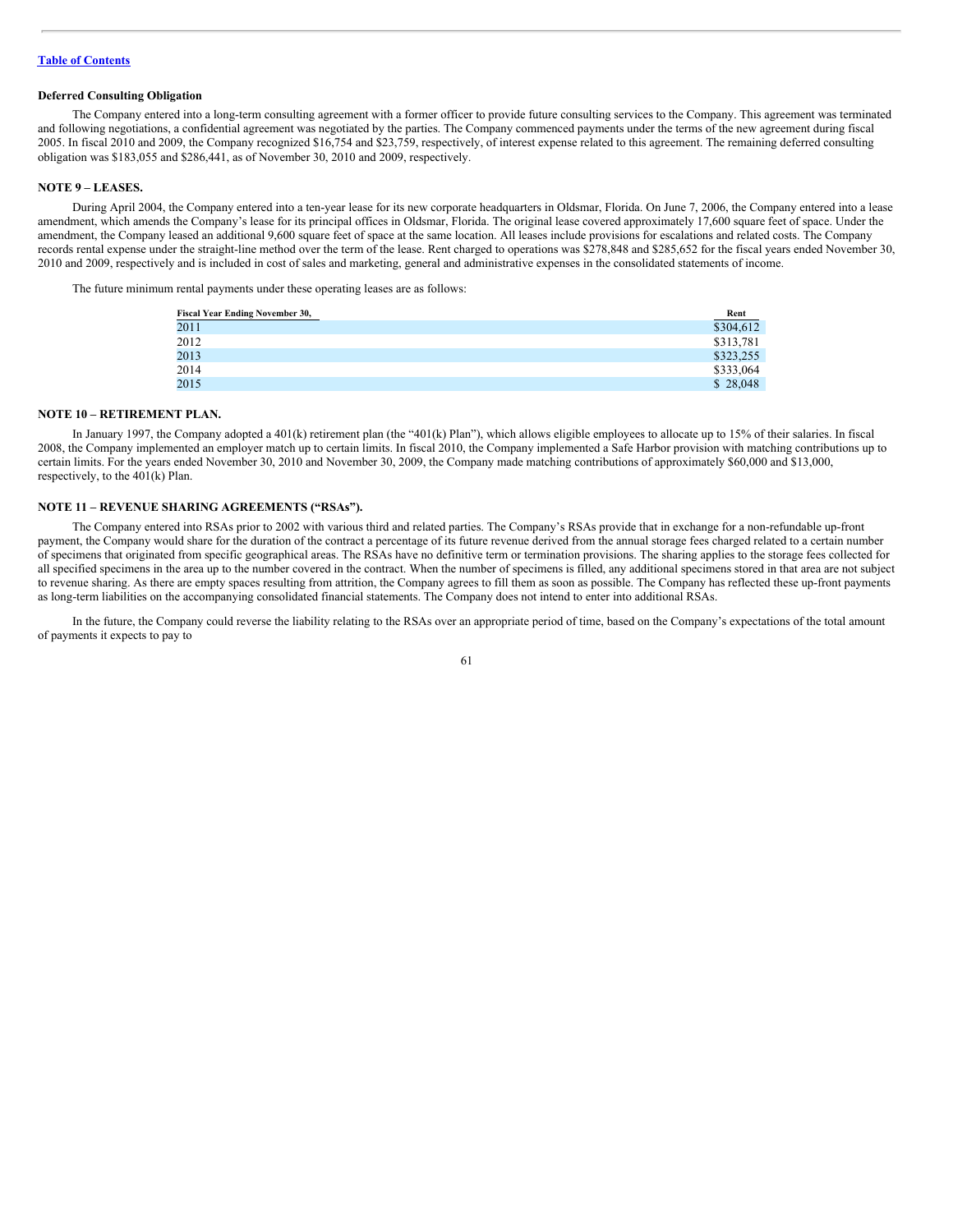## **Deferred Consulting Obligation**

The Company entered into a long-term consulting agreement with a former officer to provide future consulting services to the Company. This agreement was terminated and following negotiations, a confidential agreement was negotiated by the parties. The Company commenced payments under the terms of the new agreement during fiscal 2005. In fiscal 2010 and 2009, the Company recognized \$16,754 and \$23,759, respectively, of interest expense related to this agreement. The remaining deferred consulting obligation was \$183,055 and \$286,441, as of November 30, 2010 and 2009, respectively.

#### **NOTE 9 – LEASES.**

During April 2004, the Company entered into a ten-year lease for its new corporate headquarters in Oldsmar, Florida. On June 7, 2006, the Company entered into a lease amendment, which amends the Company's lease for its principal offices in Oldsmar, Florida. The original lease covered approximately 17,600 square feet of space. Under the amendment, the Company leased an additional 9,600 square feet of space at the same location. All leases include provisions for escalations and related costs. The Company records rental expense under the straight-line method over the term of the lease. Rent charged to operations was \$278,848 and \$285,652 for the fiscal years ended November 30, 2010 and 2009, respectively and is included in cost of sales and marketing, general and administrative expenses in the consolidated statements of income.

The future minimum rental payments under these operating leases are as follows:

| <b>Fiscal Year Ending November 30,</b> | Rent      |
|----------------------------------------|-----------|
| 2011                                   | \$304,612 |
| 2012                                   | \$313,781 |
| 2013                                   | \$323,255 |
| 2014                                   | \$333,064 |
| 2015                                   | \$28.048  |

## **NOTE 10 – RETIREMENT PLAN.**

In January 1997, the Company adopted a 401(k) retirement plan (the "401(k) Plan"), which allows eligible employees to allocate up to 15% of their salaries. In fiscal 2008, the Company implemented an employer match up to certain limits. In fiscal 2010, the Company implemented a Safe Harbor provision with matching contributions up to certain limits. For the years ended November 30, 2010 and November 30, 2009, the Company made matching contributions of approximately \$60,000 and \$13,000, respectively, to the 401(k) Plan.

# **NOTE 11 – REVENUE SHARING AGREEMENTS ("RSAs").**

The Company entered into RSAs prior to 2002 with various third and related parties. The Company's RSAs provide that in exchange for a non-refundable up-front payment, the Company would share for the duration of the contract a percentage of its future revenue derived from the annual storage fees charged related to a certain number of specimens that originated from specific geographical areas. The RSAs have no definitive term or termination provisions. The sharing applies to the storage fees collected for all specified specimens in the area up to the number covered in the contract. When the number of specimens is filled, any additional specimens stored in that area are not subject to revenue sharing. As there are empty spaces resulting from attrition, the Company agrees to fill them as soon as possible. The Company has reflected these up-front payments as long-term liabilities on the accompanying consolidated financial statements. The Company does not intend to enter into additional RSAs.

In the future, the Company could reverse the liability relating to the RSAs over an appropriate period of time, based on the Company's expectations of the total amount of payments it expects to pay to

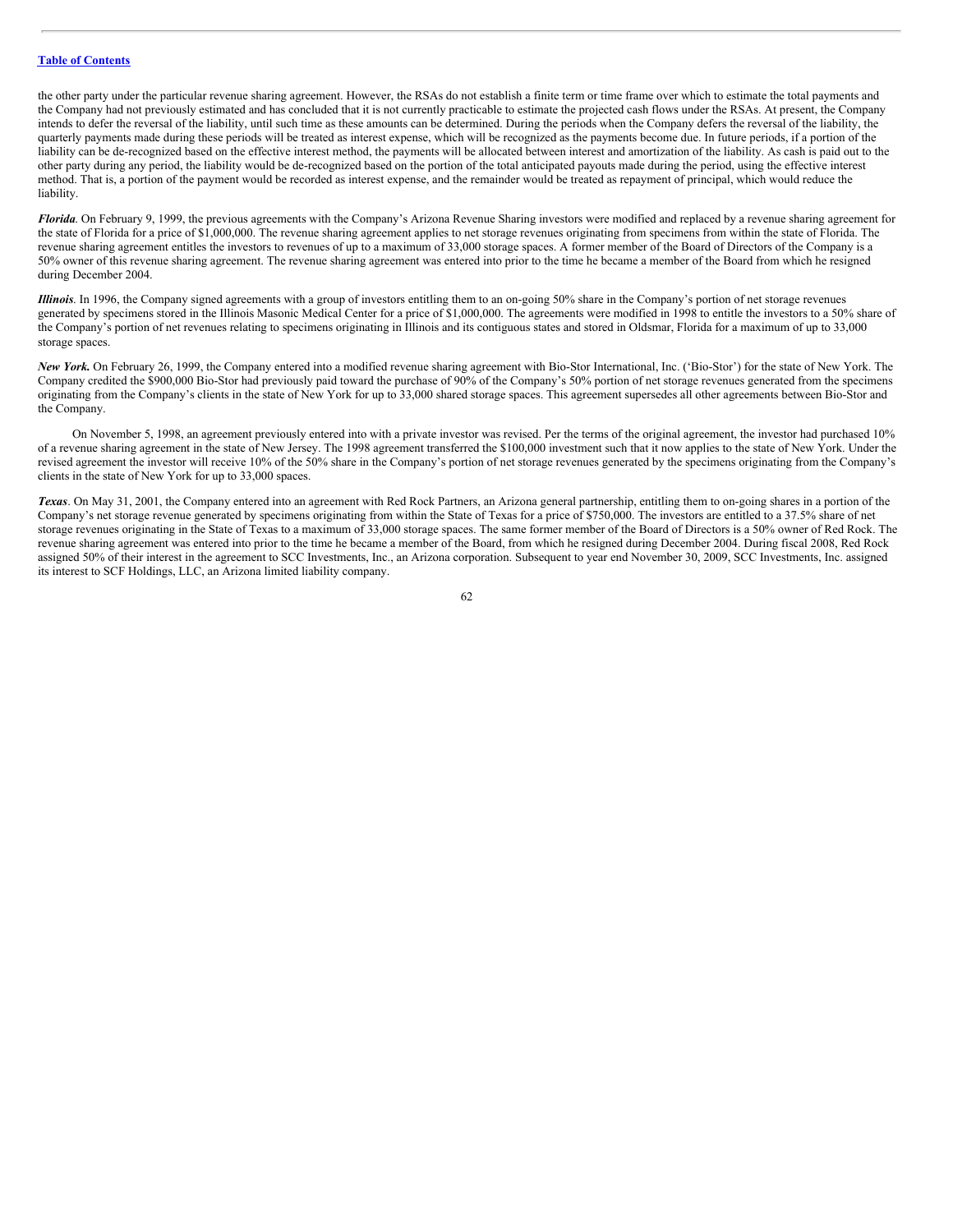the other party under the particular revenue sharing agreement. However, the RSAs do not establish a finite term or time frame over which to estimate the total payments and the Company had not previously estimated and has concluded that it is not currently practicable to estimate the projected cash flows under the RSAs. At present, the Company intends to defer the reversal of the liability, until such time as these amounts can be determined. During the periods when the Company defers the reversal of the liability, the quarterly payments made during these periods will be treated as interest expense, which will be recognized as the payments become due. In future periods, if a portion of the liability can be de-recognized based on the effective interest method, the payments will be allocated between interest and amortization of the liability. As cash is paid out to the other party during any period, the liability would be de-recognized based on the portion of the total anticipated payouts made during the period, using the effective interest method. That is, a portion of the payment would be recorded as interest expense, and the remainder would be treated as repayment of principal, which would reduce the liability.

*Florida*. On February 9, 1999, the previous agreements with the Company's Arizona Revenue Sharing investors were modified and replaced by a revenue sharing agreement for the state of Florida for a price of \$1,000,000. The revenue sharing agreement applies to net storage revenues originating from specimens from within the state of Florida. The revenue sharing agreement entitles the investors to revenues of up to a maximum of 33,000 storage spaces. A former member of the Board of Directors of the Company is a 50% owner of this revenue sharing agreement. The revenue sharing agreement was entered into prior to the time he became a member of the Board from which he resigned during December 2004.

*Illinois*. In 1996, the Company signed agreements with a group of investors entitling them to an on-going 50% share in the Company's portion of net storage revenues generated by specimens stored in the Illinois Masonic Medical Center for a price of \$1,000,000. The agreements were modified in 1998 to entitle the investors to a 50% share of the Company's portion of net revenues relating to specimens originating in Illinois and its contiguous states and stored in Oldsmar, Florida for a maximum of up to 33,000 storage spaces.

*New York.* On February 26, 1999, the Company entered into a modified revenue sharing agreement with Bio-Stor International, Inc. ('Bio-Stor') for the state of New York. The Company credited the \$900,000 Bio-Stor had previously paid toward the purchase of 90% of the Company's 50% portion of net storage revenues generated from the specimens originating from the Company's clients in the state of New York for up to 33,000 shared storage spaces. This agreement supersedes all other agreements between Bio-Stor and the Company.

On November 5, 1998, an agreement previously entered into with a private investor was revised. Per the terms of the original agreement, the investor had purchased 10% of a revenue sharing agreement in the state of New Jersey. The 1998 agreement transferred the \$100,000 investment such that it now applies to the state of New York. Under the revised agreement the investor will receive 10% of the 50% share in the Company's portion of net storage revenues generated by the specimens originating from the Company's clients in the state of New York for up to 33,000 spaces.

*Texas*. On May 31, 2001, the Company entered into an agreement with Red Rock Partners, an Arizona general partnership, entitling them to on-going shares in a portion of the Company's net storage revenue generated by specimens originating from within the State of Texas for a price of \$750,000. The investors are entitled to a 37.5% share of net storage revenues originating in the State of Texas to a maximum of 33,000 storage spaces. The same former member of the Board of Directors is a 50% owner of Red Rock. The revenue sharing agreement was entered into prior to the time he became a member of the Board, from which he resigned during December 2004. During fiscal 2008, Red Rock assigned 50% of their interest in the agreement to SCC Investments, Inc., an Arizona corporation. Subsequent to year end November 30, 2009, SCC Investments, Inc. assigned its interest to SCF Holdings, LLC, an Arizona limited liability company.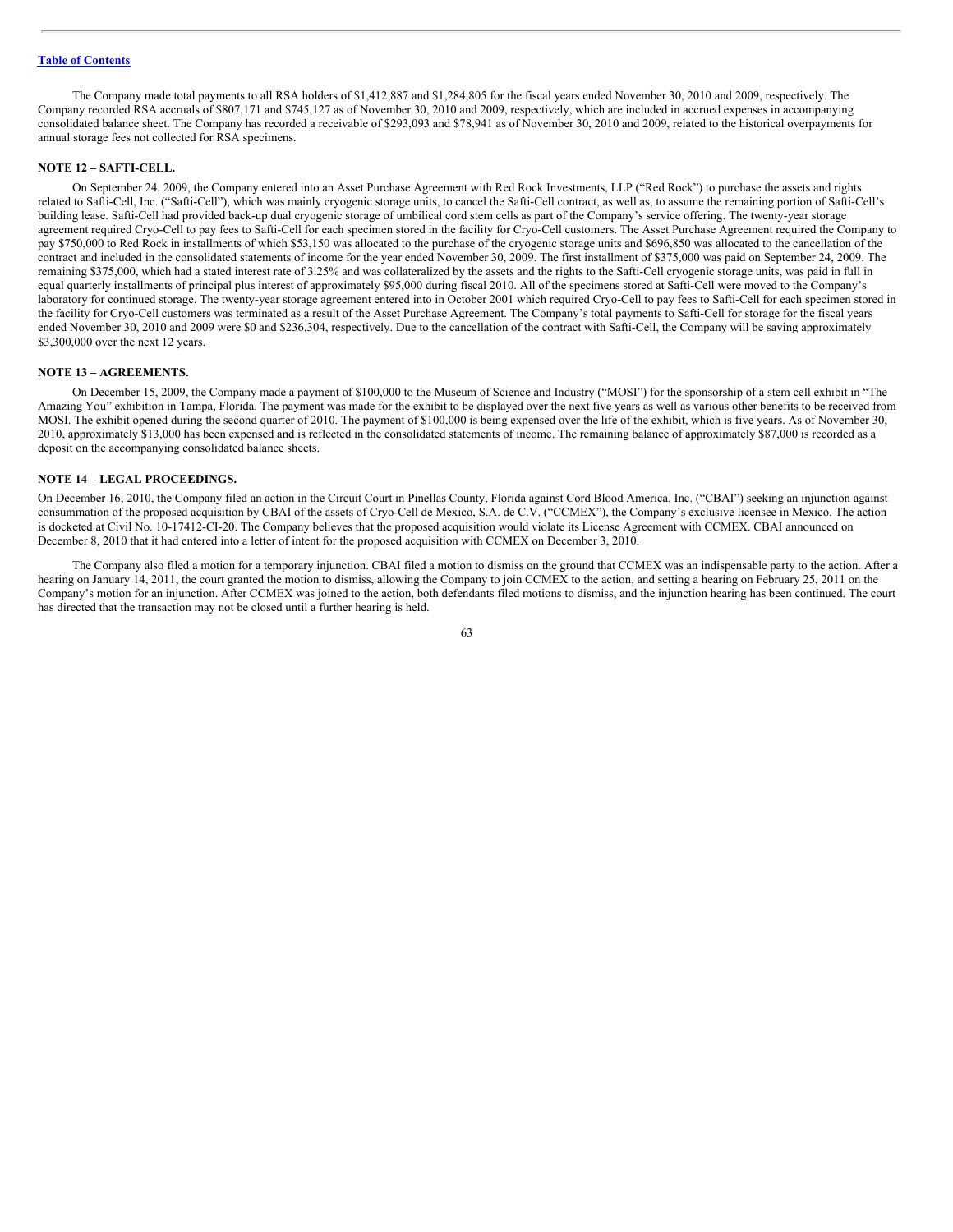The Company made total payments to all RSA holders of \$1,412,887 and \$1,284,805 for the fiscal years ended November 30, 2010 and 2009, respectively. The Company recorded RSA accruals of \$807,171 and \$745,127 as of November 30, 2010 and 2009, respectively, which are included in accrued expenses in accompanying consolidated balance sheet. The Company has recorded a receivable of \$293,093 and \$78,941 as of November 30, 2010 and 2009, related to the historical overpayments for annual storage fees not collected for RSA specimens.

## **NOTE 12 – SAFTI-CELL.**

On September 24, 2009, the Company entered into an Asset Purchase Agreement with Red Rock Investments, LLP ("Red Rock") to purchase the assets and rights related to Safti-Cell, Inc. ("Safti-Cell"), which was mainly cryogenic storage units, to cancel the Safti-Cell contract, as well as, to assume the remaining portion of Safti-Cell's building lease. Safti-Cell had provided back-up dual cryogenic storage of umbilical cord stem cells as part of the Company's service offering. The twenty-year storage agreement required Cryo-Cell to pay fees to Safti-Cell for each specimen stored in the facility for Cryo-Cell customers. The Asset Purchase Agreement required the Company to pay \$750,000 to Red Rock in installments of which \$53,150 was allocated to the purchase of the cryogenic storage units and \$696,850 was allocated to the cancellation of the contract and included in the consolidated statements of income for the year ended November 30, 2009. The first installment of \$375,000 was paid on September 24, 2009. The remaining \$375,000, which had a stated interest rate of 3.25% and was collateralized by the assets and the rights to the Safti-Cell cryogenic storage units, was paid in full in equal quarterly installments of principal plus interest of approximately \$95,000 during fiscal 2010. All of the specimens stored at Safti-Cell were moved to the Company's laboratory for continued storage. The twenty-year storage agreement entered into in October 2001 which required Cryo-Cell to pay fees to Safti-Cell for each specimen stored in the facility for Cryo-Cell customers was terminated as a result of the Asset Purchase Agreement. The Company's total payments to Safti-Cell for storage for the fiscal years ended November 30, 2010 and 2009 were \$0 and \$236,304, respectively. Due to the cancellation of the contract with Safti-Cell, the Company will be saving approximately \$3,300,000 over the next 12 years.

#### **NOTE 13 – AGREEMENTS.**

On December 15, 2009, the Company made a payment of \$100,000 to the Museum of Science and Industry ("MOSI") for the sponsorship of a stem cell exhibit in "The Amazing You" exhibition in Tampa, Florida. The payment was made for the exhibit to be displayed over the next five years as well as various other benefits to be received from MOSI. The exhibit opened during the second quarter of 2010. The payment of \$100,000 is being expensed over the life of the exhibit, which is five years. As of November 30, 2010, approximately \$13,000 has been expensed and is reflected in the consolidated statements of income. The remaining balance of approximately \$87,000 is recorded as a deposit on the accompanying consolidated balance sheets.

# **NOTE 14 – LEGAL PROCEEDINGS.**

On December 16, 2010, the Company filed an action in the Circuit Court in Pinellas County, Florida against Cord Blood America, Inc. ("CBAI") seeking an injunction against consummation of the proposed acquisition by CBAI of the assets of Cryo-Cell de Mexico, S.A. de C.V. ("CCMEX"), the Company's exclusive licensee in Mexico. The action is docketed at Civil No. 10-17412-CI-20. The Company believes that the proposed acquisition would violate its License Agreement with CCMEX. CBAI announced on December 8, 2010 that it had entered into a letter of intent for the proposed acquisition with CCMEX on December 3, 2010.

The Company also filed a motion for a temporary injunction. CBAI filed a motion to dismiss on the ground that CCMEX was an indispensable party to the action. After a hearing on January 14, 2011, the court granted the motion to dismiss, allowing the Company to join CCMEX to the action, and setting a hearing on February 25, 2011 on the Company's motion for an injunction. After CCMEX was joined to the action, both defendants filed motions to dismiss, and the injunction hearing has been continued. The court has directed that the transaction may not be closed until a further hearing is held.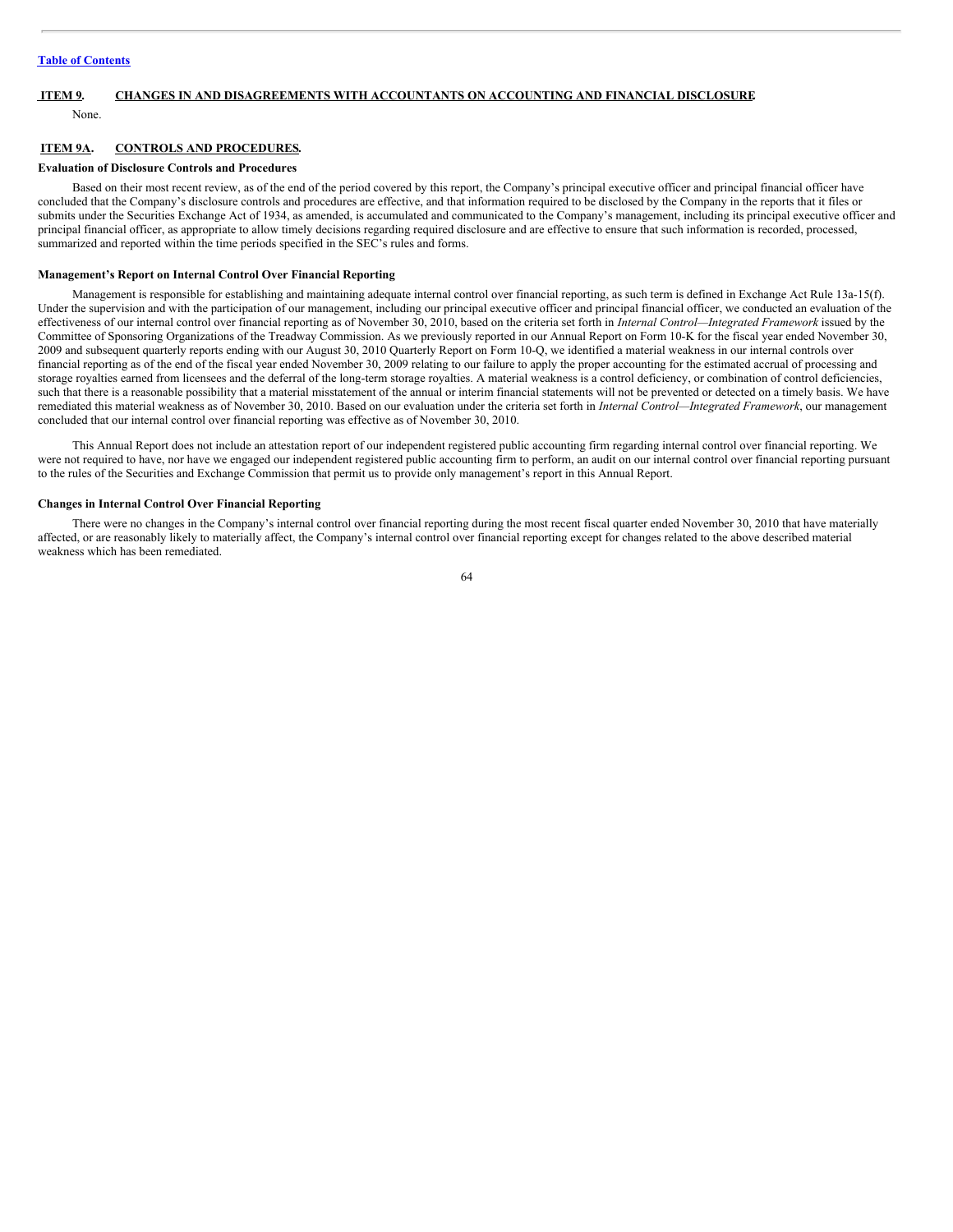# **ITEM 9. CHANGES IN AND DISAGREEMENTS WITH ACCOUNTANTS ON ACCOUNTING AND FINANCIAL DISCLOSURE.**

#### None.

# **ITEM 9A. CONTROLS AND PROCEDURES.**

# **Evaluation of Disclosure Controls and Procedures**

Based on their most recent review, as of the end of the period covered by this report, the Company's principal executive officer and principal financial officer have concluded that the Company's disclosure controls and procedures are effective, and that information required to be disclosed by the Company in the reports that it files or submits under the Securities Exchange Act of 1934, as amended, is accumulated and communicated to the Company's management, including its principal executive officer and principal financial officer, as appropriate to allow timely decisions regarding required disclosure and are effective to ensure that such information is recorded, processed, summarized and reported within the time periods specified in the SEC's rules and forms.

#### **Management's Report on Internal Control Over Financial Reporting**

Management is responsible for establishing and maintaining adequate internal control over financial reporting, as such term is defined in Exchange Act Rule 13a-15(f). Under the supervision and with the participation of our management, including our principal executive officer and principal financial officer, we conducted an evaluation of the effectiveness of our internal control over financial reporting as of November 30, 2010, based on the criteria set forth in *Internal Control—Integrated Framework* issued by the Committee of Sponsoring Organizations of the Treadway Commission. As we previously reported in our Annual Report on Form 10-K for the fiscal year ended November 30, 2009 and subsequent quarterly reports ending with our August 30, 2010 Quarterly Report on Form 10-Q, we identified a material weakness in our internal controls over financial reporting as of the end of the fiscal year ended November 30, 2009 relating to our failure to apply the proper accounting for the estimated accrual of processing and storage royalties earned from licensees and the deferral of the long-term storage royalties. A material weakness is a control deficiency, or combination of control deficiencies, such that there is a reasonable possibility that a material misstatement of the annual or interim financial statements will not be prevented or detected on a timely basis. We have remediated this material weakness as of November 30, 2010. Based on our evaluation under the criteria set forth in *Internal Control—Integrated Framework*, our management concluded that our internal control over financial reporting was effective as of November 30, 2010.

This Annual Report does not include an attestation report of our independent registered public accounting firm regarding internal control over financial reporting. We were not required to have, nor have we engaged our independent registered public accounting firm to perform, an audit on our internal control over financial reporting pursuant to the rules of the Securities and Exchange Commission that permit us to provide only management's report in this Annual Report.

# **Changes in Internal Control Over Financial Reporting**

There were no changes in the Company's internal control over financial reporting during the most recent fiscal quarter ended November 30, 2010 that have materially affected, or are reasonably likely to materially affect, the Company's internal control over financial reporting except for changes related to the above described material weakness which has been remediated.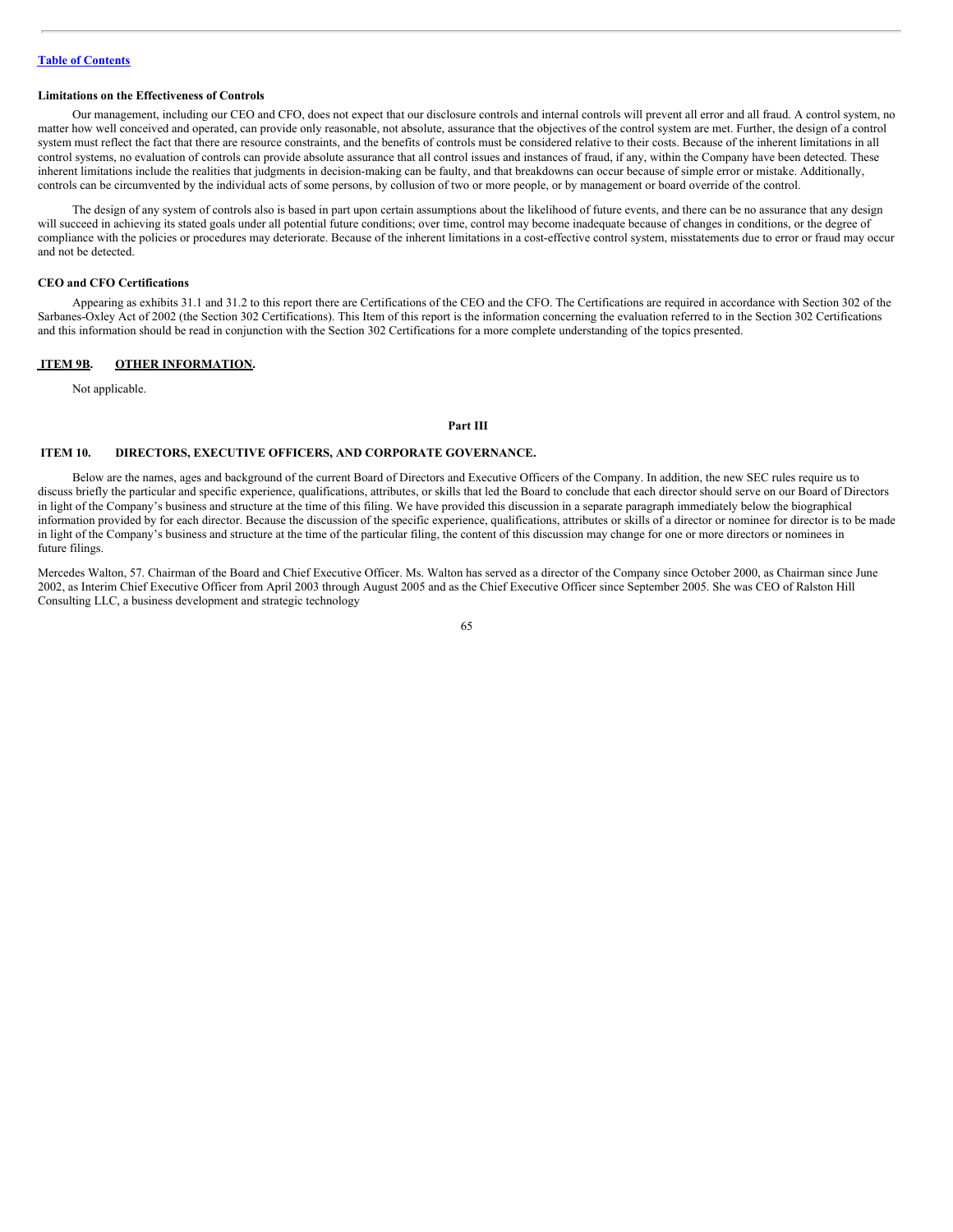## **Limitations on the Effectiveness of Controls**

Our management, including our CEO and CFO, does not expect that our disclosure controls and internal controls will prevent all error and all fraud. A control system, no matter how well conceived and operated, can provide only reasonable, not absolute, assurance that the objectives of the control system are met. Further, the design of a control system must reflect the fact that there are resource constraints, and the benefits of controls must be considered relative to their costs. Because of the inherent limitations in all control systems, no evaluation of controls can provide absolute assurance that all control issues and instances of fraud, if any, within the Company have been detected. These inherent limitations include the realities that judgments in decision-making can be faulty, and that breakdowns can occur because of simple error or mistake. Additionally, controls can be circumvented by the individual acts of some persons, by collusion of two or more people, or by management or board override of the control.

The design of any system of controls also is based in part upon certain assumptions about the likelihood of future events, and there can be no assurance that any design will succeed in achieving its stated goals under all potential future conditions; over time, control may become inadequate because of changes in conditions, or the degree of compliance with the policies or procedures may deteriorate. Because of the inherent limitations in a cost-effective control system, misstatements due to error or fraud may occur and not be detected.

#### **CEO and CFO Certifications**

Appearing as exhibits 31.1 and 31.2 to this report there are Certifications of the CEO and the CFO. The Certifications are required in accordance with Section 302 of the Sarbanes-Oxley Act of 2002 (the Section 302 Certifications). This Item of this report is the information concerning the evaluation referred to in the Section 302 Certifications and this information should be read in conjunction with the Section 302 Certifications for a more complete understanding of the topics presented.

#### **ITEM 9B. OTHER INFORMATION.**

Not applicable.

#### **Part III**

# **ITEM 10. DIRECTORS, EXECUTIVE OFFICERS, AND CORPORATE GOVERNANCE.**

Below are the names, ages and background of the current Board of Directors and Executive Officers of the Company. In addition, the new SEC rules require us to discuss briefly the particular and specific experience, qualifications, attributes, or skills that led the Board to conclude that each director should serve on our Board of Directors in light of the Company's business and structure at the time of this filing. We have provided this discussion in a separate paragraph immediately below the biographical information provided by for each director. Because the discussion of the specific experience, qualifications, attributes or skills of a director or nominee for director is to be made in light of the Company's business and structure at the time of the particular filing, the content of this discussion may change for one or more directors or nominees in future filings.

Mercedes Walton, 57. Chairman of the Board and Chief Executive Officer. Ms. Walton has served as a director of the Company since October 2000, as Chairman since June 2002, as Interim Chief Executive Officer from April 2003 through August 2005 and as the Chief Executive Officer since September 2005. She was CEO of Ralston Hill Consulting LLC, a business development and strategic technology

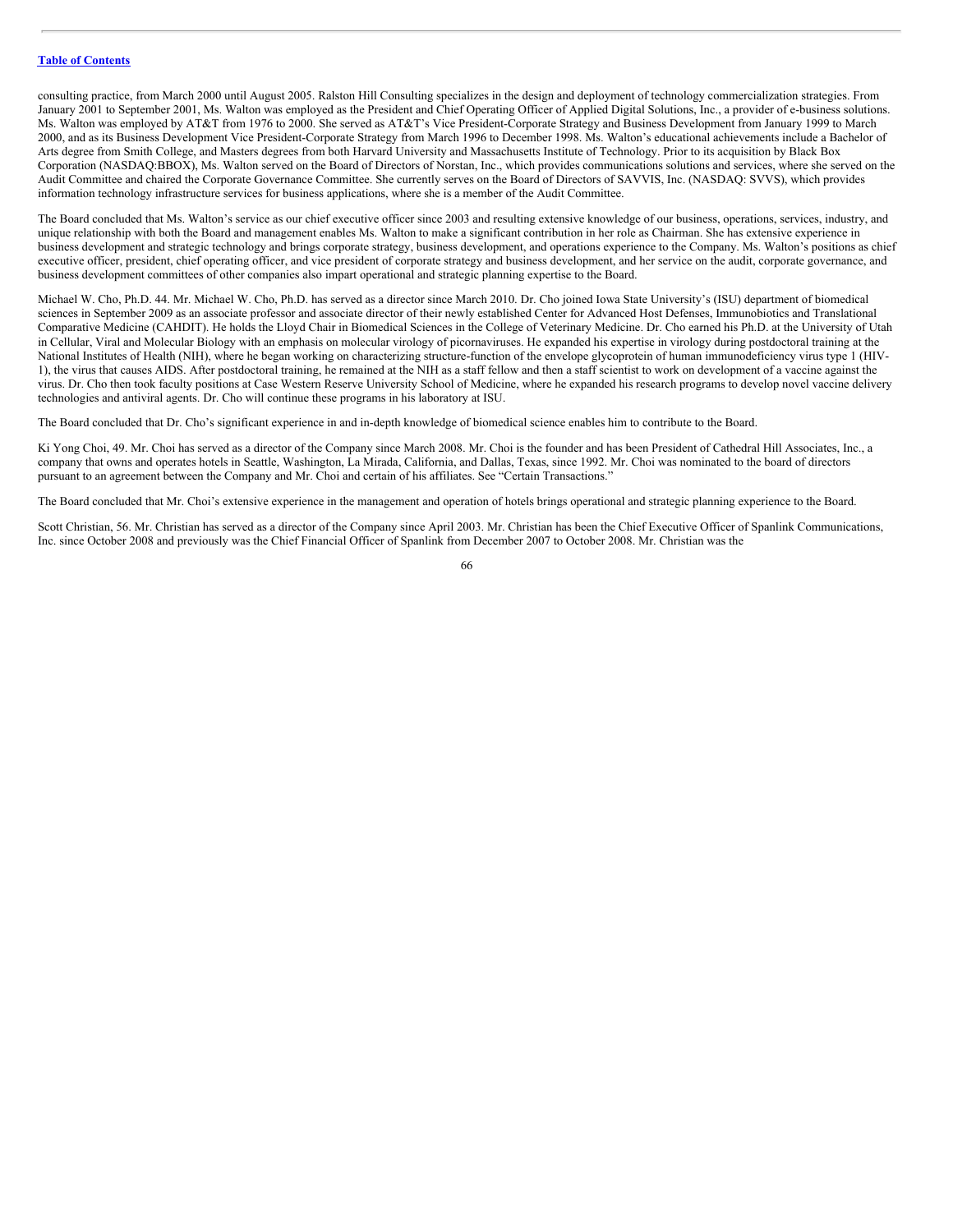consulting practice, from March 2000 until August 2005. Ralston Hill Consulting specializes in the design and deployment of technology commercialization strategies. From January 2001 to September 2001, Ms. Walton was employed as the President and Chief Operating Officer of Applied Digital Solutions, Inc., a provider of e-business solutions. Ms. Walton was employed by AT&T from 1976 to 2000. She served as AT&T's Vice President-Corporate Strategy and Business Development from January 1999 to March 2000, and as its Business Development Vice President-Corporate Strategy from March 1996 to December 1998. Ms. Walton's educational achievements include a Bachelor of Arts degree from Smith College, and Masters degrees from both Harvard University and Massachusetts Institute of Technology. Prior to its acquisition by Black Box Corporation (NASDAQ:BBOX), Ms. Walton served on the Board of Directors of Norstan, Inc., which provides communications solutions and services, where she served on the Audit Committee and chaired the Corporate Governance Committee. She currently serves on the Board of Directors of SAVVIS, Inc. (NASDAQ: SVVS), which provides information technology infrastructure services for business applications, where she is a member of the Audit Committee.

The Board concluded that Ms. Walton's service as our chief executive officer since 2003 and resulting extensive knowledge of our business, operations, services, industry, and unique relationship with both the Board and management enables Ms. Walton to make a significant contribution in her role as Chairman. She has extensive experience in business development and strategic technology and brings corporate strategy, business development, and operations experience to the Company. Ms. Walton's positions as chief executive officer, president, chief operating officer, and vice president of corporate strategy and business development, and her service on the audit, corporate governance, and business development committees of other companies also impart operational and strategic planning expertise to the Board.

Michael W. Cho, Ph.D. 44. Mr. Michael W. Cho, Ph.D. has served as a director since March 2010. Dr. Cho joined Iowa State University's (ISU) department of biomedical sciences in September 2009 as an associate professor and associate director of their newly established Center for Advanced Host Defenses, Immunobiotics and Translational Comparative Medicine (CAHDIT). He holds the Lloyd Chair in Biomedical Sciences in the College of Veterinary Medicine. Dr. Cho earned his Ph.D. at the University of Utah in Cellular, Viral and Molecular Biology with an emphasis on molecular virology of picornaviruses. He expanded his expertise in virology during postdoctoral training at the National Institutes of Health (NIH), where he began working on characterizing structure-function of the envelope glycoprotein of human immunodeficiency virus type 1 (HIV-1), the virus that causes AIDS. After postdoctoral training, he remained at the NIH as a staff fellow and then a staff scientist to work on development of a vaccine against the virus. Dr. Cho then took faculty positions at Case Western Reserve University School of Medicine, where he expanded his research programs to develop novel vaccine delivery technologies and antiviral agents. Dr. Cho will continue these programs in his laboratory at ISU.

The Board concluded that Dr. Cho's significant experience in and in-depth knowledge of biomedical science enables him to contribute to the Board.

Ki Yong Choi, 49. Mr. Choi has served as a director of the Company since March 2008. Mr. Choi is the founder and has been President of Cathedral Hill Associates, Inc., a company that owns and operates hotels in Seattle, Washington, La Mirada, California, and Dallas, Texas, since 1992. Mr. Choi was nominated to the board of directors pursuant to an agreement between the Company and Mr. Choi and certain of his affiliates. See "Certain Transactions."

The Board concluded that Mr. Choi's extensive experience in the management and operation of hotels brings operational and strategic planning experience to the Board.

Scott Christian, 56. Mr. Christian has served as a director of the Company since April 2003. Mr. Christian has been the Chief Executive Officer of Spanlink Communications, Inc. since October 2008 and previously was the Chief Financial Officer of Spanlink from December 2007 to October 2008. Mr. Christian was the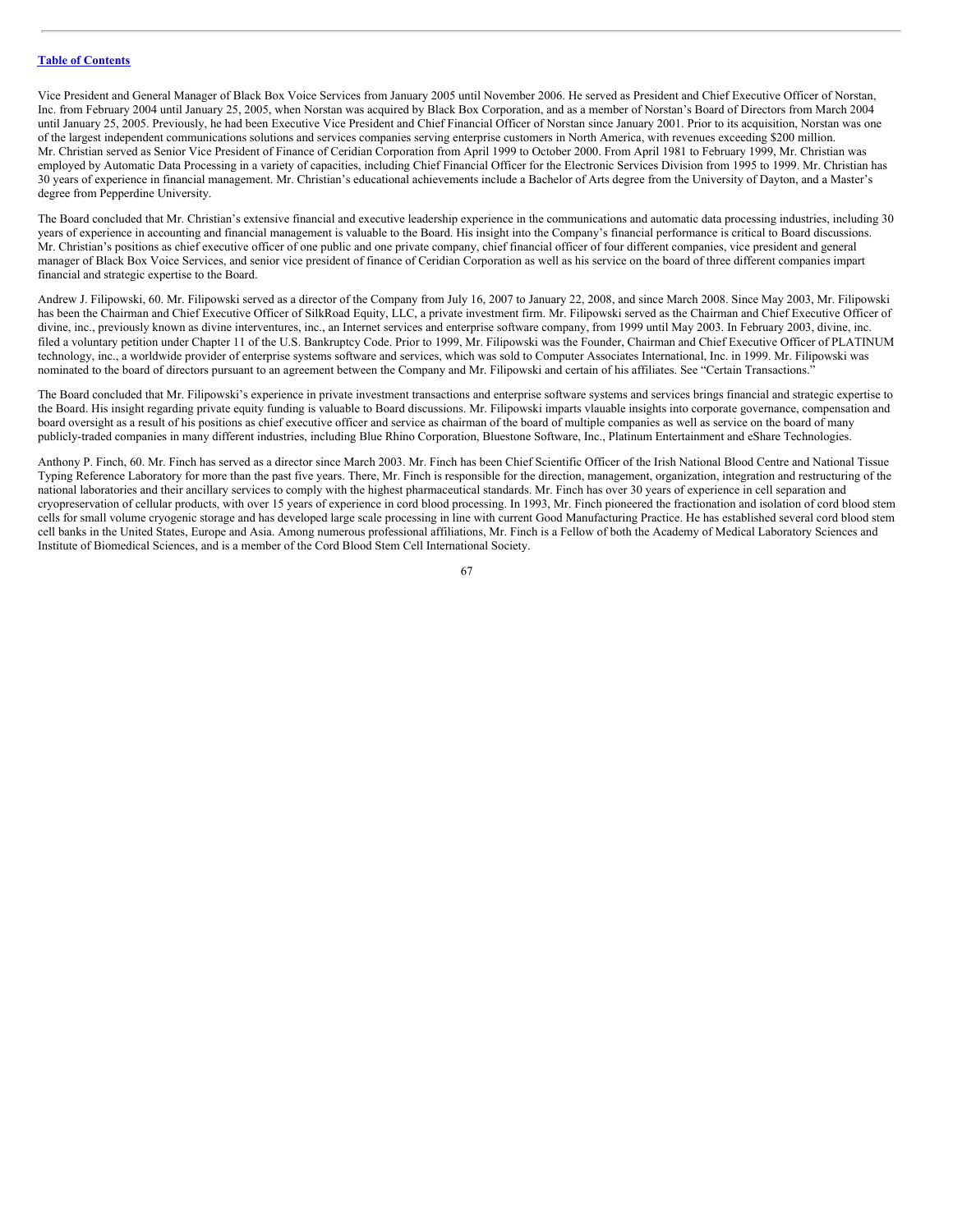Vice President and General Manager of Black Box Voice Services from January 2005 until November 2006. He served as President and Chief Executive Officer of Norstan, Inc. from February 2004 until January 25, 2005, when Norstan was acquired by Black Box Corporation, and as a member of Norstan's Board of Directors from March 2004 until January 25, 2005. Previously, he had been Executive Vice President and Chief Financial Officer of Norstan since January 2001. Prior to its acquisition, Norstan was one of the largest independent communications solutions and services companies serving enterprise customers in North America, with revenues exceeding \$200 million. Mr. Christian served as Senior Vice President of Finance of Ceridian Corporation from April 1999 to October 2000. From April 1981 to February 1999, Mr. Christian was employed by Automatic Data Processing in a variety of capacities, including Chief Financial Officer for the Electronic Services Division from 1995 to 1999. Mr. Christian has 30 years of experience in financial management. Mr. Christian's educational achievements include a Bachelor of Arts degree from the University of Dayton, and a Master's degree from Pepperdine University.

The Board concluded that Mr. Christian's extensive financial and executive leadership experience in the communications and automatic data processing industries, including 30 years of experience in accounting and financial management is valuable to the Board. His insight into the Company's financial performance is critical to Board discussions. Mr. Christian's positions as chief executive officer of one public and one private company, chief financial officer of four different companies, vice president and general manager of Black Box Voice Services, and senior vice president of finance of Ceridian Corporation as well as his service on the board of three different companies impart financial and strategic expertise to the Board.

Andrew J. Filipowski, 60. Mr. Filipowski served as a director of the Company from July 16, 2007 to January 22, 2008, and since March 2008. Since May 2003, Mr. Filipowski has been the Chairman and Chief Executive Officer of SilkRoad Equity, LLC, a private investment firm. Mr. Filipowski served as the Chairman and Chief Executive Officer of divine, inc., previously known as divine interventures, inc., an Internet services and enterprise software company, from 1999 until May 2003. In February 2003, divine, inc. filed a voluntary petition under Chapter 11 of the U.S. Bankruptcy Code. Prior to 1999, Mr. Filipowski was the Founder, Chairman and Chief Executive Officer of PLATINUM technology, inc., a worldwide provider of enterprise systems software and services, which was sold to Computer Associates International, Inc. in 1999. Mr. Filipowski was nominated to the board of directors pursuant to an agreement between the Company and Mr. Filipowski and certain of his affiliates. See "Certain Transactions."

The Board concluded that Mr. Filipowski's experience in private investment transactions and enterprise software systems and services brings financial and strategic expertise to the Board. His insight regarding private equity funding is valuable to Board discussions. Mr. Filipowski imparts vlauable insights into corporate governance, compensation and board oversight as a result of his positions as chief executive officer and service as chairman of the board of multiple companies as well as service on the board of many publicly-traded companies in many different industries, including Blue Rhino Corporation, Bluestone Software, Inc., Platinum Entertainment and eShare Technologies.

Anthony P. Finch, 60. Mr. Finch has served as a director since March 2003. Mr. Finch has been Chief Scientific Officer of the Irish National Blood Centre and National Tissue Typing Reference Laboratory for more than the past five years. There, Mr. Finch is responsible for the direction, management, organization, integration and restructuring of the national laboratories and their ancillary services to comply with the highest pharmaceutical standards. Mr. Finch has over 30 years of experience in cell separation and cryopreservation of cellular products, with over 15 years of experience in cord blood processing. In 1993, Mr. Finch pioneered the fractionation and isolation of cord blood stem cells for small volume cryogenic storage and has developed large scale processing in line with current Good Manufacturing Practice. He has established several cord blood stem cell banks in the United States, Europe and Asia. Among numerous professional affiliations, Mr. Finch is a Fellow of both the Academy of Medical Laboratory Sciences and Institute of Biomedical Sciences, and is a member of the Cord Blood Stem Cell International Society.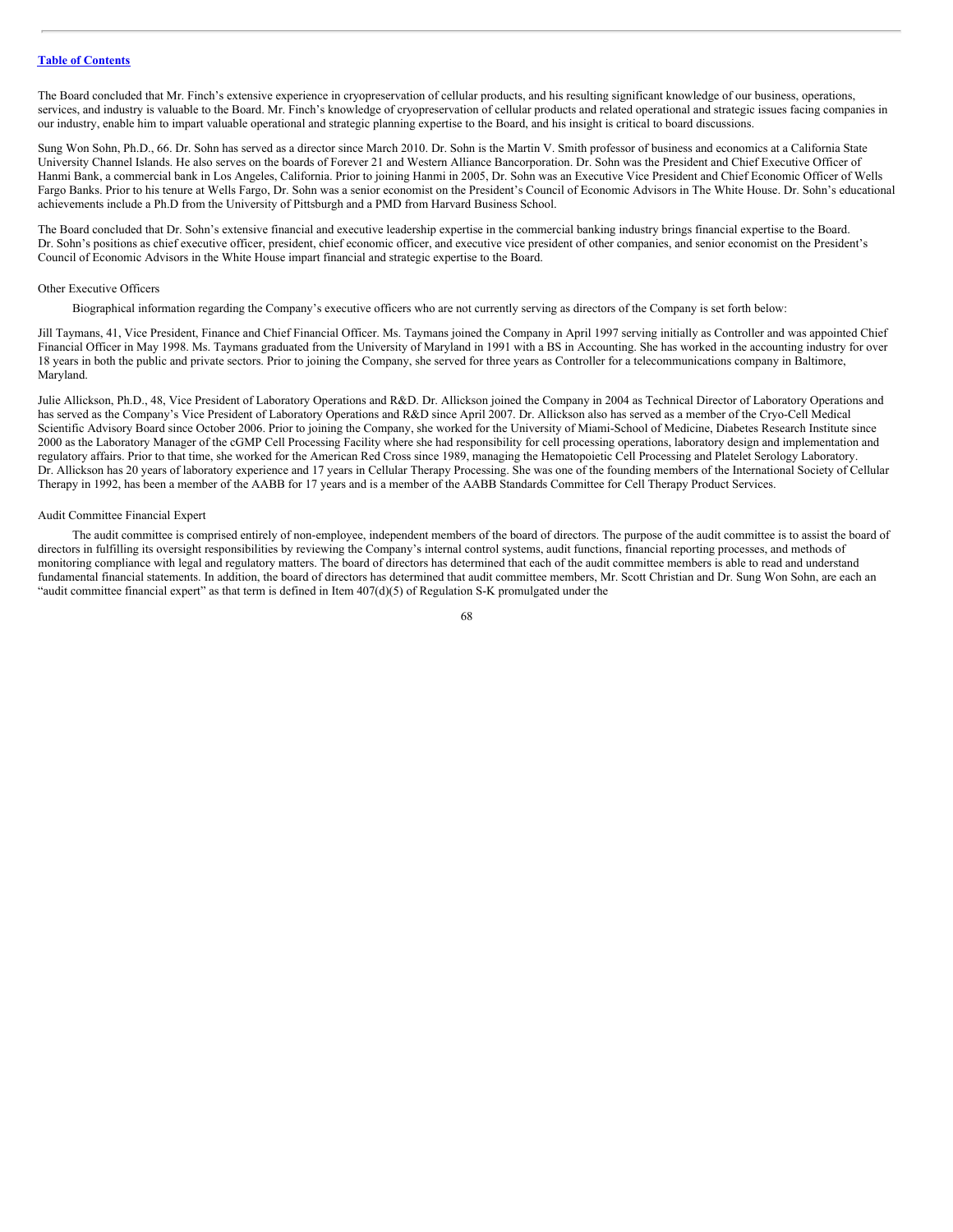The Board concluded that Mr. Finch's extensive experience in cryopreservation of cellular products, and his resulting significant knowledge of our business, operations, services, and industry is valuable to the Board. Mr. Finch's knowledge of cryopreservation of cellular products and related operational and strategic issues facing companies in our industry, enable him to impart valuable operational and strategic planning expertise to the Board, and his insight is critical to board discussions.

Sung Won Sohn, Ph.D., 66. Dr. Sohn has served as a director since March 2010. Dr. Sohn is the Martin V. Smith professor of business and economics at a California State University Channel Islands. He also serves on the boards of Forever 21 and Western Alliance Bancorporation. Dr. Sohn was the President and Chief Executive Officer of Hanmi Bank, a commercial bank in Los Angeles, California. Prior to joining Hanmi in 2005, Dr. Sohn was an Executive Vice President and Chief Economic Officer of Wells Fargo Banks. Prior to his tenure at Wells Fargo, Dr. Sohn was a senior economist on the President's Council of Economic Advisors in The White House. Dr. Sohn's educational achievements include a Ph.D from the University of Pittsburgh and a PMD from Harvard Business School.

The Board concluded that Dr. Sohn's extensive financial and executive leadership expertise in the commercial banking industry brings financial expertise to the Board. Dr. Sohn's positions as chief executive officer, president, chief economic officer, and executive vice president of other companies, and senior economist on the President's Council of Economic Advisors in the White House impart financial and strategic expertise to the Board.

#### Other Executive Officers

Biographical information regarding the Company's executive officers who are not currently serving as directors of the Company is set forth below:

Jill Taymans, 41, Vice President, Finance and Chief Financial Officer. Ms. Taymans joined the Company in April 1997 serving initially as Controller and was appointed Chief Financial Officer in May 1998. Ms. Taymans graduated from the University of Maryland in 1991 with a BS in Accounting. She has worked in the accounting industry for over 18 years in both the public and private sectors. Prior to joining the Company, she served for three years as Controller for a telecommunications company in Baltimore, Maryland.

Julie Allickson, Ph.D., 48, Vice President of Laboratory Operations and R&D. Dr. Allickson joined the Company in 2004 as Technical Director of Laboratory Operations and has served as the Company's Vice President of Laboratory Operations and R&D since April 2007. Dr. Allickson also has served as a member of the Cryo-Cell Medical Scientific Advisory Board since October 2006. Prior to joining the Company, she worked for the University of Miami-School of Medicine, Diabetes Research Institute since 2000 as the Laboratory Manager of the cGMP Cell Processing Facility where she had responsibility for cell processing operations, laboratory design and implementation and regulatory affairs. Prior to that time, she worked for the American Red Cross since 1989, managing the Hematopoietic Cell Processing and Platelet Serology Laboratory. Dr. Allickson has 20 years of laboratory experience and 17 years in Cellular Therapy Processing. She was one of the founding members of the International Society of Cellular Therapy in 1992, has been a member of the AABB for 17 years and is a member of the AABB Standards Committee for Cell Therapy Product Services.

#### Audit Committee Financial Expert

The audit committee is comprised entirely of non-employee, independent members of the board of directors. The purpose of the audit committee is to assist the board of directors in fulfilling its oversight responsibilities by reviewing the Company's internal control systems, audit functions, financial reporting processes, and methods of monitoring compliance with legal and regulatory matters. The board of directors has determined that each of the audit committee members is able to read and understand fundamental financial statements. In addition, the board of directors has determined that audit committee members, Mr. Scott Christian and Dr. Sung Won Sohn, are each an "audit committee financial expert" as that term is defined in Item 407(d)(5) of Regulation S-K promulgated under the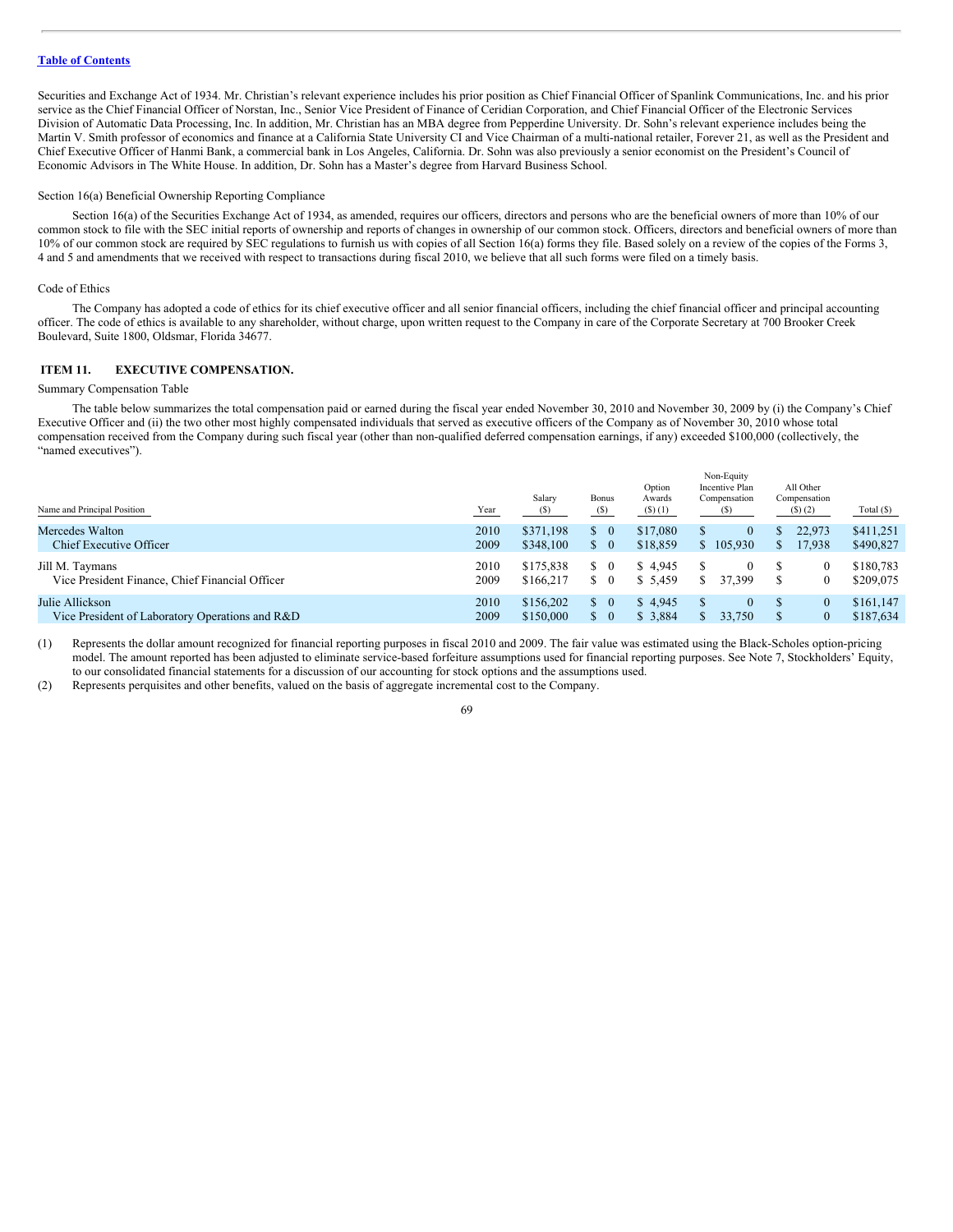Securities and Exchange Act of 1934. Mr. Christian's relevant experience includes his prior position as Chief Financial Officer of Spanlink Communications, Inc. and his prior service as the Chief Financial Officer of Norstan, Inc., Senior Vice President of Finance of Ceridian Corporation, and Chief Financial Officer of the Electronic Services Division of Automatic Data Processing, Inc. In addition, Mr. Christian has an MBA degree from Pepperdine University. Dr. Sohn's relevant experience includes being the Martin V. Smith professor of economics and finance at a California State University CI and Vice Chairman of a multi-national retailer, Forever 21, as well as the President and Chief Executive Officer of Hanmi Bank, a commercial bank in Los Angeles, California. Dr. Sohn was also previously a senior economist on the President's Council of Economic Advisors in The White House. In addition, Dr. Sohn has a Master's degree from Harvard Business School.

## Section 16(a) Beneficial Ownership Reporting Compliance

Section 16(a) of the Securities Exchange Act of 1934, as amended, requires our officers, directors and persons who are the beneficial owners of more than 10% of our common stock to file with the SEC initial reports of ownership and reports of changes in ownership of our common stock. Officers, directors and beneficial owners of more than 10% of our common stock are required by SEC regulations to furnish us with copies of all Section 16(a) forms they file. Based solely on a review of the copies of the Forms 3, 4 and 5 and amendments that we received with respect to transactions during fiscal 2010, we believe that all such forms were filed on a timely basis.

## Code of Ethics

The Company has adopted a code of ethics for its chief executive officer and all senior financial officers, including the chief financial officer and principal accounting officer. The code of ethics is available to any shareholder, without charge, upon written request to the Company in care of the Corporate Secretary at 700 Brooker Creek Boulevard, Suite 1800, Oldsmar, Florida 34677.

## **ITEM 11. EXECUTIVE COMPENSATION.**

#### Summary Compensation Table

The table below summarizes the total compensation paid or earned during the fiscal year ended November 30, 2010 and November 30, 2009 by (i) the Company's Chief Executive Officer and (ii) the two other most highly compensated individuals that served as executive officers of the Company as of November 30, 2010 whose total compensation received from the Company during such fiscal year (other than non-qualified deferred compensation earnings, if any) exceeded \$100,000 (collectively, the "named executives").

| Name and Principal Position                                        | Year         | Salary<br>(S)          | <b>Bonus</b><br>(S)                             | Option<br>Awards<br>$($ \$ $)(1)$ | Non-Equity<br>Incentive Plan<br>Compensation<br>(S) | All Other<br>Compensation<br>$($ S $)$ $(2)$                 | Total (\$)             |
|--------------------------------------------------------------------|--------------|------------------------|-------------------------------------------------|-----------------------------------|-----------------------------------------------------|--------------------------------------------------------------|------------------------|
| Mercedes Walton<br>Chief Executive Officer                         | 2010<br>2009 | \$371,198<br>\$348,100 | $\mathbf{s}$<br>$\overline{0}$<br>$\frac{1}{2}$ | \$17,080<br>\$18,859              | 105,930<br>S                                        | 22.973<br>17.938<br>S.                                       | \$411,251<br>\$490,827 |
| Jill M. Taymans<br>Vice President Finance, Chief Financial Officer | 2010<br>2009 | \$175,838<br>\$166,217 | $\Omega$<br>S.<br>$\overline{0}$                | \$4.945<br>\$ 5.459               | $\theta$<br>37,399                                  | S<br>0<br>S.<br>$\mathbf{0}$                                 | \$180,783<br>\$209,075 |
| Julie Allickson<br>Vice President of Laboratory Operations and R&D | 2010<br>2009 | \$156,202<br>\$150,000 | $\frac{1}{2}$<br>$\mathbb{S}$<br>- 0            | \$4.945<br>\$3,884                | $\theta$<br>33,750                                  | $\mathbf{0}$<br><sup>S</sup><br>$\mathbf{0}$<br><sup>S</sup> | \$161,147<br>\$187,634 |

(1) Represents the dollar amount recognized for financial reporting purposes in fiscal 2010 and 2009. The fair value was estimated using the Black-Scholes option-pricing model. The amount reported has been adjusted to eliminate service-based forfeiture assumptions used for financial reporting purposes. See Note 7, Stockholders' Equity, to our consolidated financial statements for a discussion of our accounting for stock options and the assumptions used.

(2) Represents perquisites and other benefits, valued on the basis of aggregate incremental cost to the Company.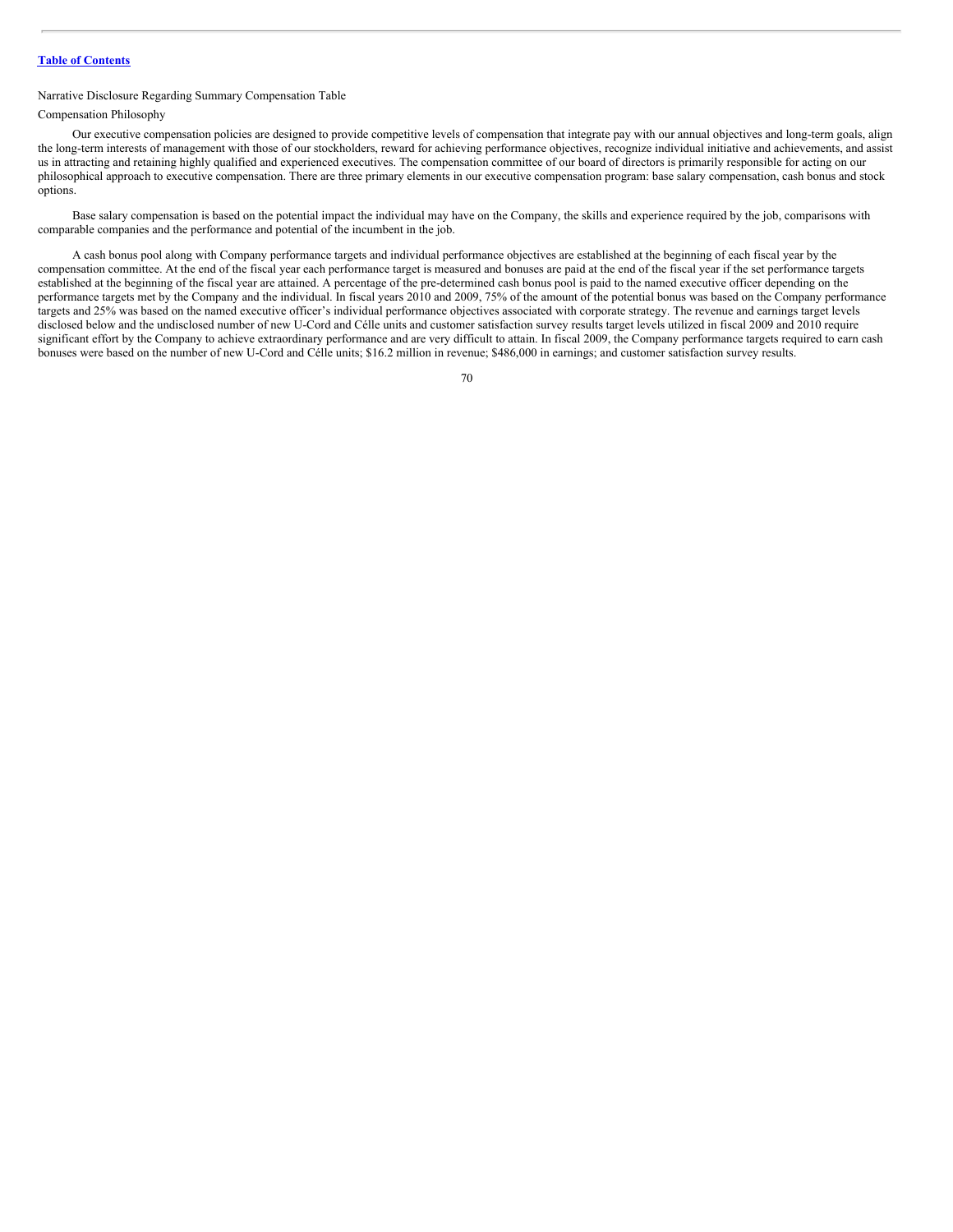# Narrative Disclosure Regarding Summary Compensation Table

## Compensation Philosophy

Our executive compensation policies are designed to provide competitive levels of compensation that integrate pay with our annual objectives and long-term goals, align the long-term interests of management with those of our stockholders, reward for achieving performance objectives, recognize individual initiative and achievements, and assist us in attracting and retaining highly qualified and experienced executives. The compensation committee of our board of directors is primarily responsible for acting on our philosophical approach to executive compensation. There are three primary elements in our executive compensation program: base salary compensation, cash bonus and stock options.

Base salary compensation is based on the potential impact the individual may have on the Company, the skills and experience required by the job, comparisons with comparable companies and the performance and potential of the incumbent in the job.

A cash bonus pool along with Company performance targets and individual performance objectives are established at the beginning of each fiscal year by the compensation committee. At the end of the fiscal year each performance target is measured and bonuses are paid at the end of the fiscal year if the set performance targets established at the beginning of the fiscal year are attained. A percentage of the pre-determined cash bonus pool is paid to the named executive officer depending on the performance targets met by the Company and the individual. In fiscal years 2010 and 2009, 75% of the amount of the potential bonus was based on the Company performance targets and 25% was based on the named executive officer's individual performance objectives associated with corporate strategy. The revenue and earnings target levels disclosed below and the undisclosed number of new U-Cord and Célle units and customer satisfaction survey results target levels utilized in fiscal 2009 and 2010 require significant effort by the Company to achieve extraordinary performance and are very difficult to attain. In fiscal 2009, the Company performance targets required to earn cash bonuses were based on the number of new U-Cord and Célle units; \$16.2 million in revenue; \$486,000 in earnings; and customer satisfaction survey results.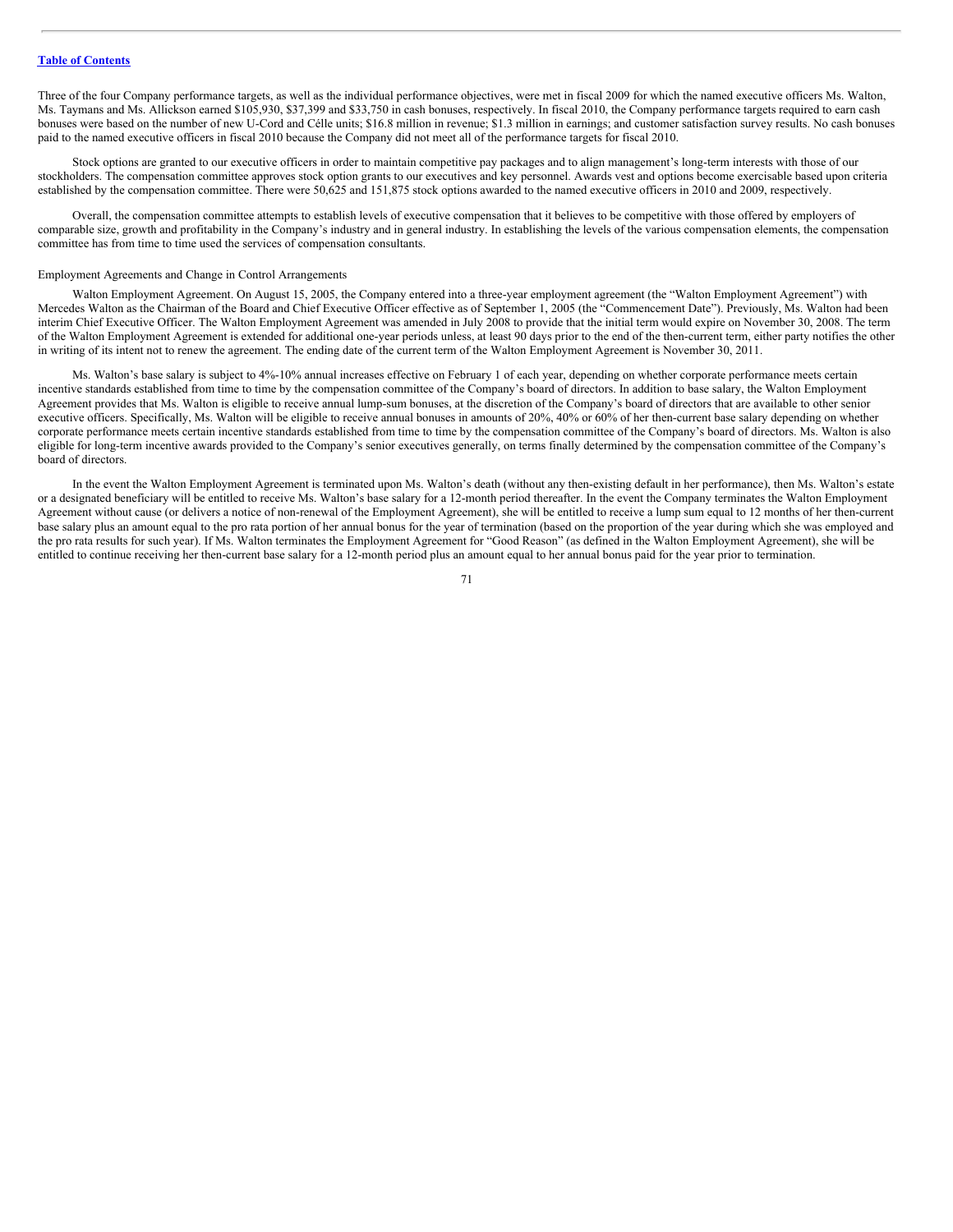Three of the four Company performance targets, as well as the individual performance objectives, were met in fiscal 2009 for which the named executive officers Ms. Walton, Ms. Taymans and Ms. Allickson earned \$105,930, \$37,399 and \$33,750 in cash bonuses, respectively. In fiscal 2010, the Company performance targets required to earn cash bonuses were based on the number of new U-Cord and Célle units; \$16.8 million in revenue; \$1.3 million in earnings; and customer satisfaction survey results. No cash bonuses paid to the named executive officers in fiscal 2010 because the Company did not meet all of the performance targets for fiscal 2010.

Stock options are granted to our executive officers in order to maintain competitive pay packages and to align management's long-term interests with those of our stockholders. The compensation committee approves stock option grants to our executives and key personnel. Awards vest and options become exercisable based upon criteria established by the compensation committee. There were 50,625 and 151,875 stock options awarded to the named executive officers in 2010 and 2009, respectively.

Overall, the compensation committee attempts to establish levels of executive compensation that it believes to be competitive with those offered by employers of comparable size, growth and profitability in the Company's industry and in general industry. In establishing the levels of the various compensation elements, the compensation committee has from time to time used the services of compensation consultants.

#### Employment Agreements and Change in Control Arrangements

Walton Employment Agreement. On August 15, 2005, the Company entered into a three-year employment agreement (the "Walton Employment Agreement") with Mercedes Walton as the Chairman of the Board and Chief Executive Officer effective as of September 1, 2005 (the "Commencement Date"). Previously, Ms. Walton had been interim Chief Executive Officer. The Walton Employment Agreement was amended in July 2008 to provide that the initial term would expire on November 30, 2008. The term of the Walton Employment Agreement is extended for additional one-year periods unless, at least 90 days prior to the end of the then-current term, either party notifies the other in writing of its intent not to renew the agreement. The ending date of the current term of the Walton Employment Agreement is November 30, 2011.

Ms. Walton's base salary is subject to 4%-10% annual increases effective on February 1 of each year, depending on whether corporate performance meets certain incentive standards established from time to time by the compensation committee of the Company's board of directors. In addition to base salary, the Walton Employment Agreement provides that Ms. Walton is eligible to receive annual lump-sum bonuses, at the discretion of the Company's board of directors that are available to other senior executive officers. Specifically, Ms. Walton will be eligible to receive annual bonuses in amounts of 20%, 40% or 60% of her then-current base salary depending on whether corporate performance meets certain incentive standards established from time to time by the compensation committee of the Company's board of directors. Ms. Walton is also eligible for long-term incentive awards provided to the Company's senior executives generally, on terms finally determined by the compensation committee of the Company's board of directors.

In the event the Walton Employment Agreement is terminated upon Ms. Walton's death (without any then-existing default in her performance), then Ms. Walton's estate or a designated beneficiary will be entitled to receive Ms. Walton's base salary for a 12-month period thereafter. In the event the Company terminates the Walton Employment Agreement without cause (or delivers a notice of non-renewal of the Employment Agreement), she will be entitled to receive a lump sum equal to 12 months of her then-current base salary plus an amount equal to the pro rata portion of her annual bonus for the year of termination (based on the proportion of the year during which she was employed and the pro rata results for such year). If Ms. Walton terminates the Employment Agreement for "Good Reason" (as defined in the Walton Employment Agreement), she will be entitled to continue receiving her then-current base salary for a 12-month period plus an amount equal to her annual bonus paid for the year prior to termination.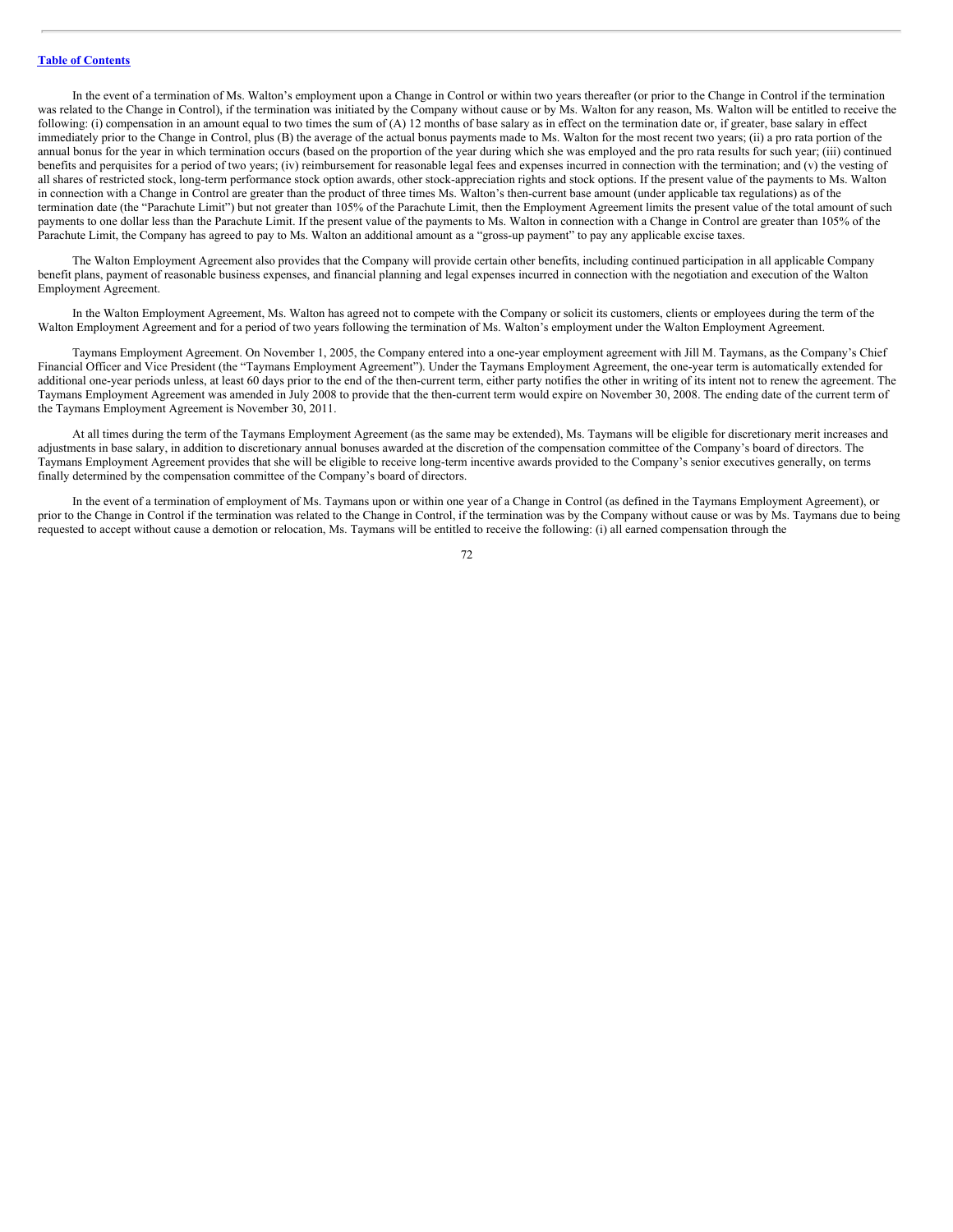In the event of a termination of Ms. Walton's employment upon a Change in Control or within two years thereafter (or prior to the Change in Control if the termination was related to the Change in Control), if the termination was initiated by the Company without cause or by Ms. Walton for any reason, Ms. Walton will be entitled to receive the following: (i) compensation in an amount equal to two times the sum of  $(A)$  12 months of base salary as in effect on the termination date or, if greater, base salary in effect immediately prior to the Change in Control, plus (B) the average of the actual bonus payments made to Ms. Walton for the most recent two years; (ii) a pro rata portion of the annual bonus for the year in which termination occurs (based on the proportion of the year during which she was employed and the pro rata results for such year; (iii) continued benefits and perquisites for a period of two years; (iv) reimbursement for reasonable legal fees and expenses incurred in connection with the termination; and (v) the vesting of all shares of restricted stock, long-term performance stock option awards, other stock-appreciation rights and stock options. If the present value of the payments to Ms. Walton in connection with a Change in Control are greater than the product of three times Ms. Walton's then-current base amount (under applicable tax regulations) as of the termination date (the "Parachute Limit") but not greater than 105% of the Parachute Limit, then the Employment Agreement limits the present value of the total amount of such payments to one dollar less than the Parachute Limit. If the present value of the payments to Ms. Walton in connection with a Change in Control are greater than 105% of the Parachute Limit, the Company has agreed to pay to Ms. Walton an additional amount as a "gross-up payment" to pay any applicable excise taxes.

The Walton Employment Agreement also provides that the Company will provide certain other benefits, including continued participation in all applicable Company benefit plans, payment of reasonable business expenses, and financial planning and legal expenses incurred in connection with the negotiation and execution of the Walton Employment Agreement.

In the Walton Employment Agreement, Ms. Walton has agreed not to compete with the Company or solicit its customers, clients or employees during the term of the Walton Employment Agreement and for a period of two years following the termination of Ms. Walton's employment under the Walton Employment Agreement.

Taymans Employment Agreement. On November 1, 2005, the Company entered into a one-year employment agreement with Jill M. Taymans, as the Company's Chief Financial Officer and Vice President (the "Taymans Employment Agreement"). Under the Taymans Employment Agreement, the one-year term is automatically extended for additional one-year periods unless, at least 60 days prior to the end of the then-current term, either party notifies the other in writing of its intent not to renew the agreement. The Taymans Employment Agreement was amended in July 2008 to provide that the then-current term would expire on November 30, 2008. The ending date of the current term of the Taymans Employment Agreement is November 30, 2011.

At all times during the term of the Taymans Employment Agreement (as the same may be extended), Ms. Taymans will be eligible for discretionary merit increases and adjustments in base salary, in addition to discretionary annual bonuses awarded at the discretion of the compensation committee of the Company's board of directors. The Taymans Employment Agreement provides that she will be eligible to receive long-term incentive awards provided to the Company's senior executives generally, on terms finally determined by the compensation committee of the Company's board of directors.

In the event of a termination of employment of Ms. Taymans upon or within one year of a Change in Control (as defined in the Taymans Employment Agreement), or prior to the Change in Control if the termination was related to the Change in Control, if the termination was by the Company without cause or was by Ms. Taymans due to being requested to accept without cause a demotion or relocation, Ms. Taymans will be entitled to receive the following: (i) all earned compensation through the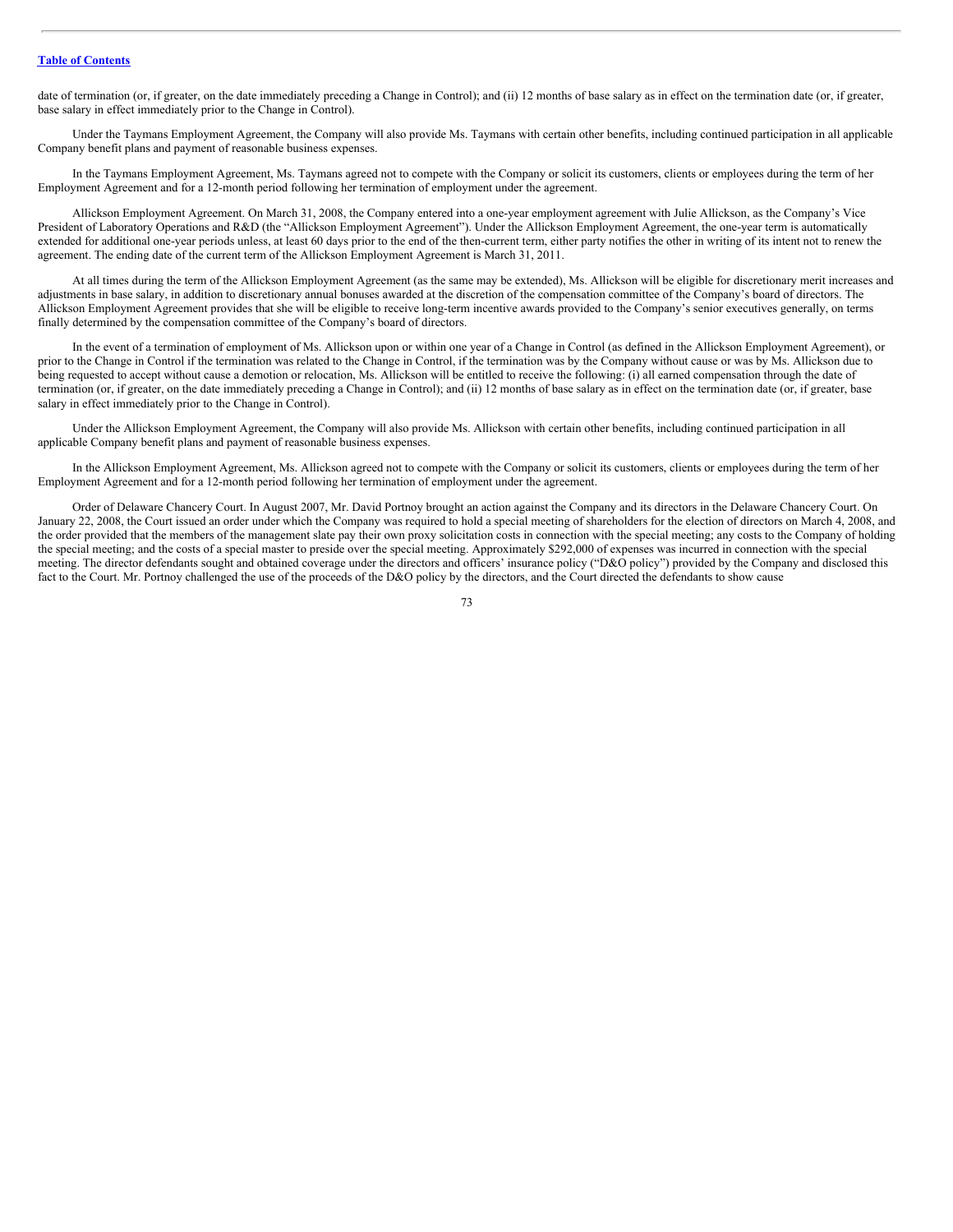date of termination (or, if greater, on the date immediately preceding a Change in Control); and (ii) 12 months of base salary as in effect on the termination date (or, if greater, base salary in effect immediately prior to the Change in Control).

Under the Taymans Employment Agreement, the Company will also provide Ms. Taymans with certain other benefits, including continued participation in all applicable Company benefit plans and payment of reasonable business expenses.

In the Taymans Employment Agreement, Ms. Taymans agreed not to compete with the Company or solicit its customers, clients or employees during the term of her Employment Agreement and for a 12-month period following her termination of employment under the agreement.

Allickson Employment Agreement. On March 31, 2008, the Company entered into a one-year employment agreement with Julie Allickson, as the Company's Vice President of Laboratory Operations and R&D (the "Allickson Employment Agreement"). Under the Allickson Employment Agreement, the one-year term is automatically extended for additional one-year periods unless, at least 60 days prior to the end of the then-current term, either party notifies the other in writing of its intent not to renew the agreement. The ending date of the current term of the Allickson Employment Agreement is March 31, 2011.

At all times during the term of the Allickson Employment Agreement (as the same may be extended), Ms. Allickson will be eligible for discretionary merit increases and adjustments in base salary, in addition to discretionary annual bonuses awarded at the discretion of the compensation committee of the Company's board of directors. The Allickson Employment Agreement provides that she will be eligible to receive long-term incentive awards provided to the Company's senior executives generally, on terms finally determined by the compensation committee of the Company's board of directors.

In the event of a termination of employment of Ms. Allickson upon or within one year of a Change in Control (as defined in the Allickson Employment Agreement), or prior to the Change in Control if the termination was related to the Change in Control, if the termination was by the Company without cause or was by Ms. Allickson due to being requested to accept without cause a demotion or relocation, Ms. Allickson will be entitled to receive the following: (i) all earned compensation through the date of termination (or, if greater, on the date immediately preceding a Change in Control); and (ii) 12 months of base salary as in effect on the termination date (or, if greater, base salary in effect immediately prior to the Change in Control).

Under the Allickson Employment Agreement, the Company will also provide Ms. Allickson with certain other benefits, including continued participation in all applicable Company benefit plans and payment of reasonable business expenses.

In the Allickson Employment Agreement, Ms. Allickson agreed not to compete with the Company or solicit its customers, clients or employees during the term of her Employment Agreement and for a 12-month period following her termination of employment under the agreement.

Order of Delaware Chancery Court. In August 2007, Mr. David Portnoy brought an action against the Company and its directors in the Delaware Chancery Court. On January 22, 2008, the Court issued an order under which the Company was required to hold a special meeting of shareholders for the election of directors on March 4, 2008, and the order provided that the members of the management slate pay their own proxy solicitation costs in connection with the special meeting; any costs to the Company of holding the special meeting; and the costs of a special master to preside over the special meeting. Approximately \$292,000 of expenses was incurred in connection with the special meeting. The director defendants sought and obtained coverage under the directors and officers' insurance policy ("D&O policy") provided by the Company and disclosed this fact to the Court. Mr. Portnoy challenged the use of the proceeds of the D&O policy by the directors, and the Court directed the defendants to show cause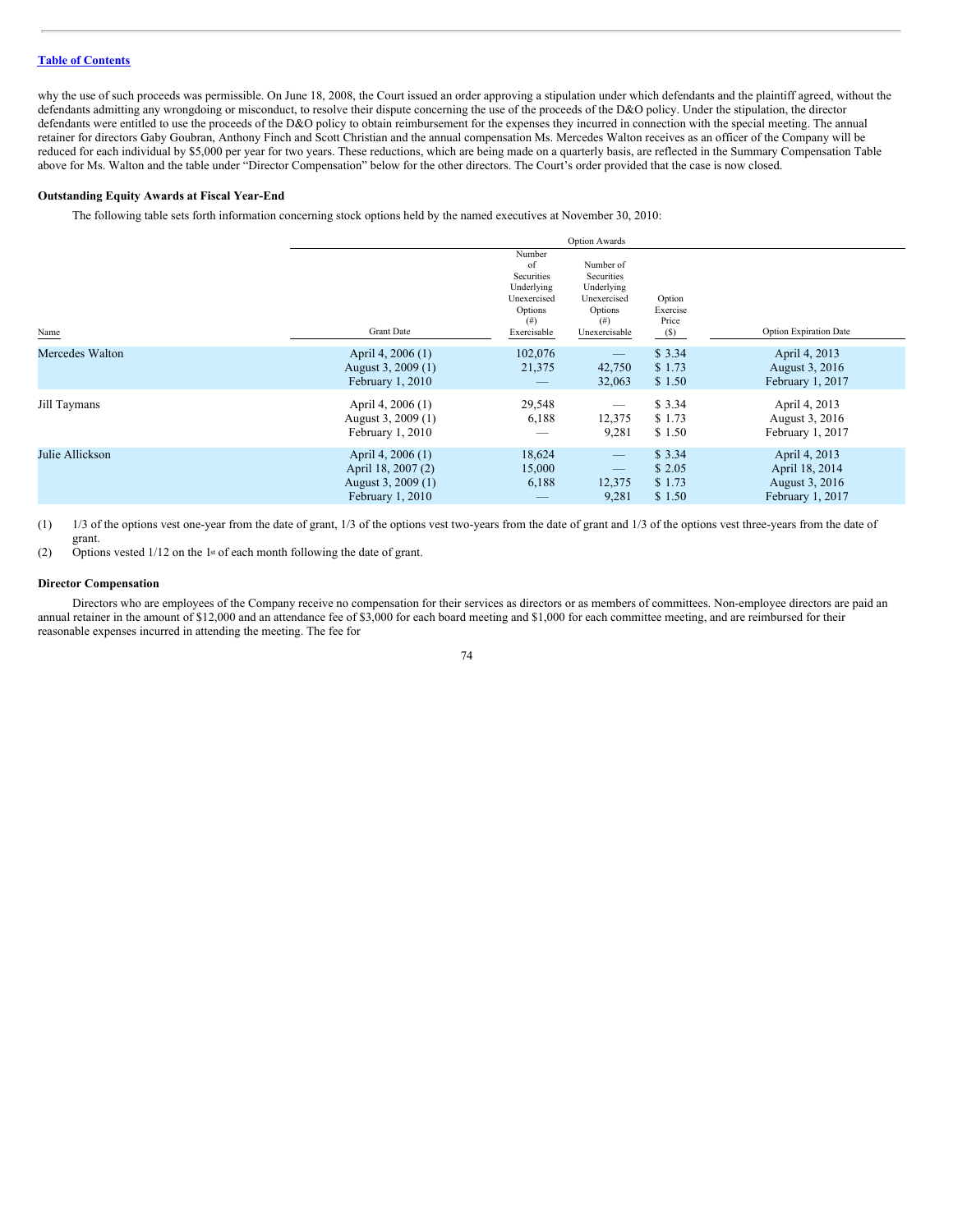why the use of such proceeds was permissible. On June 18, 2008, the Court issued an order approving a stipulation under which defendants and the plaintiff agreed, without the defendants admitting any wrongdoing or misconduct, to resolve their dispute concerning the use of the proceeds of the D&O policy. Under the stipulation, the director defendants were entitled to use the proceeds of the D&O policy to obtain reimbursement for the expenses they incurred in connection with the special meeting. The annual retainer for directors Gaby Goubran, Anthony Finch and Scott Christian and the annual compensation Ms. Mercedes Walton receives as an officer of the Company will be reduced for each individual by \$5,000 per year for two years. These reductions, which are being made on a quarterly basis, are reflected in the Summary Compensation Table above for Ms. Walton and the table under "Director Compensation" below for the other directors. The Court's order provided that the case is now closed.

## **Outstanding Equity Awards at Fiscal Year-End**

The following table sets forth information concerning stock options held by the named executives at November 30, 2010:

|                 |                                                                                     |                                                                                           | <b>Option Awards</b>                                                                     |                                      |                                                                       |
|-----------------|-------------------------------------------------------------------------------------|-------------------------------------------------------------------------------------------|------------------------------------------------------------------------------------------|--------------------------------------|-----------------------------------------------------------------------|
| Name            | <b>Grant Date</b>                                                                   | Number<br>of<br>Securities<br>Underlying<br>Unexercised<br>Options<br>(# )<br>Exercisable | Number of<br>Securities<br>Underlying<br>Unexercised<br>Options<br>(# )<br>Unexercisable | Option<br>Exercise<br>Price<br>(S)   | <b>Option Expiration Date</b>                                         |
| Mercedes Walton | April 4, 2006 (1)<br>August 3, 2009 (1)<br>February 1, 2010                         | 102,076<br>21,375                                                                         | $\hspace{0.1mm}-\hspace{0.1mm}$<br>42,750<br>32,063                                      | \$3.34<br>\$1.73<br>\$1.50           | April 4, 2013<br>August 3, 2016<br>February 1, 2017                   |
| Jill Taymans    | April 4, 2006 (1)<br>August 3, 2009 (1)<br>February 1, 2010                         | 29,548<br>6,188<br>_                                                                      | 12,375<br>9,281                                                                          | \$ 3.34<br>\$1.73<br>\$1.50          | April 4, 2013<br>August 3, 2016<br>February 1, 2017                   |
| Julie Allickson | April 4, 2006 (1)<br>April 18, 2007 (2)<br>August 3, 2009 (1)<br>February $1, 2010$ | 18,624<br>15,000<br>6,188                                                                 | $\hspace{0.1mm}-\hspace{0.1mm}$<br>$\hspace{0.1mm}-\hspace{0.1mm}$<br>12,375<br>9.281    | \$3.34<br>\$2.05<br>\$1.73<br>\$1.50 | April 4, 2013<br>April 18, 2014<br>August 3, 2016<br>February 1, 2017 |

(1) 1/3 of the options vest one-year from the date of grant, 1/3 of the options vest two-years from the date of grant and 1/3 of the options vest three-years from the date of grant.

(2) Options vested  $1/12$  on the 1st of each month following the date of grant.

#### **Director Compensation**

Directors who are employees of the Company receive no compensation for their services as directors or as members of committees. Non-employee directors are paid an annual retainer in the amount of \$12,000 and an attendance fee of \$3,000 for each board meeting and \$1,000 for each committee meeting, and are reimbursed for their reasonable expenses incurred in attending the meeting. The fee for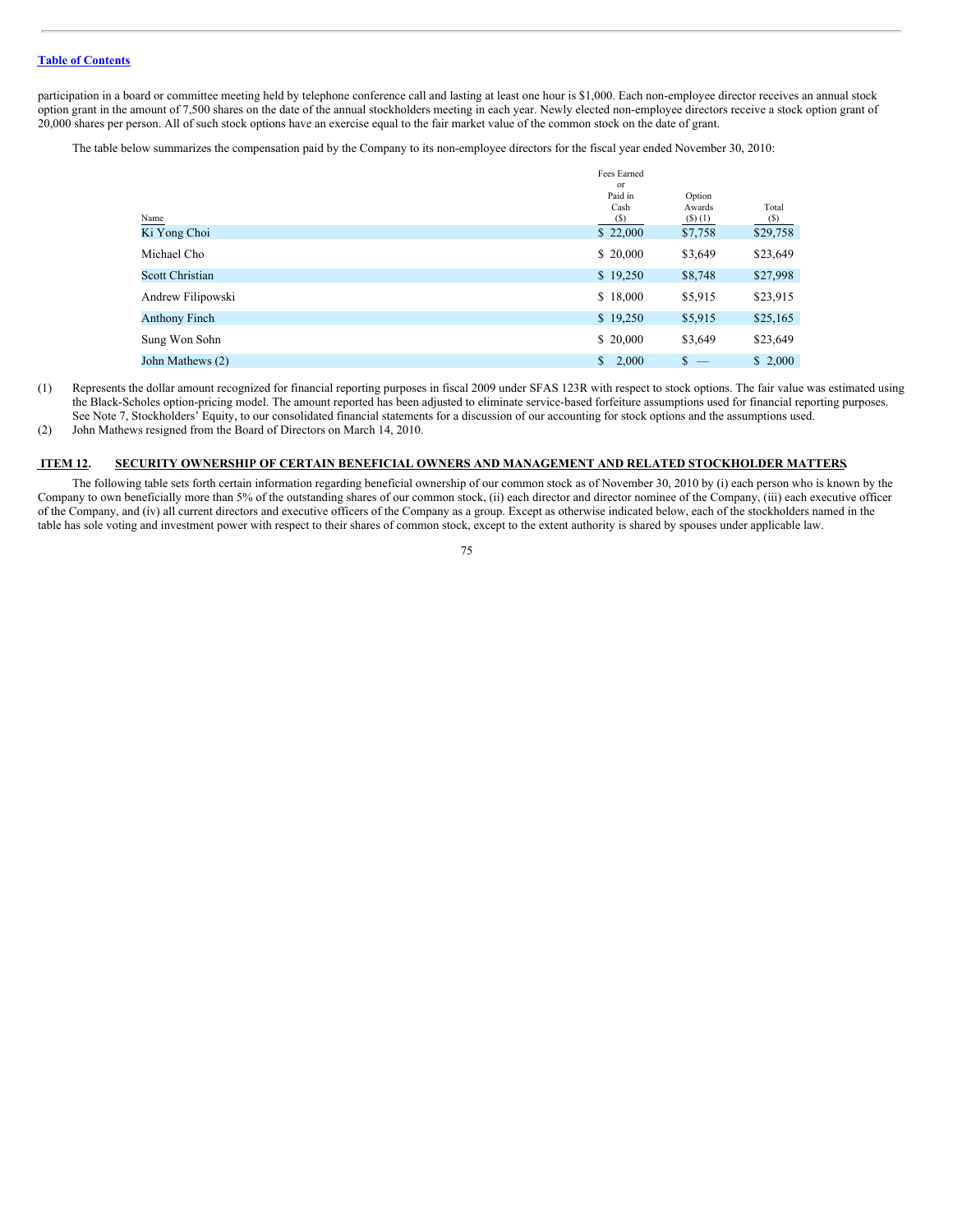participation in a board or committee meeting held by telephone conference call and lasting at least one hour is \$1,000. Each non-employee director receives an annual stock option grant in the amount of 7,500 shares on the date of the annual stockholders meeting in each year. Newly elected non-employee directors receive a stock option grant of 20,000 shares per person. All of such stock options have an exercise equal to the fair market value of the common stock on the date of grant.

The table below summarizes the compensation paid by the Company to its non-employee directors for the fiscal year ended November 30, 2010:

|                        | Fees Earned                  |                               |              |
|------------------------|------------------------------|-------------------------------|--------------|
| Name                   | or<br>Paid in<br>Cash<br>(S) | Option<br>Awards<br>$(S)$ (1) | Total<br>(S) |
| Ki Yong Choi           | \$22,000                     | \$7,758                       | \$29,758     |
| Michael Cho            | \$ 20,000                    | \$3,649                       | \$23,649     |
| <b>Scott Christian</b> | \$19,250                     | \$8,748                       | \$27,998     |
| Andrew Filipowski      | \$18,000                     | \$5,915                       | \$23,915     |
| <b>Anthony Finch</b>   | \$19,250                     | \$5,915                       | \$25,165     |
| Sung Won Sohn          | \$ 20,000                    | \$3,649                       | \$23,649     |
| John Mathews (2)       | \$2,000                      | $\hat{s}$ –                   | \$2,000      |

(1) Represents the dollar amount recognized for financial reporting purposes in fiscal 2009 under SFAS 123R with respect to stock options. The fair value was estimated using the Black-Scholes option-pricing model. The amount reported has been adjusted to eliminate service-based forfeiture assumptions used for financial reporting purposes. See Note 7, Stockholders' Equity, to our consolidated financial statements for a discussion of our accounting for stock options and the assumptions used.

(2) John Mathews resigned from the Board of Directors on March 14, 2010.

#### **ITEM 12. SECURITY OWNERSHIP OF CERTAIN BENEFICIAL OWNERS AND MANAGEMENT AND RELATED STOCKHOLDER MATTERS.**

The following table sets forth certain information regarding beneficial ownership of our common stock as of November 30, 2010 by (i) each person who is known by the Company to own beneficially more than 5% of the outstanding shares of our common stock, (ii) each director and director nominee of the Company, (iii) each executive officer of the Company, and (iv) all current directors and executive officers of the Company as a group. Except as otherwise indicated below, each of the stockholders named in the table has sole voting and investment power with respect to their shares of common stock, except to the extent authority is shared by spouses under applicable law.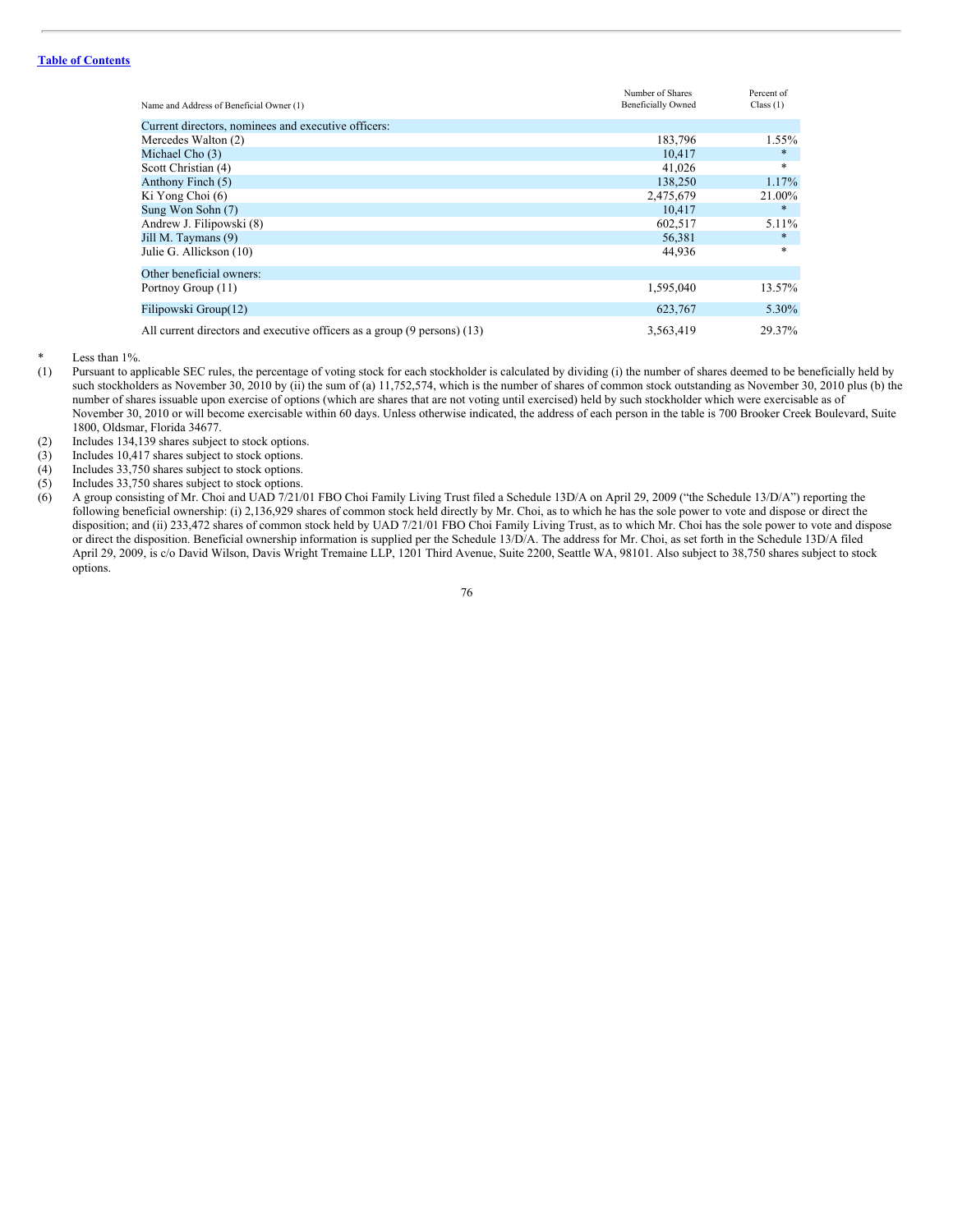| Name and Address of Beneficial Owner (1)                                 | Number of Shares<br><b>Beneficially Owned</b> | Percent of<br>Class $(1)$ |
|--------------------------------------------------------------------------|-----------------------------------------------|---------------------------|
| Current directors, nominees and executive officers:                      |                                               |                           |
| Mercedes Walton (2)                                                      | 183,796                                       | 1.55%                     |
| Michael Cho (3)                                                          | 10,417                                        | $\ast$                    |
| Scott Christian (4)                                                      | 41,026                                        | $\ast$                    |
| Anthony Finch (5)                                                        | 138,250                                       | $1.17\%$                  |
| Ki Yong Choi (6)                                                         | 2,475,679                                     | 21.00%                    |
| Sung Won Sohn (7)                                                        | 10,417                                        | $\ast$                    |
| Andrew J. Filipowski (8)                                                 | 602,517                                       | 5.11%                     |
| Jill M. Taymans (9)                                                      | 56,381                                        | $\ast$                    |
| Julie G. Allickson (10)                                                  | 44,936                                        | $\ast$                    |
| Other beneficial owners:                                                 |                                               |                           |
| Portnoy Group (11)                                                       | 1,595,040                                     | 13.57%                    |
| Filipowski Group(12)                                                     | 623,767                                       | 5.30%                     |
| All current directors and executive officers as a group (9 persons) (13) | 3,563,419                                     | 29.37%                    |

Less than 1%.

- (1) Pursuant to applicable SEC rules, the percentage of voting stock for each stockholder is calculated by dividing (i) the number of shares deemed to be beneficially held by such stockholders as November 30, 2010 by (ii) the sum of (a) 11,752,574, which is the number of shares of common stock outstanding as November 30, 2010 plus (b) the number of shares issuable upon exercise of options (which are shares that are not voting until exercised) held by such stockholder which were exercisable as of November 30, 2010 or will become exercisable within 60 days. Unless otherwise indicated, the address of each person in the table is 700 Brooker Creek Boulevard, Suite 1800, Oldsmar, Florida 34677.
- (2) Includes 134,139 shares subject to stock options.<br>(3) Includes 10,417 shares subject to stock options.
- Includes 10,417 shares subject to stock options.
- (4) Includes 33,750 shares subject to stock options.
- 
- (5) Includes 33,750 shares subject to stock options.<br>(6) A group consisting of Mr. Choi and UAD 7/21/ (6) A group consisting of Mr. Choi and UAD 7/21/01 FBO Choi Family Living Trust filed a Schedule 13D/A on April 29, 2009 ("the Schedule 13/D/A") reporting the following beneficial ownership: (i) 2,136,929 shares of common stock held directly by Mr. Choi, as to which he has the sole power to vote and dispose or direct the disposition; and (ii) 233,472 shares of common stock held by UAD 7/21/01 FBO Choi Family Living Trust, as to which Mr. Choi has the sole power to vote and dispose or direct the disposition. Beneficial ownership information is supplied per the Schedule 13/D/A. The address for Mr. Choi, as set forth in the Schedule 13D/A filed April 29, 2009, is c/o David Wilson, Davis Wright Tremaine LLP, 1201 Third Avenue, Suite 2200, Seattle WA, 98101. Also subject to 38,750 shares subject to stock options.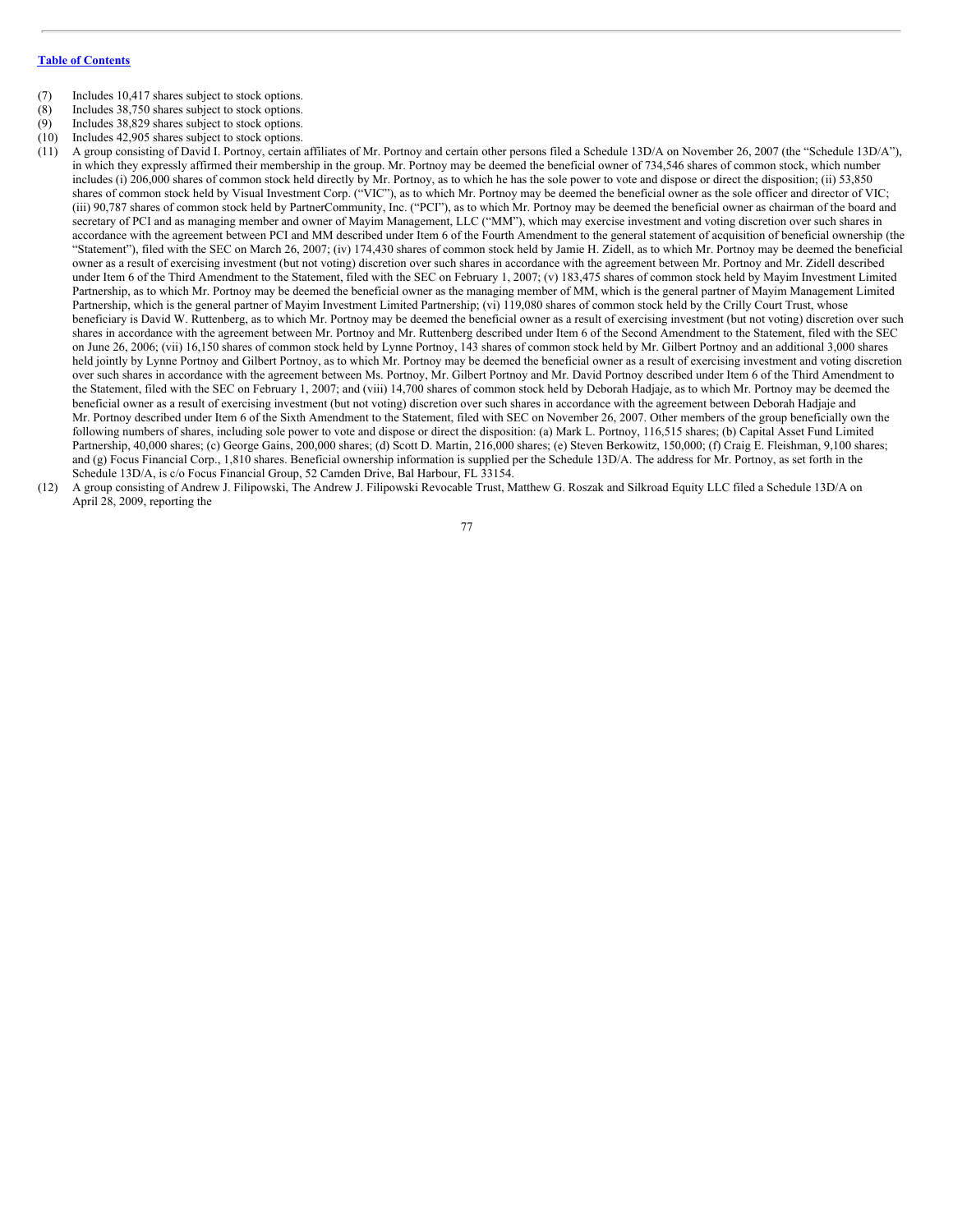- (7) Includes 10,417 shares subject to stock options.
- (8) Includes 38,750 shares subject to stock options.
- (9) Includes 38,829 shares subject to stock options.
- (10) Includes 42,905 shares subject to stock options.<br>(11) A group consisting of David I. Portnoy, certain
- (11) A group consisting of David I. Portnoy, certain affiliates of Mr. Portnoy and certain other persons filed a Schedule 13D/A on November 26, 2007 (the "Schedule 13D/A"), in which they expressly affirmed their membership in the group. Mr. Portnoy may be deemed the beneficial owner of 734,546 shares of common stock, which number includes (i) 206,000 shares of common stock held directly by Mr. Portnoy, as to which he has the sole power to vote and dispose or direct the disposition; (ii) 53,850 shares of common stock held by Visual Investment Corp. ("VIC"), as to which Mr. Portnoy may be deemed the beneficial owner as the sole officer and director of VIC; (iii) 90,787 shares of common stock held by PartnerCommunity, Inc. ("PCI"), as to which Mr. Portnoy may be deemed the beneficial owner as chairman of the board and secretary of PCI and as managing member and owner of Mayim Management, LLC ("MM"), which may exercise investment and voting discretion over such shares in accordance with the agreement between PCI and MM described under Item 6 of the Fourth Amendment to the general statement of acquisition of beneficial ownership (the "Statement"), filed with the SEC on March 26, 2007; (iv) 174,430 shares of common stock held by Jamie H. Zidell, as to which Mr. Portnoy may be deemed the beneficial owner as a result of exercising investment (but not voting) discretion over such shares in accordance with the agreement between Mr. Portnoy and Mr. Zidell described under Item 6 of the Third Amendment to the Statement, filed with the SEC on February 1, 2007; (v) 183,475 shares of common stock held by Mayim Investment Limited Partnership, as to which Mr. Portnoy may be deemed the beneficial owner as the managing member of MM, which is the general partner of Mayim Management Limited Partnership, which is the general partner of Mayim Investment Limited Partnership; (vi) 119,080 shares of common stock held by the Crilly Court Trust, whose beneficiary is David W. Ruttenberg, as to which Mr. Portnoy may be deemed the beneficial owner as a result of exercising investment (but not voting) discretion over such shares in accordance with the agreement between Mr. Portnoy and Mr. Ruttenberg described under Item 6 of the Second Amendment to the Statement, filed with the SEC on June 26, 2006; (vii) 16,150 shares of common stock held by Lynne Portnoy, 143 shares of common stock held by Mr. Gilbert Portnoy and an additional 3,000 shares held jointly by Lynne Portnoy and Gilbert Portnoy, as to which Mr. Portnoy may be deemed the beneficial owner as a result of exercising investment and voting discretion over such shares in accordance with the agreement between Ms. Portnoy, Mr. Gilbert Portnoy and Mr. David Portnoy described under Item 6 of the Third Amendment to the Statement, filed with the SEC on February 1, 2007; and (viii) 14,700 shares of common stock held by Deborah Hadjaje, as to which Mr. Portnoy may be deemed the beneficial owner as a result of exercising investment (but not voting) discretion over such shares in accordance with the agreement between Deborah Hadjaje and Mr. Portnoy described under Item 6 of the Sixth Amendment to the Statement, filed with SEC on November 26, 2007. Other members of the group beneficially own the following numbers of shares, including sole power to vote and dispose or direct the disposition: (a) Mark L. Portnoy, 116,515 shares; (b) Capital Asset Fund Limited Partnership, 40,000 shares; (c) George Gains, 200,000 shares; (d) Scott D. Martin, 216,000 shares; (e) Steven Berkowitz, 150,000; (f) Craig E. Fleishman, 9,100 shares; and (g) Focus Financial Corp., 1,810 shares. Beneficial ownership information is supplied per the Schedule 13D/A. The address for Mr. Portnoy, as set forth in the Schedule 13D/A, is c/o Focus Financial Group, 52 Camden Drive, Bal Harbour, FL 33154.
- (12) A group consisting of Andrew J. Filipowski, The Andrew J. Filipowski Revocable Trust, Matthew G. Roszak and Silkroad Equity LLC filed a Schedule 13D/A on April 28, 2009, reporting the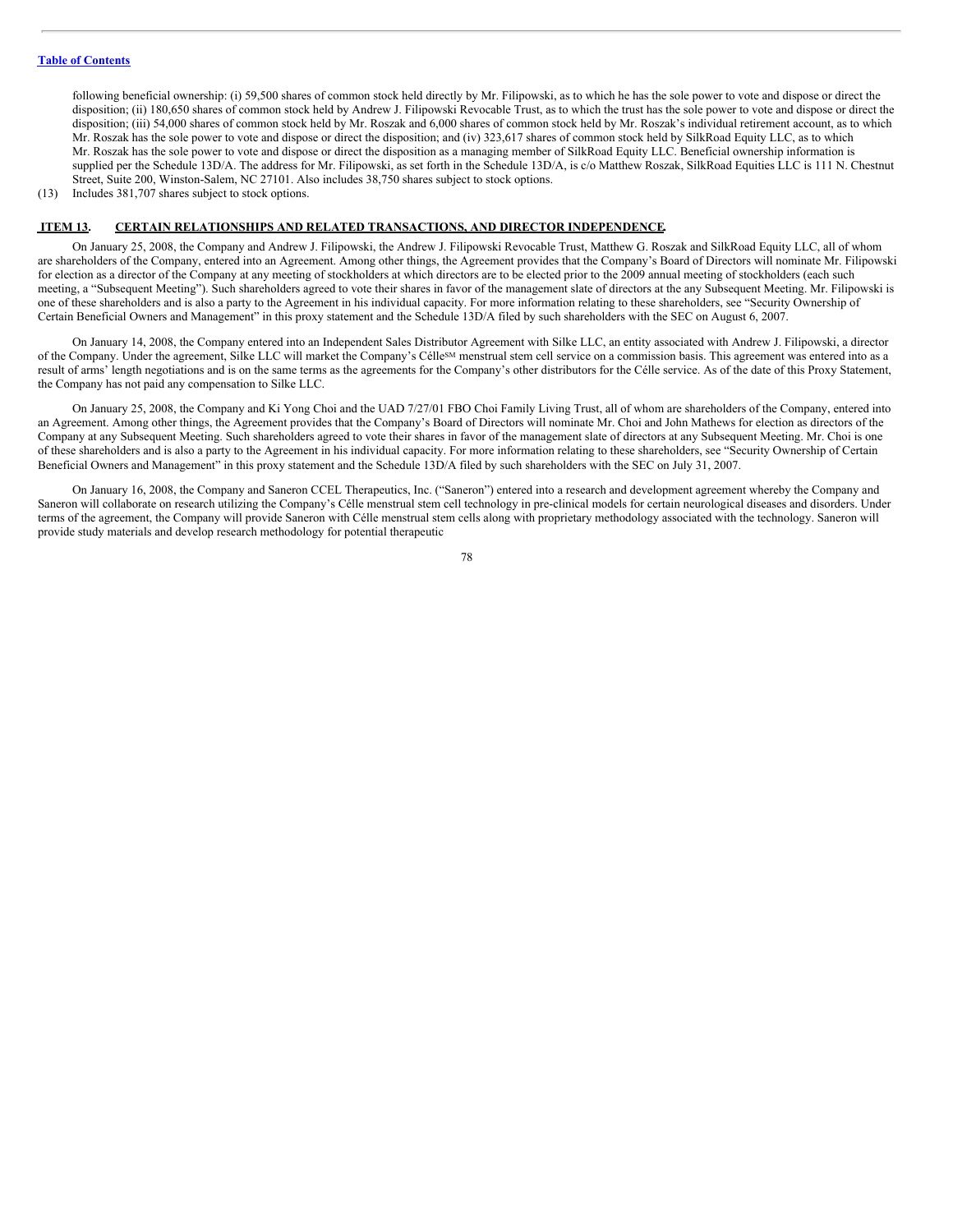following beneficial ownership: (i) 59,500 shares of common stock held directly by Mr. Filipowski, as to which he has the sole power to vote and dispose or direct the disposition; (ii) 180,650 shares of common stock held by Andrew J. Filipowski Revocable Trust, as to which the trust has the sole power to vote and dispose or direct the disposition; (iii) 54,000 shares of common stock held by Mr. Roszak and 6,000 shares of common stock held by Mr. Roszak's individual retirement account, as to which Mr. Roszak has the sole power to vote and dispose or direct the disposition; and (iv) 323,617 shares of common stock held by SilkRoad Equity LLC, as to which Mr. Roszak has the sole power to vote and dispose or direct the disposition as a managing member of SilkRoad Equity LLC. Beneficial ownership information is supplied per the Schedule 13D/A. The address for Mr. Filipowski, as set forth in the Schedule 13D/A, is c/o Matthew Roszak, SilkRoad Equities LLC is 111 N. Chestnut Street, Suite 200, Winston-Salem, NC 27101. Also includes 38,750 shares subject to stock options.

(13) Includes 381,707 shares subject to stock options.

## **ITEM 13. CERTAIN RELATIONSHIPS AND RELATED TRANSACTIONS, AND DIRECTOR INDEPENDENCE.**

On January 25, 2008, the Company and Andrew J. Filipowski, the Andrew J. Filipowski Revocable Trust, Matthew G. Roszak and SilkRoad Equity LLC, all of whom are shareholders of the Company, entered into an Agreement. Among other things, the Agreement provides that the Company's Board of Directors will nominate Mr. Filipowski for election as a director of the Company at any meeting of stockholders at which directors are to be elected prior to the 2009 annual meeting of stockholders (each such meeting, a "Subsequent Meeting"). Such shareholders agreed to vote their shares in favor of the management slate of directors at the any Subsequent Meeting. Mr. Filipowski is one of these shareholders and is also a party to the Agreement in his individual capacity. For more information relating to these shareholders, see "Security Ownership of Certain Beneficial Owners and Management" in this proxy statement and the Schedule 13D/A filed by such shareholders with the SEC on August 6, 2007.

On January 14, 2008, the Company entered into an Independent Sales Distributor Agreement with Silke LLC, an entity associated with Andrew J. Filipowski, a director of the Company. Under the agreement, Silke LLC will market the Company's Célle<sup>sM</sup> menstrual stem cell service on a commission basis. This agreement was entered into as a result of arms' length negotiations and is on the same terms as the agreements for the Company's other distributors for the Célle service. As of the date of this Proxy Statement, the Company has not paid any compensation to Silke LLC.

On January 25, 2008, the Company and Ki Yong Choi and the UAD 7/27/01 FBO Choi Family Living Trust, all of whom are shareholders of the Company, entered into an Agreement. Among other things, the Agreement provides that the Company's Board of Directors will nominate Mr. Choi and John Mathews for election as directors of the Company at any Subsequent Meeting. Such shareholders agreed to vote their shares in favor of the management slate of directors at any Subsequent Meeting. Mr. Choi is one of these shareholders and is also a party to the Agreement in his individual capacity. For more information relating to these shareholders, see "Security Ownership of Certain Beneficial Owners and Management" in this proxy statement and the Schedule 13D/A filed by such shareholders with the SEC on July 31, 2007.

On January 16, 2008, the Company and Saneron CCEL Therapeutics, Inc. ("Saneron") entered into a research and development agreement whereby the Company and Saneron will collaborate on research utilizing the Company's Célle menstrual stem cell technology in pre-clinical models for certain neurological diseases and disorders. Under terms of the agreement, the Company will provide Saneron with Célle menstrual stem cells along with proprietary methodology associated with the technology. Saneron will provide study materials and develop research methodology for potential therapeutic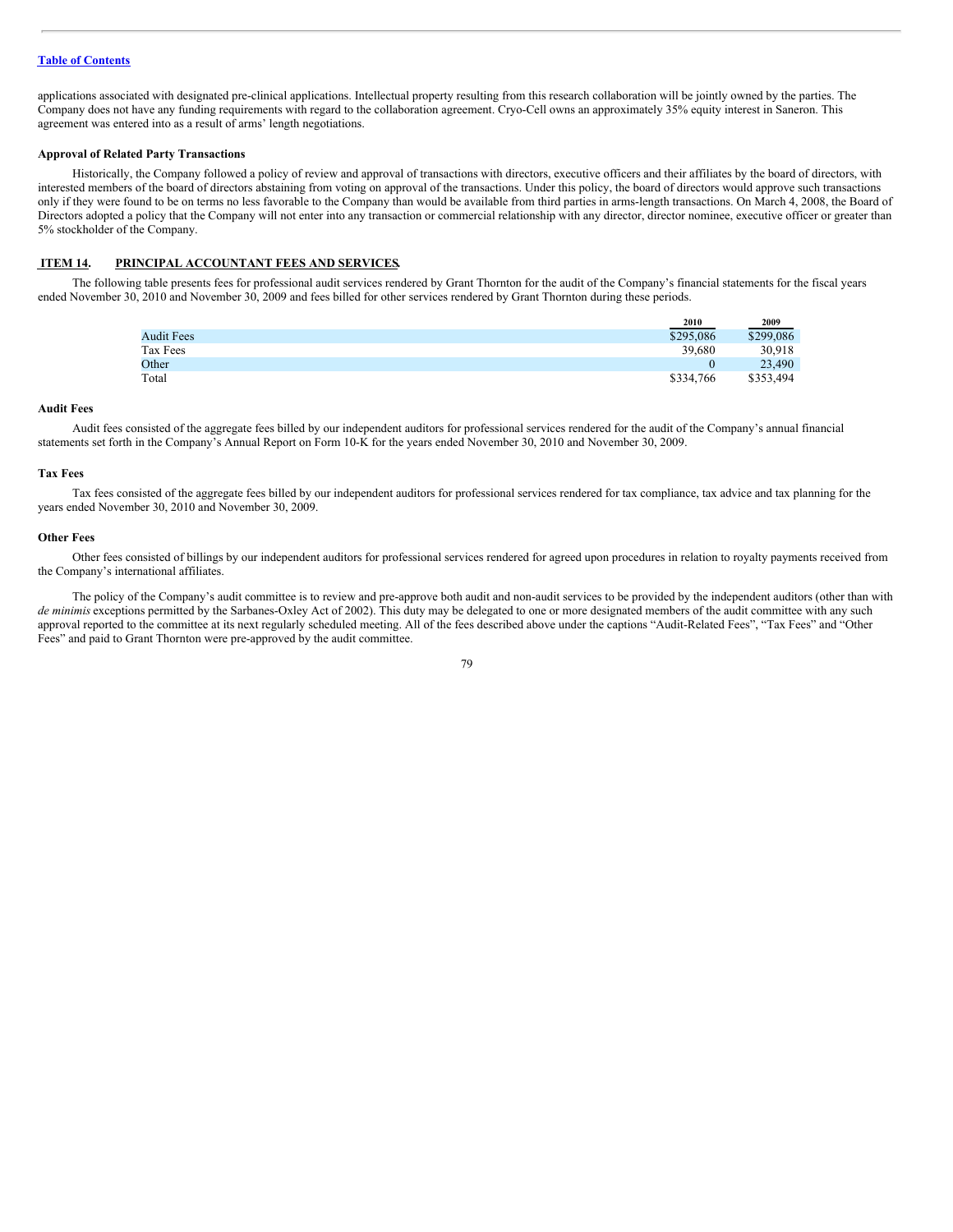applications associated with designated pre-clinical applications. Intellectual property resulting from this research collaboration will be jointly owned by the parties. The Company does not have any funding requirements with regard to the collaboration agreement. Cryo-Cell owns an approximately 35% equity interest in Saneron. This agreement was entered into as a result of arms' length negotiations.

#### **Approval of Related Party Transactions**

Historically, the Company followed a policy of review and approval of transactions with directors, executive officers and their affiliates by the board of directors, with interested members of the board of directors abstaining from voting on approval of the transactions. Under this policy, the board of directors would approve such transactions only if they were found to be on terms no less favorable to the Company than would be available from third parties in arms-length transactions. On March 4, 2008, the Board of Directors adopted a policy that the Company will not enter into any transaction or commercial relationship with any director, director nominee, executive officer or greater than 5% stockholder of the Company.

## **ITEM 14. PRINCIPAL ACCOUNTANT FEES AND SERVICES.**

The following table presents fees for professional audit services rendered by Grant Thornton for the audit of the Company's financial statements for the fiscal years ended November 30, 2010 and November 30, 2009 and fees billed for other services rendered by Grant Thornton during these periods.

|                   | 2010      | 2009      |
|-------------------|-----------|-----------|
| <b>Audit Fees</b> | \$295,086 | \$299,086 |
| Tax Fees          | 39.680    | 30,918    |
| Other             |           | 23,490    |
| Total             | \$334,766 | \$353,494 |

#### **Audit Fees**

Audit fees consisted of the aggregate fees billed by our independent auditors for professional services rendered for the audit of the Company's annual financial statements set forth in the Company's Annual Report on Form 10-K for the years ended November 30, 2010 and November 30, 2009.

#### **Tax Fees**

Tax fees consisted of the aggregate fees billed by our independent auditors for professional services rendered for tax compliance, tax advice and tax planning for the years ended November 30, 2010 and November 30, 2009.

#### **Other Fees**

Other fees consisted of billings by our independent auditors for professional services rendered for agreed upon procedures in relation to royalty payments received from the Company's international affiliates.

The policy of the Company's audit committee is to review and pre-approve both audit and non-audit services to be provided by the independent auditors (other than with *de minimis* exceptions permitted by the Sarbanes-Oxley Act of 2002). This duty may be delegated to one or more designated members of the audit committee with any such approval reported to the committee at its next regularly scheduled meeting. All of the fees described above under the captions "Audit-Related Fees", "Tax Fees" and "Other Fees" and paid to Grant Thornton were pre-approved by the audit committee.

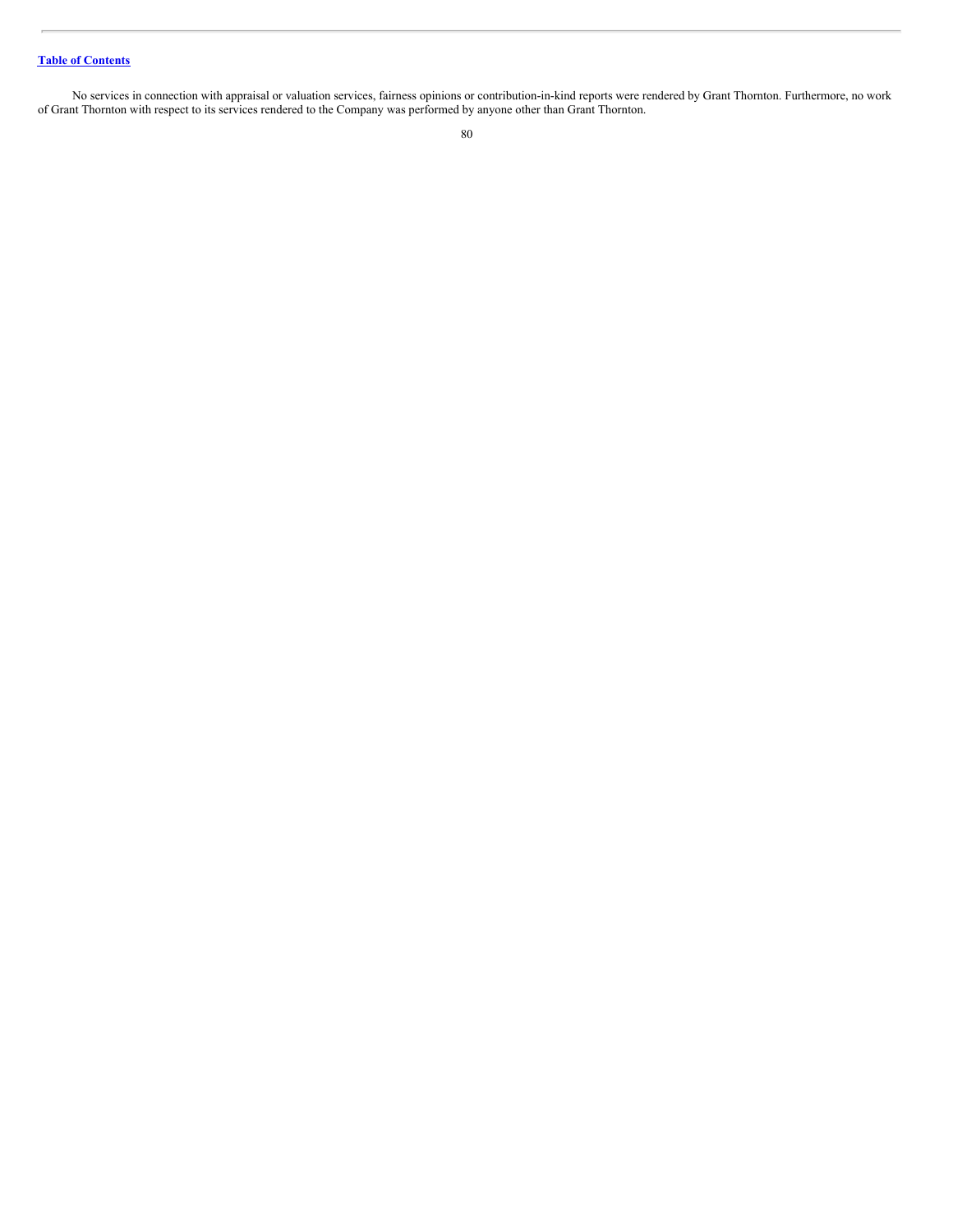No services in connection with appraisal or valuation services, fairness opinions or contribution-in-kind reports were rendered by Grant Thornton. Furthermore, no work of Grant Thornton with respect to its services rendered to the Company was performed by anyone other than Grant Thornton.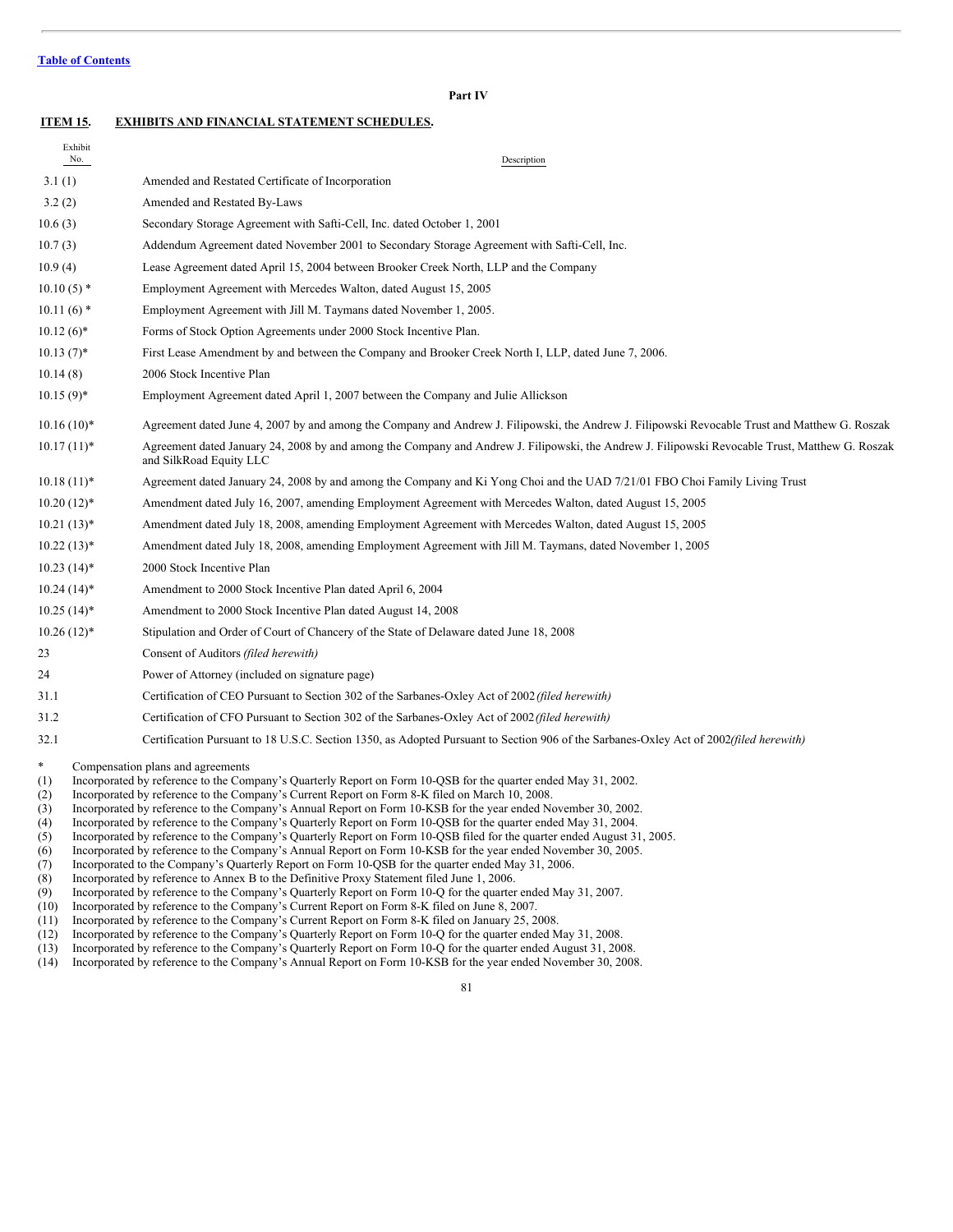**Part IV ITEM 15. EXHIBITS AND FINANCIAL STATEMENT SCHEDULES.** Exhibit No. Description 3.1 (1) Amended and Restated Certificate of Incorporation 3.2 (2) Amended and Restated By-Laws 10.6 (3) Secondary Storage Agreement with Safti-Cell, Inc. dated October 1, 2001 10.7 (3) Addendum Agreement dated November 2001 to Secondary Storage Agreement with Safti-Cell, Inc. 10.9 (4) Lease Agreement dated April 15, 2004 between Brooker Creek North, LLP and the Company 10.10 (5) \* Employment Agreement with Mercedes Walton, dated August 15, 2005 10.11 (6) \* Employment Agreement with Jill M. Taymans dated November 1, 2005. 10.12 (6)\* Forms of Stock Option Agreements under 2000 Stock Incentive Plan. 10.13 (7)\* First Lease Amendment by and between the Company and Brooker Creek North I, LLP, dated June 7, 2006. 10.14 (8) 2006 Stock Incentive Plan 10.15 (9)\* Employment Agreement dated April 1, 2007 between the Company and Julie Allickson 10.16 (10)\* Agreement dated June 4, 2007 by and among the Company and Andrew J. Filipowski, the Andrew J. Filipowski Revocable Trust and Matthew G. Roszak 10.17 (11)\* Agreement dated January 24, 2008 by and among the Company and Andrew J. Filipowski, the Andrew J. Filipowski Revocable Trust, Matthew G. Roszak and SilkRoad Equity LLC 10.18 (11)\* Agreement dated January 24, 2008 by and among the Company and Ki Yong Choi and the UAD 7/21/01 FBO Choi Family Living Trust 10.20 (12)\* Amendment dated July 16, 2007, amending Employment Agreement with Mercedes Walton, dated August 15, 2005

10.21 (13)\* Amendment dated July 18, 2008, amending Employment Agreement with Mercedes Walton, dated August 15, 2005

10.22 (13)\* Amendment dated July 18, 2008, amending Employment Agreement with Jill M. Taymans, dated November 1, 2005

- 10.23 (14)\* 2000 Stock Incentive Plan
- 10.24 (14)\* Amendment to 2000 Stock Incentive Plan dated April 6, 2004
- 10.25 (14)\* Amendment to 2000 Stock Incentive Plan dated August 14, 2008
- 10.26 (12)\* Stipulation and Order of Court of Chancery of the State of Delaware dated June 18, 2008
- 23 Consent of Auditors *(filed herewith)*
- 24 Power of Attorney (included on signature page)
- 31.1 Certification of CEO Pursuant to Section 302 of the Sarbanes-Oxley Act of 2002*(filed herewith)*
- 31.2 Certification of CFO Pursuant to Section 302 of the Sarbanes-Oxley Act of 2002*(filed herewith)*
- 32.1 Certification Pursuant to 18 U.S.C. Section 1350, as Adopted Pursuant to Section 906 of the Sarbanes-Oxley Act of 2002*(filed herewith)*

Compensation plans and agreements

- (1) Incorporated by reference to the Company's Quarterly Report on Form 10-QSB for the quarter ended May 31, 2002.
- (2) Incorporated by reference to the Company's Current Report on Form 8-K filed on March 10, 2008.
- (3) Incorporated by reference to the Company's Annual Report on Form 10-KSB for the year ended November 30, 2002.
- (4) Incorporated by reference to the Company's Quarterly Report on Form 10-QSB for the quarter ended May 31, 2004.
- (5) Incorporated by reference to the Company's Quarterly Report on Form 10-QSB filed for the quarter ended August 31, 2005.
- (6) Incorporated by reference to the Company's Annual Report on Form 10-KSB for the year ended November 30, 2005.
- (7) Incorporated to the Company's Quarterly Report on Form 10-QSB for the quarter ended May 31, 2006.
- (8) Incorporated by reference to Annex B to the Definitive Proxy Statement filed June 1, 2006.
- (9) Incorporated by reference to the Company's Quarterly Report on Form 10-Q for the quarter ended May 31, 2007.
- (10) Incorporated by reference to the Company's Current Report on Form 8-K filed on June 8, 2007.
- (11) Incorporated by reference to the Company's Current Report on Form 8-K filed on January 25, 2008.
- (12) Incorporated by reference to the Company's Quarterly Report on Form 10-Q for the quarter ended May 31, 2008. (13) Incorporated by reference to the Company's Quarterly Report on Form 10-Q for the quarter ended August 31, 2008.
- (14) Incorporated by reference to the Company's Annual Report on Form 10-KSB for the year ended November 30, 2008.
-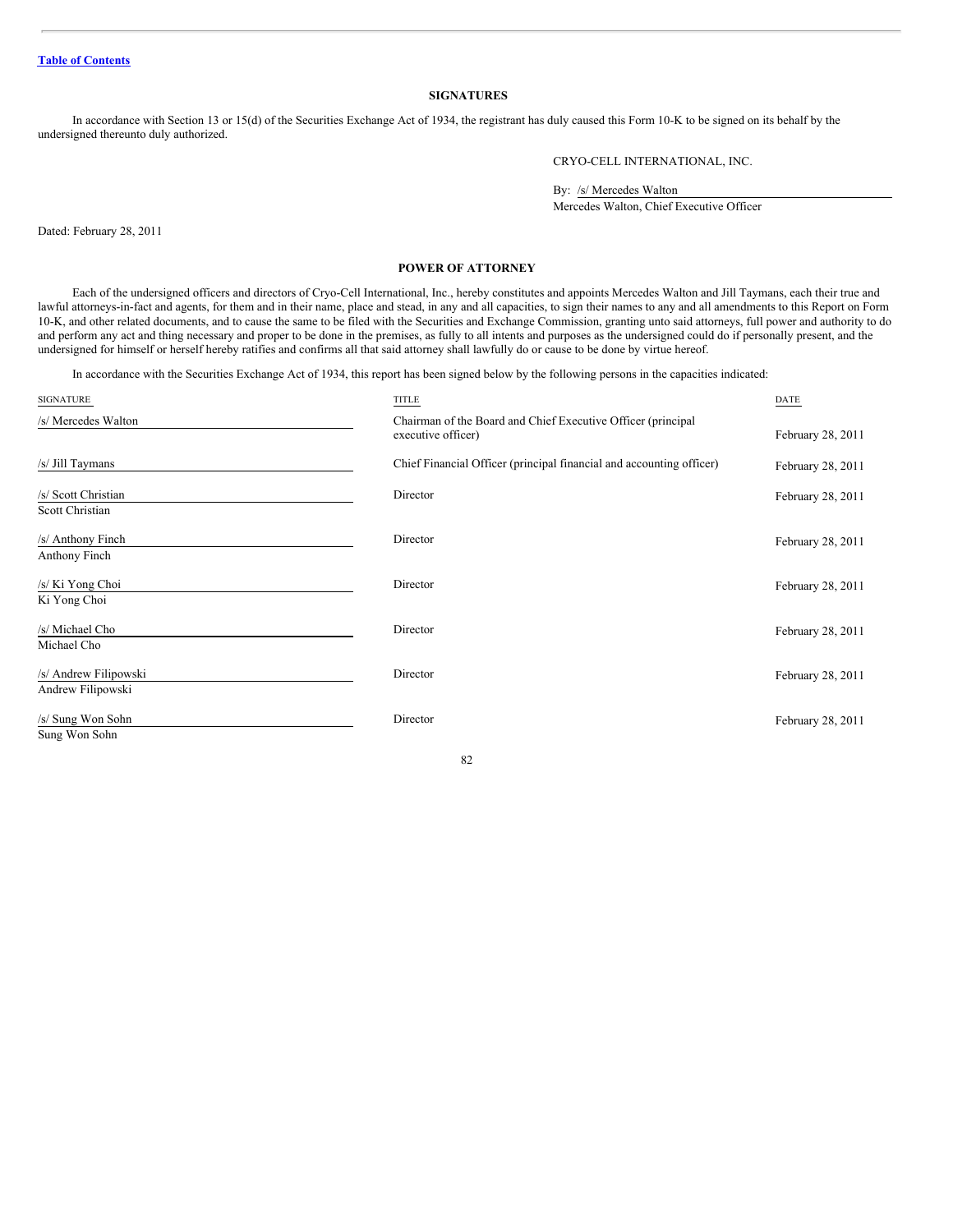# **SIGNATURES**

In accordance with Section 13 or 15(d) of the Securities Exchange Act of 1934, the registrant has duly caused this Form 10-K to be signed on its behalf by the undersigned thereunto duly authorized.

CRYO-CELL INTERNATIONAL, INC.

By: /s/ Mercedes Walton Mercedes Walton, Chief Executive Officer

Dated: February 28, 2011

# **POWER OF ATTORNEY**

Each of the undersigned officers and directors of Cryo-Cell International, Inc., hereby constitutes and appoints Mercedes Walton and Jill Taymans, each their true and lawful attorneys-in-fact and agents, for them and in their name, place and stead, in any and all capacities, to sign their names to any and all amendments to this Report on Form 10-K, and other related documents, and to cause the same to be filed with the Securities and Exchange Commission, granting unto said attorneys, full power and authority to do and perform any act and thing necessary and proper to be done in the premises, as fully to all intents and purposes as the undersigned could do if personally present, and the undersigned for himself or herself hereby ratifies and confirms all that said attorney shall lawfully do or cause to be done by virtue hereof.

In accordance with the Securities Exchange Act of 1934, this report has been signed below by the following persons in the capacities indicated:

| <b>SIGNATURE</b>                           | TITLE                                                                              | DATE              |
|--------------------------------------------|------------------------------------------------------------------------------------|-------------------|
| /s/ Mercedes Walton                        | Chairman of the Board and Chief Executive Officer (principal<br>executive officer) | February 28, 2011 |
| /s/ Jill Taymans                           | Chief Financial Officer (principal financial and accounting officer)               | February 28, 2011 |
| /s/ Scott Christian<br>Scott Christian     | Director                                                                           | February 28, 2011 |
| /s/ Anthony Finch<br>Anthony Finch         | Director                                                                           | February 28, 2011 |
| /s/ Ki Yong Choi<br>Ki Yong Choi           | Director                                                                           | February 28, 2011 |
| /s/ Michael Cho<br>Michael Cho             | Director                                                                           | February 28, 2011 |
| /s/ Andrew Filipowski<br>Andrew Filipowski | Director                                                                           | February 28, 2011 |
| /s/ Sung Won Sohn<br>Sung Won Sohn         | Director                                                                           | February 28, 2011 |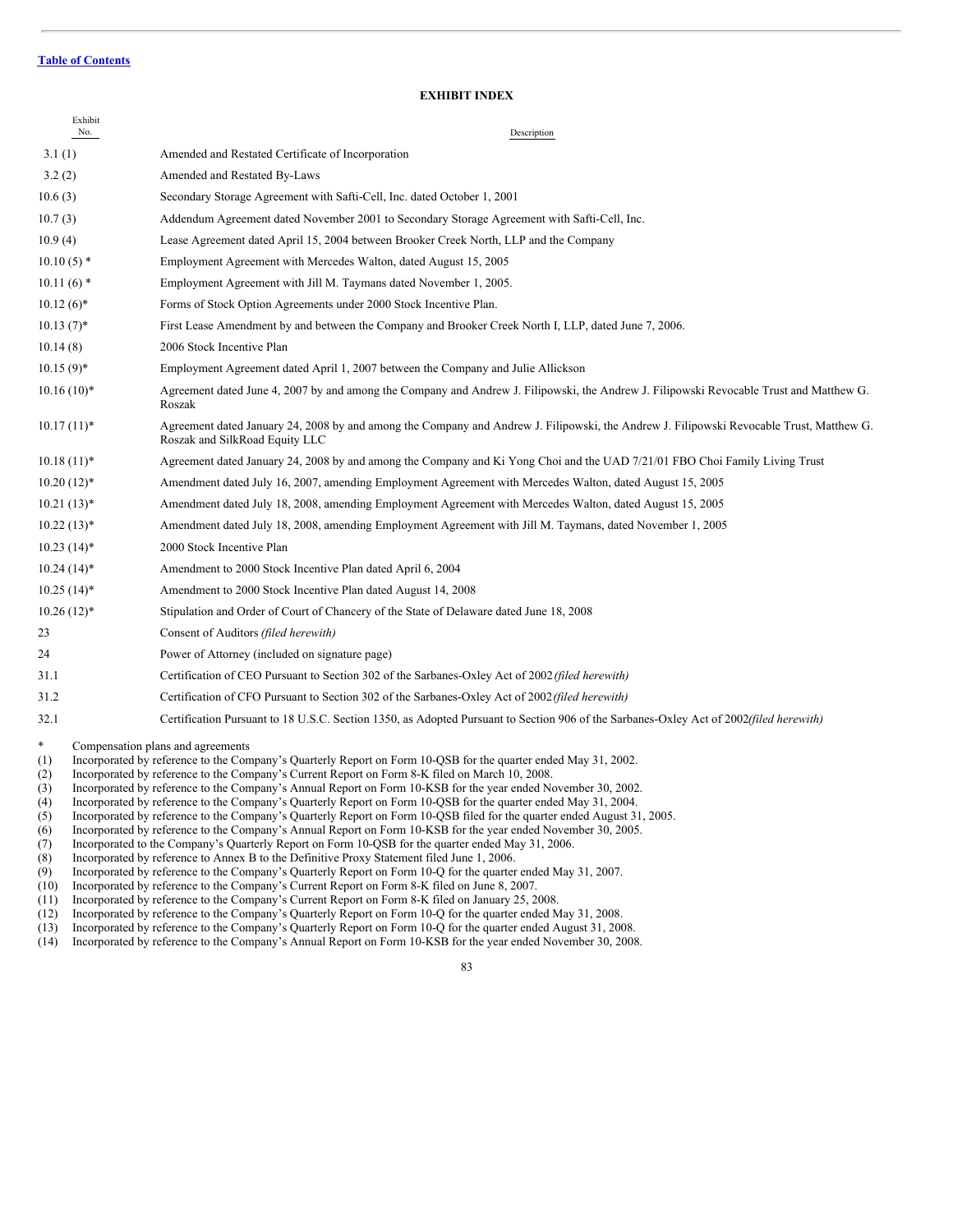# **EXHIBIT INDEX**

|                                    | Exhibit<br>No. | Description                                                                                                                                                                                                                                                                                                                                                                                                                                                                              |
|------------------------------------|----------------|------------------------------------------------------------------------------------------------------------------------------------------------------------------------------------------------------------------------------------------------------------------------------------------------------------------------------------------------------------------------------------------------------------------------------------------------------------------------------------------|
| 3.1(1)                             |                | Amended and Restated Certificate of Incorporation                                                                                                                                                                                                                                                                                                                                                                                                                                        |
| 3.2(2)                             |                | Amended and Restated By-Laws                                                                                                                                                                                                                                                                                                                                                                                                                                                             |
| 10.6(3)                            |                | Secondary Storage Agreement with Safti-Cell, Inc. dated October 1, 2001                                                                                                                                                                                                                                                                                                                                                                                                                  |
| 10.7(3)                            |                | Addendum Agreement dated November 2001 to Secondary Storage Agreement with Safti-Cell, Inc.                                                                                                                                                                                                                                                                                                                                                                                              |
| 10.9(4)                            |                | Lease Agreement dated April 15, 2004 between Brooker Creek North, LLP and the Company                                                                                                                                                                                                                                                                                                                                                                                                    |
| $10.10(5)$ *                       |                | Employment Agreement with Mercedes Walton, dated August 15, 2005                                                                                                                                                                                                                                                                                                                                                                                                                         |
| $10.11(6)$ *                       |                | Employment Agreement with Jill M. Taymans dated November 1, 2005.                                                                                                                                                                                                                                                                                                                                                                                                                        |
| $10.12(6)^*$                       |                | Forms of Stock Option Agreements under 2000 Stock Incentive Plan.                                                                                                                                                                                                                                                                                                                                                                                                                        |
| $10.13(7)$ *                       |                | First Lease Amendment by and between the Company and Brooker Creek North I, LLP, dated June 7, 2006.                                                                                                                                                                                                                                                                                                                                                                                     |
| 10.14(8)                           |                | 2006 Stock Incentive Plan                                                                                                                                                                                                                                                                                                                                                                                                                                                                |
| $10.15(9)^*$                       |                | Employment Agreement dated April 1, 2007 between the Company and Julie Allickson                                                                                                                                                                                                                                                                                                                                                                                                         |
| $10.16(10)*$                       |                | Agreement dated June 4, 2007 by and among the Company and Andrew J. Filipowski, the Andrew J. Filipowski Revocable Trust and Matthew G.<br>Roszak                                                                                                                                                                                                                                                                                                                                        |
| $10.17(11)^*$                      |                | Agreement dated January 24, 2008 by and among the Company and Andrew J. Filipowski, the Andrew J. Filipowski Revocable Trust, Matthew G.<br>Roszak and SilkRoad Equity LLC                                                                                                                                                                                                                                                                                                               |
| $10.18(11)^*$                      |                | Agreement dated January 24, 2008 by and among the Company and Ki Yong Choi and the UAD 7/21/01 FBO Choi Family Living Trust                                                                                                                                                                                                                                                                                                                                                              |
| $10.20(12)^*$                      |                | Amendment dated July 16, 2007, amending Employment Agreement with Mercedes Walton, dated August 15, 2005                                                                                                                                                                                                                                                                                                                                                                                 |
| $10.21(13)^*$                      |                | Amendment dated July 18, 2008, amending Employment Agreement with Mercedes Walton, dated August 15, 2005                                                                                                                                                                                                                                                                                                                                                                                 |
| $10.22(13)^*$                      |                | Amendment dated July 18, 2008, amending Employment Agreement with Jill M. Taymans, dated November 1, 2005                                                                                                                                                                                                                                                                                                                                                                                |
| $10.23(14)^*$                      |                | 2000 Stock Incentive Plan                                                                                                                                                                                                                                                                                                                                                                                                                                                                |
| $10.24(14)^*$                      |                | Amendment to 2000 Stock Incentive Plan dated April 6, 2004                                                                                                                                                                                                                                                                                                                                                                                                                               |
| $10.25(14)^*$                      |                | Amendment to 2000 Stock Incentive Plan dated August 14, 2008                                                                                                                                                                                                                                                                                                                                                                                                                             |
| $10.26(12)^*$                      |                | Stipulation and Order of Court of Chancery of the State of Delaware dated June 18, 2008                                                                                                                                                                                                                                                                                                                                                                                                  |
| 23                                 |                | Consent of Auditors (filed herewith)                                                                                                                                                                                                                                                                                                                                                                                                                                                     |
| 24                                 |                | Power of Attorney (included on signature page)                                                                                                                                                                                                                                                                                                                                                                                                                                           |
| 31.1                               |                | Certification of CEO Pursuant to Section 302 of the Sarbanes-Oxley Act of 2002 (filed herewith)                                                                                                                                                                                                                                                                                                                                                                                          |
| 31.2                               |                | Certification of CFO Pursuant to Section 302 of the Sarbanes-Oxley Act of 2002 (filed herewith)                                                                                                                                                                                                                                                                                                                                                                                          |
| 32.1                               |                | Certification Pursuant to 18 U.S.C. Section 1350, as Adopted Pursuant to Section 906 of the Sarbanes-Oxley Act of 2002(filed herewith)                                                                                                                                                                                                                                                                                                                                                   |
| $\ast$<br>(1)<br>(2)<br>(3)<br>(4) |                | Compensation plans and agreements<br>Incorporated by reference to the Company's Quarterly Report on Form 10-QSB for the quarter ended May 31, 2002.<br>Incorporated by reference to the Company's Current Report on Form 8-K filed on March 10, 2008.<br>Incorporated by reference to the Company's Annual Report on Form 10-KSB for the year ended November 30, 2002.<br>Incorporated by reference to the Company's Quarterly Report on Form 10-QSB for the quarter ended May 31, 2004. |

(5) Incorporated by reference to the Company's Quarterly Report on Form 10-QSB filed for the quarter ended August 31, 2005.

- (6) Incorporated by reference to the Company's Annual Report on Form 10-KSB for the year ended November 30, 2005.
- (7) Incorporated to the Company's Quarterly Report on Form 10-QSB for the quarter ended May 31, 2006.
- 
- (8) Incorporated by reference to Annex B to the Definitive Proxy Statement filed June 1, 2006. (9) Incorporated by reference to the Company's Quarterly Report on Form 10-Q for the quarter ended May 31, 2007.
- (10) Incorporated by reference to the Company's Current Report on Form 8-K filed on June 8, 2007.
- (11) Incorporated by reference to the Company's Current Report on Form 8-K filed on January 25, 2008.
- 
- (12) Incorporated by reference to the Company's Quarterly Report on Form 10-Q for the quarter ended May 31, 2008.
- (13) Incorporated by reference to the Company's Quarterly Report on Form 10-Q for the quarter ended August 31, 2008.
- (14) Incorporated by reference to the Company's Annual Report on Form 10-KSB for the year ended November 30, 2008.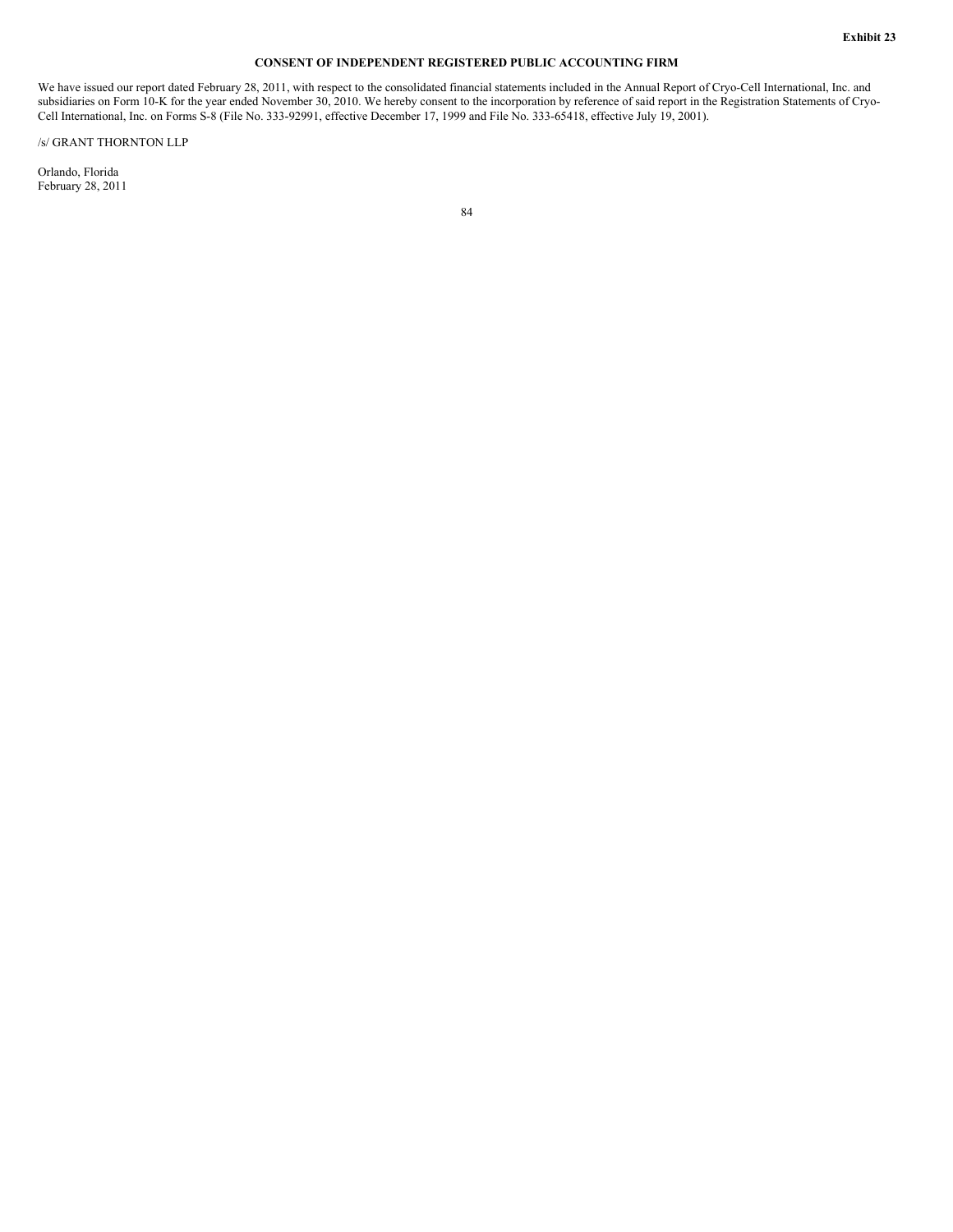# **CONSENT OF INDEPENDENT REGISTERED PUBLIC ACCOUNTING FIRM**

We have issued our report dated February 28, 2011, with respect to the consolidated financial statements included in the Annual Report of Cryo-Cell International, Inc. and subsidiaries on Form 10-K for the year ended November 30, 2010. We hereby consent to the incorporation by reference of said report in the Registration Statements of Cryo-Cell International, Inc. on Forms S-8 (File No. 333-92991, effective December 17, 1999 and File No. 333-65418, effective July 19, 2001).

/s/ GRANT THORNTON LLP

Orlando, Florida February 28, 2011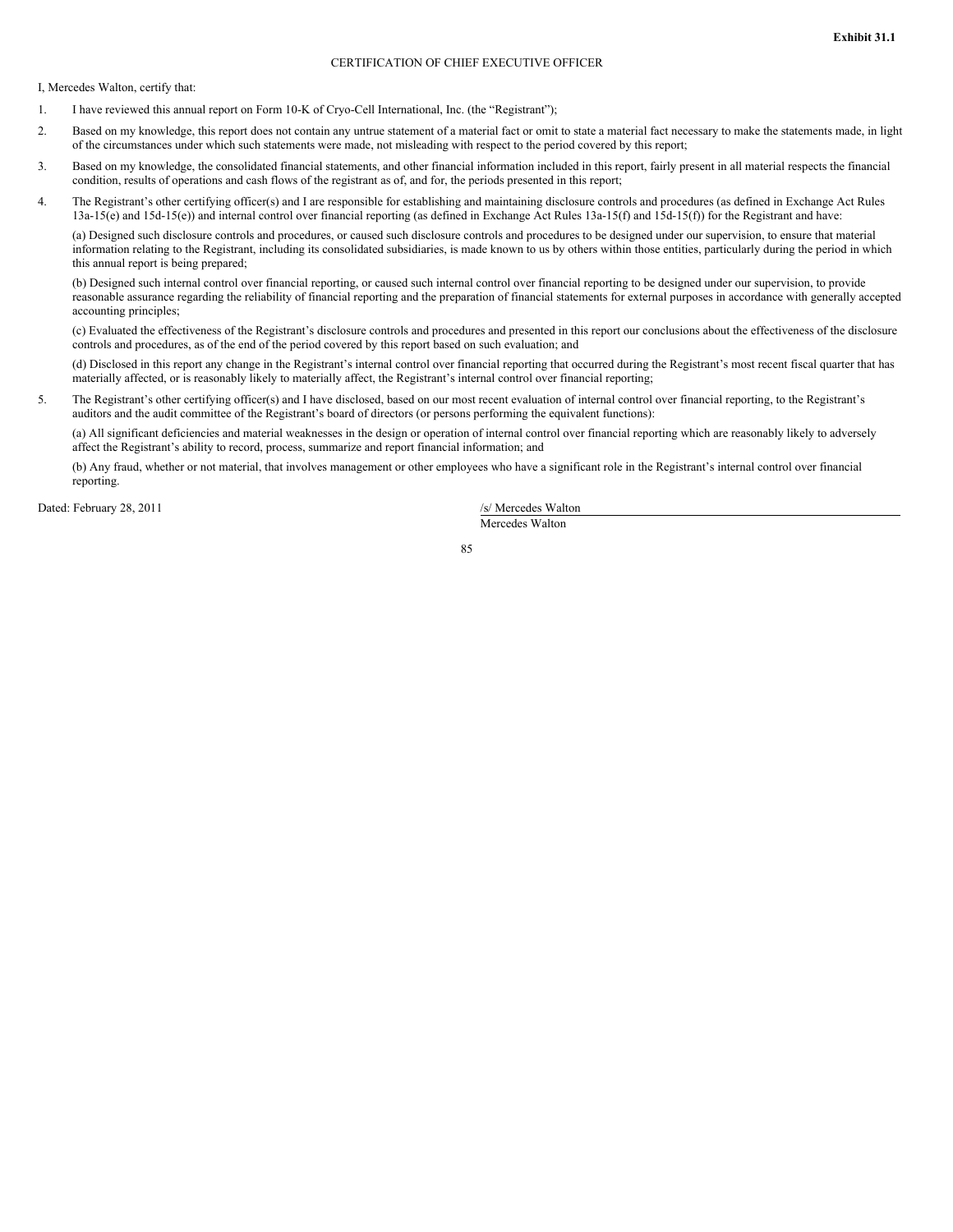# CERTIFICATION OF CHIEF EXECUTIVE OFFICER

I, Mercedes Walton, certify that:

- 1. I have reviewed this annual report on Form 10-K of Cryo-Cell International, Inc. (the "Registrant");
- 2. Based on my knowledge, this report does not contain any untrue statement of a material fact or omit to state a material fact necessary to make the statements made, in light of the circumstances under which such statements were made, not misleading with respect to the period covered by this report;
- 3. Based on my knowledge, the consolidated financial statements, and other financial information included in this report, fairly present in all material respects the financial condition, results of operations and cash flows of the registrant as of, and for, the periods presented in this report;
- 4. The Registrant's other certifying officer(s) and I are responsible for establishing and maintaining disclosure controls and procedures (as defined in Exchange Act Rules 13a-15(e) and 15d-15(e)) and internal control over financial reporting (as defined in Exchange Act Rules 13a-15(f) and 15d-15(f)) for the Registrant and have:

(a) Designed such disclosure controls and procedures, or caused such disclosure controls and procedures to be designed under our supervision, to ensure that material information relating to the Registrant, including its consolidated subsidiaries, is made known to us by others within those entities, particularly during the period in which this annual report is being prepared;

(b) Designed such internal control over financial reporting, or caused such internal control over financial reporting to be designed under our supervision, to provide reasonable assurance regarding the reliability of financial reporting and the preparation of financial statements for external purposes in accordance with generally accepted accounting principles;

(c) Evaluated the effectiveness of the Registrant's disclosure controls and procedures and presented in this report our conclusions about the effectiveness of the disclosure controls and procedures, as of the end of the period covered by this report based on such evaluation; and

(d) Disclosed in this report any change in the Registrant's internal control over financial reporting that occurred during the Registrant's most recent fiscal quarter that has materially affected, or is reasonably likely to materially affect, the Registrant's internal control over financial reporting;

5. The Registrant's other certifying officer(s) and I have disclosed, based on our most recent evaluation of internal control over financial reporting, to the Registrant's auditors and the audit committee of the Registrant's board of directors (or persons performing the equivalent functions):

(a) All significant deficiencies and material weaknesses in the design or operation of internal control over financial reporting which are reasonably likely to adversely affect the Registrant's ability to record, process, summarize and report financial information; and

(b) Any fraud, whether or not material, that involves management or other employees who have a significant role in the Registrant's internal control over financial reporting.

Dated: February 28, 2011 /s/ Mercedes Walton

Mercedes Walton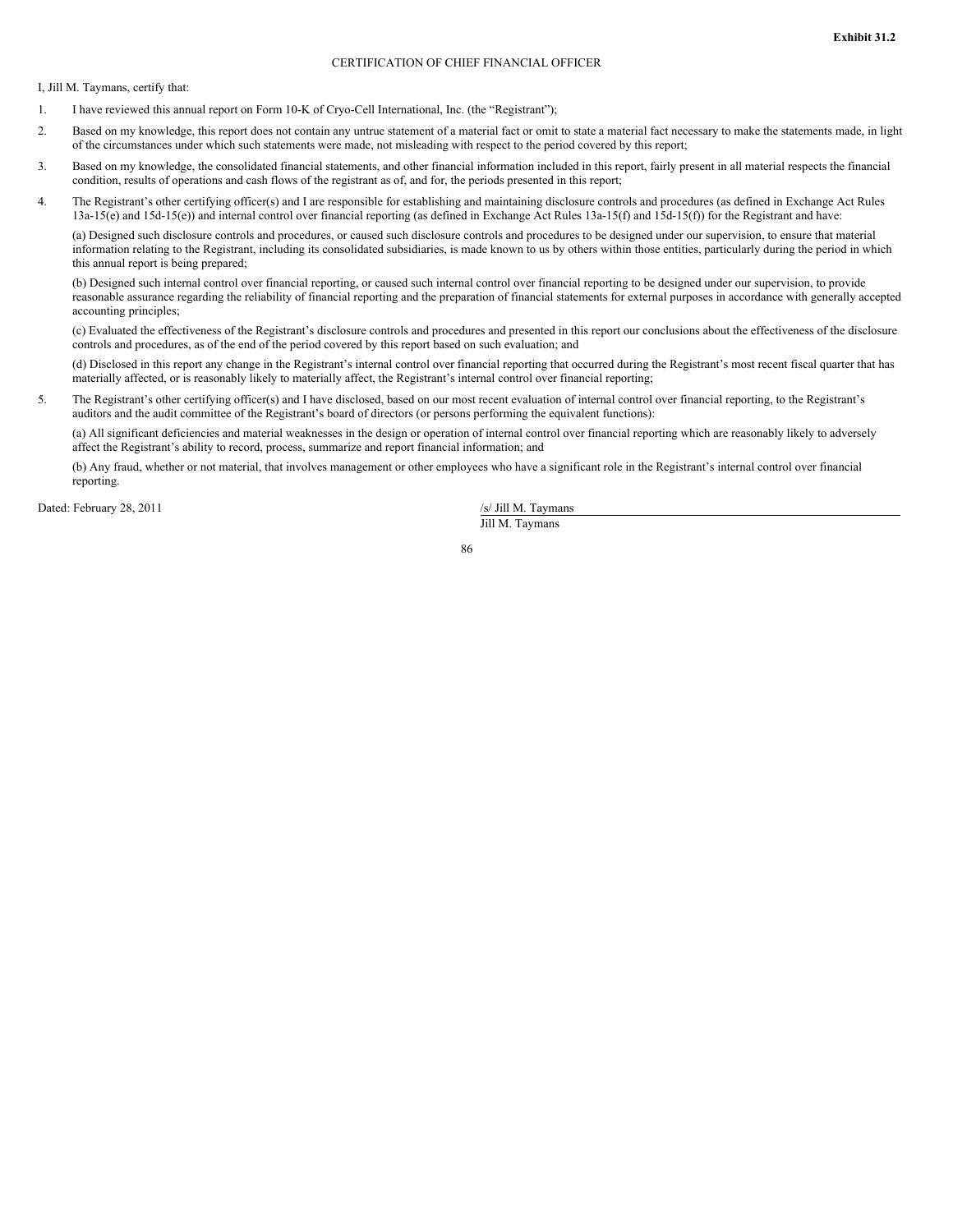# CERTIFICATION OF CHIEF FINANCIAL OFFICER

I, Jill M. Taymans, certify that:

- 1. I have reviewed this annual report on Form 10-K of Cryo-Cell International, Inc. (the "Registrant");
- 2. Based on my knowledge, this report does not contain any untrue statement of a material fact or omit to state a material fact necessary to make the statements made, in light of the circumstances under which such statements were made, not misleading with respect to the period covered by this report;
- 3. Based on my knowledge, the consolidated financial statements, and other financial information included in this report, fairly present in all material respects the financial condition, results of operations and cash flows of the registrant as of, and for, the periods presented in this report;
- 4. The Registrant's other certifying officer(s) and I are responsible for establishing and maintaining disclosure controls and procedures (as defined in Exchange Act Rules 13a-15(e) and 15d-15(e)) and internal control over financial reporting (as defined in Exchange Act Rules 13a-15(f) and 15d-15(f)) for the Registrant and have:

(a) Designed such disclosure controls and procedures, or caused such disclosure controls and procedures to be designed under our supervision, to ensure that material information relating to the Registrant, including its consolidated subsidiaries, is made known to us by others within those entities, particularly during the period in which this annual report is being prepared;

(b) Designed such internal control over financial reporting, or caused such internal control over financial reporting to be designed under our supervision, to provide reasonable assurance regarding the reliability of financial reporting and the preparation of financial statements for external purposes in accordance with generally accepted accounting principles;

(c) Evaluated the effectiveness of the Registrant's disclosure controls and procedures and presented in this report our conclusions about the effectiveness of the disclosure controls and procedures, as of the end of the period covered by this report based on such evaluation; and

(d) Disclosed in this report any change in the Registrant's internal control over financial reporting that occurred during the Registrant's most recent fiscal quarter that has materially affected, or is reasonably likely to materially affect, the Registrant's internal control over financial reporting;

5. The Registrant's other certifying officer(s) and I have disclosed, based on our most recent evaluation of internal control over financial reporting, to the Registrant's auditors and the audit committee of the Registrant's board of directors (or persons performing the equivalent functions):

(a) All significant deficiencies and material weaknesses in the design or operation of internal control over financial reporting which are reasonably likely to adversely affect the Registrant's ability to record, process, summarize and report financial information; and

(b) Any fraud, whether or not material, that involves management or other employees who have a significant role in the Registrant's internal control over financial reporting.

Dated: February 28, 2011 /s/ Jill M. Taymans

Jill M. Taymans